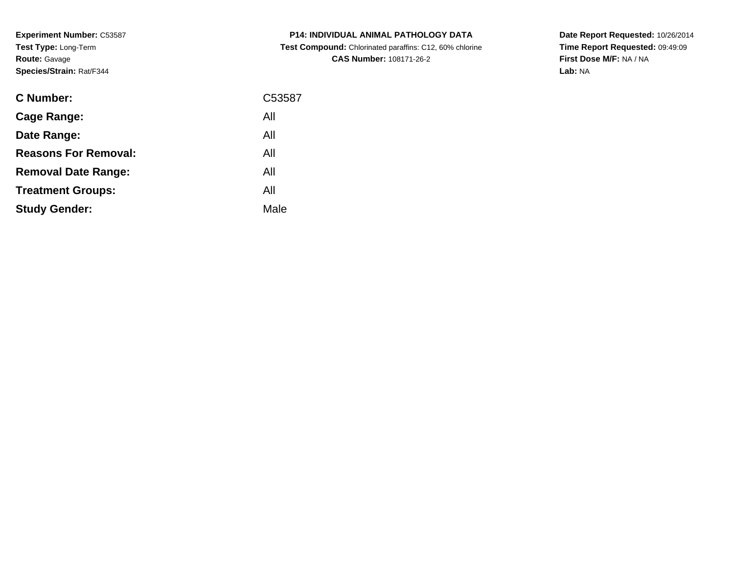**Experiment Number:** C53587**Test Type:** Long-Term**Route:** Gavage**Species/Strain:** Rat/F344

| <b>C Number:</b>            | C53587 |
|-----------------------------|--------|
| Cage Range:                 | All    |
| Date Range:                 | All    |
| <b>Reasons For Removal:</b> | All    |
| <b>Removal Date Range:</b>  | All    |
| <b>Treatment Groups:</b>    | All    |
| <b>Study Gender:</b>        | Male   |
|                             |        |

**P14: INDIVIDUAL ANIMAL PATHOLOGY DATA Test Compound:** Chlorinated paraffins: C12, 60% chlorine**CAS Number:** 108171-26-2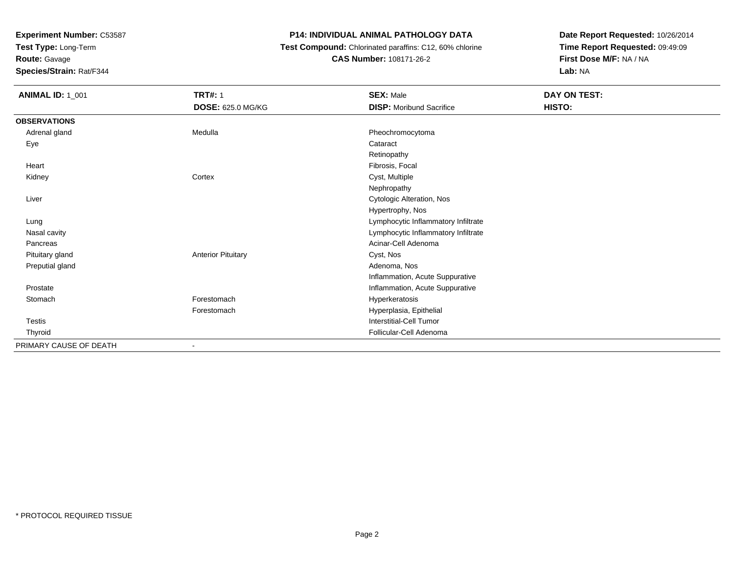**Test Type:** Long-Term

**Route:** Gavage

 $\sim$ 

**Species/Strain:** Rat/F344

# **P14: INDIVIDUAL ANIMAL PATHOLOGY DATA**

 **Test Compound:** Chlorinated paraffins: C12, 60% chlorine**CAS Number:** 108171-26-2

| <b>ANIMAL ID: 1_001</b> | <b>TRT#: 1</b>            | <b>SEX: Male</b>                    | DAY ON TEST: |
|-------------------------|---------------------------|-------------------------------------|--------------|
|                         | <b>DOSE: 625.0 MG/KG</b>  | <b>DISP:</b> Moribund Sacrifice     | HISTO:       |
| <b>OBSERVATIONS</b>     |                           |                                     |              |
| Adrenal gland           | Medulla                   | Pheochromocytoma                    |              |
| Eye                     |                           | Cataract                            |              |
|                         |                           | Retinopathy                         |              |
| Heart                   |                           | Fibrosis, Focal                     |              |
| Kidney                  | Cortex                    | Cyst, Multiple                      |              |
|                         |                           | Nephropathy                         |              |
| Liver                   |                           | Cytologic Alteration, Nos           |              |
|                         |                           | Hypertrophy, Nos                    |              |
| Lung                    |                           | Lymphocytic Inflammatory Infiltrate |              |
| Nasal cavity            |                           | Lymphocytic Inflammatory Infiltrate |              |
| Pancreas                |                           | Acinar-Cell Adenoma                 |              |
| Pituitary gland         | <b>Anterior Pituitary</b> | Cyst, Nos                           |              |
| Preputial gland         |                           | Adenoma, Nos                        |              |
|                         |                           | Inflammation, Acute Suppurative     |              |
| Prostate                |                           | Inflammation, Acute Suppurative     |              |
| Stomach                 | Forestomach               | Hyperkeratosis                      |              |
|                         | Forestomach               | Hyperplasia, Epithelial             |              |
| Testis                  |                           | Interstitial-Cell Tumor             |              |
| Thyroid                 |                           | Follicular-Cell Adenoma             |              |
| PRIMARY CAUSE OF DEATH  |                           |                                     |              |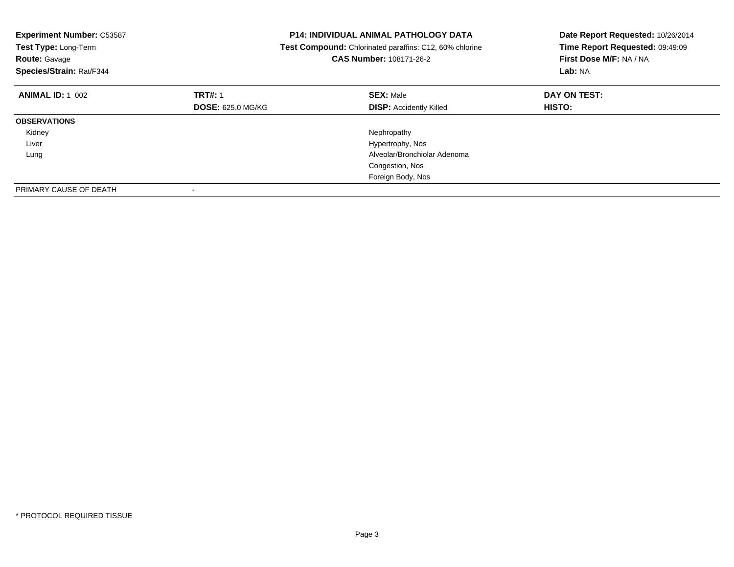| <b>Experiment Number: C53587</b><br>Test Type: Long-Term<br><b>Route: Gavage</b><br>Species/Strain: Rat/F344 |                          | P14: INDIVIDUAL ANIMAL PATHOLOGY DATA<br>Test Compound: Chlorinated paraffins: C12, 60% chlorine<br>CAS Number: 108171-26-2 | Date Report Requested: 10/26/2014<br>Time Report Requested: 09:49:09<br>First Dose M/F: NA / NA<br>Lab: NA |
|--------------------------------------------------------------------------------------------------------------|--------------------------|-----------------------------------------------------------------------------------------------------------------------------|------------------------------------------------------------------------------------------------------------|
| <b>ANIMAL ID: 1 002</b>                                                                                      | <b>TRT#: 1</b>           | <b>SEX: Male</b>                                                                                                            | DAY ON TEST:                                                                                               |
|                                                                                                              | <b>DOSE: 625.0 MG/KG</b> | <b>DISP:</b> Accidently Killed                                                                                              | HISTO:                                                                                                     |
| <b>OBSERVATIONS</b>                                                                                          |                          |                                                                                                                             |                                                                                                            |
| Kidney                                                                                                       |                          | Nephropathy                                                                                                                 |                                                                                                            |
| Liver                                                                                                        |                          | Hypertrophy, Nos                                                                                                            |                                                                                                            |
| Lung                                                                                                         |                          | Alveolar/Bronchiolar Adenoma                                                                                                |                                                                                                            |
|                                                                                                              |                          | Congestion, Nos                                                                                                             |                                                                                                            |
|                                                                                                              |                          | Foreign Body, Nos                                                                                                           |                                                                                                            |
| PRIMARY CAUSE OF DEATH                                                                                       |                          |                                                                                                                             |                                                                                                            |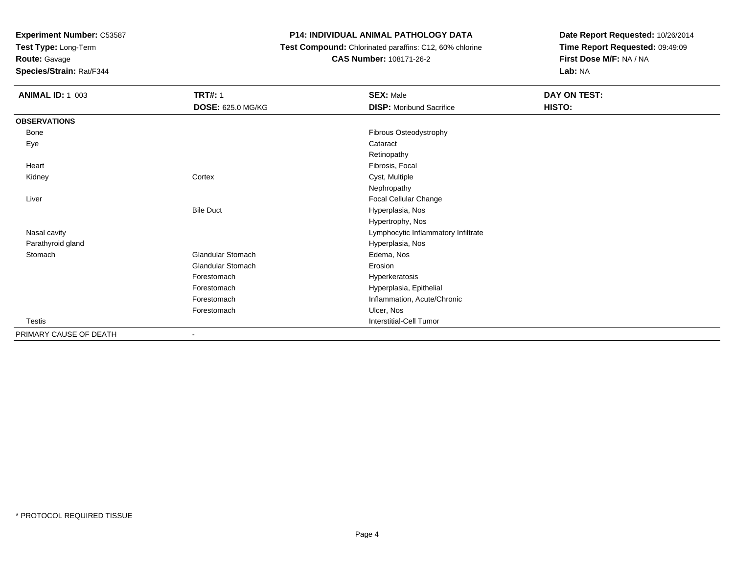**Test Type:** Long-Term

# **Route:** Gavage

**Species/Strain:** Rat/F344

# **P14: INDIVIDUAL ANIMAL PATHOLOGY DATA**

 **Test Compound:** Chlorinated paraffins: C12, 60% chlorine**CAS Number:** 108171-26-2

| <b>ANIMAL ID: 1_003</b> | <b>TRT#: 1</b>           | <b>SEX: Male</b>                    | DAY ON TEST: |  |
|-------------------------|--------------------------|-------------------------------------|--------------|--|
|                         | DOSE: 625.0 MG/KG        | <b>DISP:</b> Moribund Sacrifice     | HISTO:       |  |
| <b>OBSERVATIONS</b>     |                          |                                     |              |  |
| Bone                    |                          | Fibrous Osteodystrophy              |              |  |
| Eye                     |                          | Cataract                            |              |  |
|                         |                          | Retinopathy                         |              |  |
| Heart                   |                          | Fibrosis, Focal                     |              |  |
| Kidney                  | Cortex                   | Cyst, Multiple                      |              |  |
|                         |                          | Nephropathy                         |              |  |
| Liver                   |                          | Focal Cellular Change               |              |  |
|                         | <b>Bile Duct</b>         | Hyperplasia, Nos                    |              |  |
|                         |                          | Hypertrophy, Nos                    |              |  |
| Nasal cavity            |                          | Lymphocytic Inflammatory Infiltrate |              |  |
| Parathyroid gland       |                          | Hyperplasia, Nos                    |              |  |
| Stomach                 | <b>Glandular Stomach</b> | Edema, Nos                          |              |  |
|                         | <b>Glandular Stomach</b> | Erosion                             |              |  |
|                         | Forestomach              | Hyperkeratosis                      |              |  |
|                         | Forestomach              | Hyperplasia, Epithelial             |              |  |
|                         | Forestomach              | Inflammation, Acute/Chronic         |              |  |
|                         | Forestomach              | Ulcer, Nos                          |              |  |
| <b>Testis</b>           |                          | <b>Interstitial-Cell Tumor</b>      |              |  |
| PRIMARY CAUSE OF DEATH  |                          |                                     |              |  |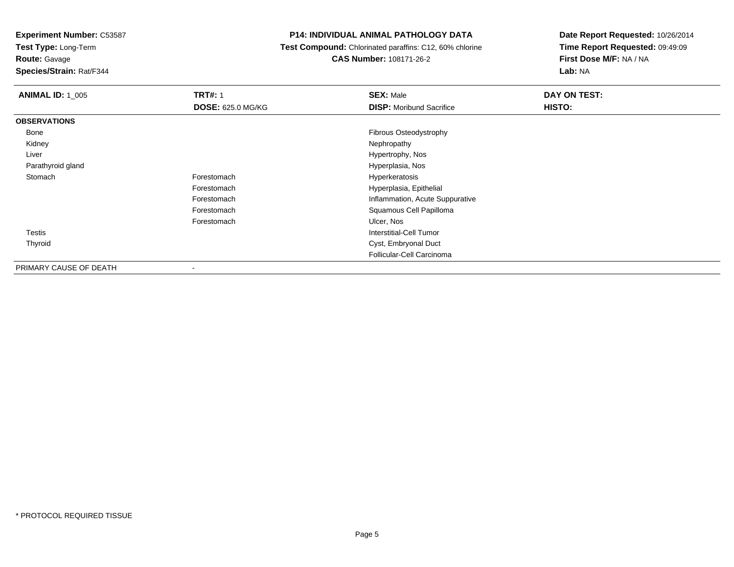**Test Type:** Long-Term

**Route:** Gavage

**Species/Strain:** Rat/F344

### **P14: INDIVIDUAL ANIMAL PATHOLOGY DATA**

 **Test Compound:** Chlorinated paraffins: C12, 60% chlorine**CAS Number:** 108171-26-2

| <b>ANIMAL ID: 1 005</b> | <b>TRT#: 1</b>           | <b>SEX: Male</b>                | DAY ON TEST: |
|-------------------------|--------------------------|---------------------------------|--------------|
|                         | <b>DOSE: 625.0 MG/KG</b> | <b>DISP:</b> Moribund Sacrifice | HISTO:       |
| <b>OBSERVATIONS</b>     |                          |                                 |              |
| Bone                    |                          | Fibrous Osteodystrophy          |              |
| Kidney                  |                          | Nephropathy                     |              |
| Liver                   |                          | Hypertrophy, Nos                |              |
| Parathyroid gland       |                          | Hyperplasia, Nos                |              |
| Stomach                 | Forestomach              | Hyperkeratosis                  |              |
|                         | Forestomach              | Hyperplasia, Epithelial         |              |
|                         | Forestomach              | Inflammation, Acute Suppurative |              |
|                         | Forestomach              | Squamous Cell Papilloma         |              |
|                         | Forestomach              | Ulcer, Nos                      |              |
| Testis                  |                          | Interstitial-Cell Tumor         |              |
| Thyroid                 |                          | Cyst, Embryonal Duct            |              |
|                         |                          | Follicular-Cell Carcinoma       |              |
| PRIMARY CAUSE OF DEATH  | $\,$                     |                                 |              |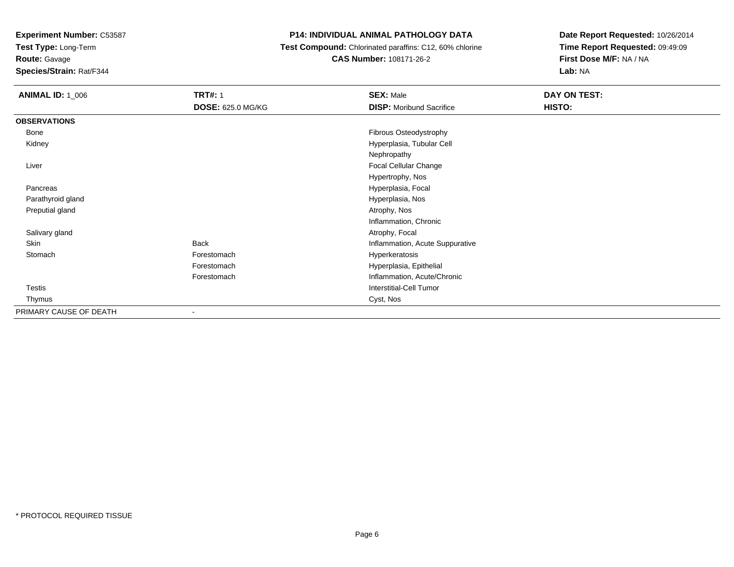**Test Type:** Long-Term

# **Route:** Gavage

**Species/Strain:** Rat/F344

### **P14: INDIVIDUAL ANIMAL PATHOLOGY DATA**

#### **Test Compound:** Chlorinated paraffins: C12, 60% chlorine**CAS Number:** 108171-26-2

| <b>ANIMAL ID: 1_006</b> | <b>TRT#: 1</b>           | <b>SEX: Male</b>                | <b>DAY ON TEST:</b> |
|-------------------------|--------------------------|---------------------------------|---------------------|
|                         | <b>DOSE: 625.0 MG/KG</b> | <b>DISP: Moribund Sacrifice</b> | HISTO:              |
| <b>OBSERVATIONS</b>     |                          |                                 |                     |
| Bone                    |                          | Fibrous Osteodystrophy          |                     |
| Kidney                  |                          | Hyperplasia, Tubular Cell       |                     |
|                         |                          | Nephropathy                     |                     |
| Liver                   |                          | Focal Cellular Change           |                     |
|                         |                          | Hypertrophy, Nos                |                     |
| Pancreas                |                          | Hyperplasia, Focal              |                     |
| Parathyroid gland       |                          | Hyperplasia, Nos                |                     |
| Preputial gland         |                          | Atrophy, Nos                    |                     |
|                         |                          | Inflammation, Chronic           |                     |
| Salivary gland          |                          | Atrophy, Focal                  |                     |
| Skin                    | <b>Back</b>              | Inflammation, Acute Suppurative |                     |
| Stomach                 | Forestomach              | Hyperkeratosis                  |                     |
|                         | Forestomach              | Hyperplasia, Epithelial         |                     |
|                         | Forestomach              | Inflammation, Acute/Chronic     |                     |
| <b>Testis</b>           |                          | Interstitial-Cell Tumor         |                     |
| Thymus                  |                          | Cyst, Nos                       |                     |
| PRIMARY CAUSE OF DEATH  | $\blacksquare$           |                                 |                     |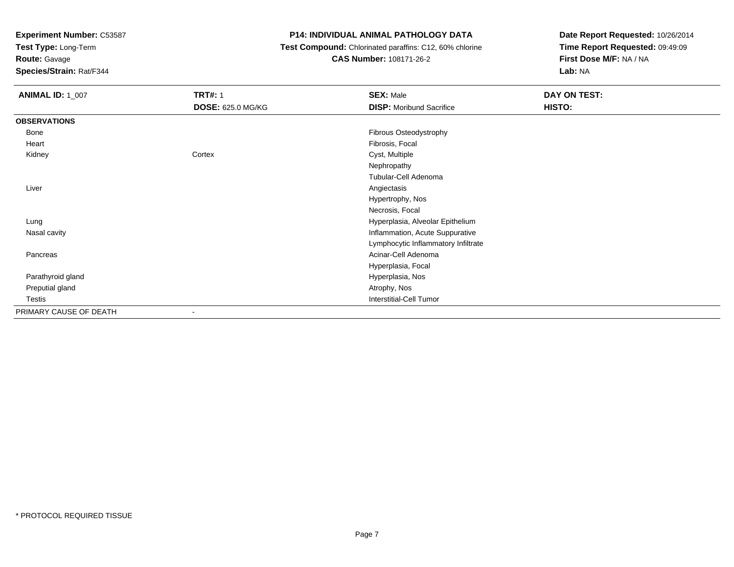**Test Type:** Long-Term

# **Route:** Gavage

**Species/Strain:** Rat/F344

### **P14: INDIVIDUAL ANIMAL PATHOLOGY DATA**

# **Test Compound:** Chlorinated paraffins: C12, 60% chlorine**CAS Number:** 108171-26-2

| <b>ANIMAL ID: 1_007</b> | <b>TRT#: 1</b>           | <b>SEX: Male</b>                    | DAY ON TEST: |  |
|-------------------------|--------------------------|-------------------------------------|--------------|--|
|                         | <b>DOSE: 625.0 MG/KG</b> | <b>DISP:</b> Moribund Sacrifice     | HISTO:       |  |
| <b>OBSERVATIONS</b>     |                          |                                     |              |  |
| Bone                    |                          | Fibrous Osteodystrophy              |              |  |
| Heart                   |                          | Fibrosis, Focal                     |              |  |
| Kidney                  | Cortex                   | Cyst, Multiple                      |              |  |
|                         |                          | Nephropathy                         |              |  |
|                         |                          | Tubular-Cell Adenoma                |              |  |
| Liver                   |                          | Angiectasis                         |              |  |
|                         |                          | Hypertrophy, Nos                    |              |  |
|                         |                          | Necrosis, Focal                     |              |  |
| Lung                    |                          | Hyperplasia, Alveolar Epithelium    |              |  |
| Nasal cavity            |                          | Inflammation, Acute Suppurative     |              |  |
|                         |                          | Lymphocytic Inflammatory Infiltrate |              |  |
| Pancreas                |                          | Acinar-Cell Adenoma                 |              |  |
|                         |                          | Hyperplasia, Focal                  |              |  |
| Parathyroid gland       |                          | Hyperplasia, Nos                    |              |  |
| Preputial gland         |                          | Atrophy, Nos                        |              |  |
| Testis                  |                          | Interstitial-Cell Tumor             |              |  |
| PRIMARY CAUSE OF DEATH  | $\overline{\phantom{a}}$ |                                     |              |  |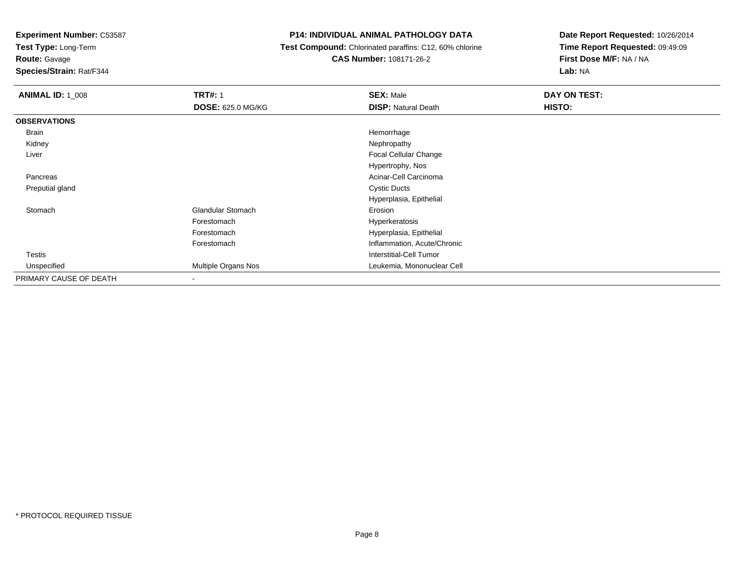**Test Type:** Long-Term

# **Route:** Gavage

**Species/Strain:** Rat/F344

### **P14: INDIVIDUAL ANIMAL PATHOLOGY DATA**

## **Test Compound:** Chlorinated paraffins: C12, 60% chlorine**CAS Number:** 108171-26-2

| <b>ANIMAL ID: 1_008</b> | <b>TRT#: 1</b>           | <b>SEX: Male</b>            | DAY ON TEST: |
|-------------------------|--------------------------|-----------------------------|--------------|
|                         | <b>DOSE: 625.0 MG/KG</b> | <b>DISP: Natural Death</b>  | HISTO:       |
| <b>OBSERVATIONS</b>     |                          |                             |              |
| Brain                   |                          | Hemorrhage                  |              |
| Kidney                  |                          | Nephropathy                 |              |
| Liver                   |                          | Focal Cellular Change       |              |
|                         |                          | Hypertrophy, Nos            |              |
| Pancreas                |                          | Acinar-Cell Carcinoma       |              |
| Preputial gland         |                          | <b>Cystic Ducts</b>         |              |
|                         |                          | Hyperplasia, Epithelial     |              |
| Stomach                 | <b>Glandular Stomach</b> | Erosion                     |              |
|                         | Forestomach              | Hyperkeratosis              |              |
|                         | Forestomach              | Hyperplasia, Epithelial     |              |
|                         | Forestomach              | Inflammation, Acute/Chronic |              |
| Testis                  |                          | Interstitial-Cell Tumor     |              |
| Unspecified             | Multiple Organs Nos      | Leukemia, Mononuclear Cell  |              |
| PRIMARY CAUSE OF DEATH  | $\blacksquare$           |                             |              |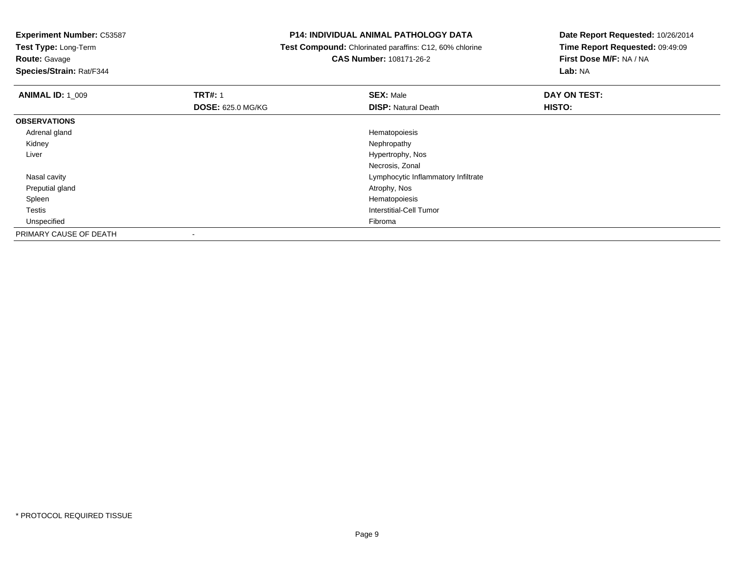**Test Type:** Long-Term

**Route:** Gavage

**Species/Strain:** Rat/F344

### **P14: INDIVIDUAL ANIMAL PATHOLOGY DATA**

 **Test Compound:** Chlorinated paraffins: C12, 60% chlorine**CAS Number:** 108171-26-2

| <b>ANIMAL ID: 1_009</b> | <b>TRT#: 1</b>           | <b>SEX: Male</b>                    | DAY ON TEST: |  |
|-------------------------|--------------------------|-------------------------------------|--------------|--|
|                         | <b>DOSE: 625.0 MG/KG</b> | <b>DISP: Natural Death</b>          | HISTO:       |  |
| <b>OBSERVATIONS</b>     |                          |                                     |              |  |
| Adrenal gland           |                          | Hematopoiesis                       |              |  |
| Kidney                  |                          | Nephropathy                         |              |  |
| Liver                   |                          | Hypertrophy, Nos                    |              |  |
|                         |                          | Necrosis, Zonal                     |              |  |
| Nasal cavity            |                          | Lymphocytic Inflammatory Infiltrate |              |  |
| Preputial gland         |                          | Atrophy, Nos                        |              |  |
| Spleen                  |                          | Hematopoiesis                       |              |  |
| Testis                  |                          | Interstitial-Cell Tumor             |              |  |
| Unspecified             |                          | Fibroma                             |              |  |
| PRIMARY CAUSE OF DEATH  |                          |                                     |              |  |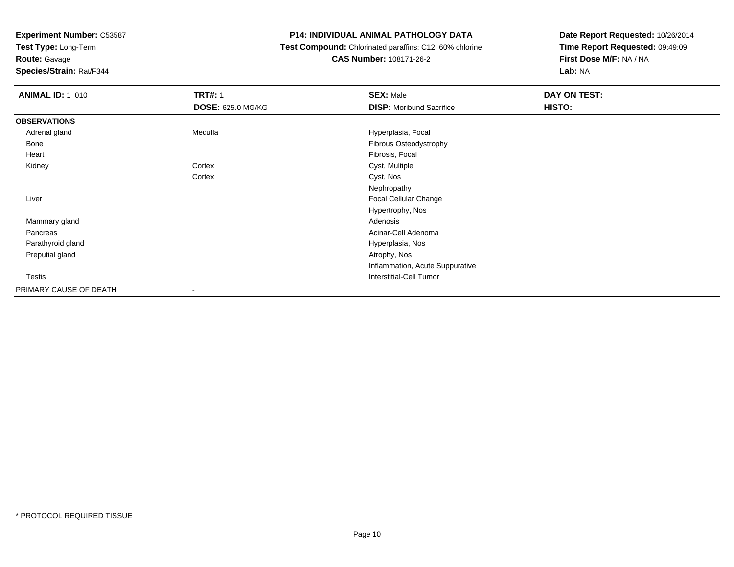**Test Type:** Long-Term

# **Route:** Gavage

**Species/Strain:** Rat/F344

#### **P14: INDIVIDUAL ANIMAL PATHOLOGY DATA**

# **Test Compound:** Chlorinated paraffins: C12, 60% chlorine**CAS Number:** 108171-26-2

| <b>ANIMAL ID: 1_010</b> | <b>TRT#: 1</b>           | <b>SEX: Male</b>                | DAY ON TEST: |
|-------------------------|--------------------------|---------------------------------|--------------|
|                         | <b>DOSE: 625.0 MG/KG</b> | <b>DISP:</b> Moribund Sacrifice | HISTO:       |
| <b>OBSERVATIONS</b>     |                          |                                 |              |
| Adrenal gland           | Medulla                  | Hyperplasia, Focal              |              |
| Bone                    |                          | Fibrous Osteodystrophy          |              |
| Heart                   |                          | Fibrosis, Focal                 |              |
| Kidney                  | Cortex                   | Cyst, Multiple                  |              |
|                         | Cortex                   | Cyst, Nos                       |              |
|                         |                          | Nephropathy                     |              |
| Liver                   |                          | Focal Cellular Change           |              |
|                         |                          | Hypertrophy, Nos                |              |
| Mammary gland           |                          | Adenosis                        |              |
| Pancreas                |                          | Acinar-Cell Adenoma             |              |
| Parathyroid gland       |                          | Hyperplasia, Nos                |              |
| Preputial gland         |                          | Atrophy, Nos                    |              |
|                         |                          | Inflammation, Acute Suppurative |              |
| Testis                  |                          | <b>Interstitial-Cell Tumor</b>  |              |
| PRIMARY CAUSE OF DEATH  | $\overline{\phantom{a}}$ |                                 |              |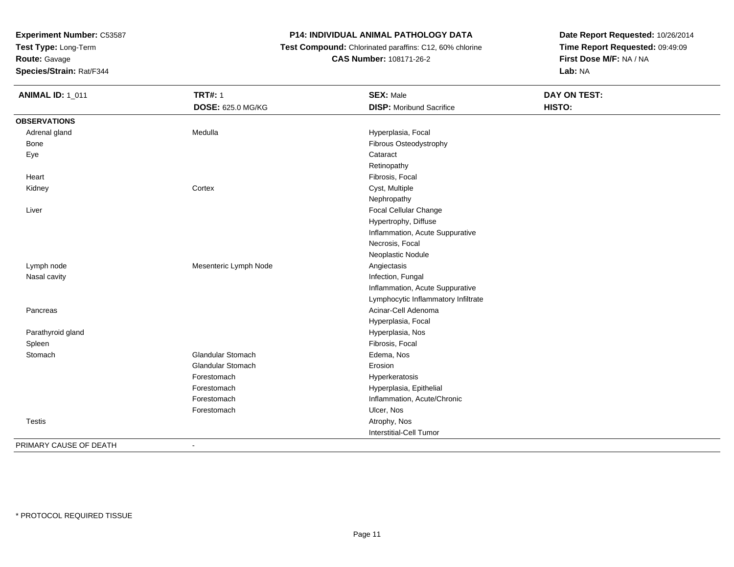**Test Type:** Long-Term

**Route:** Gavage

**Species/Strain:** Rat/F344

# **P14: INDIVIDUAL ANIMAL PATHOLOGY DATA**

 **Test Compound:** Chlorinated paraffins: C12, 60% chlorine**CAS Number:** 108171-26-2

**Date Report Requested:** 10/26/2014**Time Report Requested:** 09:49:09**First Dose M/F:** NA / NA**Lab:** NA

| <b>ANIMAL ID: 1_011</b> | <b>TRT#: 1</b>           | <b>SEX: Male</b>                    | <b>DAY ON TEST:</b> |  |
|-------------------------|--------------------------|-------------------------------------|---------------------|--|
|                         | DOSE: 625.0 MG/KG        | <b>DISP:</b> Moribund Sacrifice     | HISTO:              |  |
| <b>OBSERVATIONS</b>     |                          |                                     |                     |  |
| Adrenal gland           | Medulla                  | Hyperplasia, Focal                  |                     |  |
| <b>Bone</b>             |                          | Fibrous Osteodystrophy              |                     |  |
| Eye                     |                          | Cataract                            |                     |  |
|                         |                          | Retinopathy                         |                     |  |
| Heart                   |                          | Fibrosis, Focal                     |                     |  |
| Kidney                  | Cortex                   | Cyst, Multiple                      |                     |  |
|                         |                          | Nephropathy                         |                     |  |
| Liver                   |                          | Focal Cellular Change               |                     |  |
|                         |                          | Hypertrophy, Diffuse                |                     |  |
|                         |                          | Inflammation, Acute Suppurative     |                     |  |
|                         |                          | Necrosis, Focal                     |                     |  |
|                         |                          | Neoplastic Nodule                   |                     |  |
| Lymph node              | Mesenteric Lymph Node    | Angiectasis                         |                     |  |
| Nasal cavity            |                          | Infection, Fungal                   |                     |  |
|                         |                          | Inflammation, Acute Suppurative     |                     |  |
|                         |                          | Lymphocytic Inflammatory Infiltrate |                     |  |
| Pancreas                |                          | Acinar-Cell Adenoma                 |                     |  |
|                         |                          | Hyperplasia, Focal                  |                     |  |
| Parathyroid gland       |                          | Hyperplasia, Nos                    |                     |  |
| Spleen                  |                          | Fibrosis, Focal                     |                     |  |
| Stomach                 | Glandular Stomach        | Edema, Nos                          |                     |  |
|                         | <b>Glandular Stomach</b> | Erosion                             |                     |  |
|                         | Forestomach              | Hyperkeratosis                      |                     |  |
|                         | Forestomach              | Hyperplasia, Epithelial             |                     |  |
|                         | Forestomach              | Inflammation, Acute/Chronic         |                     |  |
|                         | Forestomach              | Ulcer, Nos                          |                     |  |
| <b>Testis</b>           |                          | Atrophy, Nos                        |                     |  |
|                         |                          | Interstitial-Cell Tumor             |                     |  |
| DOIMADV CAUSE OF BEATH  |                          |                                     |                     |  |

PRIMARY CAUSE OF DEATH-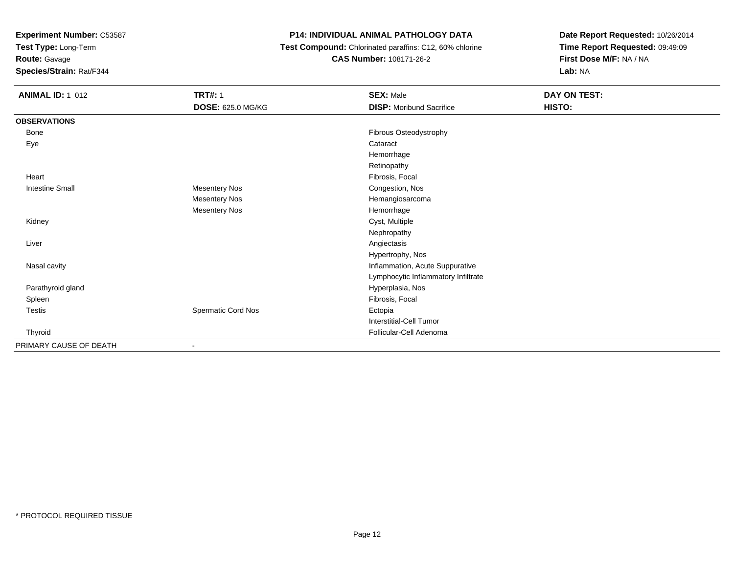**Test Type:** Long-Term

# **Route:** Gavage

**Species/Strain:** Rat/F344

# **P14: INDIVIDUAL ANIMAL PATHOLOGY DATA**

 **Test Compound:** Chlorinated paraffins: C12, 60% chlorine**CAS Number:** 108171-26-2

| <b>ANIMAL ID: 1_012</b> | <b>TRT#: 1</b>           | <b>SEX: Male</b>                    | DAY ON TEST: |
|-------------------------|--------------------------|-------------------------------------|--------------|
|                         | <b>DOSE: 625.0 MG/KG</b> | <b>DISP:</b> Moribund Sacrifice     | HISTO:       |
| <b>OBSERVATIONS</b>     |                          |                                     |              |
| Bone                    |                          | Fibrous Osteodystrophy              |              |
| Eye                     |                          | Cataract                            |              |
|                         |                          | Hemorrhage                          |              |
|                         |                          | Retinopathy                         |              |
| Heart                   |                          | Fibrosis, Focal                     |              |
| <b>Intestine Small</b>  | <b>Mesentery Nos</b>     | Congestion, Nos                     |              |
|                         | <b>Mesentery Nos</b>     | Hemangiosarcoma                     |              |
|                         | <b>Mesentery Nos</b>     | Hemorrhage                          |              |
| Kidney                  |                          | Cyst, Multiple                      |              |
|                         |                          | Nephropathy                         |              |
| Liver                   |                          | Angiectasis                         |              |
|                         |                          | Hypertrophy, Nos                    |              |
| Nasal cavity            |                          | Inflammation, Acute Suppurative     |              |
|                         |                          | Lymphocytic Inflammatory Infiltrate |              |
| Parathyroid gland       |                          | Hyperplasia, Nos                    |              |
| Spleen                  |                          | Fibrosis, Focal                     |              |
| <b>Testis</b>           | Spermatic Cord Nos       | Ectopia                             |              |
|                         |                          | <b>Interstitial-Cell Tumor</b>      |              |
| Thyroid                 |                          | Follicular-Cell Adenoma             |              |
| PRIMARY CAUSE OF DEATH  |                          |                                     |              |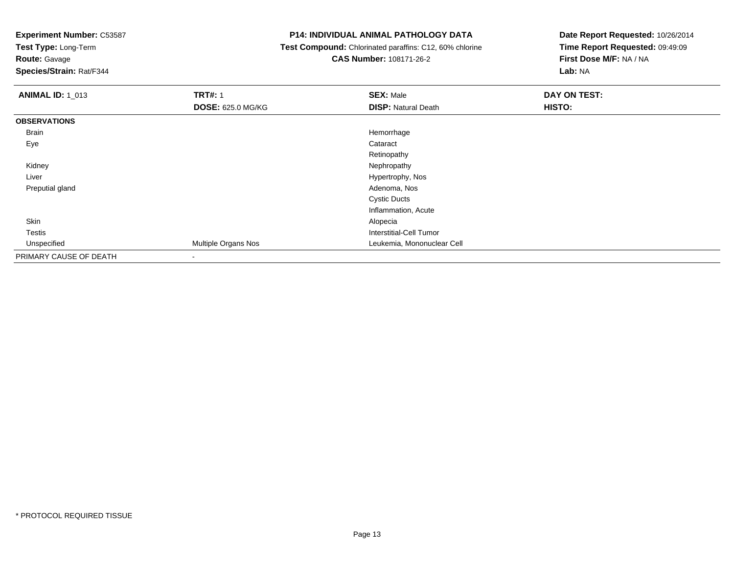**Test Type:** Long-Term

**Route:** Gavage

**Species/Strain:** Rat/F344

#### **P14: INDIVIDUAL ANIMAL PATHOLOGY DATA**

 **Test Compound:** Chlorinated paraffins: C12, 60% chlorine**CAS Number:** 108171-26-2

| <b>ANIMAL ID: 1_013</b> | <b>TRT#: 1</b>           | <b>SEX: Male</b>           | <b>DAY ON TEST:</b> |
|-------------------------|--------------------------|----------------------------|---------------------|
|                         | <b>DOSE: 625.0 MG/KG</b> | <b>DISP: Natural Death</b> | HISTO:              |
| <b>OBSERVATIONS</b>     |                          |                            |                     |
| Brain                   |                          | Hemorrhage                 |                     |
| Eye                     |                          | Cataract                   |                     |
|                         |                          | Retinopathy                |                     |
| Kidney                  |                          | Nephropathy                |                     |
| Liver                   |                          | Hypertrophy, Nos           |                     |
| Preputial gland         |                          | Adenoma, Nos               |                     |
|                         |                          | <b>Cystic Ducts</b>        |                     |
|                         |                          | Inflammation, Acute        |                     |
| Skin                    |                          | Alopecia                   |                     |
| <b>Testis</b>           |                          | Interstitial-Cell Tumor    |                     |
| Unspecified             | Multiple Organs Nos      | Leukemia, Mononuclear Cell |                     |
| PRIMARY CAUSE OF DEATH  | $\blacksquare$           |                            |                     |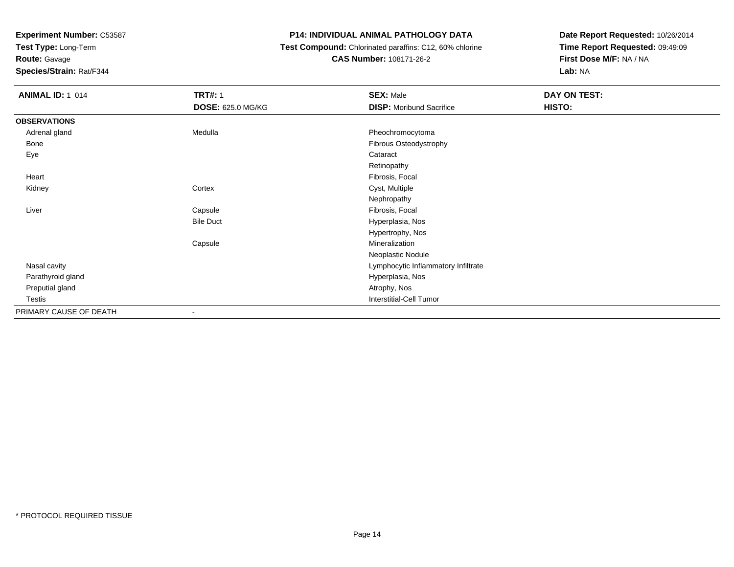**Test Type:** Long-Term

# **Route:** Gavage

**Species/Strain:** Rat/F344

### **P14: INDIVIDUAL ANIMAL PATHOLOGY DATA**

# **Test Compound:** Chlorinated paraffins: C12, 60% chlorine**CAS Number:** 108171-26-2

| <b>ANIMAL ID: 1_014</b> | <b>TRT#: 1</b>    | <b>SEX: Male</b>                    | DAY ON TEST: |
|-------------------------|-------------------|-------------------------------------|--------------|
|                         | DOSE: 625.0 MG/KG | <b>DISP:</b> Moribund Sacrifice     | HISTO:       |
| <b>OBSERVATIONS</b>     |                   |                                     |              |
| Adrenal gland           | Medulla           | Pheochromocytoma                    |              |
| Bone                    |                   | Fibrous Osteodystrophy              |              |
| Eye                     |                   | Cataract                            |              |
|                         |                   | Retinopathy                         |              |
| Heart                   |                   | Fibrosis, Focal                     |              |
| Kidney                  | Cortex            | Cyst, Multiple                      |              |
|                         |                   | Nephropathy                         |              |
| Liver                   | Capsule           | Fibrosis, Focal                     |              |
|                         | <b>Bile Duct</b>  | Hyperplasia, Nos                    |              |
|                         |                   | Hypertrophy, Nos                    |              |
|                         | Capsule           | Mineralization                      |              |
|                         |                   | Neoplastic Nodule                   |              |
| Nasal cavity            |                   | Lymphocytic Inflammatory Infiltrate |              |
| Parathyroid gland       |                   | Hyperplasia, Nos                    |              |
| Preputial gland         |                   | Atrophy, Nos                        |              |
| Testis                  |                   | <b>Interstitial-Cell Tumor</b>      |              |
| PRIMARY CAUSE OF DEATH  |                   |                                     |              |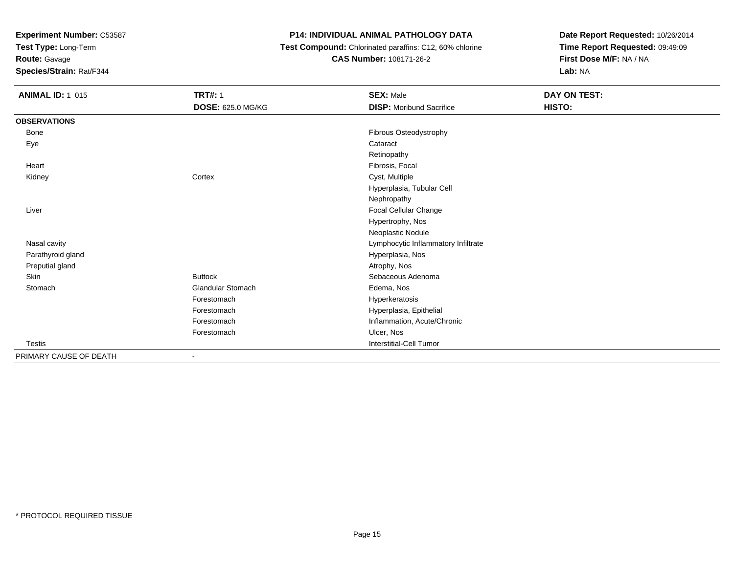**Test Type:** Long-Term

# **Route:** Gavage

**Species/Strain:** Rat/F344

# **P14: INDIVIDUAL ANIMAL PATHOLOGY DATA**

 **Test Compound:** Chlorinated paraffins: C12, 60% chlorine**CAS Number:** 108171-26-2

| <b>ANIMAL ID: 1_015</b> | <b>TRT#: 1</b>           | <b>SEX: Male</b>                    | DAY ON TEST: |
|-------------------------|--------------------------|-------------------------------------|--------------|
|                         | <b>DOSE: 625.0 MG/KG</b> | <b>DISP:</b> Moribund Sacrifice     | HISTO:       |
| <b>OBSERVATIONS</b>     |                          |                                     |              |
| Bone                    |                          | Fibrous Osteodystrophy              |              |
| Eye                     |                          | Cataract                            |              |
|                         |                          | Retinopathy                         |              |
| Heart                   |                          | Fibrosis, Focal                     |              |
| Kidney                  | Cortex                   | Cyst, Multiple                      |              |
|                         |                          | Hyperplasia, Tubular Cell           |              |
|                         |                          | Nephropathy                         |              |
| Liver                   |                          | Focal Cellular Change               |              |
|                         |                          | Hypertrophy, Nos                    |              |
|                         |                          | Neoplastic Nodule                   |              |
| Nasal cavity            |                          | Lymphocytic Inflammatory Infiltrate |              |
| Parathyroid gland       |                          | Hyperplasia, Nos                    |              |
| Preputial gland         |                          | Atrophy, Nos                        |              |
| Skin                    | <b>Buttock</b>           | Sebaceous Adenoma                   |              |
| Stomach                 | <b>Glandular Stomach</b> | Edema, Nos                          |              |
|                         | Forestomach              | Hyperkeratosis                      |              |
|                         | Forestomach              | Hyperplasia, Epithelial             |              |
|                         | Forestomach              | Inflammation, Acute/Chronic         |              |
|                         | Forestomach              | Ulcer, Nos                          |              |
| <b>Testis</b>           |                          | Interstitial-Cell Tumor             |              |
| PRIMARY CAUSE OF DEATH  | ٠                        |                                     |              |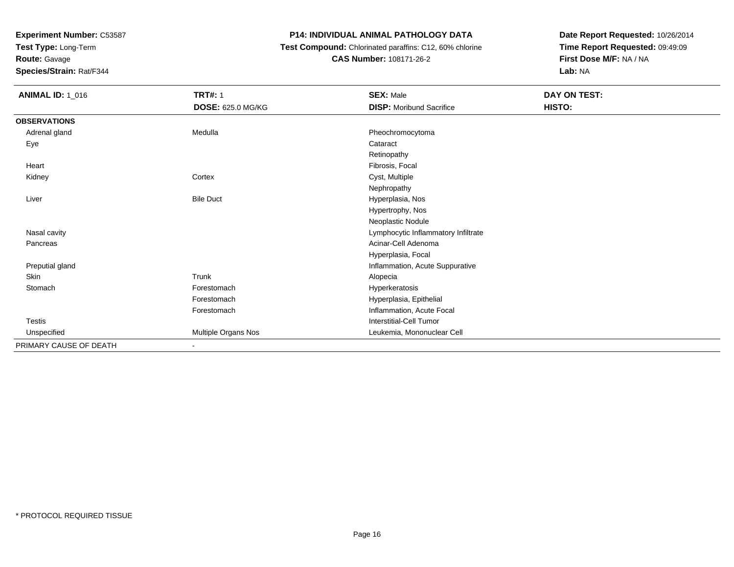**Test Type:** Long-Term

**Route:** Gavage

**Species/Strain:** Rat/F344

### **P14: INDIVIDUAL ANIMAL PATHOLOGY DATA**

 **Test Compound:** Chlorinated paraffins: C12, 60% chlorine**CAS Number:** 108171-26-2

| <b>ANIMAL ID: 1_016</b> | <b>TRT#: 1</b>           | <b>SEX: Male</b>                    | DAY ON TEST: |
|-------------------------|--------------------------|-------------------------------------|--------------|
|                         | <b>DOSE: 625.0 MG/KG</b> | <b>DISP:</b> Moribund Sacrifice     | HISTO:       |
| <b>OBSERVATIONS</b>     |                          |                                     |              |
| Adrenal gland           | Medulla                  | Pheochromocytoma                    |              |
| Eye                     |                          | Cataract                            |              |
|                         |                          | Retinopathy                         |              |
| Heart                   |                          | Fibrosis, Focal                     |              |
| Kidney                  | Cortex                   | Cyst, Multiple                      |              |
|                         |                          | Nephropathy                         |              |
| Liver                   | <b>Bile Duct</b>         | Hyperplasia, Nos                    |              |
|                         |                          | Hypertrophy, Nos                    |              |
|                         |                          | Neoplastic Nodule                   |              |
| Nasal cavity            |                          | Lymphocytic Inflammatory Infiltrate |              |
| Pancreas                |                          | Acinar-Cell Adenoma                 |              |
|                         |                          | Hyperplasia, Focal                  |              |
| Preputial gland         |                          | Inflammation, Acute Suppurative     |              |
| Skin                    | Trunk                    | Alopecia                            |              |
| Stomach                 | Forestomach              | Hyperkeratosis                      |              |
|                         | Forestomach              | Hyperplasia, Epithelial             |              |
|                         | Forestomach              | Inflammation, Acute Focal           |              |
| Testis                  |                          | <b>Interstitial-Cell Tumor</b>      |              |
| Unspecified             | Multiple Organs Nos      | Leukemia, Mononuclear Cell          |              |
| PRIMARY CAUSE OF DEATH  | ۰.                       |                                     |              |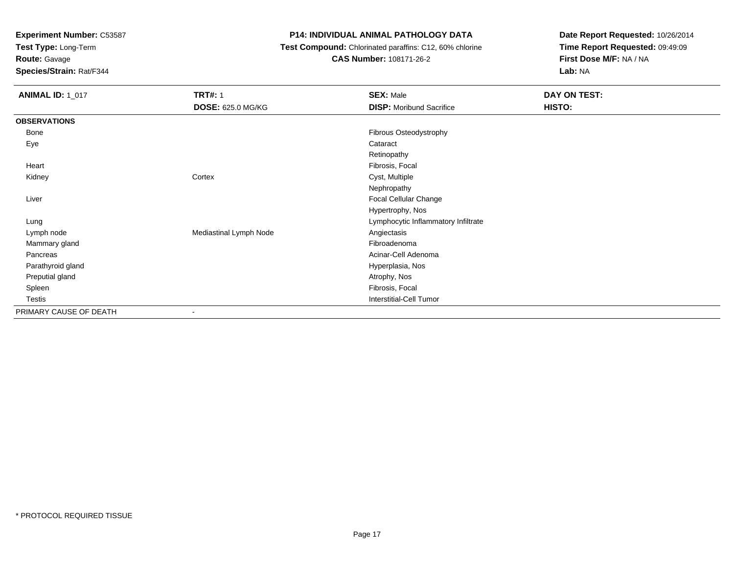**Test Type:** Long-Term

**Route:** Gavage

**Species/Strain:** Rat/F344

### **P14: INDIVIDUAL ANIMAL PATHOLOGY DATA**

 **Test Compound:** Chlorinated paraffins: C12, 60% chlorine**CAS Number:** 108171-26-2

| <b>ANIMAL ID: 1_017</b> | <b>TRT#: 1</b><br>DOSE: 625.0 MG/KG | <b>SEX: Male</b><br><b>DISP:</b> Moribund Sacrifice | DAY ON TEST:<br>HISTO: |
|-------------------------|-------------------------------------|-----------------------------------------------------|------------------------|
| <b>OBSERVATIONS</b>     |                                     |                                                     |                        |
| Bone                    |                                     | Fibrous Osteodystrophy                              |                        |
| Eye                     |                                     | Cataract                                            |                        |
|                         |                                     | Retinopathy                                         |                        |
| Heart                   |                                     | Fibrosis, Focal                                     |                        |
| Kidney                  | Cortex                              | Cyst, Multiple                                      |                        |
|                         |                                     | Nephropathy                                         |                        |
| Liver                   |                                     | Focal Cellular Change                               |                        |
|                         |                                     | Hypertrophy, Nos                                    |                        |
| Lung                    |                                     | Lymphocytic Inflammatory Infiltrate                 |                        |
| Lymph node              | Mediastinal Lymph Node              | Angiectasis                                         |                        |
| Mammary gland           |                                     | Fibroadenoma                                        |                        |
| Pancreas                |                                     | Acinar-Cell Adenoma                                 |                        |
| Parathyroid gland       |                                     | Hyperplasia, Nos                                    |                        |
| Preputial gland         |                                     | Atrophy, Nos                                        |                        |
| Spleen                  |                                     | Fibrosis, Focal                                     |                        |
| Testis                  |                                     | <b>Interstitial-Cell Tumor</b>                      |                        |
| PRIMARY CAUSE OF DEATH  | $\overline{\phantom{a}}$            |                                                     |                        |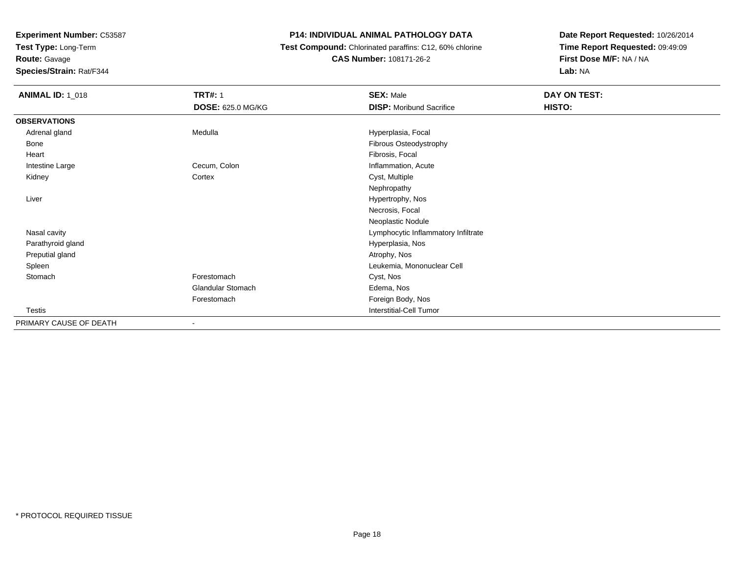**Test Type:** Long-Term

**Route:** Gavage

**Species/Strain:** Rat/F344

## **P14: INDIVIDUAL ANIMAL PATHOLOGY DATA**

 **Test Compound:** Chlorinated paraffins: C12, 60% chlorine**CAS Number:** 108171-26-2

| <b>ANIMAL ID: 1_018</b> | <b>TRT#: 1</b>           | <b>SEX: Male</b>                    | DAY ON TEST: |  |
|-------------------------|--------------------------|-------------------------------------|--------------|--|
|                         | DOSE: 625.0 MG/KG        | <b>DISP:</b> Moribund Sacrifice     | HISTO:       |  |
| <b>OBSERVATIONS</b>     |                          |                                     |              |  |
| Adrenal gland           | Medulla                  | Hyperplasia, Focal                  |              |  |
| Bone                    |                          | Fibrous Osteodystrophy              |              |  |
| Heart                   |                          | Fibrosis, Focal                     |              |  |
| Intestine Large         | Cecum, Colon             | Inflammation, Acute                 |              |  |
| Kidney                  | Cortex                   | Cyst, Multiple                      |              |  |
|                         |                          | Nephropathy                         |              |  |
| Liver                   |                          | Hypertrophy, Nos                    |              |  |
|                         |                          | Necrosis, Focal                     |              |  |
|                         |                          | Neoplastic Nodule                   |              |  |
| Nasal cavity            |                          | Lymphocytic Inflammatory Infiltrate |              |  |
| Parathyroid gland       |                          | Hyperplasia, Nos                    |              |  |
| Preputial gland         |                          | Atrophy, Nos                        |              |  |
| Spleen                  |                          | Leukemia, Mononuclear Cell          |              |  |
| Stomach                 | Forestomach              | Cyst, Nos                           |              |  |
|                         | <b>Glandular Stomach</b> | Edema, Nos                          |              |  |
|                         | Forestomach              | Foreign Body, Nos                   |              |  |
| Testis                  |                          | <b>Interstitial-Cell Tumor</b>      |              |  |
| PRIMARY CAUSE OF DEATH  | $\blacksquare$           |                                     |              |  |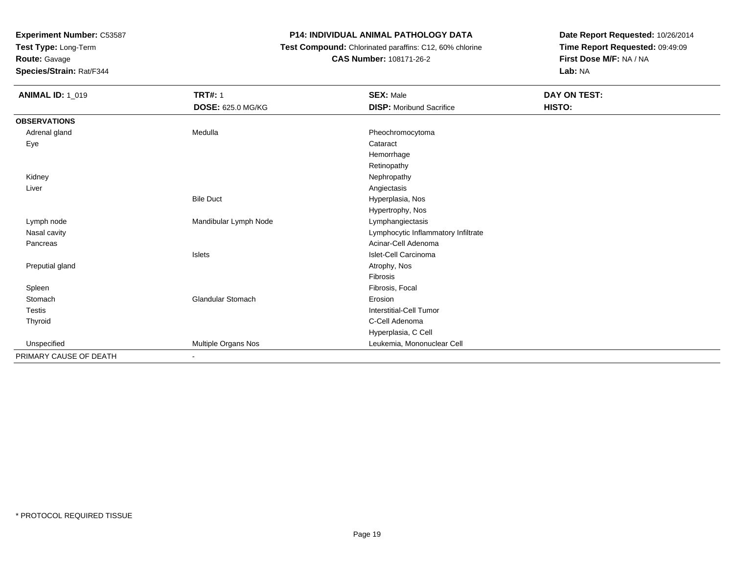**Test Type:** Long-Term

**Route:** Gavage

**Species/Strain:** Rat/F344

### **P14: INDIVIDUAL ANIMAL PATHOLOGY DATA**

 **Test Compound:** Chlorinated paraffins: C12, 60% chlorine**CAS Number:** 108171-26-2

| <b>ANIMAL ID: 1_019</b> | <b>TRT#: 1</b>           | <b>SEX: Male</b>                    | <b>DAY ON TEST:</b> |  |
|-------------------------|--------------------------|-------------------------------------|---------------------|--|
|                         | <b>DOSE: 625.0 MG/KG</b> | <b>DISP:</b> Moribund Sacrifice     | HISTO:              |  |
| <b>OBSERVATIONS</b>     |                          |                                     |                     |  |
| Adrenal gland           | Medulla                  | Pheochromocytoma                    |                     |  |
| Eye                     |                          | Cataract                            |                     |  |
|                         |                          | Hemorrhage                          |                     |  |
|                         |                          | Retinopathy                         |                     |  |
| Kidney                  |                          | Nephropathy                         |                     |  |
| Liver                   |                          | Angiectasis                         |                     |  |
|                         | <b>Bile Duct</b>         | Hyperplasia, Nos                    |                     |  |
|                         |                          | Hypertrophy, Nos                    |                     |  |
| Lymph node              | Mandibular Lymph Node    | Lymphangiectasis                    |                     |  |
| Nasal cavity            |                          | Lymphocytic Inflammatory Infiltrate |                     |  |
| Pancreas                |                          | Acinar-Cell Adenoma                 |                     |  |
|                         | Islets                   | Islet-Cell Carcinoma                |                     |  |
| Preputial gland         |                          | Atrophy, Nos                        |                     |  |
|                         |                          | Fibrosis                            |                     |  |
| Spleen                  |                          | Fibrosis, Focal                     |                     |  |
| Stomach                 | Glandular Stomach        | Erosion                             |                     |  |
| Testis                  |                          | Interstitial-Cell Tumor             |                     |  |
| Thyroid                 |                          | C-Cell Adenoma                      |                     |  |
|                         |                          | Hyperplasia, C Cell                 |                     |  |
| Unspecified             | Multiple Organs Nos      | Leukemia, Mononuclear Cell          |                     |  |
| PRIMARY CAUSE OF DEATH  |                          |                                     |                     |  |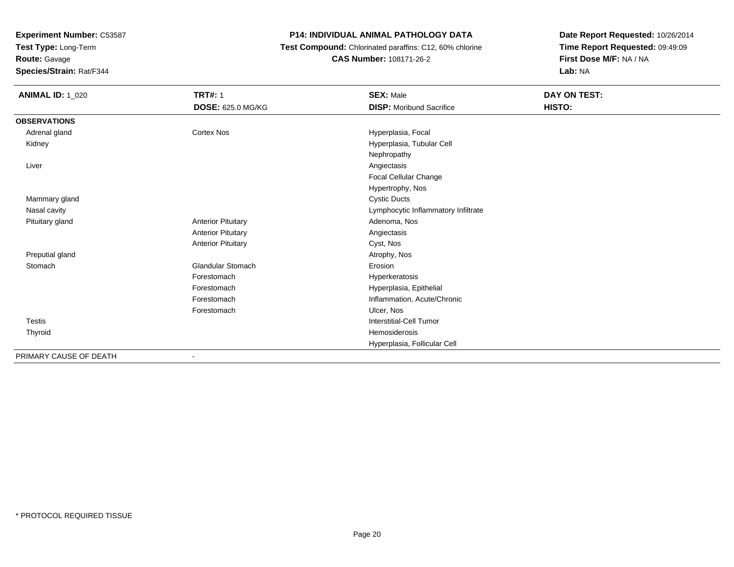**Test Type:** Long-Term

# **Route:** Gavage

**Species/Strain:** Rat/F344

# **P14: INDIVIDUAL ANIMAL PATHOLOGY DATA**

 **Test Compound:** Chlorinated paraffins: C12, 60% chlorine**CAS Number:** 108171-26-2

| <b>ANIMAL ID: 1_020</b> | <b>TRT#: 1</b>            | <b>SEX: Male</b>                    | DAY ON TEST: |
|-------------------------|---------------------------|-------------------------------------|--------------|
|                         | <b>DOSE: 625.0 MG/KG</b>  | <b>DISP:</b> Moribund Sacrifice     | HISTO:       |
| <b>OBSERVATIONS</b>     |                           |                                     |              |
| Adrenal gland           | <b>Cortex Nos</b>         | Hyperplasia, Focal                  |              |
| Kidney                  |                           | Hyperplasia, Tubular Cell           |              |
|                         |                           | Nephropathy                         |              |
| Liver                   |                           | Angiectasis                         |              |
|                         |                           | Focal Cellular Change               |              |
|                         |                           | Hypertrophy, Nos                    |              |
| Mammary gland           |                           | <b>Cystic Ducts</b>                 |              |
| Nasal cavity            |                           | Lymphocytic Inflammatory Infiltrate |              |
| Pituitary gland         | <b>Anterior Pituitary</b> | Adenoma, Nos                        |              |
|                         | <b>Anterior Pituitary</b> | Angiectasis                         |              |
|                         | <b>Anterior Pituitary</b> | Cyst, Nos                           |              |
| Preputial gland         |                           | Atrophy, Nos                        |              |
| Stomach                 | <b>Glandular Stomach</b>  | Erosion                             |              |
|                         | Forestomach               | Hyperkeratosis                      |              |
|                         | Forestomach               | Hyperplasia, Epithelial             |              |
|                         | Forestomach               | Inflammation, Acute/Chronic         |              |
|                         | Forestomach               | Ulcer, Nos                          |              |
| <b>Testis</b>           |                           | <b>Interstitial-Cell Tumor</b>      |              |
| Thyroid                 |                           | Hemosiderosis                       |              |
|                         |                           | Hyperplasia, Follicular Cell        |              |
| PRIMARY CAUSE OF DEATH  | $\overline{\phantom{a}}$  |                                     |              |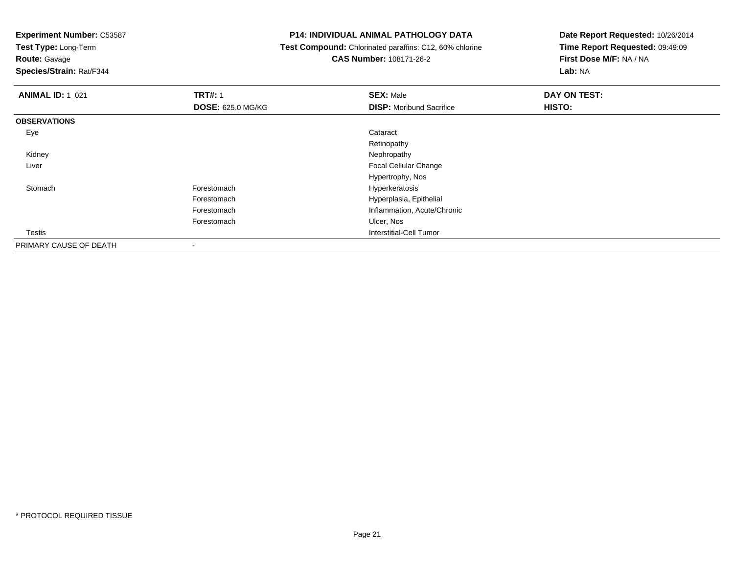**Test Type:** Long-Term

**Route:** Gavage

**Species/Strain:** Rat/F344

#### **P14: INDIVIDUAL ANIMAL PATHOLOGY DATA**

 **Test Compound:** Chlorinated paraffins: C12, 60% chlorine**CAS Number:** 108171-26-2

| <b>ANIMAL ID: 1 021</b> | <b>TRT#: 1</b>           | <b>SEX: Male</b>                | DAY ON TEST: |
|-------------------------|--------------------------|---------------------------------|--------------|
|                         | <b>DOSE: 625.0 MG/KG</b> | <b>DISP:</b> Moribund Sacrifice | HISTO:       |
| <b>OBSERVATIONS</b>     |                          |                                 |              |
| Eye                     |                          | Cataract                        |              |
|                         |                          | Retinopathy                     |              |
| Kidney                  |                          | Nephropathy                     |              |
| Liver                   |                          | Focal Cellular Change           |              |
|                         |                          | Hypertrophy, Nos                |              |
| Stomach                 | Forestomach              | Hyperkeratosis                  |              |
|                         | Forestomach              | Hyperplasia, Epithelial         |              |
|                         | Forestomach              | Inflammation, Acute/Chronic     |              |
|                         | Forestomach              | Ulcer, Nos                      |              |
| Testis                  |                          | Interstitial-Cell Tumor         |              |
| PRIMARY CAUSE OF DEATH  | $\overline{\phantom{a}}$ |                                 |              |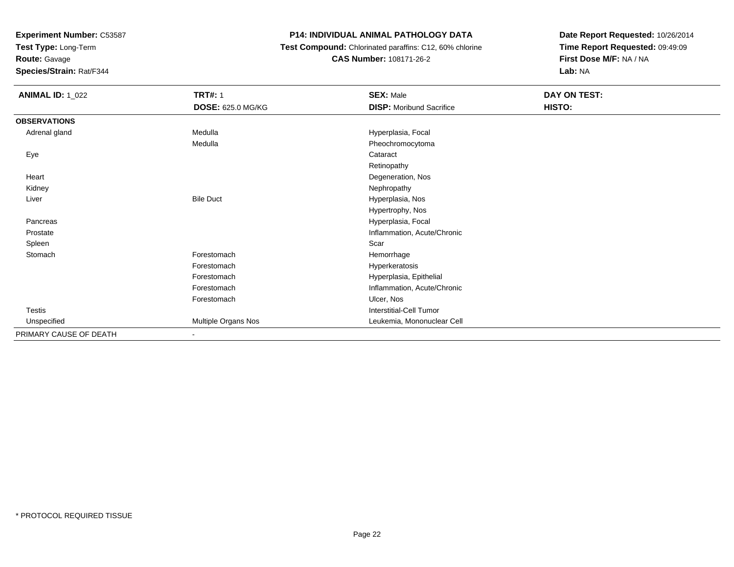**Test Type:** Long-Term

**Route:** Gavage

**Species/Strain:** Rat/F344

### **P14: INDIVIDUAL ANIMAL PATHOLOGY DATA**

 **Test Compound:** Chlorinated paraffins: C12, 60% chlorine**CAS Number:** 108171-26-2

| <b>ANIMAL ID: 1_022</b> | <b>TRT#: 1</b>      | <b>SEX: Male</b>                | DAY ON TEST: |  |
|-------------------------|---------------------|---------------------------------|--------------|--|
|                         | DOSE: 625.0 MG/KG   | <b>DISP: Moribund Sacrifice</b> | HISTO:       |  |
| <b>OBSERVATIONS</b>     |                     |                                 |              |  |
| Adrenal gland           | Medulla             | Hyperplasia, Focal              |              |  |
|                         | Medulla             | Pheochromocytoma                |              |  |
| Eye                     |                     | Cataract                        |              |  |
|                         |                     | Retinopathy                     |              |  |
| Heart                   |                     | Degeneration, Nos               |              |  |
| Kidney                  |                     | Nephropathy                     |              |  |
| Liver                   | <b>Bile Duct</b>    | Hyperplasia, Nos                |              |  |
|                         |                     | Hypertrophy, Nos                |              |  |
| Pancreas                |                     | Hyperplasia, Focal              |              |  |
| Prostate                |                     | Inflammation, Acute/Chronic     |              |  |
| Spleen                  |                     | Scar                            |              |  |
| Stomach                 | Forestomach         | Hemorrhage                      |              |  |
|                         | Forestomach         | Hyperkeratosis                  |              |  |
|                         | Forestomach         | Hyperplasia, Epithelial         |              |  |
|                         | Forestomach         | Inflammation, Acute/Chronic     |              |  |
|                         | Forestomach         | Ulcer, Nos                      |              |  |
| Testis                  |                     | Interstitial-Cell Tumor         |              |  |
| Unspecified             | Multiple Organs Nos | Leukemia, Mononuclear Cell      |              |  |
| PRIMARY CAUSE OF DEATH  | $\sim$              |                                 |              |  |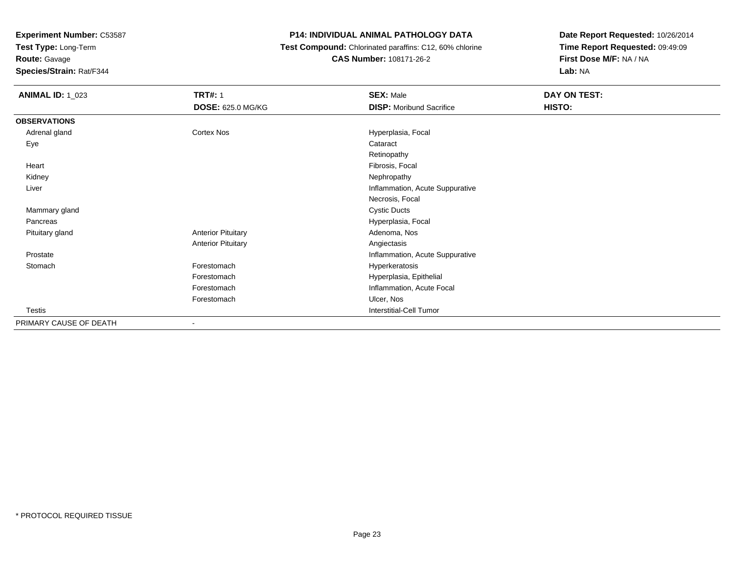**Test Type:** Long-Term

**Route:** Gavage

**Species/Strain:** Rat/F344

# **P14: INDIVIDUAL ANIMAL PATHOLOGY DATA**

 **Test Compound:** Chlorinated paraffins: C12, 60% chlorine**CAS Number:** 108171-26-2

| <b>ANIMAL ID: 1_023</b> | <b>TRT#: 1</b>            | <b>SEX: Male</b>                | DAY ON TEST: |
|-------------------------|---------------------------|---------------------------------|--------------|
|                         | DOSE: 625.0 MG/KG         | <b>DISP:</b> Moribund Sacrifice | HISTO:       |
| <b>OBSERVATIONS</b>     |                           |                                 |              |
| Adrenal gland           | Cortex Nos                | Hyperplasia, Focal              |              |
| Eye                     |                           | Cataract                        |              |
|                         |                           | Retinopathy                     |              |
| Heart                   |                           | Fibrosis, Focal                 |              |
| Kidney                  |                           | Nephropathy                     |              |
| Liver                   |                           | Inflammation, Acute Suppurative |              |
|                         |                           | Necrosis, Focal                 |              |
| Mammary gland           |                           | <b>Cystic Ducts</b>             |              |
| Pancreas                |                           | Hyperplasia, Focal              |              |
| Pituitary gland         | <b>Anterior Pituitary</b> | Adenoma, Nos                    |              |
|                         | <b>Anterior Pituitary</b> | Angiectasis                     |              |
| Prostate                |                           | Inflammation, Acute Suppurative |              |
| Stomach                 | Forestomach               | Hyperkeratosis                  |              |
|                         | Forestomach               | Hyperplasia, Epithelial         |              |
|                         | Forestomach               | Inflammation, Acute Focal       |              |
|                         | Forestomach               | Ulcer, Nos                      |              |
| Testis                  |                           | Interstitial-Cell Tumor         |              |
| PRIMARY CAUSE OF DEATH  | -                         |                                 |              |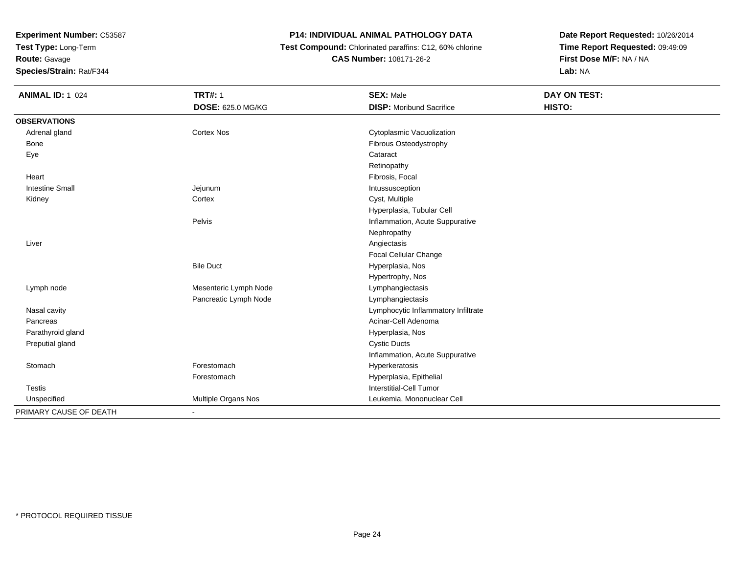**Test Type:** Long-Term

**Route:** Gavage

**Species/Strain:** Rat/F344

# **P14: INDIVIDUAL ANIMAL PATHOLOGY DATA**

 **Test Compound:** Chlorinated paraffins: C12, 60% chlorine**CAS Number:** 108171-26-2

| <b>ANIMAL ID: 1_024</b> | <b>TRT#: 1</b>           | <b>SEX: Male</b>                    | <b>DAY ON TEST:</b> |
|-------------------------|--------------------------|-------------------------------------|---------------------|
|                         | <b>DOSE: 625.0 MG/KG</b> | <b>DISP:</b> Moribund Sacrifice     | HISTO:              |
| <b>OBSERVATIONS</b>     |                          |                                     |                     |
| Adrenal gland           | <b>Cortex Nos</b>        | Cytoplasmic Vacuolization           |                     |
| Bone                    |                          | Fibrous Osteodystrophy              |                     |
| Eye                     |                          | Cataract                            |                     |
|                         |                          | Retinopathy                         |                     |
| Heart                   |                          | Fibrosis, Focal                     |                     |
| <b>Intestine Small</b>  | Jejunum                  | Intussusception                     |                     |
| Kidney                  | Cortex                   | Cyst, Multiple                      |                     |
|                         |                          | Hyperplasia, Tubular Cell           |                     |
|                         | Pelvis                   | Inflammation, Acute Suppurative     |                     |
|                         |                          | Nephropathy                         |                     |
| Liver                   |                          | Angiectasis                         |                     |
|                         |                          | Focal Cellular Change               |                     |
|                         | <b>Bile Duct</b>         | Hyperplasia, Nos                    |                     |
|                         |                          | Hypertrophy, Nos                    |                     |
| Lymph node              | Mesenteric Lymph Node    | Lymphangiectasis                    |                     |
|                         | Pancreatic Lymph Node    | Lymphangiectasis                    |                     |
| Nasal cavity            |                          | Lymphocytic Inflammatory Infiltrate |                     |
| Pancreas                |                          | Acinar-Cell Adenoma                 |                     |
| Parathyroid gland       |                          | Hyperplasia, Nos                    |                     |
| Preputial gland         |                          | <b>Cystic Ducts</b>                 |                     |
|                         |                          | Inflammation, Acute Suppurative     |                     |
| Stomach                 | Forestomach              | Hyperkeratosis                      |                     |
|                         | Forestomach              | Hyperplasia, Epithelial             |                     |
| <b>Testis</b>           |                          | Interstitial-Cell Tumor             |                     |
| Unspecified             | Multiple Organs Nos      | Leukemia, Mononuclear Cell          |                     |
| PRIMARY CAUSE OF DEATH  | $\blacksquare$           |                                     |                     |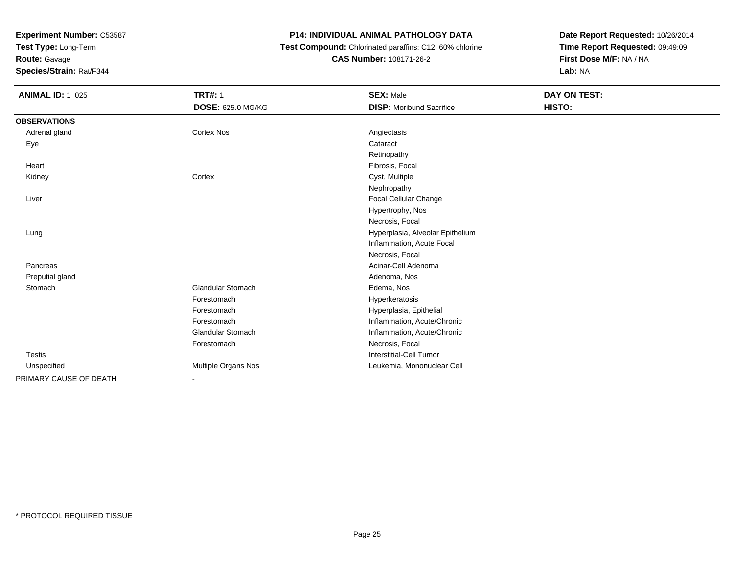**Test Type:** Long-Term

**Route:** Gavage

**Species/Strain:** Rat/F344

# **P14: INDIVIDUAL ANIMAL PATHOLOGY DATA**

 **Test Compound:** Chlorinated paraffins: C12, 60% chlorine**CAS Number:** 108171-26-2

| <b>ANIMAL ID: 1_025</b> | <b>TRT#: 1</b>           | <b>SEX: Male</b>                 | <b>DAY ON TEST:</b> |
|-------------------------|--------------------------|----------------------------------|---------------------|
|                         | <b>DOSE: 625.0 MG/KG</b> | <b>DISP:</b> Moribund Sacrifice  | HISTO:              |
| <b>OBSERVATIONS</b>     |                          |                                  |                     |
| Adrenal gland           | <b>Cortex Nos</b>        | Angiectasis                      |                     |
| Eye                     |                          | Cataract                         |                     |
|                         |                          | Retinopathy                      |                     |
| Heart                   |                          | Fibrosis, Focal                  |                     |
| Kidney                  | Cortex                   | Cyst, Multiple                   |                     |
|                         |                          | Nephropathy                      |                     |
| Liver                   |                          | Focal Cellular Change            |                     |
|                         |                          | Hypertrophy, Nos                 |                     |
|                         |                          | Necrosis, Focal                  |                     |
| Lung                    |                          | Hyperplasia, Alveolar Epithelium |                     |
|                         |                          | Inflammation, Acute Focal        |                     |
|                         |                          | Necrosis, Focal                  |                     |
| Pancreas                |                          | Acinar-Cell Adenoma              |                     |
| Preputial gland         |                          | Adenoma, Nos                     |                     |
| Stomach                 | <b>Glandular Stomach</b> | Edema, Nos                       |                     |
|                         | Forestomach              | Hyperkeratosis                   |                     |
|                         | Forestomach              | Hyperplasia, Epithelial          |                     |
|                         | Forestomach              | Inflammation, Acute/Chronic      |                     |
|                         | <b>Glandular Stomach</b> | Inflammation, Acute/Chronic      |                     |
|                         | Forestomach              | Necrosis, Focal                  |                     |
| <b>Testis</b>           |                          | <b>Interstitial-Cell Tumor</b>   |                     |
| Unspecified             | Multiple Organs Nos      | Leukemia, Mononuclear Cell       |                     |
| PRIMARY CAUSE OF DEATH  |                          |                                  |                     |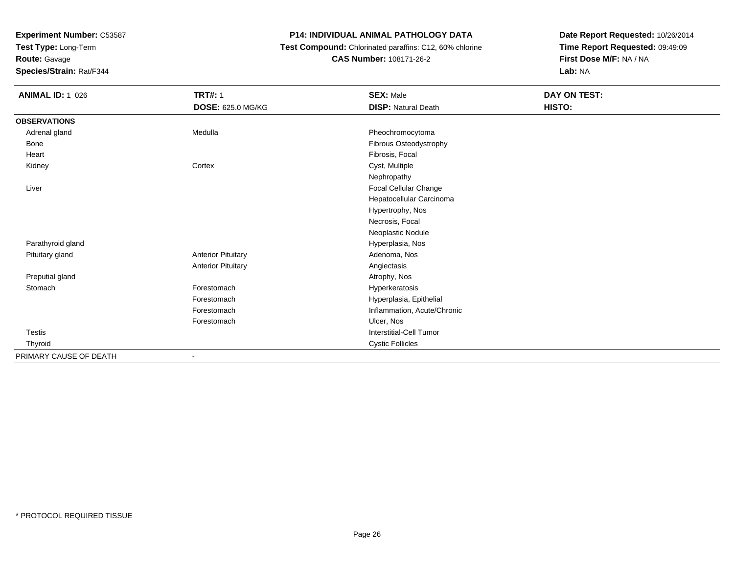**Test Type:** Long-Term

**Route:** Gavage

**Species/Strain:** Rat/F344

#### **P14: INDIVIDUAL ANIMAL PATHOLOGY DATA**

 **Test Compound:** Chlorinated paraffins: C12, 60% chlorine**CAS Number:** 108171-26-2

| <b>ANIMAL ID: 1_026</b> | <b>TRT#: 1</b>            | <b>SEX: Male</b>               | DAY ON TEST: |
|-------------------------|---------------------------|--------------------------------|--------------|
|                         | <b>DOSE: 625.0 MG/KG</b>  | <b>DISP: Natural Death</b>     | HISTO:       |
| <b>OBSERVATIONS</b>     |                           |                                |              |
| Adrenal gland           | Medulla                   | Pheochromocytoma               |              |
| Bone                    |                           | Fibrous Osteodystrophy         |              |
| Heart                   |                           | Fibrosis, Focal                |              |
| Kidney                  | Cortex                    | Cyst, Multiple                 |              |
|                         |                           | Nephropathy                    |              |
| Liver                   |                           | Focal Cellular Change          |              |
|                         |                           | Hepatocellular Carcinoma       |              |
|                         |                           | Hypertrophy, Nos               |              |
|                         |                           | Necrosis, Focal                |              |
|                         |                           | Neoplastic Nodule              |              |
| Parathyroid gland       |                           | Hyperplasia, Nos               |              |
| Pituitary gland         | <b>Anterior Pituitary</b> | Adenoma, Nos                   |              |
|                         | <b>Anterior Pituitary</b> | Angiectasis                    |              |
| Preputial gland         |                           | Atrophy, Nos                   |              |
| Stomach                 | Forestomach               | Hyperkeratosis                 |              |
|                         | Forestomach               | Hyperplasia, Epithelial        |              |
|                         | Forestomach               | Inflammation, Acute/Chronic    |              |
|                         | Forestomach               | Ulcer, Nos                     |              |
| Testis                  |                           | <b>Interstitial-Cell Tumor</b> |              |
| Thyroid                 |                           | <b>Cystic Follicles</b>        |              |
| PRIMARY CAUSE OF DEATH  |                           |                                |              |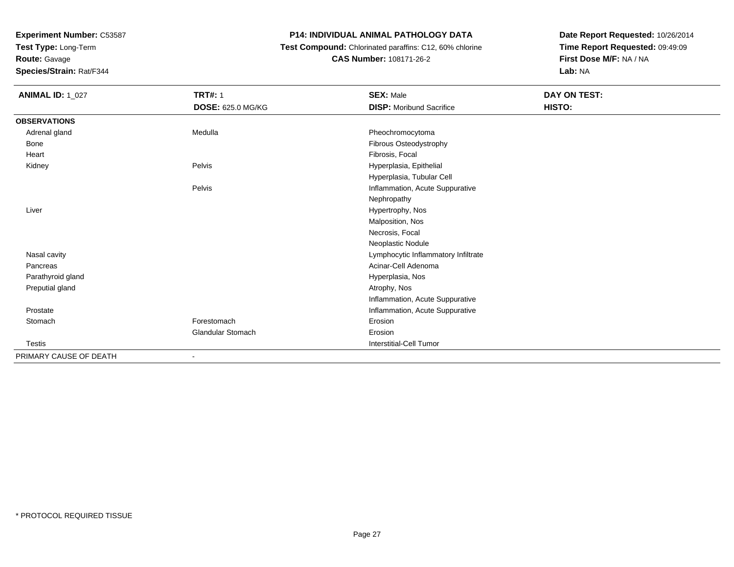**Test Type:** Long-Term

**Route:** Gavage

**Species/Strain:** Rat/F344

### **P14: INDIVIDUAL ANIMAL PATHOLOGY DATA**

 **Test Compound:** Chlorinated paraffins: C12, 60% chlorine**CAS Number:** 108171-26-2

| <b>ANIMAL ID: 1_027</b> | <b>TRT#: 1</b>           | <b>SEX: Male</b>                    | DAY ON TEST: |
|-------------------------|--------------------------|-------------------------------------|--------------|
|                         | <b>DOSE: 625.0 MG/KG</b> | <b>DISP:</b> Moribund Sacrifice     | HISTO:       |
| <b>OBSERVATIONS</b>     |                          |                                     |              |
| Adrenal gland           | Medulla                  | Pheochromocytoma                    |              |
| Bone                    |                          | Fibrous Osteodystrophy              |              |
| Heart                   |                          | Fibrosis, Focal                     |              |
| Kidney                  | Pelvis                   | Hyperplasia, Epithelial             |              |
|                         |                          | Hyperplasia, Tubular Cell           |              |
|                         | Pelvis                   | Inflammation, Acute Suppurative     |              |
|                         |                          | Nephropathy                         |              |
| Liver                   |                          | Hypertrophy, Nos                    |              |
|                         |                          | Malposition, Nos                    |              |
|                         |                          | Necrosis, Focal                     |              |
|                         |                          | Neoplastic Nodule                   |              |
| Nasal cavity            |                          | Lymphocytic Inflammatory Infiltrate |              |
| Pancreas                |                          | Acinar-Cell Adenoma                 |              |
| Parathyroid gland       |                          | Hyperplasia, Nos                    |              |
| Preputial gland         |                          | Atrophy, Nos                        |              |
|                         |                          | Inflammation, Acute Suppurative     |              |
| Prostate                |                          | Inflammation, Acute Suppurative     |              |
| Stomach                 | Forestomach              | Erosion                             |              |
|                         | <b>Glandular Stomach</b> | Erosion                             |              |
| Testis                  |                          | Interstitial-Cell Tumor             |              |
| PRIMARY CAUSE OF DEATH  |                          |                                     |              |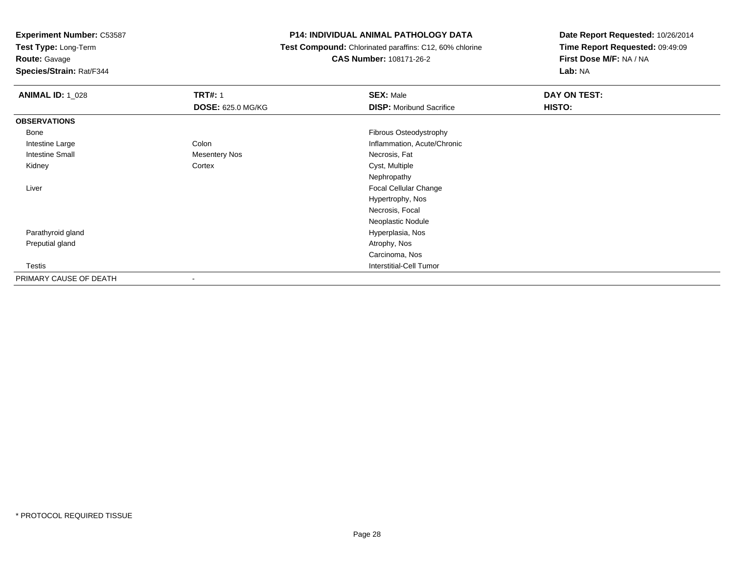**Test Type:** Long-Term

**Route:** Gavage

**Species/Strain:** Rat/F344

#### **P14: INDIVIDUAL ANIMAL PATHOLOGY DATA**

 **Test Compound:** Chlorinated paraffins: C12, 60% chlorine**CAS Number:** 108171-26-2

| <b>ANIMAL ID: 1_028</b> | <b>TRT#: 1</b>           | <b>SEX: Male</b>                | DAY ON TEST: |  |
|-------------------------|--------------------------|---------------------------------|--------------|--|
|                         | <b>DOSE: 625.0 MG/KG</b> | <b>DISP:</b> Moribund Sacrifice | HISTO:       |  |
| <b>OBSERVATIONS</b>     |                          |                                 |              |  |
| Bone                    |                          | Fibrous Osteodystrophy          |              |  |
| Intestine Large         | Colon                    | Inflammation, Acute/Chronic     |              |  |
| <b>Intestine Small</b>  | Mesentery Nos            | Necrosis, Fat                   |              |  |
| Kidney                  | Cortex                   | Cyst, Multiple                  |              |  |
|                         |                          | Nephropathy                     |              |  |
| Liver                   |                          | Focal Cellular Change           |              |  |
|                         |                          | Hypertrophy, Nos                |              |  |
|                         |                          | Necrosis, Focal                 |              |  |
|                         |                          | Neoplastic Nodule               |              |  |
| Parathyroid gland       |                          | Hyperplasia, Nos                |              |  |
| Preputial gland         |                          | Atrophy, Nos                    |              |  |
|                         |                          | Carcinoma, Nos                  |              |  |
| Testis                  |                          | <b>Interstitial-Cell Tumor</b>  |              |  |
| PRIMARY CAUSE OF DEATH  |                          |                                 |              |  |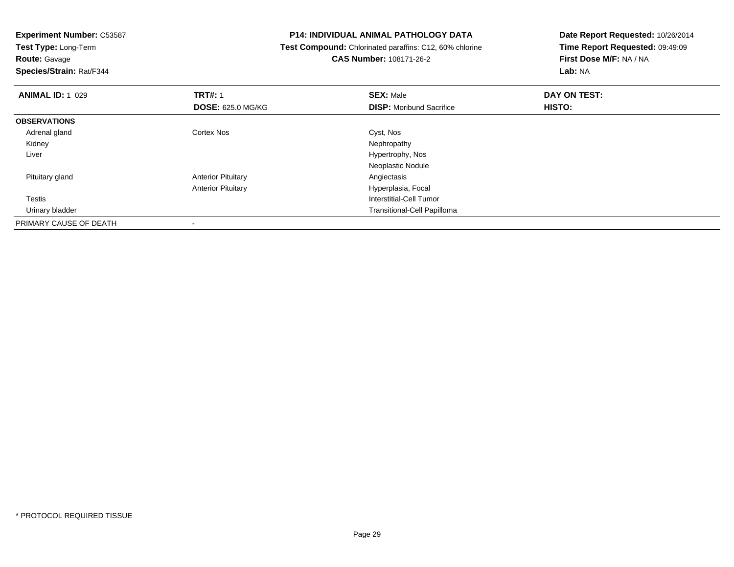**Test Type:** Long-Term

**Route:** Gavage

**Species/Strain:** Rat/F344

#### **P14: INDIVIDUAL ANIMAL PATHOLOGY DATA**

 **Test Compound:** Chlorinated paraffins: C12, 60% chlorine**CAS Number:** 108171-26-2

| <b>ANIMAL ID: 1_029</b> | <b>TRT#: 1</b>            | <b>SEX: Male</b>                   | DAY ON TEST:  |  |
|-------------------------|---------------------------|------------------------------------|---------------|--|
|                         | <b>DOSE: 625.0 MG/KG</b>  | <b>DISP:</b> Moribund Sacrifice    | <b>HISTO:</b> |  |
| <b>OBSERVATIONS</b>     |                           |                                    |               |  |
| Adrenal gland           | Cortex Nos                | Cyst, Nos                          |               |  |
| Kidney                  |                           | Nephropathy                        |               |  |
| Liver                   |                           | Hypertrophy, Nos                   |               |  |
|                         |                           | Neoplastic Nodule                  |               |  |
| Pituitary gland         | <b>Anterior Pituitary</b> | Angiectasis                        |               |  |
|                         | <b>Anterior Pituitary</b> | Hyperplasia, Focal                 |               |  |
| Testis                  |                           | Interstitial-Cell Tumor            |               |  |
| Urinary bladder         |                           | <b>Transitional-Cell Papilloma</b> |               |  |
| PRIMARY CAUSE OF DEATH  |                           |                                    |               |  |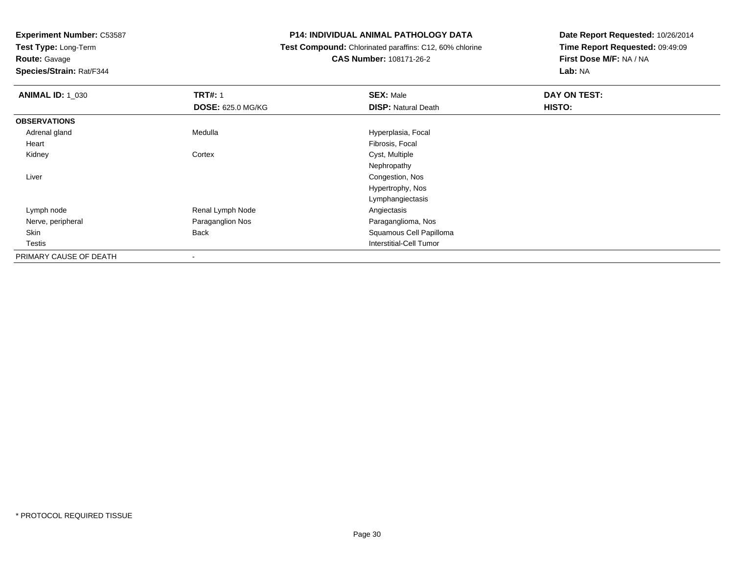**Test Type:** Long-Term

# **Route:** Gavage

**Species/Strain:** Rat/F344

#### **P14: INDIVIDUAL ANIMAL PATHOLOGY DATA**

# **Test Compound:** Chlorinated paraffins: C12, 60% chlorine**CAS Number:** 108171-26-2

| <b>ANIMAL ID: 1_030</b> | <b>TRT#: 1</b>           | <b>SEX: Male</b>           | DAY ON TEST: |
|-------------------------|--------------------------|----------------------------|--------------|
|                         | <b>DOSE: 625.0 MG/KG</b> | <b>DISP: Natural Death</b> | HISTO:       |
| <b>OBSERVATIONS</b>     |                          |                            |              |
| Adrenal gland           | Medulla                  | Hyperplasia, Focal         |              |
| Heart                   |                          | Fibrosis, Focal            |              |
| Kidney                  | Cortex                   | Cyst, Multiple             |              |
|                         |                          | Nephropathy                |              |
| Liver                   |                          | Congestion, Nos            |              |
|                         |                          | Hypertrophy, Nos           |              |
|                         |                          | Lymphangiectasis           |              |
| Lymph node              | Renal Lymph Node         | Angiectasis                |              |
| Nerve, peripheral       | Paraganglion Nos         | Paraganglioma, Nos         |              |
| Skin                    | Back                     | Squamous Cell Papilloma    |              |
| <b>Testis</b>           |                          | Interstitial-Cell Tumor    |              |
| PRIMARY CAUSE OF DEATH  | $\overline{\phantom{a}}$ |                            |              |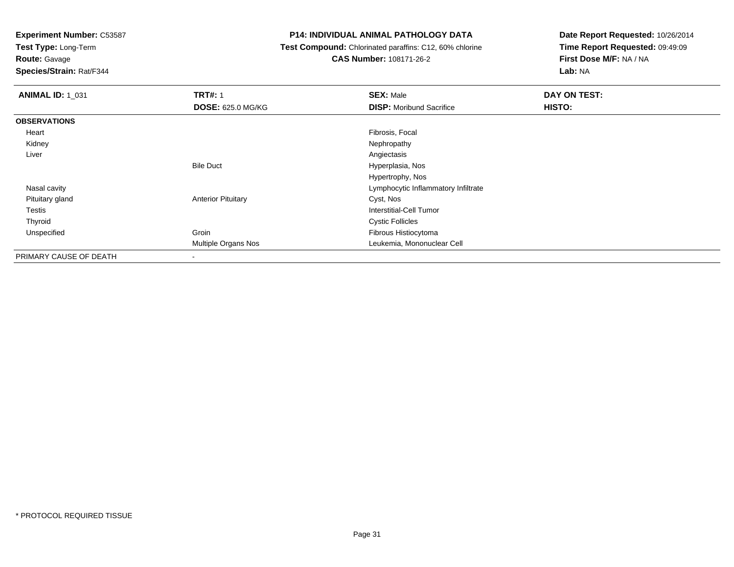**Test Type:** Long-Term

# **Route:** Gavage

**Species/Strain:** Rat/F344

### **P14: INDIVIDUAL ANIMAL PATHOLOGY DATA**

### **Test Compound:** Chlorinated paraffins: C12, 60% chlorine**CAS Number:** 108171-26-2

| <b>ANIMAL ID: 1_031</b> | <b>TRT#: 1</b>            | <b>SEX: Male</b>                    | DAY ON TEST: |  |
|-------------------------|---------------------------|-------------------------------------|--------------|--|
|                         | <b>DOSE: 625.0 MG/KG</b>  | <b>DISP:</b> Moribund Sacrifice     | HISTO:       |  |
| <b>OBSERVATIONS</b>     |                           |                                     |              |  |
| Heart                   |                           | Fibrosis, Focal                     |              |  |
| Kidney                  |                           | Nephropathy                         |              |  |
| Liver                   |                           | Angiectasis                         |              |  |
|                         | <b>Bile Duct</b>          | Hyperplasia, Nos                    |              |  |
|                         |                           | Hypertrophy, Nos                    |              |  |
| Nasal cavity            |                           | Lymphocytic Inflammatory Infiltrate |              |  |
| Pituitary gland         | <b>Anterior Pituitary</b> | Cyst, Nos                           |              |  |
| Testis                  |                           | Interstitial-Cell Tumor             |              |  |
| Thyroid                 |                           | <b>Cystic Follicles</b>             |              |  |
| Unspecified             | Groin                     | Fibrous Histiocytoma                |              |  |
|                         | Multiple Organs Nos       | Leukemia, Mononuclear Cell          |              |  |
| PRIMARY CAUSE OF DEATH  |                           |                                     |              |  |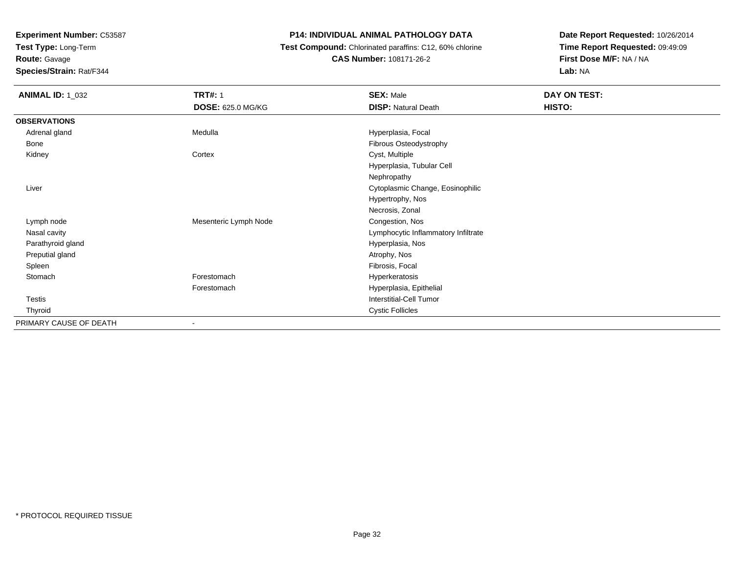**Test Type:** Long-Term

**Route:** Gavage

**Species/Strain:** Rat/F344

# **P14: INDIVIDUAL ANIMAL PATHOLOGY DATA**

 **Test Compound:** Chlorinated paraffins: C12, 60% chlorine**CAS Number:** 108171-26-2

| <b>ANIMAL ID: 1_032</b> | <b>TRT#: 1</b>        | <b>SEX: Male</b>                    | DAY ON TEST: |  |
|-------------------------|-----------------------|-------------------------------------|--------------|--|
|                         | DOSE: 625.0 MG/KG     | <b>DISP: Natural Death</b>          | HISTO:       |  |
| <b>OBSERVATIONS</b>     |                       |                                     |              |  |
| Adrenal gland           | Medulla               | Hyperplasia, Focal                  |              |  |
| Bone                    |                       | Fibrous Osteodystrophy              |              |  |
| Kidney                  | Cortex                | Cyst, Multiple                      |              |  |
|                         |                       | Hyperplasia, Tubular Cell           |              |  |
|                         |                       | Nephropathy                         |              |  |
| Liver                   |                       | Cytoplasmic Change, Eosinophilic    |              |  |
|                         |                       | Hypertrophy, Nos                    |              |  |
|                         |                       | Necrosis, Zonal                     |              |  |
| Lymph node              | Mesenteric Lymph Node | Congestion, Nos                     |              |  |
| Nasal cavity            |                       | Lymphocytic Inflammatory Infiltrate |              |  |
| Parathyroid gland       |                       | Hyperplasia, Nos                    |              |  |
| Preputial gland         |                       | Atrophy, Nos                        |              |  |
| Spleen                  |                       | Fibrosis, Focal                     |              |  |
| Stomach                 | Forestomach           | Hyperkeratosis                      |              |  |
|                         | Forestomach           | Hyperplasia, Epithelial             |              |  |
| Testis                  |                       | Interstitial-Cell Tumor             |              |  |
| Thyroid                 |                       | <b>Cystic Follicles</b>             |              |  |
| PRIMARY CAUSE OF DEATH  | $\blacksquare$        |                                     |              |  |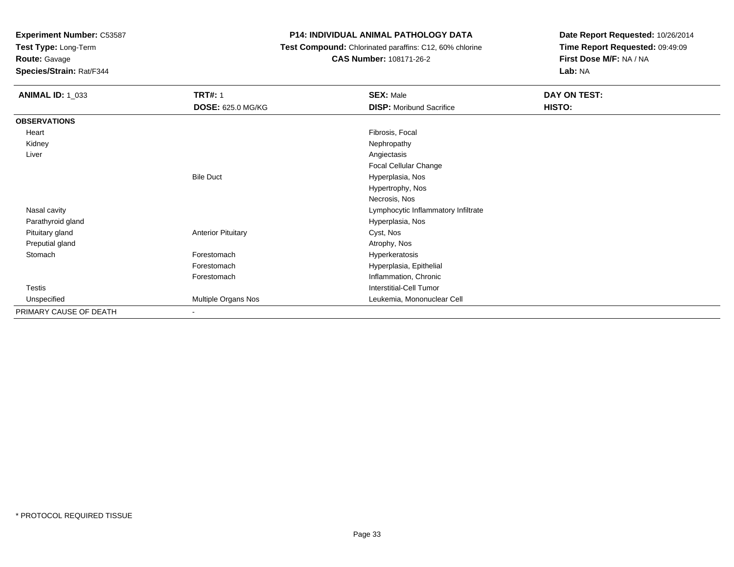**Test Type:** Long-Term

**Route:** Gavage

**Species/Strain:** Rat/F344

# **P14: INDIVIDUAL ANIMAL PATHOLOGY DATA**

 **Test Compound:** Chlorinated paraffins: C12, 60% chlorine**CAS Number:** 108171-26-2

| <b>ANIMAL ID: 1_033</b> | <b>TRT#: 1</b><br><b>DOSE: 625.0 MG/KG</b> | <b>SEX: Male</b><br><b>DISP:</b> Moribund Sacrifice | DAY ON TEST:<br>HISTO: |
|-------------------------|--------------------------------------------|-----------------------------------------------------|------------------------|
| <b>OBSERVATIONS</b>     |                                            |                                                     |                        |
| Heart                   |                                            | Fibrosis, Focal                                     |                        |
| Kidney                  |                                            | Nephropathy                                         |                        |
| Liver                   |                                            | Angiectasis                                         |                        |
|                         |                                            | Focal Cellular Change                               |                        |
|                         | <b>Bile Duct</b>                           | Hyperplasia, Nos                                    |                        |
|                         |                                            | Hypertrophy, Nos                                    |                        |
|                         |                                            | Necrosis, Nos                                       |                        |
| Nasal cavity            |                                            | Lymphocytic Inflammatory Infiltrate                 |                        |
| Parathyroid gland       |                                            | Hyperplasia, Nos                                    |                        |
| Pituitary gland         | <b>Anterior Pituitary</b>                  | Cyst, Nos                                           |                        |
| Preputial gland         |                                            | Atrophy, Nos                                        |                        |
| Stomach                 | Forestomach                                | Hyperkeratosis                                      |                        |
|                         | Forestomach                                | Hyperplasia, Epithelial                             |                        |
|                         | Forestomach                                | Inflammation, Chronic                               |                        |
| <b>Testis</b>           |                                            | Interstitial-Cell Tumor                             |                        |
| Unspecified             | Multiple Organs Nos                        | Leukemia, Mononuclear Cell                          |                        |
| PRIMARY CAUSE OF DEATH  | $\overline{\phantom{a}}$                   |                                                     |                        |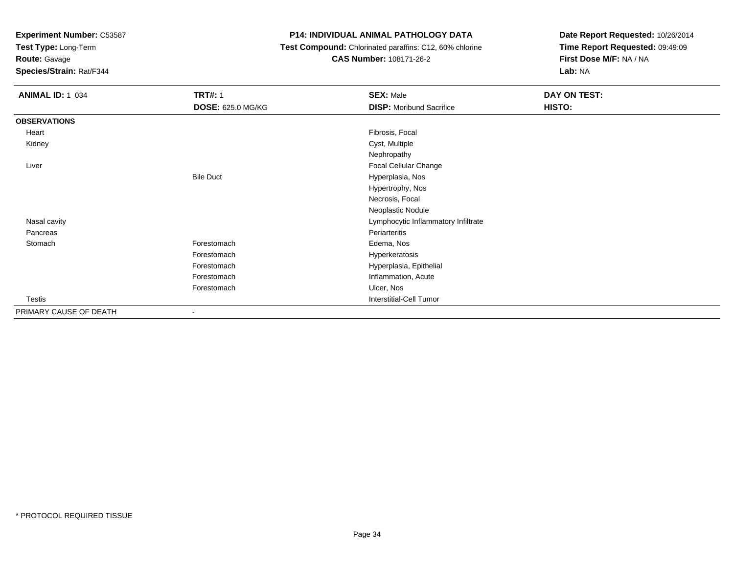**Test Type:** Long-Term

**Route:** Gavage

**Species/Strain:** Rat/F344

## **P14: INDIVIDUAL ANIMAL PATHOLOGY DATA**

 **Test Compound:** Chlorinated paraffins: C12, 60% chlorine**CAS Number:** 108171-26-2

| <b>ANIMAL ID: 1_034</b> | <b>TRT#: 1</b>    | <b>SEX: Male</b>                    | DAY ON TEST: |  |
|-------------------------|-------------------|-------------------------------------|--------------|--|
|                         | DOSE: 625.0 MG/KG | <b>DISP:</b> Moribund Sacrifice     | HISTO:       |  |
| <b>OBSERVATIONS</b>     |                   |                                     |              |  |
| Heart                   |                   | Fibrosis, Focal                     |              |  |
| Kidney                  |                   | Cyst, Multiple                      |              |  |
|                         |                   | Nephropathy                         |              |  |
| Liver                   |                   | Focal Cellular Change               |              |  |
|                         | <b>Bile Duct</b>  | Hyperplasia, Nos                    |              |  |
|                         |                   | Hypertrophy, Nos                    |              |  |
|                         |                   | Necrosis, Focal                     |              |  |
|                         |                   | Neoplastic Nodule                   |              |  |
| Nasal cavity            |                   | Lymphocytic Inflammatory Infiltrate |              |  |
| Pancreas                |                   | Periarteritis                       |              |  |
| Stomach                 | Forestomach       | Edema, Nos                          |              |  |
|                         | Forestomach       | Hyperkeratosis                      |              |  |
|                         | Forestomach       | Hyperplasia, Epithelial             |              |  |
|                         | Forestomach       | Inflammation, Acute                 |              |  |
|                         | Forestomach       | Ulcer, Nos                          |              |  |
| Testis                  |                   | <b>Interstitial-Cell Tumor</b>      |              |  |
| PRIMARY CAUSE OF DEATH  | -                 |                                     |              |  |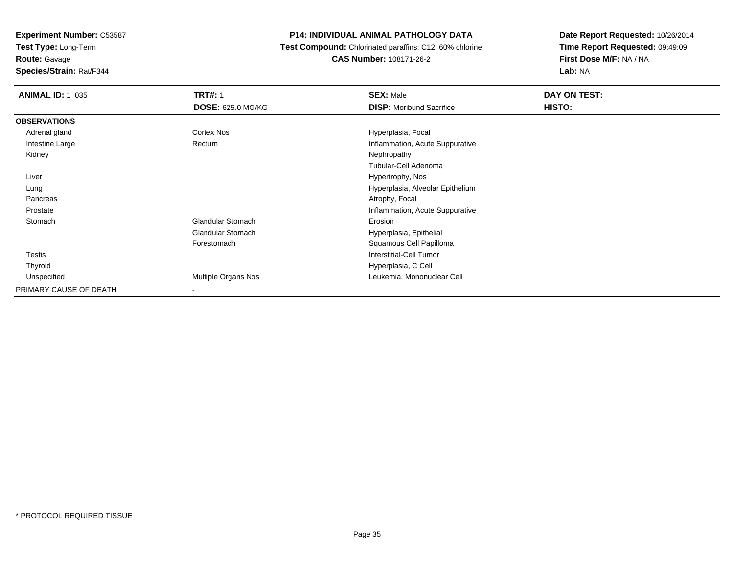**Test Type:** Long-Term

# **Route:** Gavage

**Species/Strain:** Rat/F344

## **P14: INDIVIDUAL ANIMAL PATHOLOGY DATA**

# **Test Compound:** Chlorinated paraffins: C12, 60% chlorine**CAS Number:** 108171-26-2

| <b>ANIMAL ID: 1_035</b> | <b>TRT#: 1</b>           | <b>SEX: Male</b>                 | DAY ON TEST: |
|-------------------------|--------------------------|----------------------------------|--------------|
|                         | <b>DOSE: 625.0 MG/KG</b> | <b>DISP:</b> Moribund Sacrifice  | HISTO:       |
| <b>OBSERVATIONS</b>     |                          |                                  |              |
| Adrenal gland           | Cortex Nos               | Hyperplasia, Focal               |              |
| Intestine Large         | Rectum                   | Inflammation, Acute Suppurative  |              |
| Kidney                  |                          | Nephropathy                      |              |
|                         |                          | Tubular-Cell Adenoma             |              |
| Liver                   |                          | Hypertrophy, Nos                 |              |
| Lung                    |                          | Hyperplasia, Alveolar Epithelium |              |
| Pancreas                |                          | Atrophy, Focal                   |              |
| Prostate                |                          | Inflammation, Acute Suppurative  |              |
| Stomach                 | Glandular Stomach        | Erosion                          |              |
|                         | Glandular Stomach        | Hyperplasia, Epithelial          |              |
|                         | Forestomach              | Squamous Cell Papilloma          |              |
| <b>Testis</b>           |                          | <b>Interstitial-Cell Tumor</b>   |              |
| Thyroid                 |                          | Hyperplasia, C Cell              |              |
| Unspecified             | Multiple Organs Nos      | Leukemia, Mononuclear Cell       |              |
| PRIMARY CAUSE OF DEATH  | -                        |                                  |              |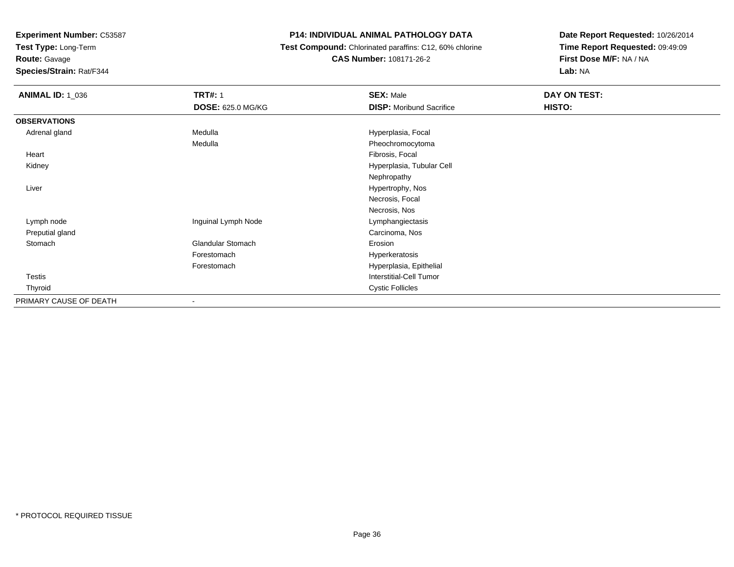**Test Type:** Long-Term

**Route:** Gavage

**Species/Strain:** Rat/F344

# **P14: INDIVIDUAL ANIMAL PATHOLOGY DATA**

 **Test Compound:** Chlorinated paraffins: C12, 60% chlorine**CAS Number:** 108171-26-2

| <b>ANIMAL ID: 1_036</b> | <b>TRT#: 1</b>           | <b>SEX: Male</b>                | DAY ON TEST: |  |
|-------------------------|--------------------------|---------------------------------|--------------|--|
|                         | <b>DOSE: 625.0 MG/KG</b> | <b>DISP:</b> Moribund Sacrifice | HISTO:       |  |
| <b>OBSERVATIONS</b>     |                          |                                 |              |  |
| Adrenal gland           | Medulla                  | Hyperplasia, Focal              |              |  |
|                         | Medulla                  | Pheochromocytoma                |              |  |
| Heart                   |                          | Fibrosis, Focal                 |              |  |
| Kidney                  |                          | Hyperplasia, Tubular Cell       |              |  |
|                         |                          | Nephropathy                     |              |  |
| Liver                   |                          | Hypertrophy, Nos                |              |  |
|                         |                          | Necrosis, Focal                 |              |  |
|                         |                          | Necrosis, Nos                   |              |  |
| Lymph node              | Inguinal Lymph Node      | Lymphangiectasis                |              |  |
| Preputial gland         |                          | Carcinoma, Nos                  |              |  |
| Stomach                 | <b>Glandular Stomach</b> | Erosion                         |              |  |
|                         | Forestomach              | Hyperkeratosis                  |              |  |
|                         | Forestomach              | Hyperplasia, Epithelial         |              |  |
| <b>Testis</b>           |                          | <b>Interstitial-Cell Tumor</b>  |              |  |
| Thyroid                 |                          | <b>Cystic Follicles</b>         |              |  |
| PRIMARY CAUSE OF DEATH  | $\overline{\phantom{a}}$ |                                 |              |  |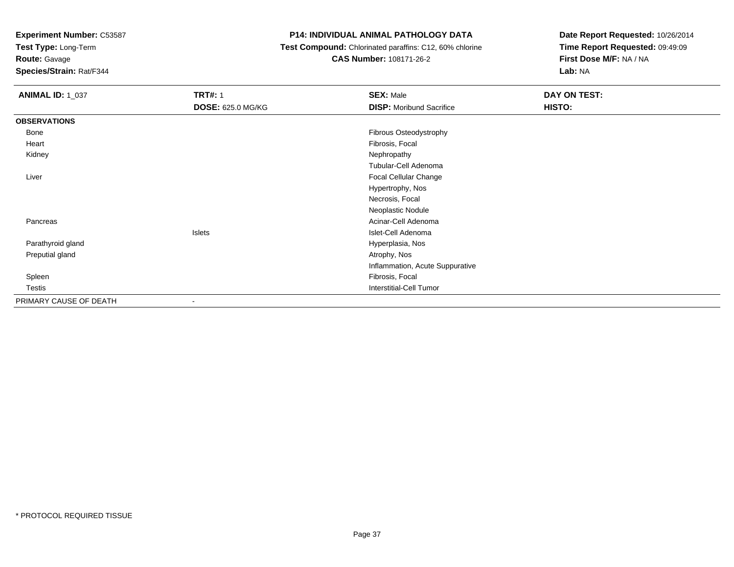**Test Type:** Long-Term

**Route:** Gavage

**Species/Strain:** Rat/F344

#### **P14: INDIVIDUAL ANIMAL PATHOLOGY DATA**

 **Test Compound:** Chlorinated paraffins: C12, 60% chlorine**CAS Number:** 108171-26-2

| <b>ANIMAL ID: 1_037</b> | <b>TRT#: 1</b>           | <b>SEX: Male</b>                | DAY ON TEST: |  |
|-------------------------|--------------------------|---------------------------------|--------------|--|
|                         | <b>DOSE: 625.0 MG/KG</b> | <b>DISP:</b> Moribund Sacrifice | HISTO:       |  |
| <b>OBSERVATIONS</b>     |                          |                                 |              |  |
| Bone                    |                          | <b>Fibrous Osteodystrophy</b>   |              |  |
| Heart                   |                          | Fibrosis, Focal                 |              |  |
| Kidney                  |                          | Nephropathy                     |              |  |
|                         |                          | Tubular-Cell Adenoma            |              |  |
| Liver                   |                          | Focal Cellular Change           |              |  |
|                         |                          | Hypertrophy, Nos                |              |  |
|                         |                          | Necrosis, Focal                 |              |  |
|                         |                          | Neoplastic Nodule               |              |  |
| Pancreas                |                          | Acinar-Cell Adenoma             |              |  |
|                         | Islets                   | Islet-Cell Adenoma              |              |  |
| Parathyroid gland       |                          | Hyperplasia, Nos                |              |  |
| Preputial gland         |                          | Atrophy, Nos                    |              |  |
|                         |                          | Inflammation, Acute Suppurative |              |  |
| Spleen                  |                          | Fibrosis, Focal                 |              |  |
| Testis                  |                          | Interstitial-Cell Tumor         |              |  |
| PRIMARY CAUSE OF DEATH  | $\overline{\phantom{a}}$ |                                 |              |  |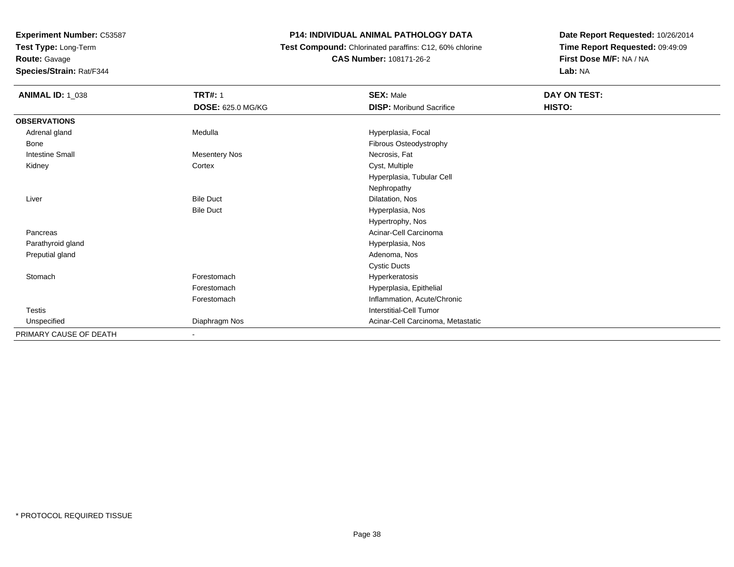**Test Type:** Long-Term

**Route:** Gavage

**Species/Strain:** Rat/F344

#### **P14: INDIVIDUAL ANIMAL PATHOLOGY DATA**

 **Test Compound:** Chlorinated paraffins: C12, 60% chlorine**CAS Number:** 108171-26-2

| <b>ANIMAL ID: 1_038</b> | <b>TRT#: 1</b>           | <b>SEX: Male</b>                  | DAY ON TEST: |
|-------------------------|--------------------------|-----------------------------------|--------------|
|                         | DOSE: 625.0 MG/KG        | <b>DISP:</b> Moribund Sacrifice   | HISTO:       |
| <b>OBSERVATIONS</b>     |                          |                                   |              |
| Adrenal gland           | Medulla                  | Hyperplasia, Focal                |              |
| Bone                    |                          | Fibrous Osteodystrophy            |              |
| <b>Intestine Small</b>  | <b>Mesentery Nos</b>     | Necrosis, Fat                     |              |
| Kidney                  | Cortex                   | Cyst, Multiple                    |              |
|                         |                          | Hyperplasia, Tubular Cell         |              |
|                         |                          | Nephropathy                       |              |
| Liver                   | <b>Bile Duct</b>         | Dilatation, Nos                   |              |
|                         | <b>Bile Duct</b>         | Hyperplasia, Nos                  |              |
|                         |                          | Hypertrophy, Nos                  |              |
| Pancreas                |                          | Acinar-Cell Carcinoma             |              |
| Parathyroid gland       |                          | Hyperplasia, Nos                  |              |
| Preputial gland         |                          | Adenoma, Nos                      |              |
|                         |                          | <b>Cystic Ducts</b>               |              |
| Stomach                 | Forestomach              | Hyperkeratosis                    |              |
|                         | Forestomach              | Hyperplasia, Epithelial           |              |
|                         | Forestomach              | Inflammation, Acute/Chronic       |              |
| Testis                  |                          | <b>Interstitial-Cell Tumor</b>    |              |
| Unspecified             | Diaphragm Nos            | Acinar-Cell Carcinoma, Metastatic |              |
| PRIMARY CAUSE OF DEATH  | $\overline{\phantom{a}}$ |                                   |              |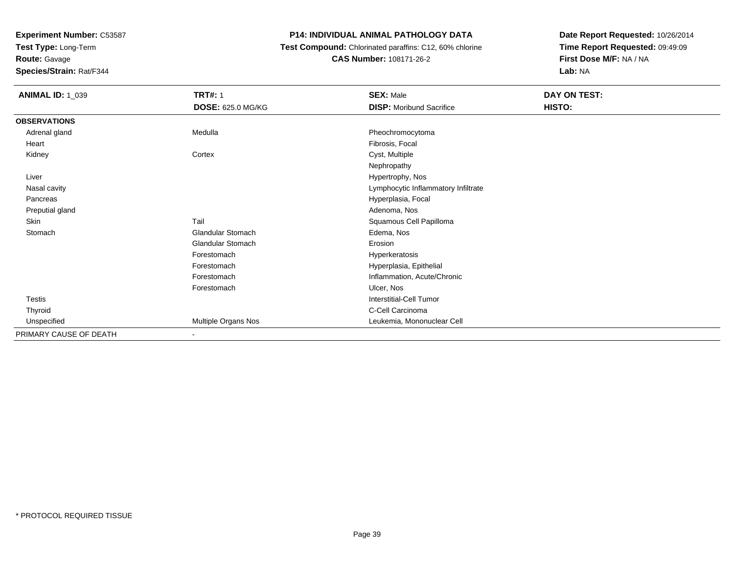**Test Type:** Long-Term

## **Route:** Gavage

**Species/Strain:** Rat/F344

#### **P14: INDIVIDUAL ANIMAL PATHOLOGY DATA**

 **Test Compound:** Chlorinated paraffins: C12, 60% chlorine**CAS Number:** 108171-26-2

| <b>ANIMAL ID: 1_039</b> | <b>TRT#: 1</b>           | <b>SEX: Male</b>                    | DAY ON TEST: |  |
|-------------------------|--------------------------|-------------------------------------|--------------|--|
|                         | <b>DOSE: 625.0 MG/KG</b> | <b>DISP:</b> Moribund Sacrifice     | HISTO:       |  |
| <b>OBSERVATIONS</b>     |                          |                                     |              |  |
| Adrenal gland           | Medulla                  | Pheochromocytoma                    |              |  |
| Heart                   |                          | Fibrosis, Focal                     |              |  |
| Kidney                  | Cortex                   | Cyst, Multiple                      |              |  |
|                         |                          | Nephropathy                         |              |  |
| Liver                   |                          | Hypertrophy, Nos                    |              |  |
| Nasal cavity            |                          | Lymphocytic Inflammatory Infiltrate |              |  |
| Pancreas                |                          | Hyperplasia, Focal                  |              |  |
| Preputial gland         |                          | Adenoma, Nos                        |              |  |
| Skin                    | Tail                     | Squamous Cell Papilloma             |              |  |
| Stomach                 | <b>Glandular Stomach</b> | Edema, Nos                          |              |  |
|                         | <b>Glandular Stomach</b> | Erosion                             |              |  |
|                         | Forestomach              | Hyperkeratosis                      |              |  |
|                         | Forestomach              | Hyperplasia, Epithelial             |              |  |
|                         | Forestomach              | Inflammation, Acute/Chronic         |              |  |
|                         | Forestomach              | Ulcer, Nos                          |              |  |
| Testis                  |                          | Interstitial-Cell Tumor             |              |  |
| Thyroid                 |                          | C-Cell Carcinoma                    |              |  |
| Unspecified             | Multiple Organs Nos      | Leukemia, Mononuclear Cell          |              |  |
| PRIMARY CAUSE OF DEATH  |                          |                                     |              |  |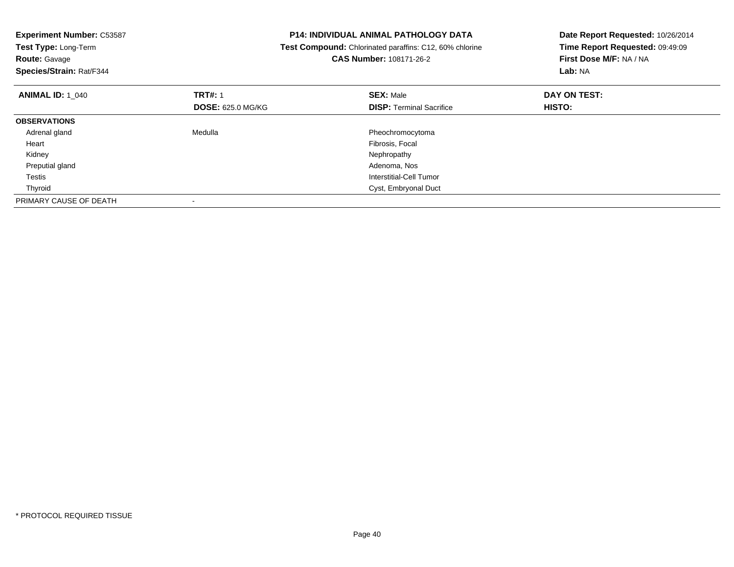| <b>Experiment Number: C53587</b><br>Test Type: Long-Term<br><b>Route: Gavage</b><br>Species/Strain: Rat/F344 |                                            | <b>P14: INDIVIDUAL ANIMAL PATHOLOGY DATA</b><br>Test Compound: Chlorinated paraffins: C12, 60% chlorine<br><b>CAS Number: 108171-26-2</b> | Date Report Requested: 10/26/2014<br>Time Report Requested: 09:49:09<br>First Dose M/F: NA / NA<br>Lab: NA |
|--------------------------------------------------------------------------------------------------------------|--------------------------------------------|-------------------------------------------------------------------------------------------------------------------------------------------|------------------------------------------------------------------------------------------------------------|
| <b>ANIMAL ID: 1 040</b>                                                                                      | <b>TRT#: 1</b><br><b>DOSE: 625.0 MG/KG</b> | <b>SEX: Male</b><br><b>DISP:</b> Terminal Sacrifice                                                                                       | DAY ON TEST:<br>HISTO:                                                                                     |
| <b>OBSERVATIONS</b>                                                                                          |                                            |                                                                                                                                           |                                                                                                            |
| Adrenal gland                                                                                                | Medulla                                    | Pheochromocytoma                                                                                                                          |                                                                                                            |
| Heart                                                                                                        |                                            | Fibrosis, Focal                                                                                                                           |                                                                                                            |
| Kidney                                                                                                       |                                            | Nephropathy                                                                                                                               |                                                                                                            |
| Preputial gland                                                                                              |                                            | Adenoma, Nos                                                                                                                              |                                                                                                            |
| Testis                                                                                                       |                                            | Interstitial-Cell Tumor                                                                                                                   |                                                                                                            |
| Thyroid                                                                                                      |                                            | Cyst, Embryonal Duct                                                                                                                      |                                                                                                            |
| PRIMARY CAUSE OF DEATH                                                                                       |                                            |                                                                                                                                           |                                                                                                            |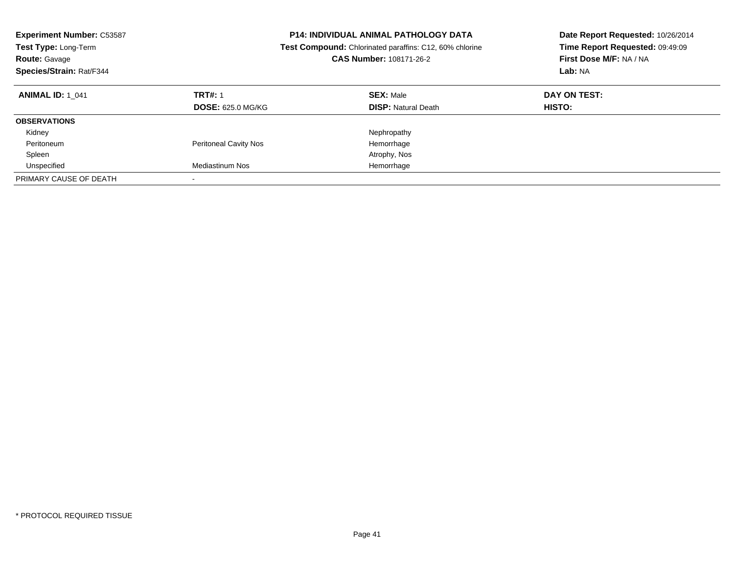| <b>Experiment Number: C53587</b><br>Test Type: Long-Term<br><b>Route: Gavage</b><br>Species/Strain: Rat/F344 |                                            | <b>P14: INDIVIDUAL ANIMAL PATHOLOGY DATA</b><br>Test Compound: Chlorinated paraffins: C12, 60% chlorine<br><b>CAS Number: 108171-26-2</b> | Date Report Requested: 10/26/2014<br>Time Report Requested: 09:49:09<br>First Dose M/F: NA / NA<br>Lab: NA |
|--------------------------------------------------------------------------------------------------------------|--------------------------------------------|-------------------------------------------------------------------------------------------------------------------------------------------|------------------------------------------------------------------------------------------------------------|
| <b>ANIMAL ID: 1 041</b>                                                                                      | <b>TRT#: 1</b><br><b>DOSE: 625.0 MG/KG</b> | <b>SEX: Male</b><br><b>DISP: Natural Death</b>                                                                                            | DAY ON TEST:<br>HISTO:                                                                                     |
| <b>OBSERVATIONS</b>                                                                                          |                                            |                                                                                                                                           |                                                                                                            |
| Kidney                                                                                                       |                                            | Nephropathy                                                                                                                               |                                                                                                            |
| Peritoneum                                                                                                   | <b>Peritoneal Cavity Nos</b>               | Hemorrhage                                                                                                                                |                                                                                                            |
| Spleen                                                                                                       |                                            | Atrophy, Nos                                                                                                                              |                                                                                                            |
| Unspecified                                                                                                  | Mediastinum Nos                            | Hemorrhage                                                                                                                                |                                                                                                            |
| PRIMARY CAUSE OF DEATH                                                                                       |                                            |                                                                                                                                           |                                                                                                            |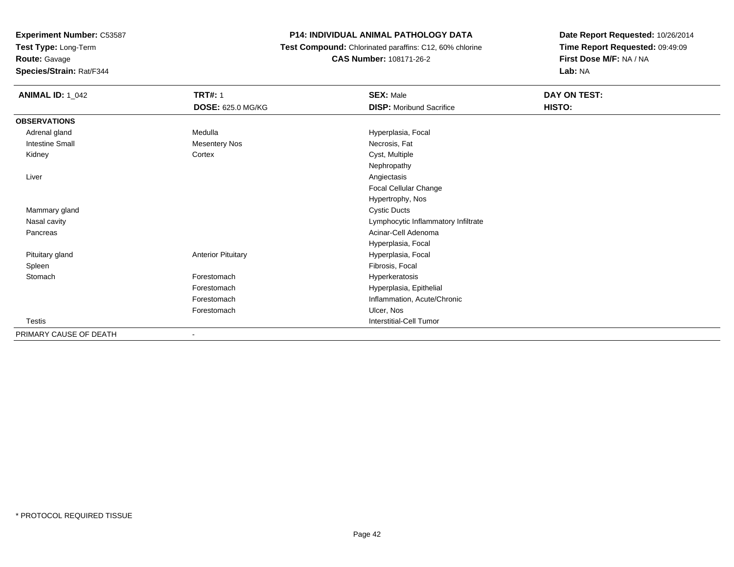**Test Type:** Long-Term

## **Route:** Gavage

**Species/Strain:** Rat/F344

#### **P14: INDIVIDUAL ANIMAL PATHOLOGY DATA**

 **Test Compound:** Chlorinated paraffins: C12, 60% chlorine**CAS Number:** 108171-26-2

| <b>ANIMAL ID: 1_042</b> | <b>TRT#: 1</b>            | <b>SEX: Male</b>                    | DAY ON TEST: |
|-------------------------|---------------------------|-------------------------------------|--------------|
|                         | DOSE: 625.0 MG/KG         | <b>DISP:</b> Moribund Sacrifice     | HISTO:       |
| <b>OBSERVATIONS</b>     |                           |                                     |              |
| Adrenal gland           | Medulla                   | Hyperplasia, Focal                  |              |
| <b>Intestine Small</b>  | <b>Mesentery Nos</b>      | Necrosis, Fat                       |              |
| Kidney                  | Cortex                    | Cyst, Multiple                      |              |
|                         |                           | Nephropathy                         |              |
| Liver                   |                           | Angiectasis                         |              |
|                         |                           | Focal Cellular Change               |              |
|                         |                           | Hypertrophy, Nos                    |              |
| Mammary gland           |                           | <b>Cystic Ducts</b>                 |              |
| Nasal cavity            |                           | Lymphocytic Inflammatory Infiltrate |              |
| Pancreas                |                           | Acinar-Cell Adenoma                 |              |
|                         |                           | Hyperplasia, Focal                  |              |
| Pituitary gland         | <b>Anterior Pituitary</b> | Hyperplasia, Focal                  |              |
| Spleen                  |                           | Fibrosis, Focal                     |              |
| Stomach                 | Forestomach               | Hyperkeratosis                      |              |
|                         | Forestomach               | Hyperplasia, Epithelial             |              |
|                         | Forestomach               | Inflammation, Acute/Chronic         |              |
|                         | Forestomach               | Ulcer, Nos                          |              |
| Testis                  |                           | Interstitial-Cell Tumor             |              |
| PRIMARY CAUSE OF DEATH  | ٠                         |                                     |              |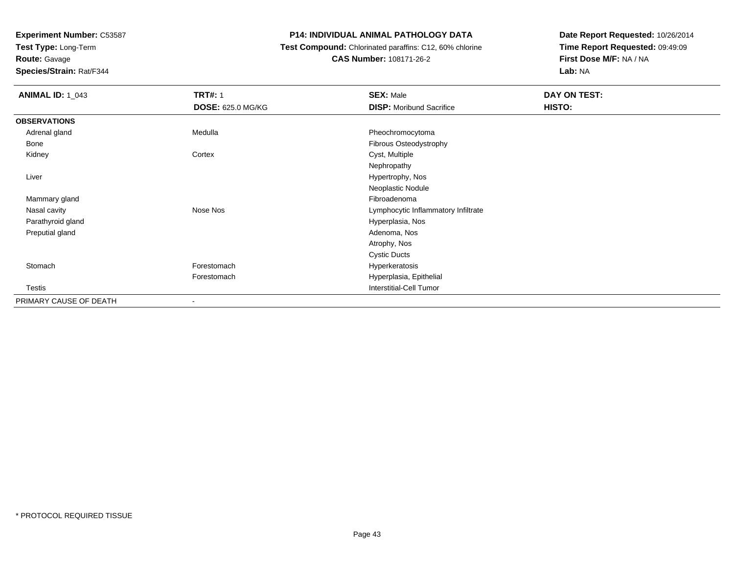**Test Type:** Long-Term

## **Route:** Gavage

**Species/Strain:** Rat/F344

#### **P14: INDIVIDUAL ANIMAL PATHOLOGY DATA**

#### **Test Compound:** Chlorinated paraffins: C12, 60% chlorine**CAS Number:** 108171-26-2

| <b>ANIMAL ID: 1 043</b> | <b>TRT#: 1</b>           | <b>SEX: Male</b>                    | DAY ON TEST: |
|-------------------------|--------------------------|-------------------------------------|--------------|
|                         | <b>DOSE: 625.0 MG/KG</b> | <b>DISP:</b> Moribund Sacrifice     | HISTO:       |
| <b>OBSERVATIONS</b>     |                          |                                     |              |
| Adrenal gland           | Medulla                  | Pheochromocytoma                    |              |
| Bone                    |                          | Fibrous Osteodystrophy              |              |
| Kidney                  | Cortex                   | Cyst, Multiple                      |              |
|                         |                          | Nephropathy                         |              |
| Liver                   |                          | Hypertrophy, Nos                    |              |
|                         |                          | Neoplastic Nodule                   |              |
| Mammary gland           |                          | Fibroadenoma                        |              |
| Nasal cavity            | Nose Nos                 | Lymphocytic Inflammatory Infiltrate |              |
| Parathyroid gland       |                          | Hyperplasia, Nos                    |              |
| Preputial gland         |                          | Adenoma, Nos                        |              |
|                         |                          | Atrophy, Nos                        |              |
|                         |                          | <b>Cystic Ducts</b>                 |              |
| Stomach                 | Forestomach              | Hyperkeratosis                      |              |
|                         | Forestomach              | Hyperplasia, Epithelial             |              |
| Testis                  |                          | <b>Interstitial-Cell Tumor</b>      |              |
| PRIMARY CAUSE OF DEATH  | $\overline{\phantom{a}}$ |                                     |              |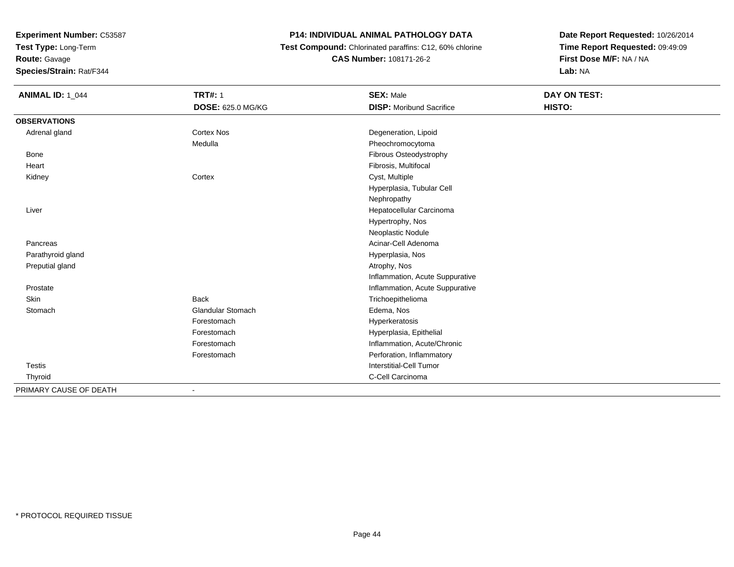**Test Type:** Long-Term

**Route:** Gavage

**Species/Strain:** Rat/F344

#### **P14: INDIVIDUAL ANIMAL PATHOLOGY DATA**

 **Test Compound:** Chlorinated paraffins: C12, 60% chlorine**CAS Number:** 108171-26-2

| <b>ANIMAL ID: 1_044</b> | <b>TRT#: 1</b>           | <b>SEX: Male</b>                | DAY ON TEST: |
|-------------------------|--------------------------|---------------------------------|--------------|
|                         | <b>DOSE: 625.0 MG/KG</b> | <b>DISP: Moribund Sacrifice</b> | HISTO:       |
| <b>OBSERVATIONS</b>     |                          |                                 |              |
| Adrenal gland           | Cortex Nos               | Degeneration, Lipoid            |              |
|                         | Medulla                  | Pheochromocytoma                |              |
| Bone                    |                          | Fibrous Osteodystrophy          |              |
| Heart                   |                          | Fibrosis, Multifocal            |              |
| Kidney                  | Cortex                   | Cyst, Multiple                  |              |
|                         |                          | Hyperplasia, Tubular Cell       |              |
|                         |                          | Nephropathy                     |              |
| Liver                   |                          | Hepatocellular Carcinoma        |              |
|                         |                          | Hypertrophy, Nos                |              |
|                         |                          | Neoplastic Nodule               |              |
| Pancreas                |                          | Acinar-Cell Adenoma             |              |
| Parathyroid gland       |                          | Hyperplasia, Nos                |              |
| Preputial gland         |                          | Atrophy, Nos                    |              |
|                         |                          | Inflammation, Acute Suppurative |              |
| Prostate                |                          | Inflammation, Acute Suppurative |              |
| Skin                    | <b>Back</b>              | Trichoepithelioma               |              |
| Stomach                 | <b>Glandular Stomach</b> | Edema, Nos                      |              |
|                         | Forestomach              | Hyperkeratosis                  |              |
|                         | Forestomach              | Hyperplasia, Epithelial         |              |
|                         | Forestomach              | Inflammation, Acute/Chronic     |              |
|                         | Forestomach              | Perforation, Inflammatory       |              |
| <b>Testis</b>           |                          | Interstitial-Cell Tumor         |              |
| Thyroid                 |                          | C-Cell Carcinoma                |              |
| PRIMARY CAUSE OF DEATH  |                          |                                 |              |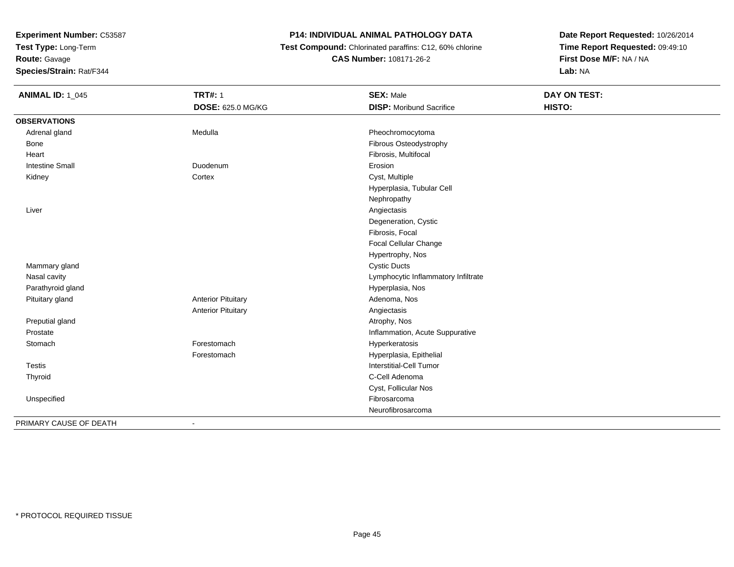**Test Type:** Long-Term

**Route:** Gavage

**Species/Strain:** Rat/F344

#### **P14: INDIVIDUAL ANIMAL PATHOLOGY DATA**

 **Test Compound:** Chlorinated paraffins: C12, 60% chlorine**CAS Number:** 108171-26-2

| <b>ANIMAL ID: 1_045</b> | <b>TRT#: 1</b>            | <b>SEX: Male</b>                    | <b>DAY ON TEST:</b> |
|-------------------------|---------------------------|-------------------------------------|---------------------|
|                         | DOSE: 625.0 MG/KG         | <b>DISP:</b> Moribund Sacrifice     | HISTO:              |
| <b>OBSERVATIONS</b>     |                           |                                     |                     |
| Adrenal gland           | Medulla                   | Pheochromocytoma                    |                     |
| <b>Bone</b>             |                           | Fibrous Osteodystrophy              |                     |
| Heart                   |                           | Fibrosis, Multifocal                |                     |
| <b>Intestine Small</b>  | Duodenum                  | Erosion                             |                     |
| Kidney                  | Cortex                    | Cyst, Multiple                      |                     |
|                         |                           | Hyperplasia, Tubular Cell           |                     |
|                         |                           | Nephropathy                         |                     |
| Liver                   |                           | Angiectasis                         |                     |
|                         |                           | Degeneration, Cystic                |                     |
|                         |                           | Fibrosis, Focal                     |                     |
|                         |                           | Focal Cellular Change               |                     |
|                         |                           | Hypertrophy, Nos                    |                     |
| Mammary gland           |                           | <b>Cystic Ducts</b>                 |                     |
| Nasal cavity            |                           | Lymphocytic Inflammatory Infiltrate |                     |
| Parathyroid gland       |                           | Hyperplasia, Nos                    |                     |
| Pituitary gland         | <b>Anterior Pituitary</b> | Adenoma, Nos                        |                     |
|                         | <b>Anterior Pituitary</b> | Angiectasis                         |                     |
| Preputial gland         |                           | Atrophy, Nos                        |                     |
| Prostate                |                           | Inflammation, Acute Suppurative     |                     |
| Stomach                 | Forestomach               | Hyperkeratosis                      |                     |
|                         | Forestomach               | Hyperplasia, Epithelial             |                     |
| <b>Testis</b>           |                           | Interstitial-Cell Tumor             |                     |
| Thyroid                 |                           | C-Cell Adenoma                      |                     |
|                         |                           | Cyst, Follicular Nos                |                     |
| Unspecified             |                           | Fibrosarcoma                        |                     |
|                         |                           | Neurofibrosarcoma                   |                     |
| PRIMARY CAUSE OF DEATH  | $\blacksquare$            |                                     |                     |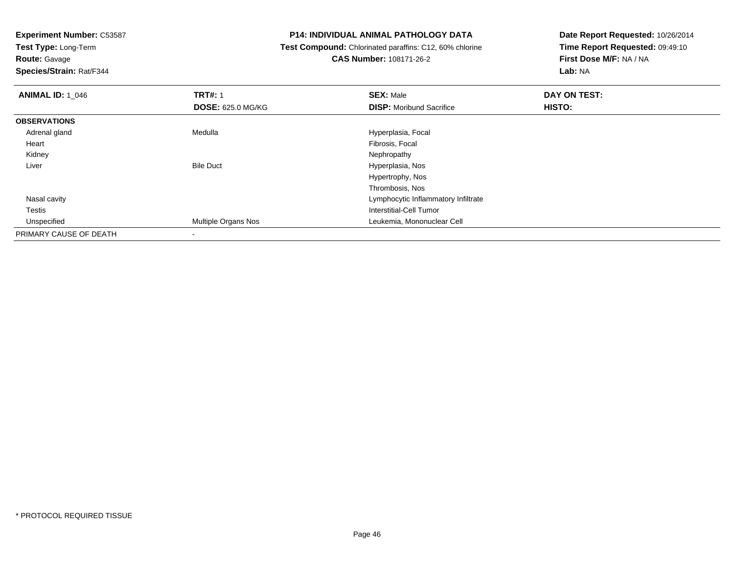**Test Type:** Long-Term

# **Route:** Gavage

**Species/Strain:** Rat/F344

#### **P14: INDIVIDUAL ANIMAL PATHOLOGY DATA**

#### **Test Compound:** Chlorinated paraffins: C12, 60% chlorine**CAS Number:** 108171-26-2

| <b>ANIMAL ID: 1 046</b> | <b>TRT#: 1</b>           | <b>SEX: Male</b>                    | DAY ON TEST: |  |
|-------------------------|--------------------------|-------------------------------------|--------------|--|
|                         | <b>DOSE: 625.0 MG/KG</b> | <b>DISP:</b> Moribund Sacrifice     | HISTO:       |  |
| <b>OBSERVATIONS</b>     |                          |                                     |              |  |
| Adrenal gland           | Medulla                  | Hyperplasia, Focal                  |              |  |
| Heart                   |                          | Fibrosis, Focal                     |              |  |
| Kidney                  |                          | Nephropathy                         |              |  |
| Liver                   | <b>Bile Duct</b>         | Hyperplasia, Nos                    |              |  |
|                         |                          | Hypertrophy, Nos                    |              |  |
|                         |                          | Thrombosis, Nos                     |              |  |
| Nasal cavity            |                          | Lymphocytic Inflammatory Infiltrate |              |  |
| Testis                  |                          | Interstitial-Cell Tumor             |              |  |
| Unspecified             | Multiple Organs Nos      | Leukemia, Mononuclear Cell          |              |  |
| PRIMARY CAUSE OF DEATH  |                          |                                     |              |  |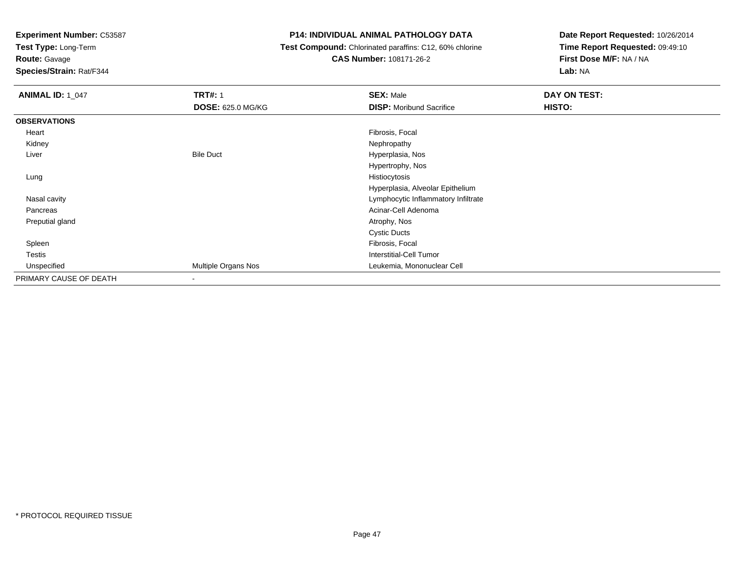**Test Type:** Long-Term

**Route:** Gavage

**Species/Strain:** Rat/F344

#### **P14: INDIVIDUAL ANIMAL PATHOLOGY DATA**

 **Test Compound:** Chlorinated paraffins: C12, 60% chlorine**CAS Number:** 108171-26-2

| <b>ANIMAL ID: 1_047</b> | <b>TRT#: 1</b>           | <b>SEX: Male</b>                    | DAY ON TEST: |
|-------------------------|--------------------------|-------------------------------------|--------------|
|                         | <b>DOSE: 625.0 MG/KG</b> | <b>DISP:</b> Moribund Sacrifice     | HISTO:       |
| <b>OBSERVATIONS</b>     |                          |                                     |              |
| Heart                   |                          | Fibrosis, Focal                     |              |
| Kidney                  |                          | Nephropathy                         |              |
| Liver                   | <b>Bile Duct</b>         | Hyperplasia, Nos                    |              |
|                         |                          | Hypertrophy, Nos                    |              |
| Lung                    |                          | Histiocytosis                       |              |
|                         |                          | Hyperplasia, Alveolar Epithelium    |              |
| Nasal cavity            |                          | Lymphocytic Inflammatory Infiltrate |              |
| Pancreas                |                          | Acinar-Cell Adenoma                 |              |
| Preputial gland         |                          | Atrophy, Nos                        |              |
|                         |                          | <b>Cystic Ducts</b>                 |              |
| Spleen                  |                          | Fibrosis, Focal                     |              |
| <b>Testis</b>           |                          | <b>Interstitial-Cell Tumor</b>      |              |
| Unspecified             | Multiple Organs Nos      | Leukemia, Mononuclear Cell          |              |
| PRIMARY CAUSE OF DEATH  |                          |                                     |              |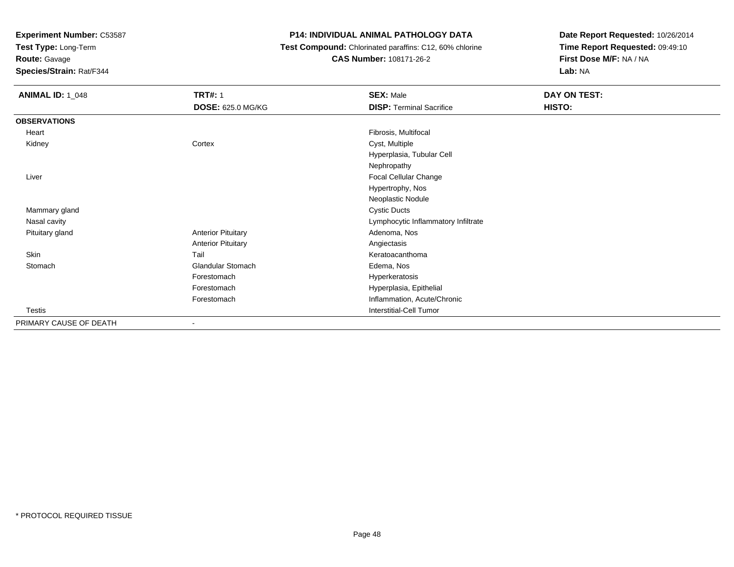**Test Type:** Long-Term

**Route:** Gavage

**Species/Strain:** Rat/F344

#### **P14: INDIVIDUAL ANIMAL PATHOLOGY DATA**

 **Test Compound:** Chlorinated paraffins: C12, 60% chlorine**CAS Number:** 108171-26-2

| <b>ANIMAL ID: 1_048</b> | <b>TRT#: 1</b>            | <b>SEX: Male</b>                    | DAY ON TEST: |
|-------------------------|---------------------------|-------------------------------------|--------------|
|                         | <b>DOSE: 625.0 MG/KG</b>  | <b>DISP: Terminal Sacrifice</b>     | HISTO:       |
| <b>OBSERVATIONS</b>     |                           |                                     |              |
| Heart                   |                           | Fibrosis, Multifocal                |              |
| Kidney                  | Cortex                    | Cyst, Multiple                      |              |
|                         |                           | Hyperplasia, Tubular Cell           |              |
|                         |                           | Nephropathy                         |              |
| Liver                   |                           | Focal Cellular Change               |              |
|                         |                           | Hypertrophy, Nos                    |              |
|                         |                           | Neoplastic Nodule                   |              |
| Mammary gland           |                           | <b>Cystic Ducts</b>                 |              |
| Nasal cavity            |                           | Lymphocytic Inflammatory Infiltrate |              |
| Pituitary gland         | <b>Anterior Pituitary</b> | Adenoma, Nos                        |              |
|                         | <b>Anterior Pituitary</b> | Angiectasis                         |              |
| Skin                    | Tail                      | Keratoacanthoma                     |              |
| Stomach                 | Glandular Stomach         | Edema, Nos                          |              |
|                         | Forestomach               | Hyperkeratosis                      |              |
|                         | Forestomach               | Hyperplasia, Epithelial             |              |
|                         | Forestomach               | Inflammation, Acute/Chronic         |              |
| Testis                  |                           | <b>Interstitial-Cell Tumor</b>      |              |
| PRIMARY CAUSE OF DEATH  |                           |                                     |              |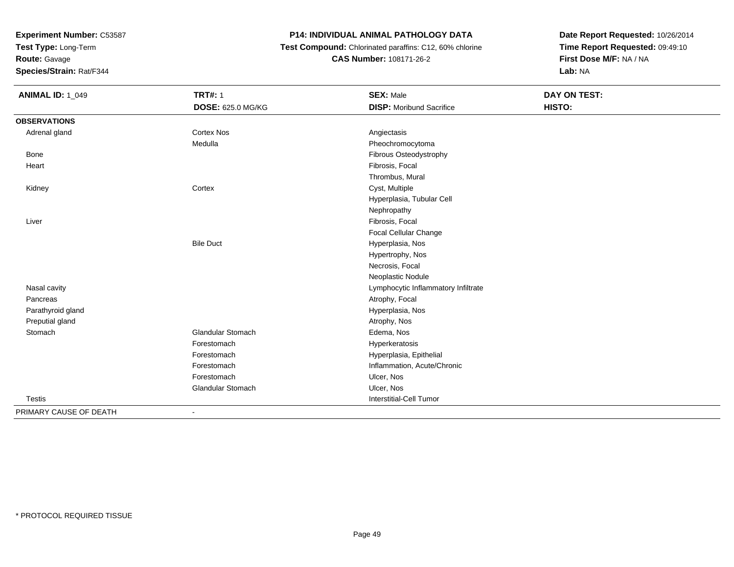**Test Type:** Long-Term

**Route:** Gavage

**Species/Strain:** Rat/F344

#### **P14: INDIVIDUAL ANIMAL PATHOLOGY DATA**

 **Test Compound:** Chlorinated paraffins: C12, 60% chlorine**CAS Number:** 108171-26-2

| <b>ANIMAL ID: 1_049</b> | <b>TRT#: 1</b>           | <b>SEX: Male</b>                    | DAY ON TEST: |  |
|-------------------------|--------------------------|-------------------------------------|--------------|--|
|                         | <b>DOSE: 625.0 MG/KG</b> | <b>DISP:</b> Moribund Sacrifice     | HISTO:       |  |
| <b>OBSERVATIONS</b>     |                          |                                     |              |  |
| Adrenal gland           | <b>Cortex Nos</b>        | Angiectasis                         |              |  |
|                         | Medulla                  | Pheochromocytoma                    |              |  |
| Bone                    |                          | Fibrous Osteodystrophy              |              |  |
| Heart                   |                          | Fibrosis, Focal                     |              |  |
|                         |                          | Thrombus, Mural                     |              |  |
| Kidney                  | Cortex                   | Cyst, Multiple                      |              |  |
|                         |                          | Hyperplasia, Tubular Cell           |              |  |
|                         |                          | Nephropathy                         |              |  |
| Liver                   |                          | Fibrosis, Focal                     |              |  |
|                         |                          | <b>Focal Cellular Change</b>        |              |  |
|                         | <b>Bile Duct</b>         | Hyperplasia, Nos                    |              |  |
|                         |                          | Hypertrophy, Nos                    |              |  |
|                         |                          | Necrosis, Focal                     |              |  |
|                         |                          | Neoplastic Nodule                   |              |  |
| Nasal cavity            |                          | Lymphocytic Inflammatory Infiltrate |              |  |
| Pancreas                |                          | Atrophy, Focal                      |              |  |
| Parathyroid gland       |                          | Hyperplasia, Nos                    |              |  |
| Preputial gland         |                          | Atrophy, Nos                        |              |  |
| Stomach                 | <b>Glandular Stomach</b> | Edema, Nos                          |              |  |
|                         | Forestomach              | Hyperkeratosis                      |              |  |
|                         | Forestomach              | Hyperplasia, Epithelial             |              |  |
|                         | Forestomach              | Inflammation, Acute/Chronic         |              |  |
|                         | Forestomach              | Ulcer, Nos                          |              |  |
|                         | <b>Glandular Stomach</b> | Ulcer, Nos                          |              |  |
| <b>Testis</b>           |                          | Interstitial-Cell Tumor             |              |  |
| PRIMARY CAUSE OF DEATH  | $\overline{\phantom{a}}$ |                                     |              |  |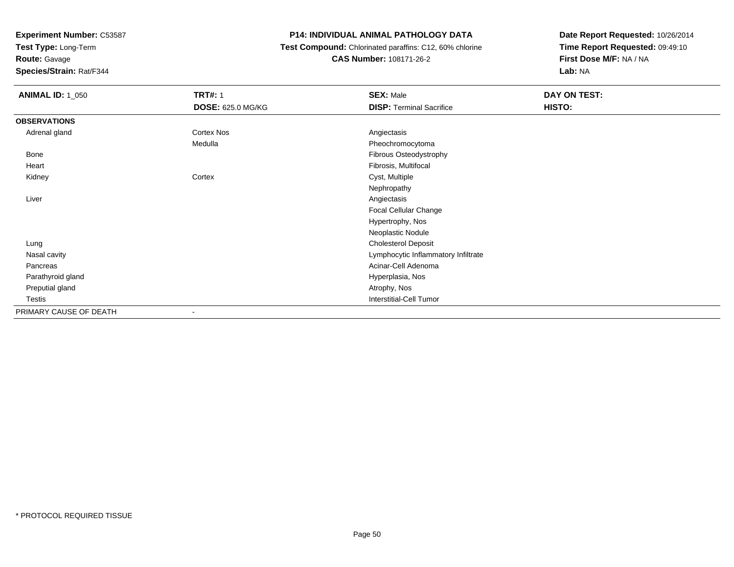**Test Type:** Long-Term

**Route:** Gavage

**Species/Strain:** Rat/F344

#### **P14: INDIVIDUAL ANIMAL PATHOLOGY DATA**

 **Test Compound:** Chlorinated paraffins: C12, 60% chlorine**CAS Number:** 108171-26-2

| <b>ANIMAL ID: 1_050</b> | <b>TRT#: 1</b>           | <b>SEX: Male</b>                    | DAY ON TEST: |
|-------------------------|--------------------------|-------------------------------------|--------------|
|                         | <b>DOSE: 625.0 MG/KG</b> | <b>DISP: Terminal Sacrifice</b>     | HISTO:       |
| <b>OBSERVATIONS</b>     |                          |                                     |              |
| Adrenal gland           | Cortex Nos               | Angiectasis                         |              |
|                         | Medulla                  | Pheochromocytoma                    |              |
| Bone                    |                          | Fibrous Osteodystrophy              |              |
| Heart                   |                          | Fibrosis, Multifocal                |              |
| Kidney                  | Cortex                   | Cyst, Multiple                      |              |
|                         |                          | Nephropathy                         |              |
| Liver                   |                          | Angiectasis                         |              |
|                         |                          | Focal Cellular Change               |              |
|                         |                          | Hypertrophy, Nos                    |              |
|                         |                          | Neoplastic Nodule                   |              |
| Lung                    |                          | <b>Cholesterol Deposit</b>          |              |
| Nasal cavity            |                          | Lymphocytic Inflammatory Infiltrate |              |
| Pancreas                |                          | Acinar-Cell Adenoma                 |              |
| Parathyroid gland       |                          | Hyperplasia, Nos                    |              |
| Preputial gland         |                          | Atrophy, Nos                        |              |
| Testis                  |                          | <b>Interstitial-Cell Tumor</b>      |              |
| PRIMARY CAUSE OF DEATH  | ۰                        |                                     |              |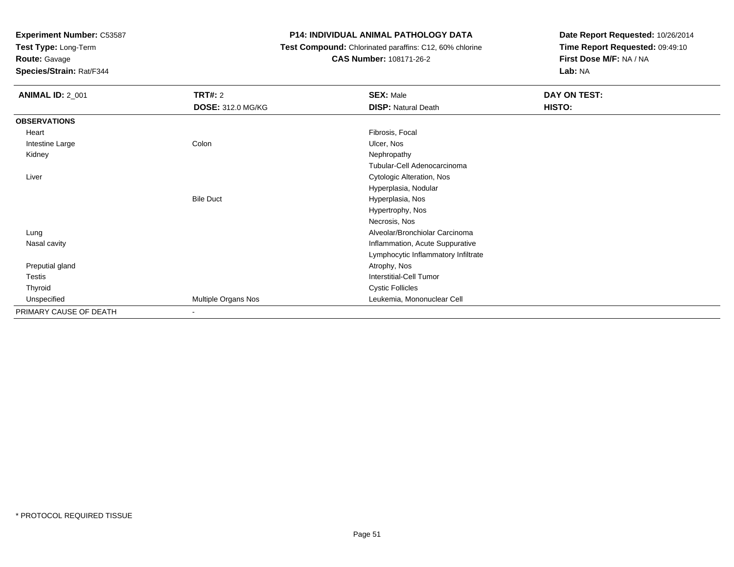**Test Type:** Long-Term

**Route:** Gavage

**Species/Strain:** Rat/F344

#### **P14: INDIVIDUAL ANIMAL PATHOLOGY DATA**

 **Test Compound:** Chlorinated paraffins: C12, 60% chlorine**CAS Number:** 108171-26-2

| <b>ANIMAL ID: 2_001</b> | <b>TRT#: 2</b>             | <b>SEX: Male</b>                    | DAY ON TEST: |  |
|-------------------------|----------------------------|-------------------------------------|--------------|--|
|                         | <b>DOSE: 312.0 MG/KG</b>   | <b>DISP: Natural Death</b>          | HISTO:       |  |
| <b>OBSERVATIONS</b>     |                            |                                     |              |  |
| Heart                   |                            | Fibrosis, Focal                     |              |  |
| Intestine Large         | Colon                      | Ulcer, Nos                          |              |  |
| Kidney                  |                            | Nephropathy                         |              |  |
|                         |                            | Tubular-Cell Adenocarcinoma         |              |  |
| Liver                   |                            | Cytologic Alteration, Nos           |              |  |
|                         |                            | Hyperplasia, Nodular                |              |  |
|                         | <b>Bile Duct</b>           | Hyperplasia, Nos                    |              |  |
|                         |                            | Hypertrophy, Nos                    |              |  |
|                         |                            | Necrosis, Nos                       |              |  |
| Lung                    |                            | Alveolar/Bronchiolar Carcinoma      |              |  |
| Nasal cavity            |                            | Inflammation, Acute Suppurative     |              |  |
|                         |                            | Lymphocytic Inflammatory Infiltrate |              |  |
| Preputial gland         |                            | Atrophy, Nos                        |              |  |
| Testis                  |                            | <b>Interstitial-Cell Tumor</b>      |              |  |
| Thyroid                 |                            | <b>Cystic Follicles</b>             |              |  |
| Unspecified             | <b>Multiple Organs Nos</b> | Leukemia, Mononuclear Cell          |              |  |
| PRIMARY CAUSE OF DEATH  | $\overline{\phantom{0}}$   |                                     |              |  |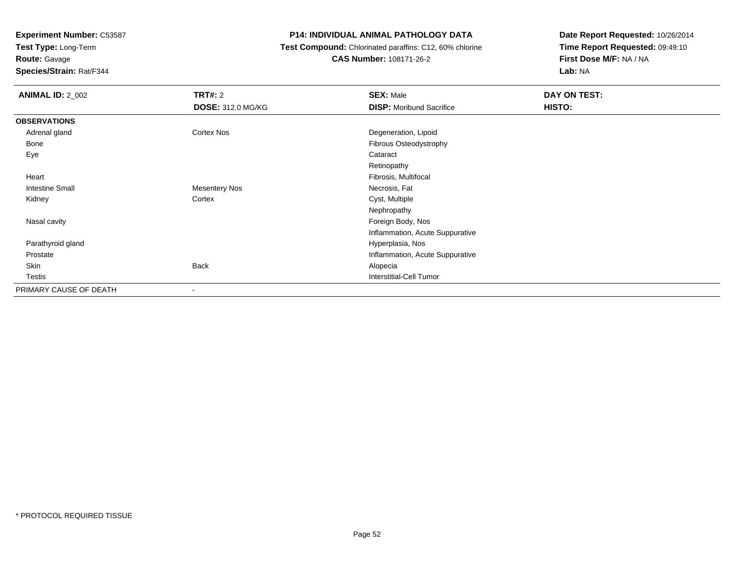**Test Type:** Long-Term

**Route:** Gavage

**Species/Strain:** Rat/F344

#### **P14: INDIVIDUAL ANIMAL PATHOLOGY DATA**

 **Test Compound:** Chlorinated paraffins: C12, 60% chlorine**CAS Number:** 108171-26-2

| <b>ANIMAL ID: 2_002</b> | <b>TRT#: 2</b>           | <b>SEX: Male</b>                | DAY ON TEST: |
|-------------------------|--------------------------|---------------------------------|--------------|
|                         | <b>DOSE: 312.0 MG/KG</b> | <b>DISP:</b> Moribund Sacrifice | HISTO:       |
| <b>OBSERVATIONS</b>     |                          |                                 |              |
| Adrenal gland           | Cortex Nos               | Degeneration, Lipoid            |              |
| Bone                    |                          | Fibrous Osteodystrophy          |              |
| Eye                     |                          | Cataract                        |              |
|                         |                          | Retinopathy                     |              |
| Heart                   |                          | Fibrosis, Multifocal            |              |
| <b>Intestine Small</b>  | <b>Mesentery Nos</b>     | Necrosis, Fat                   |              |
| Kidney                  | Cortex                   | Cyst, Multiple                  |              |
|                         |                          | Nephropathy                     |              |
| Nasal cavity            |                          | Foreign Body, Nos               |              |
|                         |                          | Inflammation, Acute Suppurative |              |
| Parathyroid gland       |                          | Hyperplasia, Nos                |              |
| Prostate                |                          | Inflammation, Acute Suppurative |              |
| Skin                    | <b>Back</b>              | Alopecia                        |              |
| Testis                  |                          | Interstitial-Cell Tumor         |              |
| PRIMARY CAUSE OF DEATH  | ۰                        |                                 |              |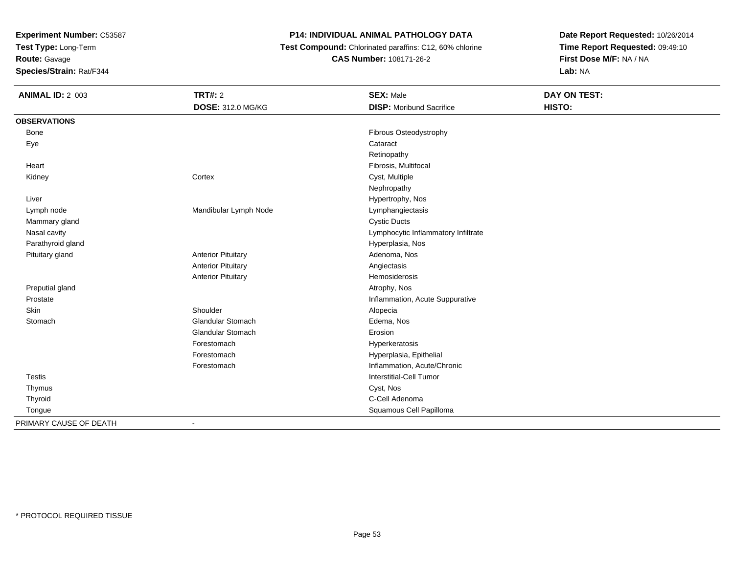**Test Type:** Long-Term

# **Route:** Gavage

**Species/Strain:** Rat/F344

#### **P14: INDIVIDUAL ANIMAL PATHOLOGY DATA**

 **Test Compound:** Chlorinated paraffins: C12, 60% chlorine**CAS Number:** 108171-26-2

| <b>ANIMAL ID: 2_003</b> | TRT#: 2                   | <b>SEX: Male</b>                    | DAY ON TEST: |  |
|-------------------------|---------------------------|-------------------------------------|--------------|--|
|                         | DOSE: 312.0 MG/KG         | <b>DISP: Moribund Sacrifice</b>     | HISTO:       |  |
| <b>OBSERVATIONS</b>     |                           |                                     |              |  |
| Bone                    |                           | Fibrous Osteodystrophy              |              |  |
| Eye                     |                           | Cataract                            |              |  |
|                         |                           | Retinopathy                         |              |  |
| Heart                   |                           | Fibrosis, Multifocal                |              |  |
| Kidney                  | Cortex                    | Cyst, Multiple                      |              |  |
|                         |                           | Nephropathy                         |              |  |
| Liver                   |                           | Hypertrophy, Nos                    |              |  |
| Lymph node              | Mandibular Lymph Node     | Lymphangiectasis                    |              |  |
| Mammary gland           |                           | <b>Cystic Ducts</b>                 |              |  |
| Nasal cavity            |                           | Lymphocytic Inflammatory Infiltrate |              |  |
| Parathyroid gland       |                           | Hyperplasia, Nos                    |              |  |
| Pituitary gland         | <b>Anterior Pituitary</b> | Adenoma, Nos                        |              |  |
|                         | <b>Anterior Pituitary</b> | Angiectasis                         |              |  |
|                         | <b>Anterior Pituitary</b> | Hemosiderosis                       |              |  |
| Preputial gland         |                           | Atrophy, Nos                        |              |  |
| Prostate                |                           | Inflammation, Acute Suppurative     |              |  |
| Skin                    | Shoulder                  | Alopecia                            |              |  |
| Stomach                 | <b>Glandular Stomach</b>  | Edema, Nos                          |              |  |
|                         | <b>Glandular Stomach</b>  | Erosion                             |              |  |
|                         | Forestomach               | Hyperkeratosis                      |              |  |
|                         | Forestomach               | Hyperplasia, Epithelial             |              |  |
|                         | Forestomach               | Inflammation, Acute/Chronic         |              |  |
| <b>Testis</b>           |                           | <b>Interstitial-Cell Tumor</b>      |              |  |
| Thymus                  |                           | Cyst, Nos                           |              |  |
| Thyroid                 |                           | C-Cell Adenoma                      |              |  |
| Tongue                  |                           | Squamous Cell Papilloma             |              |  |
| PRIMARY CAUSE OF DEATH  | $\blacksquare$            |                                     |              |  |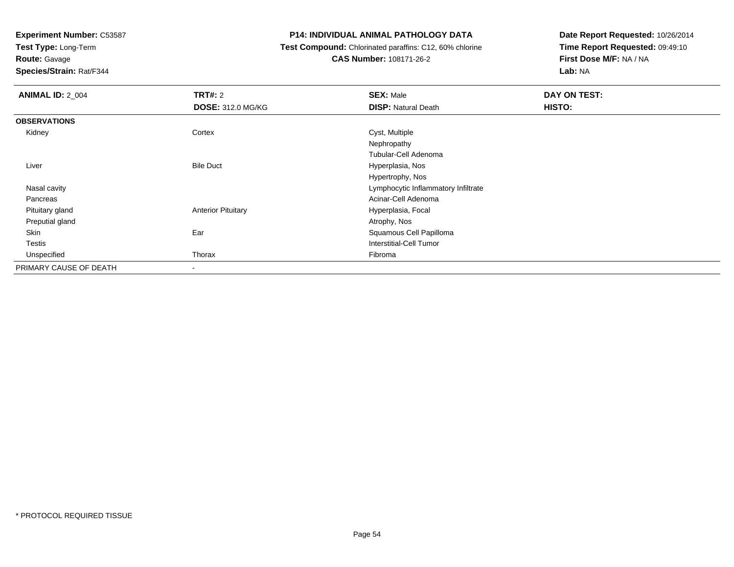**Test Type:** Long-Term

## **Route:** Gavage

**Species/Strain:** Rat/F344

#### **P14: INDIVIDUAL ANIMAL PATHOLOGY DATA**

#### **Test Compound:** Chlorinated paraffins: C12, 60% chlorine**CAS Number:** 108171-26-2

| <b>ANIMAL ID: 2_004</b> | <b>TRT#: 2</b>            | <b>SEX: Male</b>                    | DAY ON TEST: |
|-------------------------|---------------------------|-------------------------------------|--------------|
|                         | <b>DOSE: 312.0 MG/KG</b>  | <b>DISP: Natural Death</b>          | HISTO:       |
| <b>OBSERVATIONS</b>     |                           |                                     |              |
| Kidney                  | Cortex                    | Cyst, Multiple                      |              |
|                         |                           | Nephropathy                         |              |
|                         |                           | Tubular-Cell Adenoma                |              |
| Liver                   | <b>Bile Duct</b>          | Hyperplasia, Nos                    |              |
|                         |                           | Hypertrophy, Nos                    |              |
| Nasal cavity            |                           | Lymphocytic Inflammatory Infiltrate |              |
| Pancreas                |                           | Acinar-Cell Adenoma                 |              |
| Pituitary gland         | <b>Anterior Pituitary</b> | Hyperplasia, Focal                  |              |
| Preputial gland         |                           | Atrophy, Nos                        |              |
| Skin                    | Ear                       | Squamous Cell Papilloma             |              |
| Testis                  |                           | Interstitial-Cell Tumor             |              |
| Unspecified             | Thorax                    | Fibroma                             |              |
| PRIMARY CAUSE OF DEATH  | -                         |                                     |              |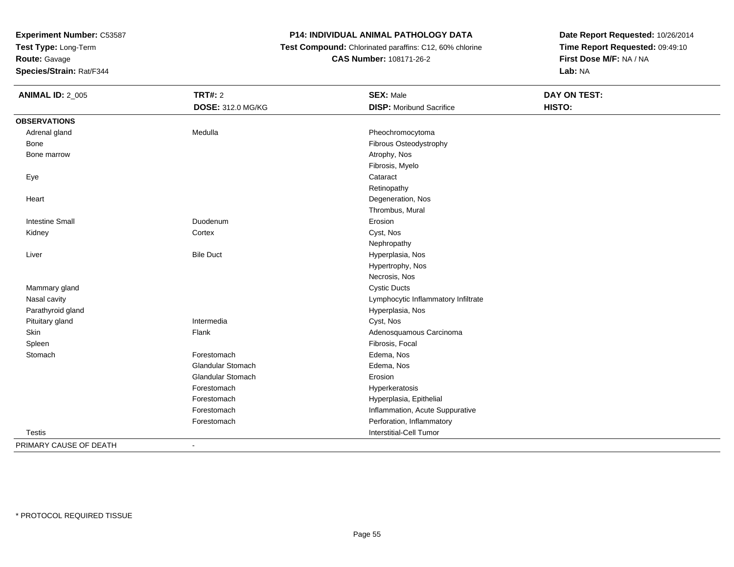**Test Type:** Long-Term

**Route:** Gavage

**Species/Strain:** Rat/F344

#### **P14: INDIVIDUAL ANIMAL PATHOLOGY DATA**

 **Test Compound:** Chlorinated paraffins: C12, 60% chlorine**CAS Number:** 108171-26-2

**Date Report Requested:** 10/26/2014**Time Report Requested:** 09:49:10**First Dose M/F:** NA / NA**Lab:** NA

| <b>ANIMAL ID: 2_005</b> | <b>TRT#: 2</b>           | <b>SEX: Male</b>                    | DAY ON TEST: |  |
|-------------------------|--------------------------|-------------------------------------|--------------|--|
|                         | DOSE: 312.0 MG/KG        | <b>DISP:</b> Moribund Sacrifice     | HISTO:       |  |
| <b>OBSERVATIONS</b>     |                          |                                     |              |  |
| Adrenal gland           | Medulla                  | Pheochromocytoma                    |              |  |
| Bone                    |                          | Fibrous Osteodystrophy              |              |  |
| Bone marrow             |                          | Atrophy, Nos                        |              |  |
|                         |                          | Fibrosis, Myelo                     |              |  |
| Eye                     |                          | Cataract                            |              |  |
|                         |                          | Retinopathy                         |              |  |
| Heart                   |                          | Degeneration, Nos                   |              |  |
|                         |                          | Thrombus, Mural                     |              |  |
| <b>Intestine Small</b>  | Duodenum                 | Erosion                             |              |  |
| Kidney                  | Cortex                   | Cyst, Nos                           |              |  |
|                         |                          | Nephropathy                         |              |  |
| Liver                   | <b>Bile Duct</b>         | Hyperplasia, Nos                    |              |  |
|                         |                          | Hypertrophy, Nos                    |              |  |
|                         |                          | Necrosis, Nos                       |              |  |
| Mammary gland           |                          | <b>Cystic Ducts</b>                 |              |  |
| Nasal cavity            |                          | Lymphocytic Inflammatory Infiltrate |              |  |
| Parathyroid gland       |                          | Hyperplasia, Nos                    |              |  |
| Pituitary gland         | Intermedia               | Cyst, Nos                           |              |  |
| Skin                    | Flank                    | Adenosquamous Carcinoma             |              |  |
| Spleen                  |                          | Fibrosis, Focal                     |              |  |
| Stomach                 | Forestomach              | Edema, Nos                          |              |  |
|                         | <b>Glandular Stomach</b> | Edema, Nos                          |              |  |
|                         | <b>Glandular Stomach</b> | Erosion                             |              |  |
|                         | Forestomach              | Hyperkeratosis                      |              |  |
|                         | Forestomach              | Hyperplasia, Epithelial             |              |  |
|                         | Forestomach              | Inflammation, Acute Suppurative     |              |  |
|                         | Forestomach              | Perforation, Inflammatory           |              |  |
| <b>Testis</b>           |                          | <b>Interstitial-Cell Tumor</b>      |              |  |
| DOIMADV CALICE OF DEATH |                          |                                     |              |  |

PRIMARY CAUSE OF DEATH-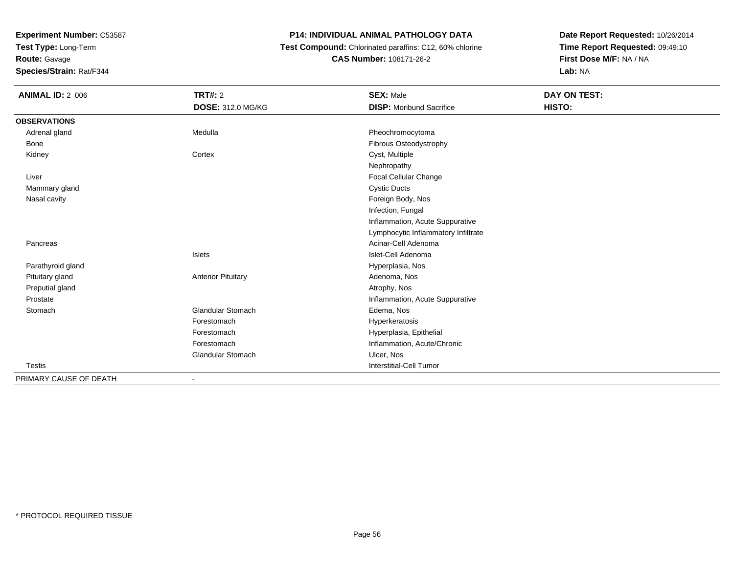**Test Type:** Long-Term

**Route:** Gavage

**Species/Strain:** Rat/F344

#### **P14: INDIVIDUAL ANIMAL PATHOLOGY DATA**

 **Test Compound:** Chlorinated paraffins: C12, 60% chlorine**CAS Number:** 108171-26-2

| <b>ANIMAL ID: 2_006</b> | <b>TRT#: 2</b>            | <b>SEX: Male</b>                    | <b>DAY ON TEST:</b> |
|-------------------------|---------------------------|-------------------------------------|---------------------|
|                         | <b>DOSE: 312.0 MG/KG</b>  | <b>DISP:</b> Moribund Sacrifice     | HISTO:              |
| <b>OBSERVATIONS</b>     |                           |                                     |                     |
| Adrenal gland           | Medulla                   | Pheochromocytoma                    |                     |
| Bone                    |                           | Fibrous Osteodystrophy              |                     |
| Kidney                  | Cortex                    | Cyst, Multiple                      |                     |
|                         |                           | Nephropathy                         |                     |
| Liver                   |                           | Focal Cellular Change               |                     |
| Mammary gland           |                           | <b>Cystic Ducts</b>                 |                     |
| Nasal cavity            |                           | Foreign Body, Nos                   |                     |
|                         |                           | Infection, Fungal                   |                     |
|                         |                           | Inflammation, Acute Suppurative     |                     |
|                         |                           | Lymphocytic Inflammatory Infiltrate |                     |
| Pancreas                |                           | Acinar-Cell Adenoma                 |                     |
|                         | Islets                    | Islet-Cell Adenoma                  |                     |
| Parathyroid gland       |                           | Hyperplasia, Nos                    |                     |
| Pituitary gland         | <b>Anterior Pituitary</b> | Adenoma, Nos                        |                     |
| Preputial gland         |                           | Atrophy, Nos                        |                     |
| Prostate                |                           | Inflammation, Acute Suppurative     |                     |
| Stomach                 | <b>Glandular Stomach</b>  | Edema, Nos                          |                     |
|                         | Forestomach               | Hyperkeratosis                      |                     |
|                         | Forestomach               | Hyperplasia, Epithelial             |                     |
|                         | Forestomach               | Inflammation, Acute/Chronic         |                     |
|                         | <b>Glandular Stomach</b>  | Ulcer, Nos                          |                     |
| <b>Testis</b>           |                           | <b>Interstitial-Cell Tumor</b>      |                     |
| PRIMARY CAUSE OF DEATH  |                           |                                     |                     |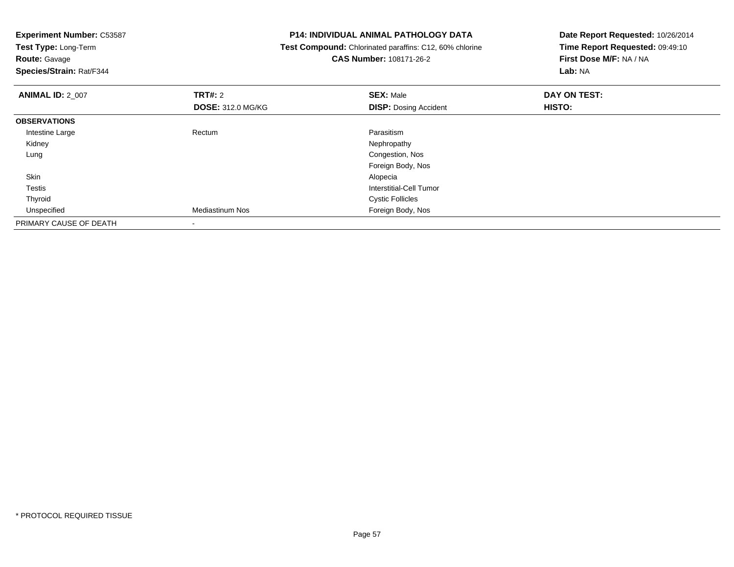| <b>Experiment Number: C53587</b> |                          | <b>P14: INDIVIDUAL ANIMAL PATHOLOGY DATA</b>            | Date Report Requested: 10/26/2014 |  |
|----------------------------------|--------------------------|---------------------------------------------------------|-----------------------------------|--|
| Test Type: Long-Term             |                          | Test Compound: Chlorinated paraffins: C12, 60% chlorine | Time Report Requested: 09:49:10   |  |
| <b>Route: Gavage</b>             |                          | <b>CAS Number: 108171-26-2</b>                          | First Dose M/F: NA / NA           |  |
| Species/Strain: Rat/F344         |                          |                                                         | Lab: NA                           |  |
| <b>ANIMAL ID: 2_007</b>          | <b>TRT#: 2</b>           | <b>SEX: Male</b>                                        | DAY ON TEST:                      |  |
|                                  | <b>DOSE: 312.0 MG/KG</b> | <b>DISP:</b> Dosing Accident                            | HISTO:                            |  |
| <b>OBSERVATIONS</b>              |                          |                                                         |                                   |  |
| Intestine Large                  | Rectum                   | Parasitism                                              |                                   |  |
| Kidney                           |                          | Nephropathy                                             |                                   |  |
| Lung                             |                          | Congestion, Nos                                         |                                   |  |
|                                  |                          | Foreign Body, Nos                                       |                                   |  |
| Skin                             |                          | Alopecia                                                |                                   |  |
| Testis                           |                          | <b>Interstitial-Cell Tumor</b>                          |                                   |  |
| Thyroid                          |                          | <b>Cystic Follicles</b>                                 |                                   |  |
| Unspecified                      | <b>Mediastinum Nos</b>   | Foreign Body, Nos                                       |                                   |  |
| PRIMARY CAUSE OF DEATH           |                          |                                                         |                                   |  |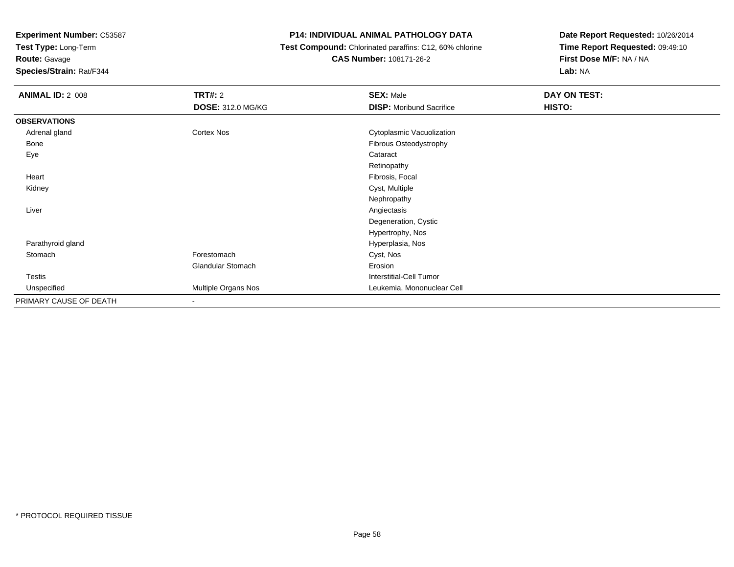**Test Type:** Long-Term

## **Route:** Gavage

**Species/Strain:** Rat/F344

#### **P14: INDIVIDUAL ANIMAL PATHOLOGY DATA**

#### **Test Compound:** Chlorinated paraffins: C12, 60% chlorine**CAS Number:** 108171-26-2

| <b>ANIMAL ID: 2_008</b> | <b>TRT#:</b> 2           | <b>SEX: Male</b>                | DAY ON TEST: |  |
|-------------------------|--------------------------|---------------------------------|--------------|--|
|                         | <b>DOSE: 312.0 MG/KG</b> | <b>DISP:</b> Moribund Sacrifice | HISTO:       |  |
| <b>OBSERVATIONS</b>     |                          |                                 |              |  |
| Adrenal gland           | Cortex Nos               | Cytoplasmic Vacuolization       |              |  |
| Bone                    |                          | Fibrous Osteodystrophy          |              |  |
| Eye                     |                          | Cataract                        |              |  |
|                         |                          | Retinopathy                     |              |  |
| Heart                   |                          | Fibrosis, Focal                 |              |  |
| Kidney                  |                          | Cyst, Multiple                  |              |  |
|                         |                          | Nephropathy                     |              |  |
| Liver                   |                          | Angiectasis                     |              |  |
|                         |                          | Degeneration, Cystic            |              |  |
|                         |                          | Hypertrophy, Nos                |              |  |
| Parathyroid gland       |                          | Hyperplasia, Nos                |              |  |
| Stomach                 | Forestomach              | Cyst, Nos                       |              |  |
|                         | <b>Glandular Stomach</b> | Erosion                         |              |  |
| <b>Testis</b>           |                          | Interstitial-Cell Tumor         |              |  |
| Unspecified             | Multiple Organs Nos      | Leukemia, Mononuclear Cell      |              |  |
| PRIMARY CAUSE OF DEATH  | $\blacksquare$           |                                 |              |  |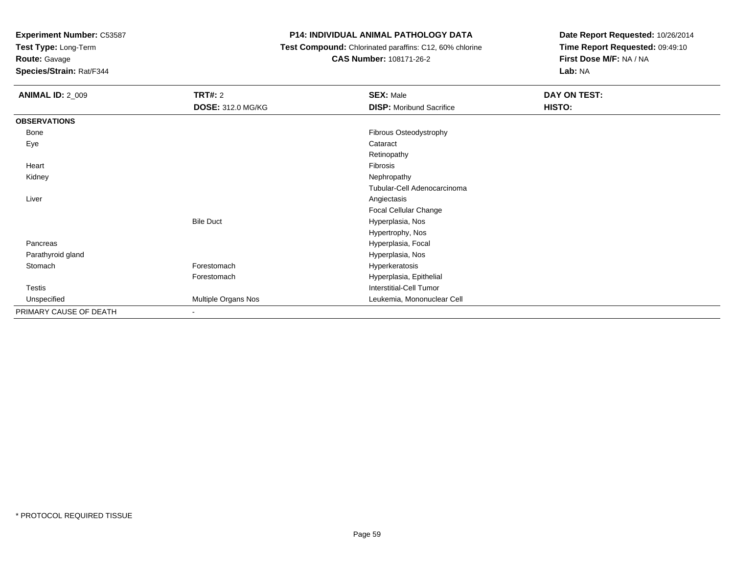**Test Type:** Long-Term

## **Route:** Gavage

**Species/Strain:** Rat/F344

#### **P14: INDIVIDUAL ANIMAL PATHOLOGY DATA**

**Test Compound:** Chlorinated paraffins: C12, 60% chlorine

**CAS Number:** 108171-26-2

| <b>ANIMAL ID: 2_009</b> | <b>TRT#: 2</b>           | <b>SEX: Male</b>                | DAY ON TEST: |
|-------------------------|--------------------------|---------------------------------|--------------|
|                         | <b>DOSE: 312.0 MG/KG</b> | <b>DISP:</b> Moribund Sacrifice | HISTO:       |
| <b>OBSERVATIONS</b>     |                          |                                 |              |
| <b>Bone</b>             |                          | Fibrous Osteodystrophy          |              |
| Eye                     |                          | Cataract                        |              |
|                         |                          | Retinopathy                     |              |
| Heart                   |                          | Fibrosis                        |              |
| Kidney                  |                          | Nephropathy                     |              |
|                         |                          | Tubular-Cell Adenocarcinoma     |              |
| Liver                   |                          | Angiectasis                     |              |
|                         |                          | Focal Cellular Change           |              |
|                         | <b>Bile Duct</b>         | Hyperplasia, Nos                |              |
|                         |                          | Hypertrophy, Nos                |              |
| Pancreas                |                          | Hyperplasia, Focal              |              |
| Parathyroid gland       |                          | Hyperplasia, Nos                |              |
| Stomach                 | Forestomach              | Hyperkeratosis                  |              |
|                         | Forestomach              | Hyperplasia, Epithelial         |              |
| <b>Testis</b>           |                          | <b>Interstitial-Cell Tumor</b>  |              |
| Unspecified             | Multiple Organs Nos      | Leukemia, Mononuclear Cell      |              |
| PRIMARY CAUSE OF DEATH  | $\overline{\phantom{a}}$ |                                 |              |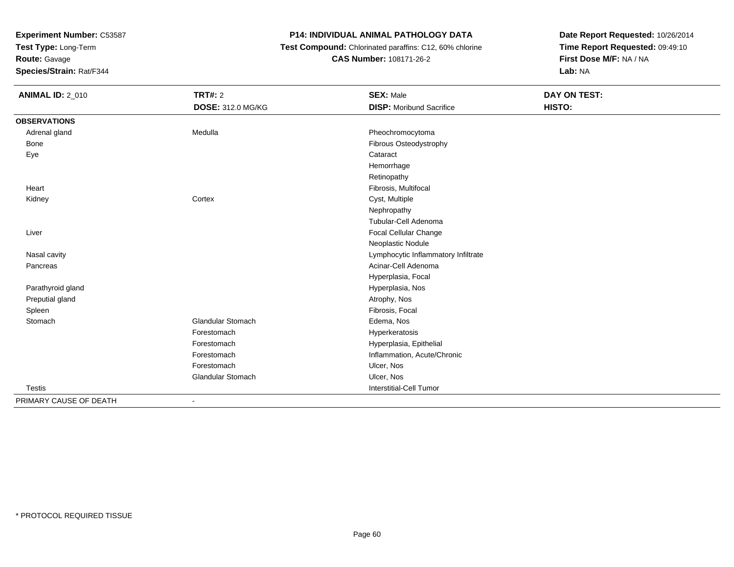**Test Type:** Long-Term

**Route:** Gavage

**Species/Strain:** Rat/F344

#### **P14: INDIVIDUAL ANIMAL PATHOLOGY DATA**

 **Test Compound:** Chlorinated paraffins: C12, 60% chlorine**CAS Number:** 108171-26-2

| <b>ANIMAL ID: 2_010</b> | <b>TRT#: 2</b>           | <b>SEX: Male</b>                    | DAY ON TEST: |  |
|-------------------------|--------------------------|-------------------------------------|--------------|--|
|                         | DOSE: 312.0 MG/KG        | <b>DISP:</b> Moribund Sacrifice     | HISTO:       |  |
| <b>OBSERVATIONS</b>     |                          |                                     |              |  |
| Adrenal gland           | Medulla                  | Pheochromocytoma                    |              |  |
| Bone                    |                          | Fibrous Osteodystrophy              |              |  |
| Eye                     |                          | Cataract                            |              |  |
|                         |                          | Hemorrhage                          |              |  |
|                         |                          | Retinopathy                         |              |  |
| Heart                   |                          | Fibrosis, Multifocal                |              |  |
| Kidney                  | Cortex                   | Cyst, Multiple                      |              |  |
|                         |                          | Nephropathy                         |              |  |
|                         |                          | Tubular-Cell Adenoma                |              |  |
| Liver                   |                          | Focal Cellular Change               |              |  |
|                         |                          | Neoplastic Nodule                   |              |  |
| Nasal cavity            |                          | Lymphocytic Inflammatory Infiltrate |              |  |
| Pancreas                |                          | Acinar-Cell Adenoma                 |              |  |
|                         |                          | Hyperplasia, Focal                  |              |  |
| Parathyroid gland       |                          | Hyperplasia, Nos                    |              |  |
| Preputial gland         |                          | Atrophy, Nos                        |              |  |
| Spleen                  |                          | Fibrosis, Focal                     |              |  |
| Stomach                 | Glandular Stomach        | Edema, Nos                          |              |  |
|                         | Forestomach              | Hyperkeratosis                      |              |  |
|                         | Forestomach              | Hyperplasia, Epithelial             |              |  |
|                         | Forestomach              | Inflammation, Acute/Chronic         |              |  |
|                         | Forestomach              | Ulcer, Nos                          |              |  |
|                         | <b>Glandular Stomach</b> | Ulcer, Nos                          |              |  |
| Testis                  |                          | Interstitial-Cell Tumor             |              |  |
| PRIMARY CAUSE OF DEATH  |                          |                                     |              |  |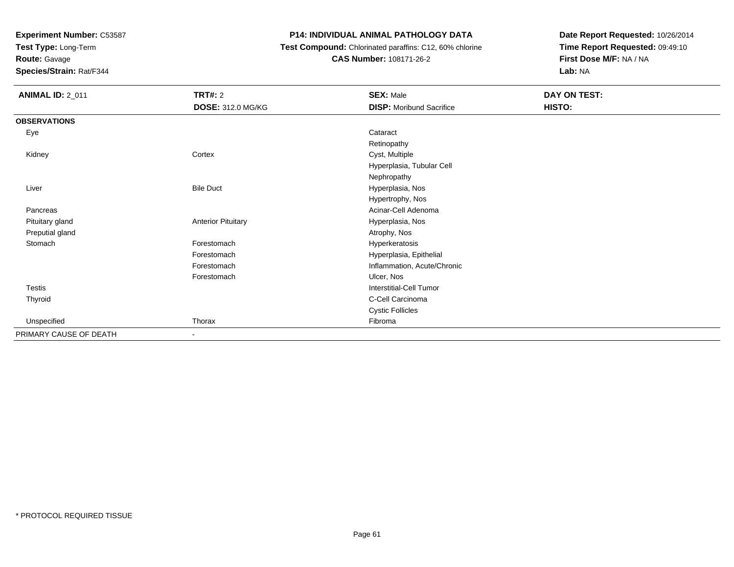**Test Type:** Long-Term

### **Route:** Gavage

**Species/Strain:** Rat/F344

#### **P14: INDIVIDUAL ANIMAL PATHOLOGY DATA**

#### **Test Compound:** Chlorinated paraffins: C12, 60% chlorine**CAS Number:** 108171-26-2

| <b>ANIMAL ID: 2_011</b> | <b>TRT#: 2</b>            | <b>SEX: Male</b>                | DAY ON TEST: |
|-------------------------|---------------------------|---------------------------------|--------------|
|                         | <b>DOSE: 312.0 MG/KG</b>  | <b>DISP:</b> Moribund Sacrifice | HISTO:       |
| <b>OBSERVATIONS</b>     |                           |                                 |              |
| Eye                     |                           | Cataract                        |              |
|                         |                           | Retinopathy                     |              |
| Kidney                  | Cortex                    | Cyst, Multiple                  |              |
|                         |                           | Hyperplasia, Tubular Cell       |              |
|                         |                           | Nephropathy                     |              |
| Liver                   | <b>Bile Duct</b>          | Hyperplasia, Nos                |              |
|                         |                           | Hypertrophy, Nos                |              |
| Pancreas                |                           | Acinar-Cell Adenoma             |              |
| Pituitary gland         | <b>Anterior Pituitary</b> | Hyperplasia, Nos                |              |
| Preputial gland         |                           | Atrophy, Nos                    |              |
| Stomach                 | Forestomach               | Hyperkeratosis                  |              |
|                         | Forestomach               | Hyperplasia, Epithelial         |              |
|                         | Forestomach               | Inflammation, Acute/Chronic     |              |
|                         | Forestomach               | Ulcer, Nos                      |              |
| Testis                  |                           | <b>Interstitial-Cell Tumor</b>  |              |
| Thyroid                 |                           | C-Cell Carcinoma                |              |
|                         |                           | <b>Cystic Follicles</b>         |              |
| Unspecified             | Thorax                    | Fibroma                         |              |
| PRIMARY CAUSE OF DEATH  | $\sim$                    |                                 |              |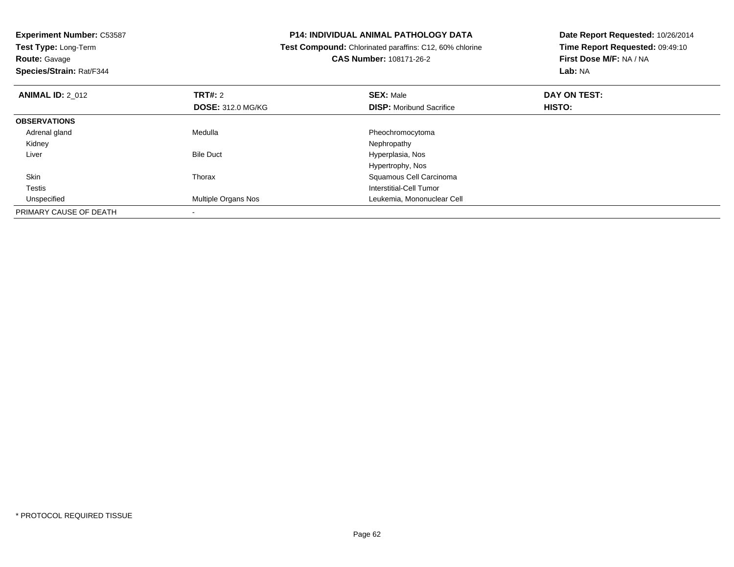| <b>Experiment Number: C53587</b> |                          | <b>P14: INDIVIDUAL ANIMAL PATHOLOGY DATA</b>            | Date Report Requested: 10/26/2014 |  |
|----------------------------------|--------------------------|---------------------------------------------------------|-----------------------------------|--|
| Test Type: Long-Term             |                          | Test Compound: Chlorinated paraffins: C12, 60% chlorine | Time Report Requested: 09:49:10   |  |
| <b>Route: Gavage</b>             |                          | <b>CAS Number: 108171-26-2</b>                          | First Dose M/F: NA / NA           |  |
| Species/Strain: Rat/F344         |                          |                                                         | Lab: NA                           |  |
| <b>ANIMAL ID: 2 012</b>          | <b>TRT#: 2</b>           | <b>SEX: Male</b>                                        | DAY ON TEST:                      |  |
|                                  | <b>DOSE: 312.0 MG/KG</b> | <b>DISP:</b> Moribund Sacrifice                         | HISTO:                            |  |
| <b>OBSERVATIONS</b>              |                          |                                                         |                                   |  |
| Adrenal gland                    | Medulla                  | Pheochromocytoma                                        |                                   |  |
| Kidney                           |                          | Nephropathy                                             |                                   |  |
| Liver                            | <b>Bile Duct</b>         | Hyperplasia, Nos                                        |                                   |  |
|                                  |                          | Hypertrophy, Nos                                        |                                   |  |
| <b>Skin</b>                      | Thorax                   | Squamous Cell Carcinoma                                 |                                   |  |
| Testis                           |                          | Interstitial-Cell Tumor                                 |                                   |  |
| Unspecified                      | Multiple Organs Nos      | Leukemia, Mononuclear Cell                              |                                   |  |
| PRIMARY CAUSE OF DEATH           |                          |                                                         |                                   |  |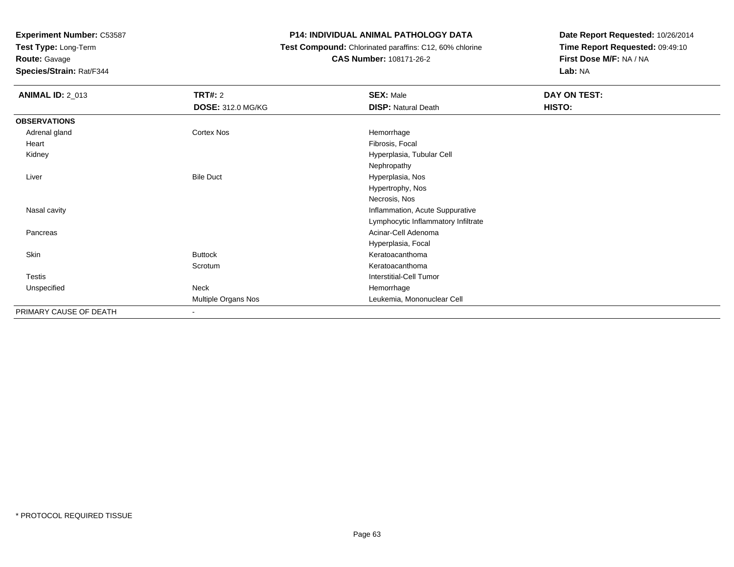**Test Type:** Long-Term

**Route:** Gavage

**Species/Strain:** Rat/F344

#### **P14: INDIVIDUAL ANIMAL PATHOLOGY DATA**

 **Test Compound:** Chlorinated paraffins: C12, 60% chlorine**CAS Number:** 108171-26-2

| <b>ANIMAL ID: 2_013</b> | TRT#: 2                    | <b>SEX: Male</b>                    | DAY ON TEST: |
|-------------------------|----------------------------|-------------------------------------|--------------|
|                         | <b>DOSE: 312.0 MG/KG</b>   | <b>DISP: Natural Death</b>          | HISTO:       |
| <b>OBSERVATIONS</b>     |                            |                                     |              |
| Adrenal gland           | Cortex Nos                 | Hemorrhage                          |              |
| Heart                   |                            | Fibrosis, Focal                     |              |
| Kidney                  |                            | Hyperplasia, Tubular Cell           |              |
|                         |                            | Nephropathy                         |              |
| Liver                   | <b>Bile Duct</b>           | Hyperplasia, Nos                    |              |
|                         |                            | Hypertrophy, Nos                    |              |
|                         |                            | Necrosis, Nos                       |              |
| Nasal cavity            |                            | Inflammation, Acute Suppurative     |              |
|                         |                            | Lymphocytic Inflammatory Infiltrate |              |
| Pancreas                |                            | Acinar-Cell Adenoma                 |              |
|                         |                            | Hyperplasia, Focal                  |              |
| Skin                    | <b>Buttock</b>             | Keratoacanthoma                     |              |
|                         | Scrotum                    | Keratoacanthoma                     |              |
| Testis                  |                            | <b>Interstitial-Cell Tumor</b>      |              |
| Unspecified             | Neck                       | Hemorrhage                          |              |
|                         | <b>Multiple Organs Nos</b> | Leukemia, Mononuclear Cell          |              |
| PRIMARY CAUSE OF DEATH  | $\overline{\phantom{a}}$   |                                     |              |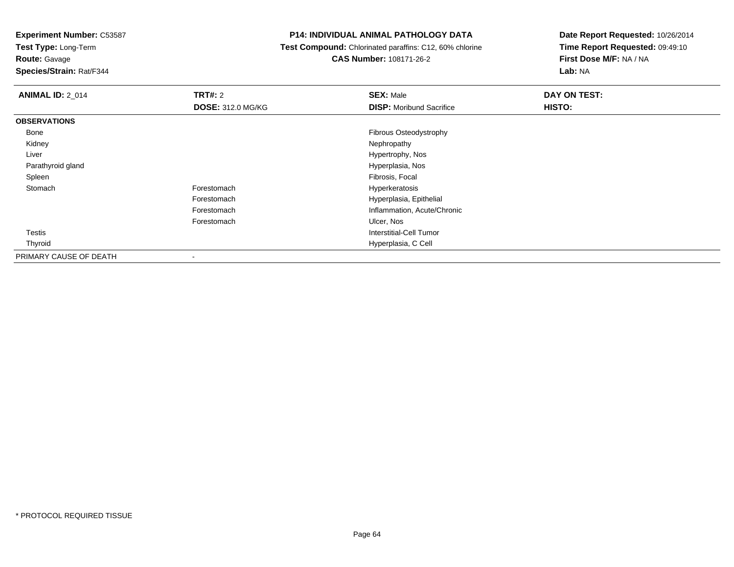**Test Type:** Long-Term

**Route:** Gavage

**Species/Strain:** Rat/F344

#### **P14: INDIVIDUAL ANIMAL PATHOLOGY DATA**

 **Test Compound:** Chlorinated paraffins: C12, 60% chlorine**CAS Number:** 108171-26-2

| <b>ANIMAL ID: 2 014</b> | TRT#: 2                  | <b>SEX: Male</b>                | DAY ON TEST: |  |
|-------------------------|--------------------------|---------------------------------|--------------|--|
|                         | <b>DOSE: 312.0 MG/KG</b> | <b>DISP:</b> Moribund Sacrifice | HISTO:       |  |
| <b>OBSERVATIONS</b>     |                          |                                 |              |  |
| Bone                    |                          | Fibrous Osteodystrophy          |              |  |
| Kidney                  |                          | Nephropathy                     |              |  |
| Liver                   |                          | Hypertrophy, Nos                |              |  |
| Parathyroid gland       |                          | Hyperplasia, Nos                |              |  |
| Spleen                  |                          | Fibrosis, Focal                 |              |  |
| Stomach                 | Forestomach              | Hyperkeratosis                  |              |  |
|                         | Forestomach              | Hyperplasia, Epithelial         |              |  |
|                         | Forestomach              | Inflammation, Acute/Chronic     |              |  |
|                         | Forestomach              | Ulcer, Nos                      |              |  |
| Testis                  |                          | Interstitial-Cell Tumor         |              |  |
| Thyroid                 |                          | Hyperplasia, C Cell             |              |  |
| PRIMARY CAUSE OF DEATH  | $\,$                     |                                 |              |  |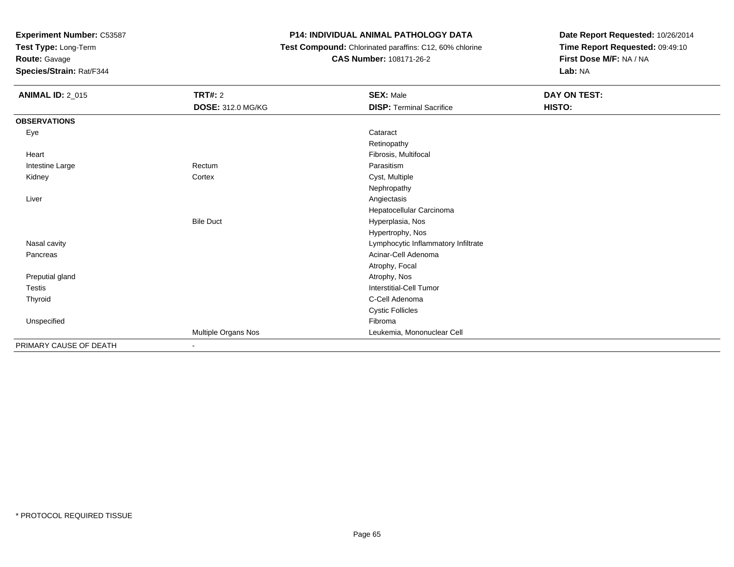**Test Type:** Long-Term

### **Route:** Gavage

**Species/Strain:** Rat/F344

#### **P14: INDIVIDUAL ANIMAL PATHOLOGY DATA**

 **Test Compound:** Chlorinated paraffins: C12, 60% chlorine**CAS Number:** 108171-26-2

| <b>ANIMAL ID: 2_015</b> | TRT#: 2                    | <b>SEX: Male</b>                    | DAY ON TEST: |
|-------------------------|----------------------------|-------------------------------------|--------------|
|                         | <b>DOSE: 312.0 MG/KG</b>   | <b>DISP: Terminal Sacrifice</b>     | HISTO:       |
| <b>OBSERVATIONS</b>     |                            |                                     |              |
| Eye                     |                            | Cataract                            |              |
|                         |                            | Retinopathy                         |              |
| Heart                   |                            | Fibrosis, Multifocal                |              |
| Intestine Large         | Rectum                     | Parasitism                          |              |
| Kidney                  | Cortex                     | Cyst, Multiple                      |              |
|                         |                            | Nephropathy                         |              |
| Liver                   |                            | Angiectasis                         |              |
|                         |                            | Hepatocellular Carcinoma            |              |
|                         | <b>Bile Duct</b>           | Hyperplasia, Nos                    |              |
|                         |                            | Hypertrophy, Nos                    |              |
| Nasal cavity            |                            | Lymphocytic Inflammatory Infiltrate |              |
| Pancreas                |                            | Acinar-Cell Adenoma                 |              |
|                         |                            | Atrophy, Focal                      |              |
| Preputial gland         |                            | Atrophy, Nos                        |              |
| Testis                  |                            | <b>Interstitial-Cell Tumor</b>      |              |
| Thyroid                 |                            | C-Cell Adenoma                      |              |
|                         |                            | <b>Cystic Follicles</b>             |              |
| Unspecified             |                            | Fibroma                             |              |
|                         | <b>Multiple Organs Nos</b> | Leukemia, Mononuclear Cell          |              |
| PRIMARY CAUSE OF DEATH  | $\blacksquare$             |                                     |              |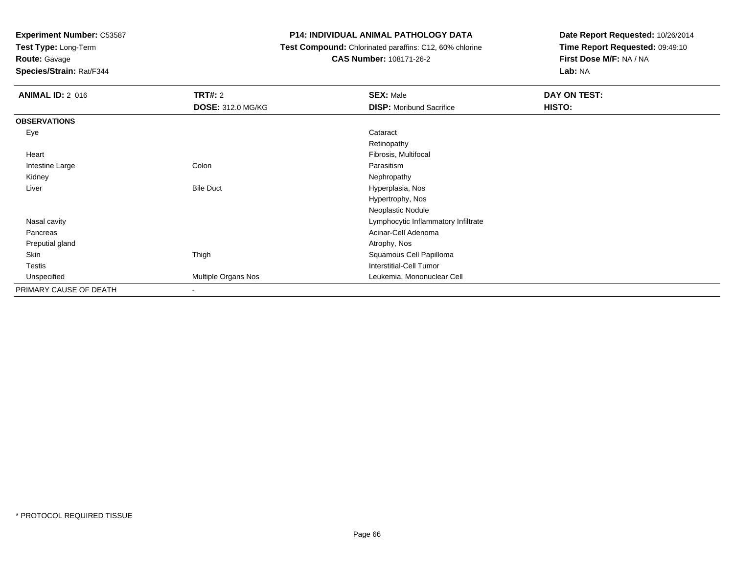**Test Type:** Long-Term

## **Route:** Gavage

**Species/Strain:** Rat/F344

#### **P14: INDIVIDUAL ANIMAL PATHOLOGY DATA**

#### **Test Compound:** Chlorinated paraffins: C12, 60% chlorine**CAS Number:** 108171-26-2

| <b>ANIMAL ID: 2_016</b> | <b>TRT#: 2</b>           | <b>SEX: Male</b>                    | DAY ON TEST: |
|-------------------------|--------------------------|-------------------------------------|--------------|
|                         | <b>DOSE: 312.0 MG/KG</b> | <b>DISP:</b> Moribund Sacrifice     | HISTO:       |
| <b>OBSERVATIONS</b>     |                          |                                     |              |
| Eye                     |                          | Cataract                            |              |
|                         |                          | Retinopathy                         |              |
| Heart                   |                          | Fibrosis, Multifocal                |              |
| Intestine Large         | Colon                    | Parasitism                          |              |
| Kidney                  |                          | Nephropathy                         |              |
| Liver                   | <b>Bile Duct</b>         | Hyperplasia, Nos                    |              |
|                         |                          | Hypertrophy, Nos                    |              |
|                         |                          | Neoplastic Nodule                   |              |
| Nasal cavity            |                          | Lymphocytic Inflammatory Infiltrate |              |
| Pancreas                |                          | Acinar-Cell Adenoma                 |              |
| Preputial gland         |                          | Atrophy, Nos                        |              |
| Skin                    | Thigh                    | Squamous Cell Papilloma             |              |
| <b>Testis</b>           |                          | Interstitial-Cell Tumor             |              |
| Unspecified             | Multiple Organs Nos      | Leukemia, Mononuclear Cell          |              |
| PRIMARY CAUSE OF DEATH  | $\overline{\phantom{a}}$ |                                     |              |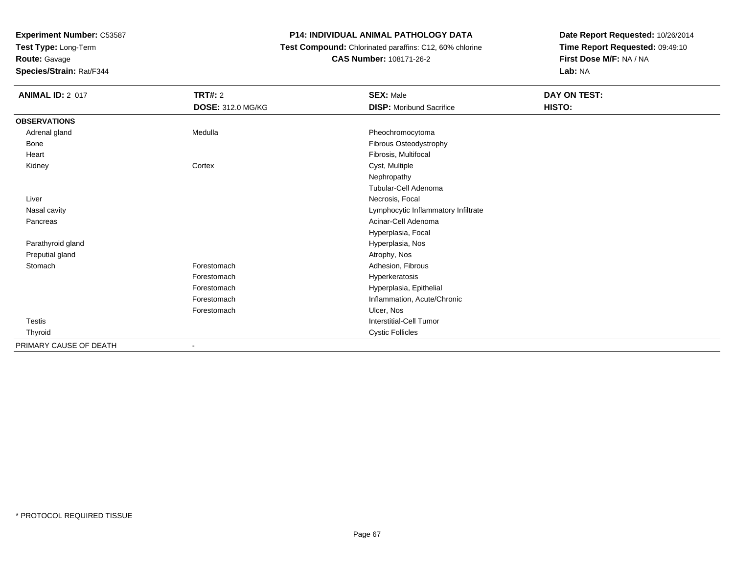**Test Type:** Long-Term

**Route:** Gavage

**Species/Strain:** Rat/F344

#### **P14: INDIVIDUAL ANIMAL PATHOLOGY DATA**

 **Test Compound:** Chlorinated paraffins: C12, 60% chlorine**CAS Number:** 108171-26-2

| <b>ANIMAL ID: 2_017</b> | <b>TRT#: 2</b>           | <b>SEX: Male</b>                    | DAY ON TEST: |
|-------------------------|--------------------------|-------------------------------------|--------------|
|                         | <b>DOSE: 312.0 MG/KG</b> | <b>DISP:</b> Moribund Sacrifice     | HISTO:       |
| <b>OBSERVATIONS</b>     |                          |                                     |              |
| Adrenal gland           | Medulla                  | Pheochromocytoma                    |              |
| Bone                    |                          | Fibrous Osteodystrophy              |              |
| Heart                   |                          | Fibrosis, Multifocal                |              |
| Kidney                  | Cortex                   | Cyst, Multiple                      |              |
|                         |                          | Nephropathy                         |              |
|                         |                          | Tubular-Cell Adenoma                |              |
| Liver                   |                          | Necrosis, Focal                     |              |
| Nasal cavity            |                          | Lymphocytic Inflammatory Infiltrate |              |
| Pancreas                |                          | Acinar-Cell Adenoma                 |              |
|                         |                          | Hyperplasia, Focal                  |              |
| Parathyroid gland       |                          | Hyperplasia, Nos                    |              |
| Preputial gland         |                          | Atrophy, Nos                        |              |
| Stomach                 | Forestomach              | Adhesion, Fibrous                   |              |
|                         | Forestomach              | Hyperkeratosis                      |              |
|                         | Forestomach              | Hyperplasia, Epithelial             |              |
|                         | Forestomach              | Inflammation, Acute/Chronic         |              |
|                         | Forestomach              | Ulcer, Nos                          |              |
| Testis                  |                          | <b>Interstitial-Cell Tumor</b>      |              |
| Thyroid                 |                          | <b>Cystic Follicles</b>             |              |
| PRIMARY CAUSE OF DEATH  |                          |                                     |              |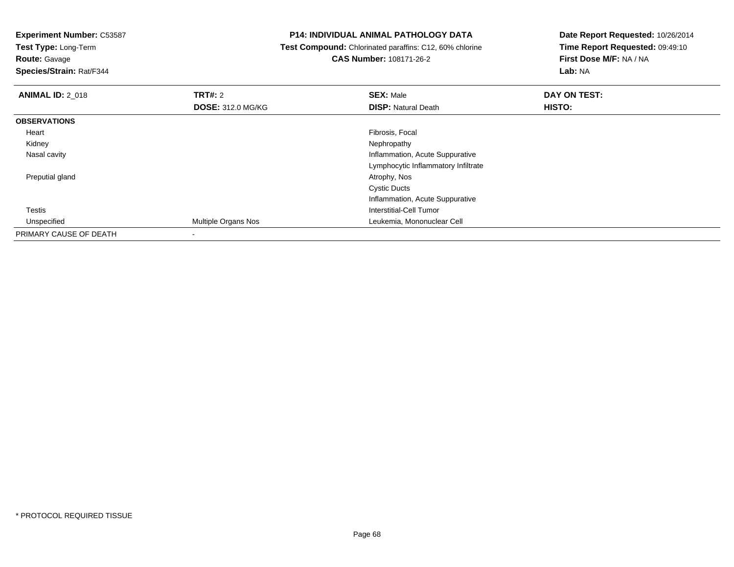**Test Type:** Long-Term

## **Route:** Gavage

**Species/Strain:** Rat/F344

#### **P14: INDIVIDUAL ANIMAL PATHOLOGY DATA**

 **Test Compound:** Chlorinated paraffins: C12, 60% chlorine**CAS Number:** 108171-26-2

| <b>ANIMAL ID: 2_018</b> | TRT#: 2                    | <b>SEX: Male</b>                    | DAY ON TEST: |  |
|-------------------------|----------------------------|-------------------------------------|--------------|--|
|                         | <b>DOSE: 312.0 MG/KG</b>   | <b>DISP: Natural Death</b>          | HISTO:       |  |
| <b>OBSERVATIONS</b>     |                            |                                     |              |  |
| Heart                   |                            | Fibrosis, Focal                     |              |  |
| Kidney                  |                            | Nephropathy                         |              |  |
| Nasal cavity            |                            | Inflammation, Acute Suppurative     |              |  |
|                         |                            | Lymphocytic Inflammatory Infiltrate |              |  |
| Preputial gland         |                            | Atrophy, Nos                        |              |  |
|                         |                            | <b>Cystic Ducts</b>                 |              |  |
|                         |                            | Inflammation, Acute Suppurative     |              |  |
| Testis                  |                            | Interstitial-Cell Tumor             |              |  |
| Unspecified             | <b>Multiple Organs Nos</b> | Leukemia, Mononuclear Cell          |              |  |
| PRIMARY CAUSE OF DEATH  |                            |                                     |              |  |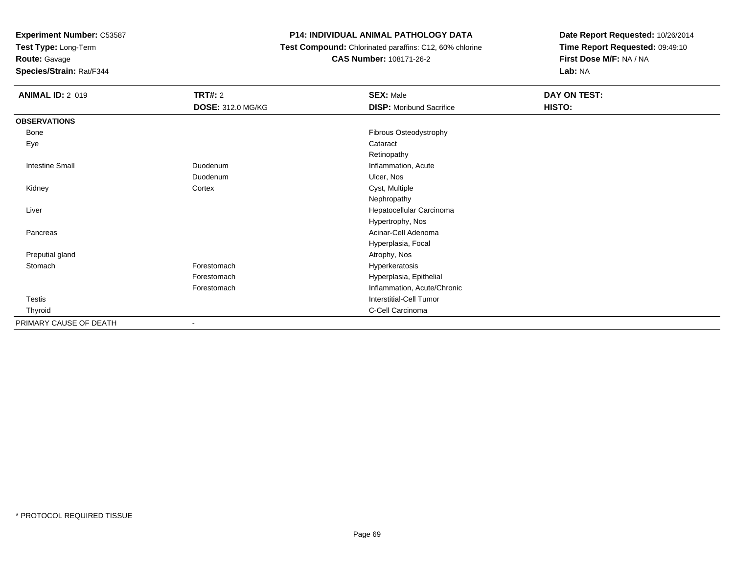**Test Type:** Long-Term

**Route:** Gavage

**Species/Strain:** Rat/F344

#### **P14: INDIVIDUAL ANIMAL PATHOLOGY DATA**

 **Test Compound:** Chlorinated paraffins: C12, 60% chlorine**CAS Number:** 108171-26-2

| <b>ANIMAL ID: 2_019</b> | <b>TRT#: 2</b>           | <b>SEX: Male</b>                | DAY ON TEST: |
|-------------------------|--------------------------|---------------------------------|--------------|
|                         | <b>DOSE: 312.0 MG/KG</b> | <b>DISP:</b> Moribund Sacrifice | HISTO:       |
| <b>OBSERVATIONS</b>     |                          |                                 |              |
| Bone                    |                          | Fibrous Osteodystrophy          |              |
| Eye                     |                          | Cataract                        |              |
|                         |                          | Retinopathy                     |              |
| <b>Intestine Small</b>  | Duodenum                 | Inflammation, Acute             |              |
|                         | Duodenum                 | Ulcer, Nos                      |              |
| Kidney                  | Cortex                   | Cyst, Multiple                  |              |
|                         |                          | Nephropathy                     |              |
| Liver                   |                          | Hepatocellular Carcinoma        |              |
|                         |                          | Hypertrophy, Nos                |              |
| Pancreas                |                          | Acinar-Cell Adenoma             |              |
|                         |                          | Hyperplasia, Focal              |              |
| Preputial gland         |                          | Atrophy, Nos                    |              |
| Stomach                 | Forestomach              | Hyperkeratosis                  |              |
|                         | Forestomach              | Hyperplasia, Epithelial         |              |
|                         | Forestomach              | Inflammation, Acute/Chronic     |              |
| Testis                  |                          | <b>Interstitial-Cell Tumor</b>  |              |
| Thyroid                 |                          | C-Cell Carcinoma                |              |
| PRIMARY CAUSE OF DEATH  |                          |                                 |              |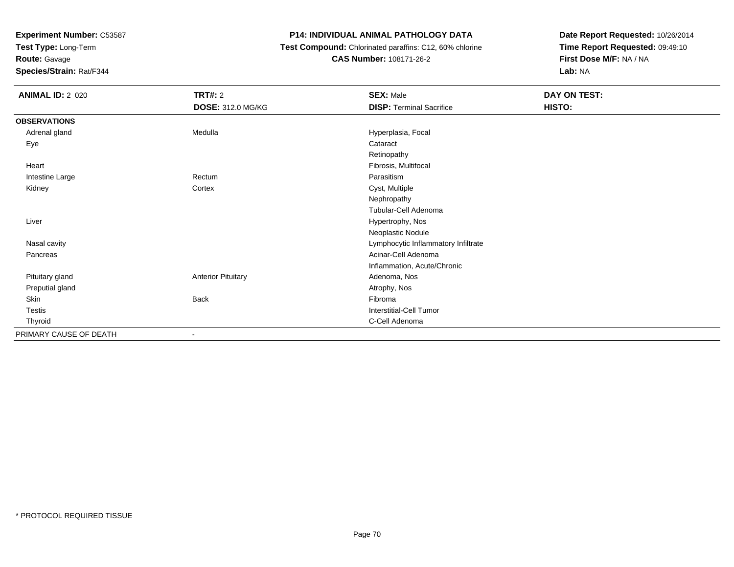**Test Type:** Long-Term

## **Route:** Gavage

**Species/Strain:** Rat/F344

#### **P14: INDIVIDUAL ANIMAL PATHOLOGY DATA**

#### **Test Compound:** Chlorinated paraffins: C12, 60% chlorine**CAS Number:** 108171-26-2

| <b>ANIMAL ID: 2_020</b> | <b>TRT#: 2</b>            | <b>SEX: Male</b>                    | DAY ON TEST: |  |
|-------------------------|---------------------------|-------------------------------------|--------------|--|
|                         | DOSE: 312.0 MG/KG         | <b>DISP: Terminal Sacrifice</b>     | HISTO:       |  |
| <b>OBSERVATIONS</b>     |                           |                                     |              |  |
| Adrenal gland           | Medulla                   | Hyperplasia, Focal                  |              |  |
| Eye                     |                           | Cataract                            |              |  |
|                         |                           | Retinopathy                         |              |  |
| Heart                   |                           | Fibrosis, Multifocal                |              |  |
| Intestine Large         | Rectum                    | Parasitism                          |              |  |
| Kidney                  | Cortex                    | Cyst, Multiple                      |              |  |
|                         |                           | Nephropathy                         |              |  |
|                         |                           | Tubular-Cell Adenoma                |              |  |
| Liver                   |                           | Hypertrophy, Nos                    |              |  |
|                         |                           | Neoplastic Nodule                   |              |  |
| Nasal cavity            |                           | Lymphocytic Inflammatory Infiltrate |              |  |
| Pancreas                |                           | Acinar-Cell Adenoma                 |              |  |
|                         |                           | Inflammation, Acute/Chronic         |              |  |
| Pituitary gland         | <b>Anterior Pituitary</b> | Adenoma, Nos                        |              |  |
| Preputial gland         |                           | Atrophy, Nos                        |              |  |
| Skin                    | Back                      | Fibroma                             |              |  |
| Testis                  |                           | Interstitial-Cell Tumor             |              |  |
| Thyroid                 |                           | C-Cell Adenoma                      |              |  |
| PRIMARY CAUSE OF DEATH  | $\overline{\phantom{a}}$  |                                     |              |  |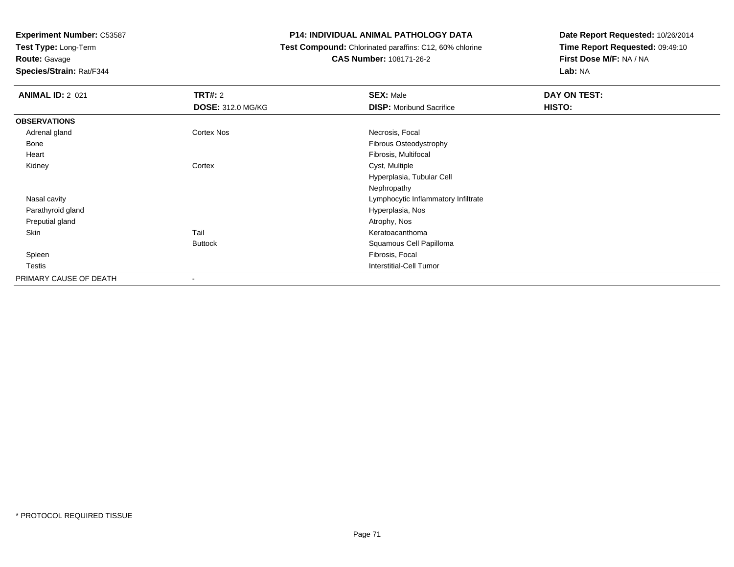**Test Type:** Long-Term

**Route:** Gavage

**Species/Strain:** Rat/F344

#### **P14: INDIVIDUAL ANIMAL PATHOLOGY DATA**

 **Test Compound:** Chlorinated paraffins: C12, 60% chlorine**CAS Number:** 108171-26-2

| <b>ANIMAL ID: 2_021</b> | <b>TRT#:</b> 2           | <b>SEX: Male</b>                    | DAY ON TEST: |
|-------------------------|--------------------------|-------------------------------------|--------------|
|                         | <b>DOSE: 312.0 MG/KG</b> | <b>DISP:</b> Moribund Sacrifice     | HISTO:       |
| <b>OBSERVATIONS</b>     |                          |                                     |              |
| Adrenal gland           | Cortex Nos               | Necrosis, Focal                     |              |
| Bone                    |                          | <b>Fibrous Osteodystrophy</b>       |              |
| Heart                   |                          | Fibrosis, Multifocal                |              |
| Kidney                  | Cortex                   | Cyst, Multiple                      |              |
|                         |                          | Hyperplasia, Tubular Cell           |              |
|                         |                          | Nephropathy                         |              |
| Nasal cavity            |                          | Lymphocytic Inflammatory Infiltrate |              |
| Parathyroid gland       |                          | Hyperplasia, Nos                    |              |
| Preputial gland         |                          | Atrophy, Nos                        |              |
| Skin                    | Tail                     | Keratoacanthoma                     |              |
|                         | <b>Buttock</b>           | Squamous Cell Papilloma             |              |
| Spleen                  |                          | Fibrosis, Focal                     |              |
| Testis                  |                          | Interstitial-Cell Tumor             |              |
| PRIMARY CAUSE OF DEATH  | $\,$                     |                                     |              |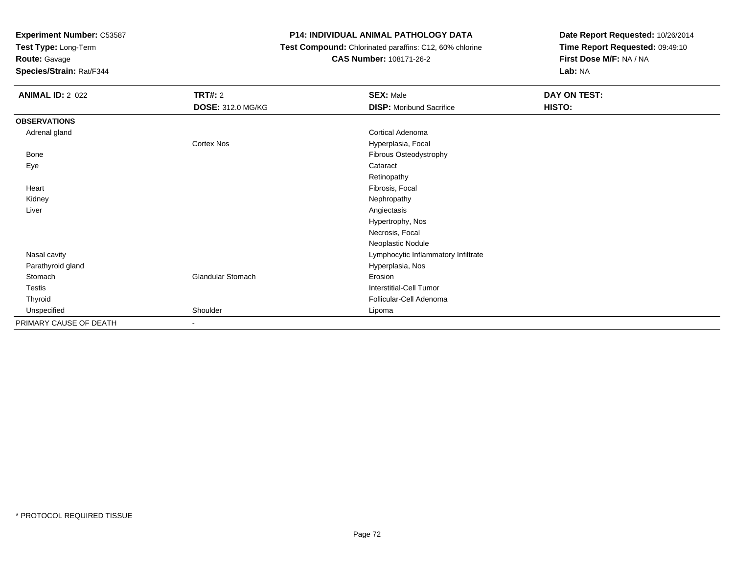**Test Type:** Long-Term

**Route:** Gavage

**Species/Strain:** Rat/F344

#### **P14: INDIVIDUAL ANIMAL PATHOLOGY DATA**

 **Test Compound:** Chlorinated paraffins: C12, 60% chlorine**CAS Number:** 108171-26-2

| <b>ANIMAL ID: 2_022</b> | TRT#: 2                  | <b>SEX: Male</b>                    | DAY ON TEST: |
|-------------------------|--------------------------|-------------------------------------|--------------|
|                         | <b>DOSE: 312.0 MG/KG</b> | <b>DISP:</b> Moribund Sacrifice     | HISTO:       |
| <b>OBSERVATIONS</b>     |                          |                                     |              |
| Adrenal gland           |                          | <b>Cortical Adenoma</b>             |              |
|                         | Cortex Nos               | Hyperplasia, Focal                  |              |
| Bone                    |                          | Fibrous Osteodystrophy              |              |
| Eye                     |                          | Cataract                            |              |
|                         |                          | Retinopathy                         |              |
| Heart                   |                          | Fibrosis, Focal                     |              |
| Kidney                  |                          | Nephropathy                         |              |
| Liver                   |                          | Angiectasis                         |              |
|                         |                          | Hypertrophy, Nos                    |              |
|                         |                          | Necrosis, Focal                     |              |
|                         |                          | Neoplastic Nodule                   |              |
| Nasal cavity            |                          | Lymphocytic Inflammatory Infiltrate |              |
| Parathyroid gland       |                          | Hyperplasia, Nos                    |              |
| Stomach                 | Glandular Stomach        | Erosion                             |              |
| Testis                  |                          | <b>Interstitial-Cell Tumor</b>      |              |
| Thyroid                 |                          | Follicular-Cell Adenoma             |              |
| Unspecified             | Shoulder                 | Lipoma                              |              |
| PRIMARY CAUSE OF DEATH  | $\overline{\phantom{0}}$ |                                     |              |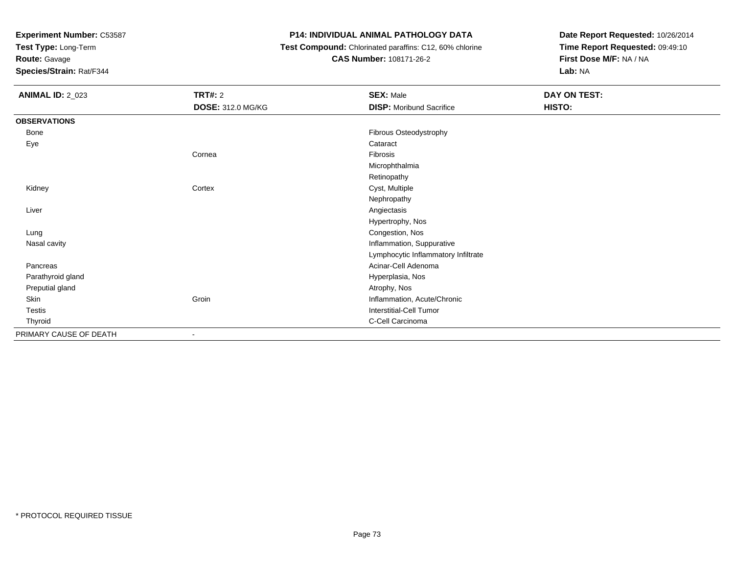**Test Type:** Long-Term

# **Route:** Gavage

**Species/Strain:** Rat/F344

# **P14: INDIVIDUAL ANIMAL PATHOLOGY DATA**

# **Test Compound:** Chlorinated paraffins: C12, 60% chlorine

**CAS Number:** 108171-26-2

| <b>ANIMAL ID: 2_023</b> | <b>TRT#: 2</b>           | <b>SEX: Male</b>                    | DAY ON TEST: |
|-------------------------|--------------------------|-------------------------------------|--------------|
|                         | <b>DOSE: 312.0 MG/KG</b> | <b>DISP:</b> Moribund Sacrifice     | HISTO:       |
| <b>OBSERVATIONS</b>     |                          |                                     |              |
| Bone                    |                          | Fibrous Osteodystrophy              |              |
| Eye                     |                          | Cataract                            |              |
|                         | Cornea                   | Fibrosis                            |              |
|                         |                          | Microphthalmia                      |              |
|                         |                          | Retinopathy                         |              |
| Kidney                  | Cortex                   | Cyst, Multiple                      |              |
|                         |                          | Nephropathy                         |              |
| Liver                   |                          | Angiectasis                         |              |
|                         |                          | Hypertrophy, Nos                    |              |
| Lung                    |                          | Congestion, Nos                     |              |
| Nasal cavity            |                          | Inflammation, Suppurative           |              |
|                         |                          | Lymphocytic Inflammatory Infiltrate |              |
| Pancreas                |                          | Acinar-Cell Adenoma                 |              |
| Parathyroid gland       |                          | Hyperplasia, Nos                    |              |
| Preputial gland         |                          | Atrophy, Nos                        |              |
| Skin                    | Groin                    | Inflammation, Acute/Chronic         |              |
| Testis                  |                          | <b>Interstitial-Cell Tumor</b>      |              |
| Thyroid                 |                          | C-Cell Carcinoma                    |              |
| PRIMARY CAUSE OF DEATH  |                          |                                     |              |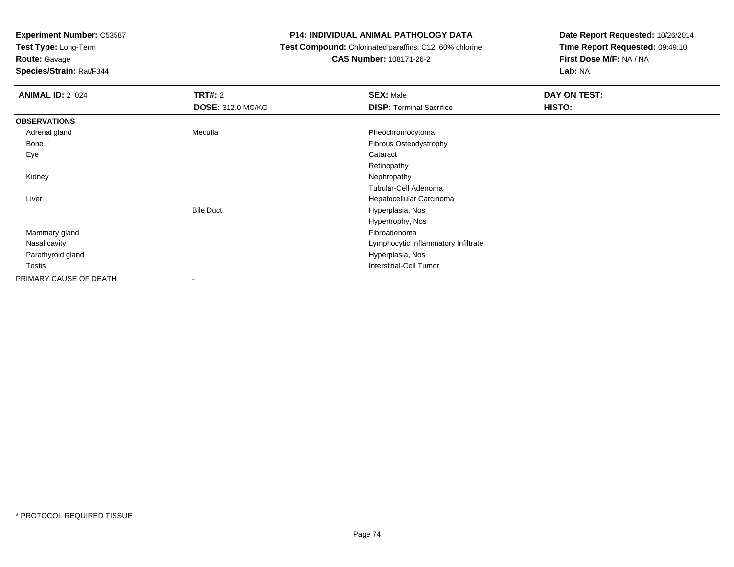**Test Type:** Long-Term

**Route:** Gavage

**Species/Strain:** Rat/F344

### **P14: INDIVIDUAL ANIMAL PATHOLOGY DATA**

 **Test Compound:** Chlorinated paraffins: C12, 60% chlorine**CAS Number:** 108171-26-2

| <b>ANIMAL ID: 2_024</b> | TRT#: 2                  | <b>SEX: Male</b>                    | DAY ON TEST: |  |
|-------------------------|--------------------------|-------------------------------------|--------------|--|
|                         | <b>DOSE: 312.0 MG/KG</b> | <b>DISP: Terminal Sacrifice</b>     | HISTO:       |  |
| <b>OBSERVATIONS</b>     |                          |                                     |              |  |
| Adrenal gland           | Medulla                  | Pheochromocytoma                    |              |  |
| Bone                    |                          | Fibrous Osteodystrophy              |              |  |
| Eye                     |                          | Cataract                            |              |  |
|                         |                          | Retinopathy                         |              |  |
| Kidney                  |                          | Nephropathy                         |              |  |
|                         |                          | Tubular-Cell Adenoma                |              |  |
| Liver                   |                          | Hepatocellular Carcinoma            |              |  |
|                         | <b>Bile Duct</b>         | Hyperplasia, Nos                    |              |  |
|                         |                          | Hypertrophy, Nos                    |              |  |
| Mammary gland           |                          | Fibroadenoma                        |              |  |
| Nasal cavity            |                          | Lymphocytic Inflammatory Infiltrate |              |  |
| Parathyroid gland       |                          | Hyperplasia, Nos                    |              |  |
| Testis                  |                          | <b>Interstitial-Cell Tumor</b>      |              |  |
| PRIMARY CAUSE OF DEATH  | $\overline{\phantom{a}}$ |                                     |              |  |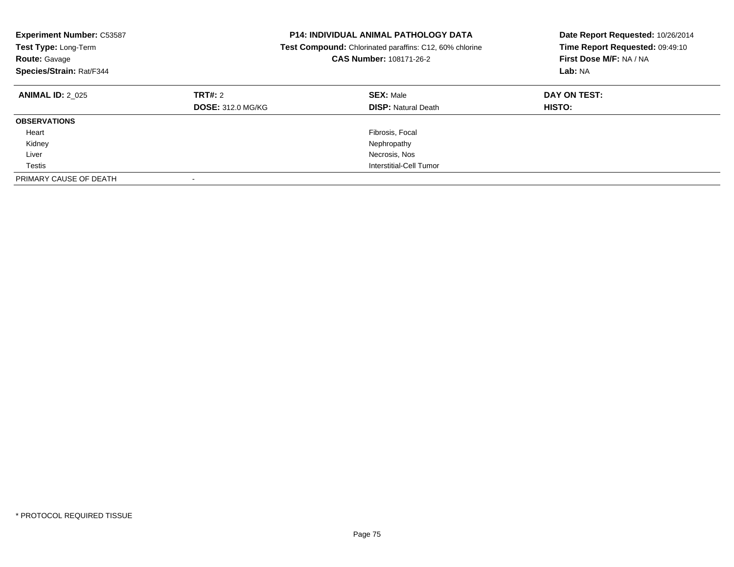| <b>Experiment Number: C53587</b><br>Test Type: Long-Term<br><b>Route: Gavage</b><br>Species/Strain: Rat/F344 |                                            | <b>P14: INDIVIDUAL ANIMAL PATHOLOGY DATA</b><br>Test Compound: Chlorinated paraffins: C12, 60% chlorine<br>CAS Number: 108171-26-2 | Date Report Requested: 10/26/2014<br>Time Report Requested: 09:49:10<br>First Dose M/F: NA / NA<br>Lab: NA |
|--------------------------------------------------------------------------------------------------------------|--------------------------------------------|------------------------------------------------------------------------------------------------------------------------------------|------------------------------------------------------------------------------------------------------------|
| <b>ANIMAL ID: 2 025</b>                                                                                      | <b>TRT#: 2</b><br><b>DOSE: 312.0 MG/KG</b> | <b>SEX: Male</b><br><b>DISP:</b> Natural Death                                                                                     | DAY ON TEST:<br><b>HISTO:</b>                                                                              |
| <b>OBSERVATIONS</b>                                                                                          |                                            |                                                                                                                                    |                                                                                                            |
| Heart                                                                                                        |                                            | Fibrosis, Focal                                                                                                                    |                                                                                                            |
| Kidney                                                                                                       |                                            | Nephropathy                                                                                                                        |                                                                                                            |
| Liver                                                                                                        |                                            | Necrosis, Nos                                                                                                                      |                                                                                                            |
| Testis                                                                                                       |                                            | Interstitial-Cell Tumor                                                                                                            |                                                                                                            |
| PRIMARY CAUSE OF DEATH                                                                                       |                                            |                                                                                                                                    |                                                                                                            |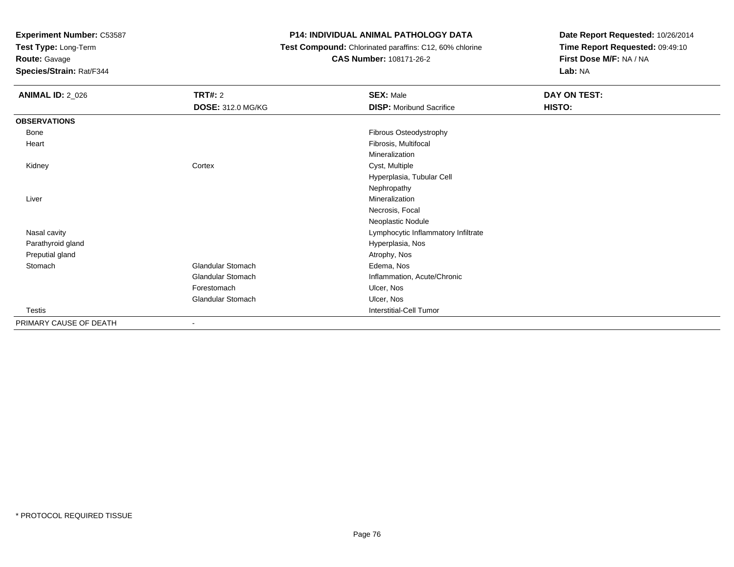**Test Type:** Long-Term

**Route:** Gavage

**Species/Strain:** Rat/F344

# **P14: INDIVIDUAL ANIMAL PATHOLOGY DATA**

 **Test Compound:** Chlorinated paraffins: C12, 60% chlorine**CAS Number:** 108171-26-2

| <b>ANIMAL ID: 2_026</b> | <b>TRT#: 2</b>           | <b>SEX: Male</b>                    | DAY ON TEST: |  |
|-------------------------|--------------------------|-------------------------------------|--------------|--|
|                         | <b>DOSE: 312.0 MG/KG</b> | <b>DISP:</b> Moribund Sacrifice     | HISTO:       |  |
| <b>OBSERVATIONS</b>     |                          |                                     |              |  |
| Bone                    |                          | Fibrous Osteodystrophy              |              |  |
| Heart                   |                          | Fibrosis, Multifocal                |              |  |
|                         |                          | Mineralization                      |              |  |
| Kidney                  | Cortex                   | Cyst, Multiple                      |              |  |
|                         |                          | Hyperplasia, Tubular Cell           |              |  |
|                         |                          | Nephropathy                         |              |  |
| Liver                   |                          | Mineralization                      |              |  |
|                         |                          | Necrosis, Focal                     |              |  |
|                         |                          | Neoplastic Nodule                   |              |  |
| Nasal cavity            |                          | Lymphocytic Inflammatory Infiltrate |              |  |
| Parathyroid gland       |                          | Hyperplasia, Nos                    |              |  |
| Preputial gland         |                          | Atrophy, Nos                        |              |  |
| Stomach                 | Glandular Stomach        | Edema, Nos                          |              |  |
|                         | Glandular Stomach        | Inflammation, Acute/Chronic         |              |  |
|                         | Forestomach              | Ulcer, Nos                          |              |  |
|                         | Glandular Stomach        | Ulcer, Nos                          |              |  |
| Testis                  |                          | Interstitial-Cell Tumor             |              |  |
| PRIMARY CAUSE OF DEATH  | $\blacksquare$           |                                     |              |  |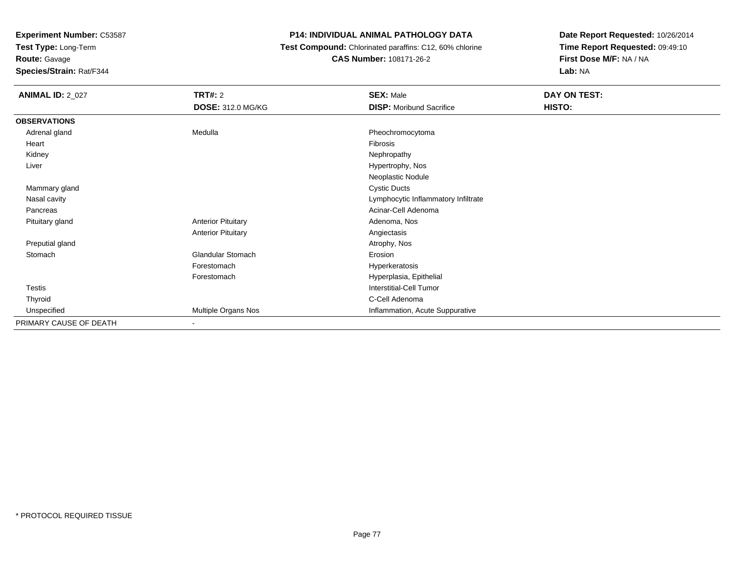**Test Type:** Long-Term

# **Route:** Gavage

**Species/Strain:** Rat/F344

## **P14: INDIVIDUAL ANIMAL PATHOLOGY DATA**

 **Test Compound:** Chlorinated paraffins: C12, 60% chlorine**CAS Number:** 108171-26-2

| <b>ANIMAL ID: 2_027</b> | TRT#: 2                   | <b>SEX: Male</b>                    | DAY ON TEST: |
|-------------------------|---------------------------|-------------------------------------|--------------|
|                         | <b>DOSE: 312.0 MG/KG</b>  | <b>DISP:</b> Moribund Sacrifice     | HISTO:       |
| <b>OBSERVATIONS</b>     |                           |                                     |              |
| Adrenal gland           | Medulla                   | Pheochromocytoma                    |              |
| Heart                   |                           | Fibrosis                            |              |
| Kidney                  |                           | Nephropathy                         |              |
| Liver                   |                           | Hypertrophy, Nos                    |              |
|                         |                           | Neoplastic Nodule                   |              |
| Mammary gland           |                           | <b>Cystic Ducts</b>                 |              |
| Nasal cavity            |                           | Lymphocytic Inflammatory Infiltrate |              |
| Pancreas                |                           | Acinar-Cell Adenoma                 |              |
| Pituitary gland         | <b>Anterior Pituitary</b> | Adenoma, Nos                        |              |
|                         | <b>Anterior Pituitary</b> | Angiectasis                         |              |
| Preputial gland         |                           | Atrophy, Nos                        |              |
| Stomach                 | <b>Glandular Stomach</b>  | Erosion                             |              |
|                         | Forestomach               | Hyperkeratosis                      |              |
|                         | Forestomach               | Hyperplasia, Epithelial             |              |
| Testis                  |                           | <b>Interstitial-Cell Tumor</b>      |              |
| Thyroid                 |                           | C-Cell Adenoma                      |              |
| Unspecified             | Multiple Organs Nos       | Inflammation, Acute Suppurative     |              |
| PRIMARY CAUSE OF DEATH  |                           |                                     |              |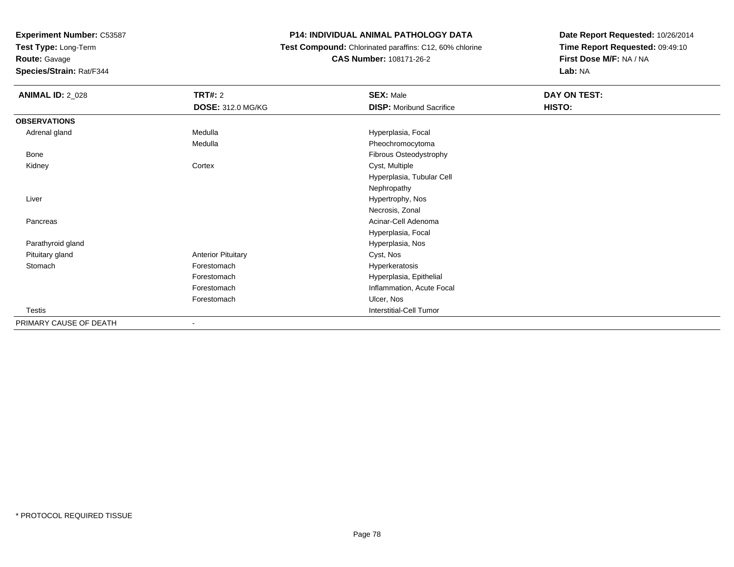**Test Type:** Long-Term

**Route:** Gavage

**Species/Strain:** Rat/F344

## **P14: INDIVIDUAL ANIMAL PATHOLOGY DATA**

 **Test Compound:** Chlorinated paraffins: C12, 60% chlorine**CAS Number:** 108171-26-2

| <b>ANIMAL ID: 2_028</b> | TRT#: 2                   | <b>SEX: Male</b>                | DAY ON TEST: |
|-------------------------|---------------------------|---------------------------------|--------------|
|                         | <b>DOSE: 312.0 MG/KG</b>  | <b>DISP:</b> Moribund Sacrifice | HISTO:       |
| <b>OBSERVATIONS</b>     |                           |                                 |              |
| Adrenal gland           | Medulla                   | Hyperplasia, Focal              |              |
|                         | Medulla                   | Pheochromocytoma                |              |
| Bone                    |                           | Fibrous Osteodystrophy          |              |
| Kidney                  | Cortex                    | Cyst, Multiple                  |              |
|                         |                           | Hyperplasia, Tubular Cell       |              |
|                         |                           | Nephropathy                     |              |
| Liver                   |                           | Hypertrophy, Nos                |              |
|                         |                           | Necrosis, Zonal                 |              |
| Pancreas                |                           | Acinar-Cell Adenoma             |              |
|                         |                           | Hyperplasia, Focal              |              |
| Parathyroid gland       |                           | Hyperplasia, Nos                |              |
| Pituitary gland         | <b>Anterior Pituitary</b> | Cyst, Nos                       |              |
| Stomach                 | Forestomach               | Hyperkeratosis                  |              |
|                         | Forestomach               | Hyperplasia, Epithelial         |              |
|                         | Forestomach               | Inflammation, Acute Focal       |              |
|                         | Forestomach               | Ulcer, Nos                      |              |
| Testis                  |                           | <b>Interstitial-Cell Tumor</b>  |              |
| PRIMARY CAUSE OF DEATH  | $\overline{\phantom{a}}$  |                                 |              |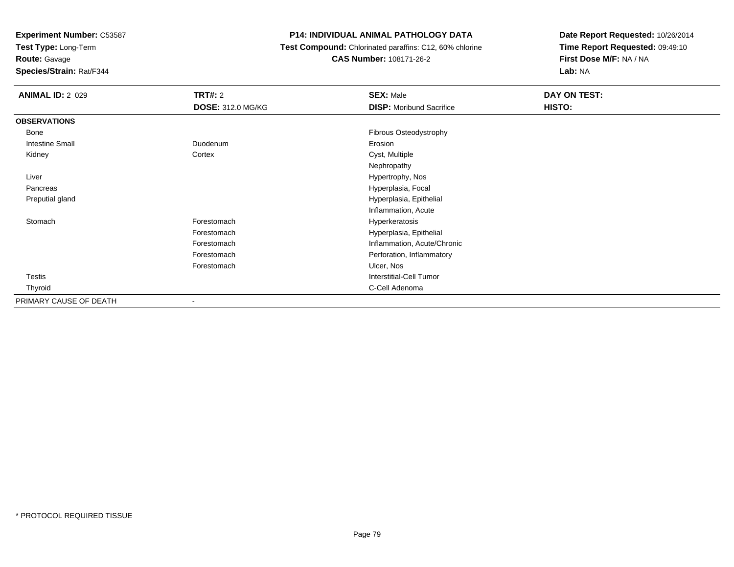**Test Type:** Long-Term

**Route:** Gavage

**Species/Strain:** Rat/F344

## **P14: INDIVIDUAL ANIMAL PATHOLOGY DATA**

 **Test Compound:** Chlorinated paraffins: C12, 60% chlorine**CAS Number:** 108171-26-2

| <b>ANIMAL ID: 2 029</b> | TRT#: 2                  | <b>SEX: Male</b>                | DAY ON TEST: |
|-------------------------|--------------------------|---------------------------------|--------------|
|                         | <b>DOSE: 312.0 MG/KG</b> | <b>DISP:</b> Moribund Sacrifice | HISTO:       |
| <b>OBSERVATIONS</b>     |                          |                                 |              |
| Bone                    |                          | Fibrous Osteodystrophy          |              |
| <b>Intestine Small</b>  | Duodenum                 | Erosion                         |              |
| Kidney                  | Cortex                   | Cyst, Multiple                  |              |
|                         |                          | Nephropathy                     |              |
| Liver                   |                          | Hypertrophy, Nos                |              |
| Pancreas                |                          | Hyperplasia, Focal              |              |
| Preputial gland         |                          | Hyperplasia, Epithelial         |              |
|                         |                          | Inflammation, Acute             |              |
| Stomach                 | Forestomach              | Hyperkeratosis                  |              |
|                         | Forestomach              | Hyperplasia, Epithelial         |              |
|                         | Forestomach              | Inflammation, Acute/Chronic     |              |
|                         | Forestomach              | Perforation, Inflammatory       |              |
|                         | Forestomach              | Ulcer, Nos                      |              |
| <b>Testis</b>           |                          | <b>Interstitial-Cell Tumor</b>  |              |
| Thyroid                 |                          | C-Cell Adenoma                  |              |
| PRIMARY CAUSE OF DEATH  | $\overline{\phantom{a}}$ |                                 |              |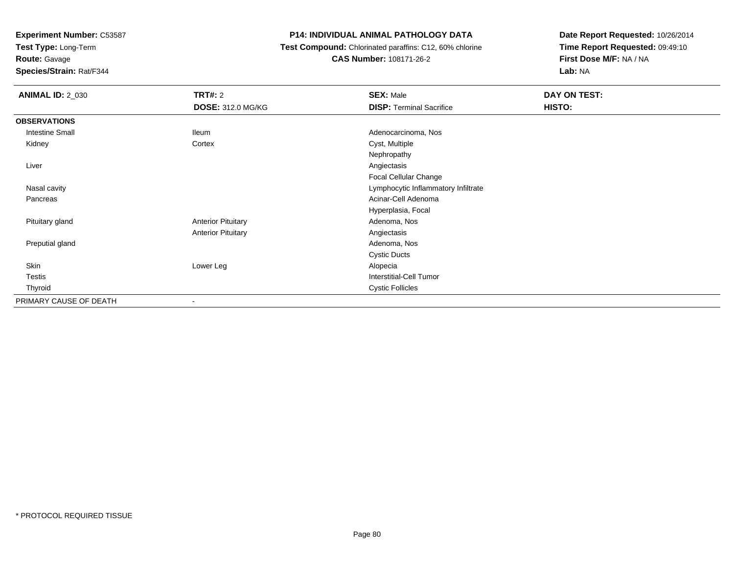**Test Type:** Long-Term

**Route:** Gavage

**Species/Strain:** Rat/F344

#### **P14: INDIVIDUAL ANIMAL PATHOLOGY DATA**

 **Test Compound:** Chlorinated paraffins: C12, 60% chlorine**CAS Number:** 108171-26-2

| <b>ANIMAL ID: 2_030</b> | <b>TRT#: 2</b>            | <b>SEX: Male</b>                    | DAY ON TEST: |
|-------------------------|---------------------------|-------------------------------------|--------------|
|                         | <b>DOSE: 312.0 MG/KG</b>  | <b>DISP: Terminal Sacrifice</b>     | HISTO:       |
| <b>OBSERVATIONS</b>     |                           |                                     |              |
| <b>Intestine Small</b>  | lleum                     | Adenocarcinoma, Nos                 |              |
| Kidney                  | Cortex                    | Cyst, Multiple                      |              |
|                         |                           | Nephropathy                         |              |
| Liver                   |                           | Angiectasis                         |              |
|                         |                           | Focal Cellular Change               |              |
| Nasal cavity            |                           | Lymphocytic Inflammatory Infiltrate |              |
| Pancreas                |                           | Acinar-Cell Adenoma                 |              |
|                         |                           | Hyperplasia, Focal                  |              |
| Pituitary gland         | <b>Anterior Pituitary</b> | Adenoma, Nos                        |              |
|                         | <b>Anterior Pituitary</b> | Angiectasis                         |              |
| Preputial gland         |                           | Adenoma, Nos                        |              |
|                         |                           | <b>Cystic Ducts</b>                 |              |
| Skin                    | Lower Leg                 | Alopecia                            |              |
| <b>Testis</b>           |                           | <b>Interstitial-Cell Tumor</b>      |              |
| Thyroid                 |                           | <b>Cystic Follicles</b>             |              |
| PRIMARY CAUSE OF DEATH  | $\overline{\phantom{a}}$  |                                     |              |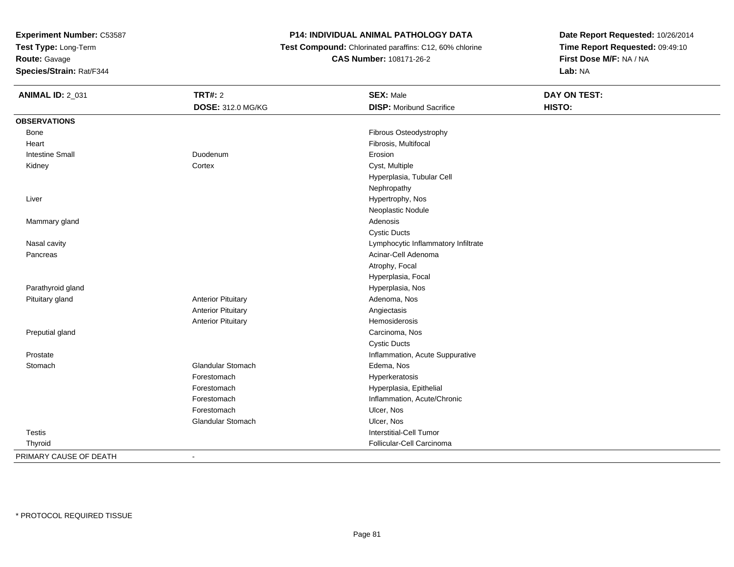**Test Type:** Long-Term

# **Route:** Gavage

**Species/Strain:** Rat/F344

# **P14: INDIVIDUAL ANIMAL PATHOLOGY DATA**

 **Test Compound:** Chlorinated paraffins: C12, 60% chlorine**CAS Number:** 108171-26-2

| <b>ANIMAL ID: 2_031</b> | <b>TRT#: 2</b>            | <b>SEX: Male</b>                    | DAY ON TEST: |  |
|-------------------------|---------------------------|-------------------------------------|--------------|--|
|                         | DOSE: 312.0 MG/KG         | <b>DISP:</b> Moribund Sacrifice     | HISTO:       |  |
| <b>OBSERVATIONS</b>     |                           |                                     |              |  |
| Bone                    |                           | Fibrous Osteodystrophy              |              |  |
| Heart                   |                           | Fibrosis, Multifocal                |              |  |
| <b>Intestine Small</b>  | Duodenum                  | Erosion                             |              |  |
| Kidney                  | Cortex                    | Cyst, Multiple                      |              |  |
|                         |                           | Hyperplasia, Tubular Cell           |              |  |
|                         |                           | Nephropathy                         |              |  |
| Liver                   |                           | Hypertrophy, Nos                    |              |  |
|                         |                           | Neoplastic Nodule                   |              |  |
| Mammary gland           |                           | Adenosis                            |              |  |
|                         |                           | <b>Cystic Ducts</b>                 |              |  |
| Nasal cavity            |                           | Lymphocytic Inflammatory Infiltrate |              |  |
| Pancreas                |                           | Acinar-Cell Adenoma                 |              |  |
|                         |                           | Atrophy, Focal                      |              |  |
|                         |                           | Hyperplasia, Focal                  |              |  |
| Parathyroid gland       |                           | Hyperplasia, Nos                    |              |  |
| Pituitary gland         | <b>Anterior Pituitary</b> | Adenoma, Nos                        |              |  |
|                         | <b>Anterior Pituitary</b> | Angiectasis                         |              |  |
|                         | <b>Anterior Pituitary</b> | Hemosiderosis                       |              |  |
| Preputial gland         |                           | Carcinoma, Nos                      |              |  |
|                         |                           | <b>Cystic Ducts</b>                 |              |  |
| Prostate                |                           | Inflammation, Acute Suppurative     |              |  |
| Stomach                 | <b>Glandular Stomach</b>  | Edema, Nos                          |              |  |
|                         | Forestomach               | Hyperkeratosis                      |              |  |
|                         | Forestomach               | Hyperplasia, Epithelial             |              |  |
|                         | Forestomach               | Inflammation, Acute/Chronic         |              |  |
|                         | Forestomach               | Ulcer, Nos                          |              |  |
|                         | Glandular Stomach         | Ulcer, Nos                          |              |  |
| <b>Testis</b>           |                           | <b>Interstitial-Cell Tumor</b>      |              |  |
| Thyroid                 |                           | Follicular-Cell Carcinoma           |              |  |
| PRIMARY CAUSE OF DEATH  | $\blacksquare$            |                                     |              |  |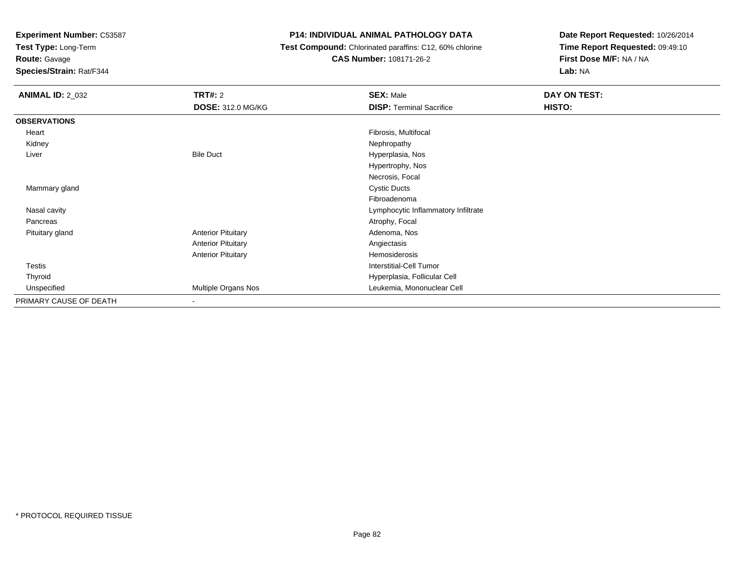**Test Type:** Long-Term

# **Route:** Gavage

**Species/Strain:** Rat/F344

# **P14: INDIVIDUAL ANIMAL PATHOLOGY DATA**

# **Test Compound:** Chlorinated paraffins: C12, 60% chlorine**CAS Number:** 108171-26-2

| <b>ANIMAL ID: 2_032</b> | <b>TRT#:</b> 2            | <b>SEX: Male</b>                    | DAY ON TEST: |  |
|-------------------------|---------------------------|-------------------------------------|--------------|--|
|                         | <b>DOSE: 312.0 MG/KG</b>  | <b>DISP: Terminal Sacrifice</b>     | HISTO:       |  |
| <b>OBSERVATIONS</b>     |                           |                                     |              |  |
| Heart                   |                           | Fibrosis, Multifocal                |              |  |
| Kidney                  |                           | Nephropathy                         |              |  |
| Liver                   | <b>Bile Duct</b>          | Hyperplasia, Nos                    |              |  |
|                         |                           | Hypertrophy, Nos                    |              |  |
|                         |                           | Necrosis, Focal                     |              |  |
| Mammary gland           |                           | <b>Cystic Ducts</b>                 |              |  |
|                         |                           | Fibroadenoma                        |              |  |
| Nasal cavity            |                           | Lymphocytic Inflammatory Infiltrate |              |  |
| Pancreas                |                           | Atrophy, Focal                      |              |  |
| Pituitary gland         | <b>Anterior Pituitary</b> | Adenoma, Nos                        |              |  |
|                         | <b>Anterior Pituitary</b> | Angiectasis                         |              |  |
|                         | <b>Anterior Pituitary</b> | Hemosiderosis                       |              |  |
| <b>Testis</b>           |                           | <b>Interstitial-Cell Tumor</b>      |              |  |
| Thyroid                 |                           | Hyperplasia, Follicular Cell        |              |  |
| Unspecified             | Multiple Organs Nos       | Leukemia, Mononuclear Cell          |              |  |
| PRIMARY CAUSE OF DEATH  | $\overline{\phantom{a}}$  |                                     |              |  |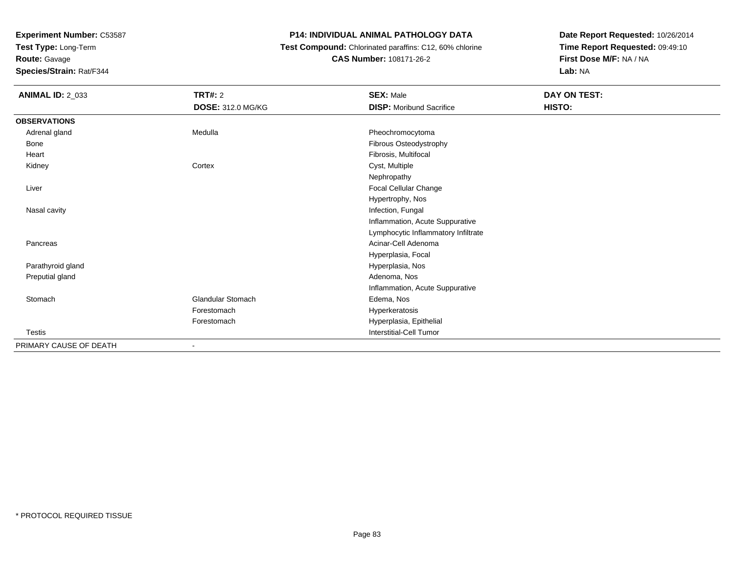**Test Type:** Long-Term

**Route:** Gavage

**Species/Strain:** Rat/F344

# **P14: INDIVIDUAL ANIMAL PATHOLOGY DATA**

 **Test Compound:** Chlorinated paraffins: C12, 60% chlorine**CAS Number:** 108171-26-2

| <b>ANIMAL ID: 2_033</b> | <b>TRT#: 2</b>           | <b>SEX: Male</b>                    | DAY ON TEST: |
|-------------------------|--------------------------|-------------------------------------|--------------|
|                         | <b>DOSE: 312.0 MG/KG</b> | <b>DISP:</b> Moribund Sacrifice     | HISTO:       |
| <b>OBSERVATIONS</b>     |                          |                                     |              |
| Adrenal gland           | Medulla                  | Pheochromocytoma                    |              |
| Bone                    |                          | Fibrous Osteodystrophy              |              |
| Heart                   |                          | Fibrosis, Multifocal                |              |
| Kidney                  | Cortex                   | Cyst, Multiple                      |              |
|                         |                          | Nephropathy                         |              |
| Liver                   |                          | Focal Cellular Change               |              |
|                         |                          | Hypertrophy, Nos                    |              |
| Nasal cavity            |                          | Infection, Fungal                   |              |
|                         |                          | Inflammation, Acute Suppurative     |              |
|                         |                          | Lymphocytic Inflammatory Infiltrate |              |
| Pancreas                |                          | Acinar-Cell Adenoma                 |              |
|                         |                          | Hyperplasia, Focal                  |              |
| Parathyroid gland       |                          | Hyperplasia, Nos                    |              |
| Preputial gland         |                          | Adenoma, Nos                        |              |
|                         |                          | Inflammation, Acute Suppurative     |              |
| Stomach                 | <b>Glandular Stomach</b> | Edema, Nos                          |              |
|                         | Forestomach              | Hyperkeratosis                      |              |
|                         | Forestomach              | Hyperplasia, Epithelial             |              |
| <b>Testis</b>           |                          | Interstitial-Cell Tumor             |              |
| PRIMARY CAUSE OF DEATH  |                          |                                     |              |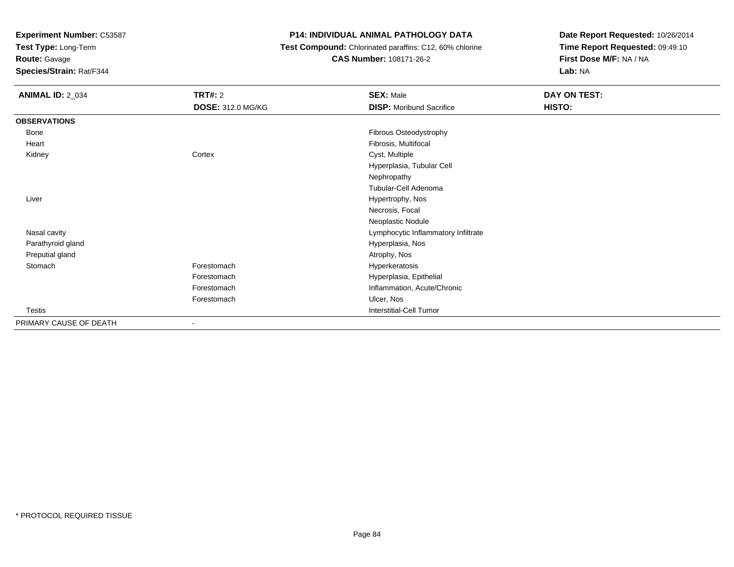**Test Type:** Long-Term

**Route:** Gavage

**Species/Strain:** Rat/F344

# **P14: INDIVIDUAL ANIMAL PATHOLOGY DATA**

 **Test Compound:** Chlorinated paraffins: C12, 60% chlorine**CAS Number:** 108171-26-2

| <b>ANIMAL ID: 2_034</b> | <b>TRT#: 2</b>           | <b>SEX: Male</b>                    | DAY ON TEST: |
|-------------------------|--------------------------|-------------------------------------|--------------|
|                         | <b>DOSE: 312.0 MG/KG</b> | <b>DISP:</b> Moribund Sacrifice     | HISTO:       |
| <b>OBSERVATIONS</b>     |                          |                                     |              |
| Bone                    |                          | Fibrous Osteodystrophy              |              |
| Heart                   |                          | Fibrosis, Multifocal                |              |
| Kidney                  | Cortex                   | Cyst, Multiple                      |              |
|                         |                          | Hyperplasia, Tubular Cell           |              |
|                         |                          | Nephropathy                         |              |
|                         |                          | Tubular-Cell Adenoma                |              |
| Liver                   |                          | Hypertrophy, Nos                    |              |
|                         |                          | Necrosis, Focal                     |              |
|                         |                          | Neoplastic Nodule                   |              |
| Nasal cavity            |                          | Lymphocytic Inflammatory Infiltrate |              |
| Parathyroid gland       |                          | Hyperplasia, Nos                    |              |
| Preputial gland         |                          | Atrophy, Nos                        |              |
| Stomach                 | Forestomach              | Hyperkeratosis                      |              |
|                         | Forestomach              | Hyperplasia, Epithelial             |              |
|                         | Forestomach              | Inflammation, Acute/Chronic         |              |
|                         | Forestomach              | Ulcer, Nos                          |              |
| <b>Testis</b>           |                          | <b>Interstitial-Cell Tumor</b>      |              |
| PRIMARY CAUSE OF DEATH  |                          |                                     |              |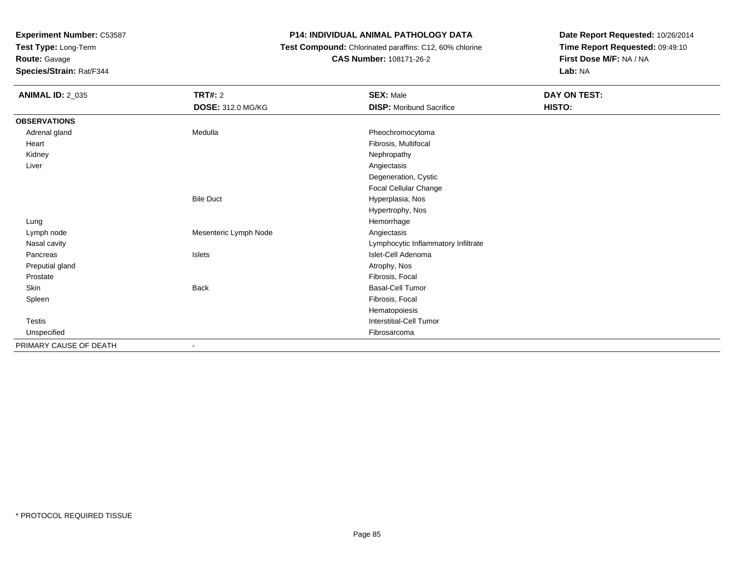**Test Type:** Long-Term

# **Route:** Gavage

**Species/Strain:** Rat/F344

# **P14: INDIVIDUAL ANIMAL PATHOLOGY DATA**

### **Test Compound:** Chlorinated paraffins: C12, 60% chlorine**CAS Number:** 108171-26-2

| <b>ANIMAL ID: 2_035</b> | <b>TRT#: 2</b>           | <b>SEX: Male</b>                    | DAY ON TEST: |  |
|-------------------------|--------------------------|-------------------------------------|--------------|--|
|                         | <b>DOSE: 312.0 MG/KG</b> | <b>DISP:</b> Moribund Sacrifice     | HISTO:       |  |
| <b>OBSERVATIONS</b>     |                          |                                     |              |  |
| Adrenal gland           | Medulla                  | Pheochromocytoma                    |              |  |
| Heart                   |                          | Fibrosis, Multifocal                |              |  |
| Kidney                  |                          | Nephropathy                         |              |  |
| Liver                   |                          | Angiectasis                         |              |  |
|                         |                          | Degeneration, Cystic                |              |  |
|                         |                          | Focal Cellular Change               |              |  |
|                         | <b>Bile Duct</b>         | Hyperplasia, Nos                    |              |  |
|                         |                          | Hypertrophy, Nos                    |              |  |
| Lung                    |                          | Hemorrhage                          |              |  |
| Lymph node              | Mesenteric Lymph Node    | Angiectasis                         |              |  |
| Nasal cavity            |                          | Lymphocytic Inflammatory Infiltrate |              |  |
| Pancreas                | Islets                   | Islet-Cell Adenoma                  |              |  |
| Preputial gland         |                          | Atrophy, Nos                        |              |  |
| Prostate                |                          | Fibrosis, Focal                     |              |  |
| Skin                    | <b>Back</b>              | <b>Basal-Cell Tumor</b>             |              |  |
| Spleen                  |                          | Fibrosis, Focal                     |              |  |
|                         |                          | Hematopoiesis                       |              |  |
| Testis                  |                          | Interstitial-Cell Tumor             |              |  |
| Unspecified             |                          | Fibrosarcoma                        |              |  |
| PRIMARY CAUSE OF DEATH  | ٠                        |                                     |              |  |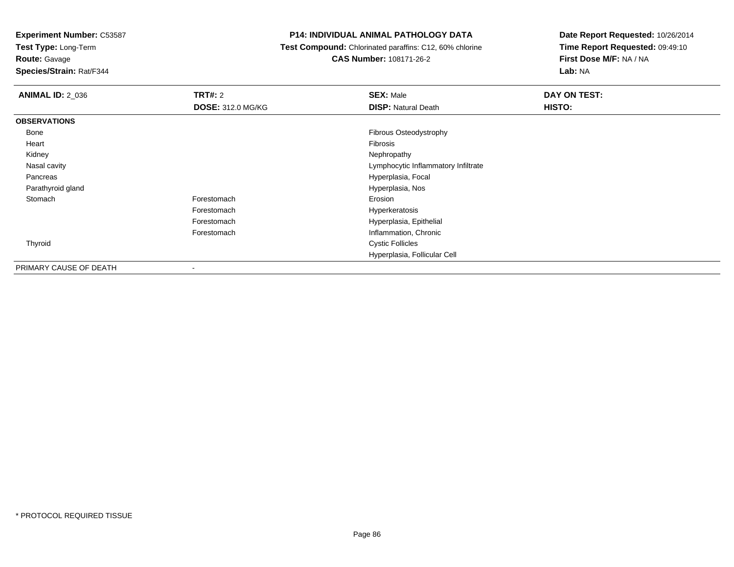**Test Type:** Long-Term

**Route:** Gavage

**Species/Strain:** Rat/F344

## **P14: INDIVIDUAL ANIMAL PATHOLOGY DATA**

 **Test Compound:** Chlorinated paraffins: C12, 60% chlorine**CAS Number:** 108171-26-2

| <b>ANIMAL ID: 2 036</b> | <b>TRT#: 2</b>           | <b>SEX: Male</b>                    | DAY ON TEST: |  |
|-------------------------|--------------------------|-------------------------------------|--------------|--|
|                         | <b>DOSE: 312.0 MG/KG</b> | <b>DISP: Natural Death</b>          | HISTO:       |  |
| <b>OBSERVATIONS</b>     |                          |                                     |              |  |
| Bone                    |                          | Fibrous Osteodystrophy              |              |  |
| Heart                   |                          | Fibrosis                            |              |  |
| Kidney                  |                          | Nephropathy                         |              |  |
| Nasal cavity            |                          | Lymphocytic Inflammatory Infiltrate |              |  |
| Pancreas                |                          | Hyperplasia, Focal                  |              |  |
| Parathyroid gland       |                          | Hyperplasia, Nos                    |              |  |
| Stomach                 | Forestomach              | Erosion                             |              |  |
|                         | Forestomach              | Hyperkeratosis                      |              |  |
|                         | Forestomach              | Hyperplasia, Epithelial             |              |  |
|                         | Forestomach              | Inflammation, Chronic               |              |  |
| Thyroid                 |                          | <b>Cystic Follicles</b>             |              |  |
|                         |                          | Hyperplasia, Follicular Cell        |              |  |
| PRIMARY CAUSE OF DEATH  |                          |                                     |              |  |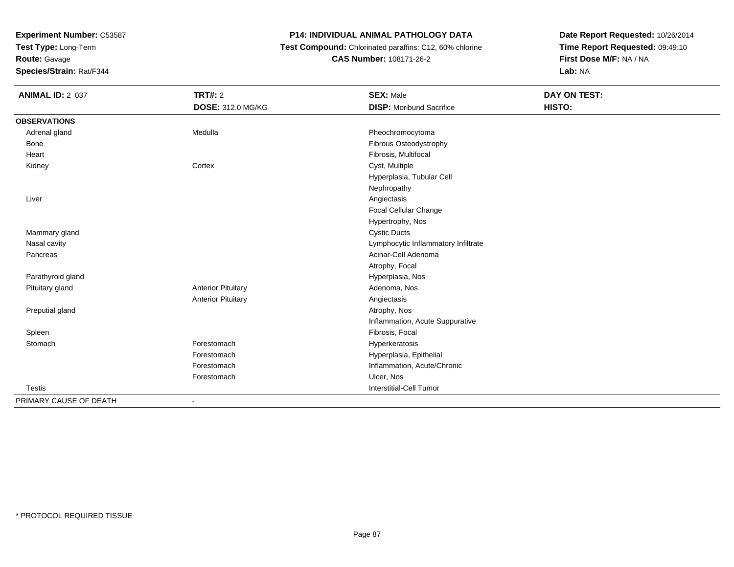**Test Type:** Long-Term

**Route:** Gavage

**Species/Strain:** Rat/F344

## **P14: INDIVIDUAL ANIMAL PATHOLOGY DATA**

 **Test Compound:** Chlorinated paraffins: C12, 60% chlorine**CAS Number:** 108171-26-2

| <b>ANIMAL ID: 2_037</b> | <b>TRT#: 2</b>            | <b>SEX: Male</b>                    | DAY ON TEST: |  |
|-------------------------|---------------------------|-------------------------------------|--------------|--|
|                         | <b>DOSE: 312.0 MG/KG</b>  | <b>DISP:</b> Moribund Sacrifice     | HISTO:       |  |
| <b>OBSERVATIONS</b>     |                           |                                     |              |  |
| Adrenal gland           | Medulla                   | Pheochromocytoma                    |              |  |
| Bone                    |                           | Fibrous Osteodystrophy              |              |  |
| Heart                   |                           | Fibrosis, Multifocal                |              |  |
| Kidney                  | Cortex                    | Cyst, Multiple                      |              |  |
|                         |                           | Hyperplasia, Tubular Cell           |              |  |
|                         |                           | Nephropathy                         |              |  |
| Liver                   |                           | Angiectasis                         |              |  |
|                         |                           | Focal Cellular Change               |              |  |
|                         |                           | Hypertrophy, Nos                    |              |  |
| Mammary gland           |                           | <b>Cystic Ducts</b>                 |              |  |
| Nasal cavity            |                           | Lymphocytic Inflammatory Infiltrate |              |  |
| Pancreas                |                           | Acinar-Cell Adenoma                 |              |  |
|                         |                           | Atrophy, Focal                      |              |  |
| Parathyroid gland       |                           | Hyperplasia, Nos                    |              |  |
| Pituitary gland         | <b>Anterior Pituitary</b> | Adenoma, Nos                        |              |  |
|                         | <b>Anterior Pituitary</b> | Angiectasis                         |              |  |
| Preputial gland         |                           | Atrophy, Nos                        |              |  |
|                         |                           | Inflammation, Acute Suppurative     |              |  |
| Spleen                  |                           | Fibrosis, Focal                     |              |  |
| Stomach                 | Forestomach               | Hyperkeratosis                      |              |  |
|                         | Forestomach               | Hyperplasia, Epithelial             |              |  |
|                         | Forestomach               | Inflammation, Acute/Chronic         |              |  |
|                         | Forestomach               | Ulcer, Nos                          |              |  |
| <b>Testis</b>           |                           | Interstitial-Cell Tumor             |              |  |
| PRIMARY CAUSE OF DEATH  |                           |                                     |              |  |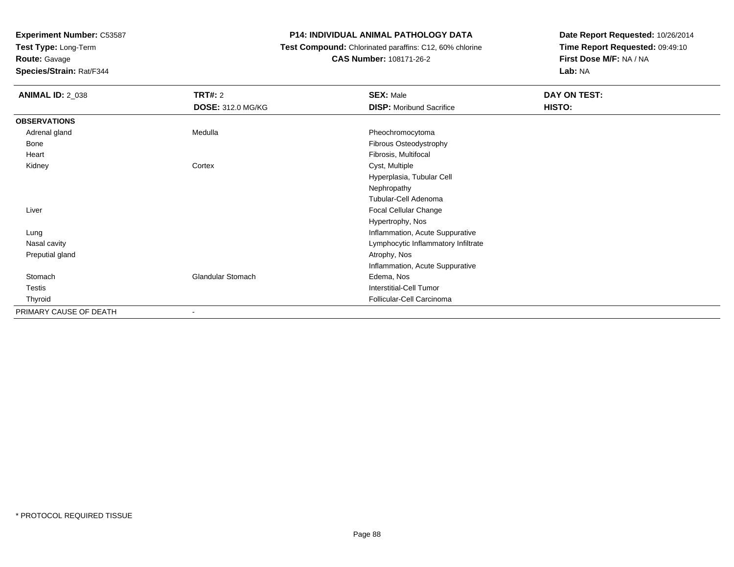**Test Type:** Long-Term

**Route:** Gavage

**Species/Strain:** Rat/F344

#### **P14: INDIVIDUAL ANIMAL PATHOLOGY DATA**

 **Test Compound:** Chlorinated paraffins: C12, 60% chlorine**CAS Number:** 108171-26-2

| <b>ANIMAL ID: 2_038</b> | TRT#: 2<br><b>DOSE: 312.0 MG/KG</b> | <b>SEX: Male</b><br><b>DISP:</b> Moribund Sacrifice | DAY ON TEST:<br>HISTO: |
|-------------------------|-------------------------------------|-----------------------------------------------------|------------------------|
| <b>OBSERVATIONS</b>     |                                     |                                                     |                        |
| Adrenal gland           | Medulla                             | Pheochromocytoma                                    |                        |
| Bone                    |                                     | Fibrous Osteodystrophy                              |                        |
| Heart                   |                                     | Fibrosis, Multifocal                                |                        |
| Kidney                  | Cortex                              | Cyst, Multiple                                      |                        |
|                         |                                     | Hyperplasia, Tubular Cell                           |                        |
|                         |                                     | Nephropathy                                         |                        |
|                         |                                     | Tubular-Cell Adenoma                                |                        |
| Liver                   |                                     | Focal Cellular Change                               |                        |
|                         |                                     | Hypertrophy, Nos                                    |                        |
| Lung                    |                                     | Inflammation, Acute Suppurative                     |                        |
| Nasal cavity            |                                     | Lymphocytic Inflammatory Infiltrate                 |                        |
| Preputial gland         |                                     | Atrophy, Nos                                        |                        |
|                         |                                     | Inflammation, Acute Suppurative                     |                        |
| Stomach                 | <b>Glandular Stomach</b>            | Edema, Nos                                          |                        |
| Testis                  |                                     | <b>Interstitial-Cell Tumor</b>                      |                        |
| Thyroid                 |                                     | Follicular-Cell Carcinoma                           |                        |
| PRIMARY CAUSE OF DEATH  |                                     |                                                     |                        |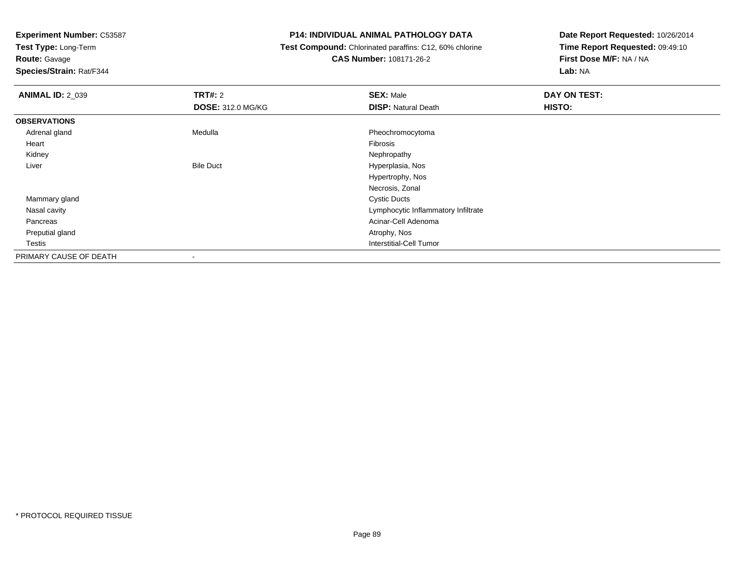**Test Type:** Long-Term

# **Route:** Gavage

**Species/Strain:** Rat/F344

#### **P14: INDIVIDUAL ANIMAL PATHOLOGY DATA**

# **Test Compound:** Chlorinated paraffins: C12, 60% chlorine**CAS Number:** 108171-26-2

| <b>ANIMAL ID: 2_039</b> | <b>TRT#: 2</b>           | <b>SEX: Male</b>                    | DAY ON TEST: |
|-------------------------|--------------------------|-------------------------------------|--------------|
|                         | <b>DOSE: 312.0 MG/KG</b> | <b>DISP: Natural Death</b>          | HISTO:       |
| <b>OBSERVATIONS</b>     |                          |                                     |              |
| Adrenal gland           | Medulla                  | Pheochromocytoma                    |              |
| Heart                   |                          | Fibrosis                            |              |
| Kidney                  |                          | Nephropathy                         |              |
| Liver                   | <b>Bile Duct</b>         | Hyperplasia, Nos                    |              |
|                         |                          | Hypertrophy, Nos                    |              |
|                         |                          | Necrosis, Zonal                     |              |
| Mammary gland           |                          | <b>Cystic Ducts</b>                 |              |
| Nasal cavity            |                          | Lymphocytic Inflammatory Infiltrate |              |
| Pancreas                |                          | Acinar-Cell Adenoma                 |              |
| Preputial gland         |                          | Atrophy, Nos                        |              |
| Testis                  |                          | <b>Interstitial-Cell Tumor</b>      |              |
| PRIMARY CAUSE OF DEATH  |                          |                                     |              |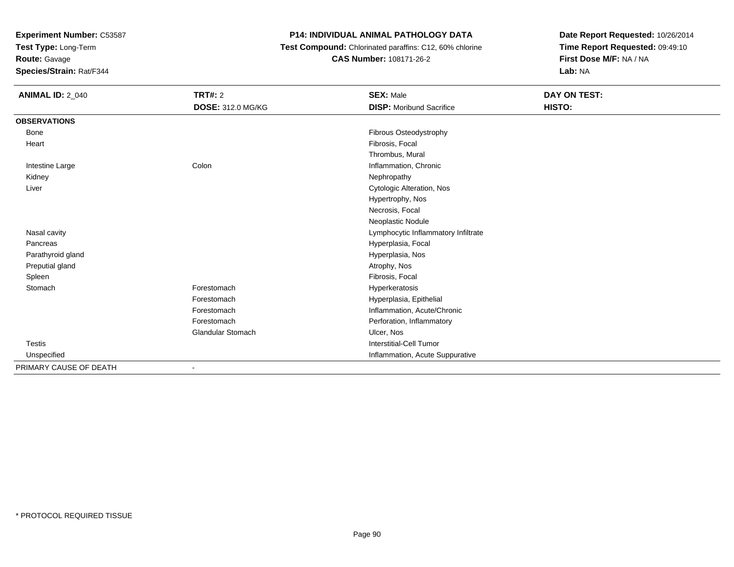**Test Type:** Long-Term

**Route:** Gavage

**Species/Strain:** Rat/F344

# **P14: INDIVIDUAL ANIMAL PATHOLOGY DATA**

 **Test Compound:** Chlorinated paraffins: C12, 60% chlorine**CAS Number:** 108171-26-2

| <b>ANIMAL ID: 2_040</b> | <b>TRT#: 2</b>           | <b>SEX: Male</b>                    | DAY ON TEST: |
|-------------------------|--------------------------|-------------------------------------|--------------|
|                         | <b>DOSE: 312.0 MG/KG</b> | <b>DISP:</b> Moribund Sacrifice     | HISTO:       |
| <b>OBSERVATIONS</b>     |                          |                                     |              |
| Bone                    |                          | Fibrous Osteodystrophy              |              |
| Heart                   |                          | Fibrosis, Focal                     |              |
|                         |                          | Thrombus, Mural                     |              |
| Intestine Large         | Colon                    | Inflammation, Chronic               |              |
| Kidney                  |                          | Nephropathy                         |              |
| Liver                   |                          | Cytologic Alteration, Nos           |              |
|                         |                          | Hypertrophy, Nos                    |              |
|                         |                          | Necrosis, Focal                     |              |
|                         |                          | Neoplastic Nodule                   |              |
| Nasal cavity            |                          | Lymphocytic Inflammatory Infiltrate |              |
| Pancreas                |                          | Hyperplasia, Focal                  |              |
| Parathyroid gland       |                          | Hyperplasia, Nos                    |              |
| Preputial gland         |                          | Atrophy, Nos                        |              |
| Spleen                  |                          | Fibrosis, Focal                     |              |
| Stomach                 | Forestomach              | Hyperkeratosis                      |              |
|                         | Forestomach              | Hyperplasia, Epithelial             |              |
|                         | Forestomach              | Inflammation, Acute/Chronic         |              |
|                         | Forestomach              | Perforation, Inflammatory           |              |
|                         | <b>Glandular Stomach</b> | Ulcer, Nos                          |              |
| <b>Testis</b>           |                          | Interstitial-Cell Tumor             |              |
| Unspecified             |                          | Inflammation, Acute Suppurative     |              |
| PRIMARY CAUSE OF DEATH  | $\blacksquare$           |                                     |              |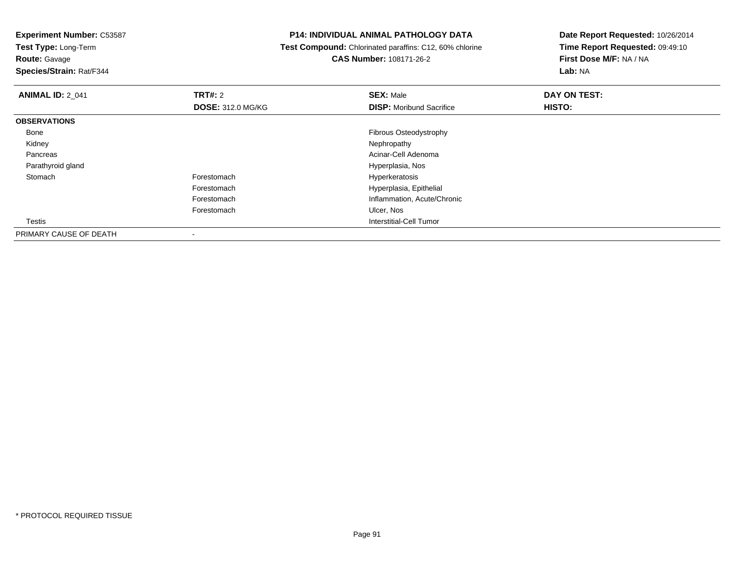**Test Type:** Long-Term

# **Route:** Gavage

**Species/Strain:** Rat/F344

#### **P14: INDIVIDUAL ANIMAL PATHOLOGY DATA**

 **Test Compound:** Chlorinated paraffins: C12, 60% chlorine**CAS Number:** 108171-26-2

| <b>ANIMAL ID: 2_041</b> | <b>TRT#: 2</b>           | <b>SEX: Male</b>                | DAY ON TEST: |  |
|-------------------------|--------------------------|---------------------------------|--------------|--|
|                         | <b>DOSE: 312.0 MG/KG</b> | <b>DISP:</b> Moribund Sacrifice | HISTO:       |  |
| <b>OBSERVATIONS</b>     |                          |                                 |              |  |
| Bone                    |                          | Fibrous Osteodystrophy          |              |  |
| Kidney                  |                          | Nephropathy                     |              |  |
| Pancreas                |                          | Acinar-Cell Adenoma             |              |  |
| Parathyroid gland       |                          | Hyperplasia, Nos                |              |  |
| Stomach                 | Forestomach              | Hyperkeratosis                  |              |  |
|                         | Forestomach              | Hyperplasia, Epithelial         |              |  |
|                         | Forestomach              | Inflammation, Acute/Chronic     |              |  |
|                         | Forestomach              | Ulcer, Nos                      |              |  |
| <b>Testis</b>           |                          | Interstitial-Cell Tumor         |              |  |
| PRIMARY CAUSE OF DEATH  |                          |                                 |              |  |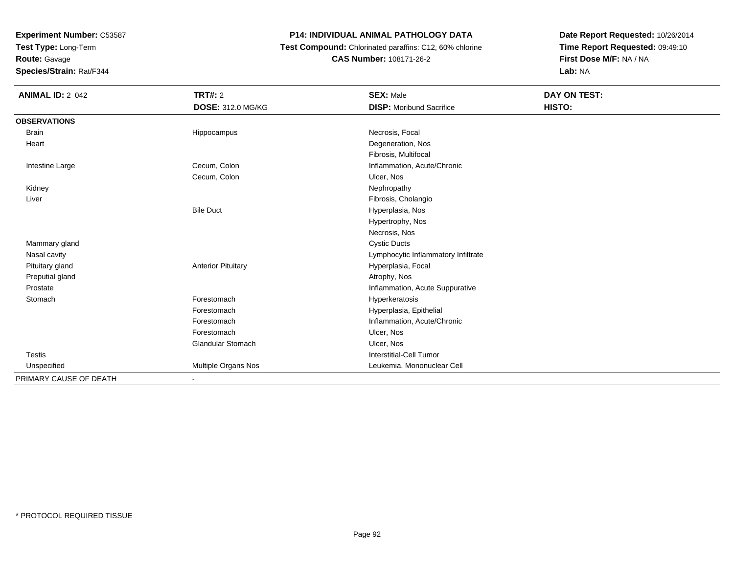**Test Type:** Long-Term

**Route:** Gavage

**Species/Strain:** Rat/F344

# **P14: INDIVIDUAL ANIMAL PATHOLOGY DATA**

 **Test Compound:** Chlorinated paraffins: C12, 60% chlorine**CAS Number:** 108171-26-2

| <b>ANIMAL ID: 2_042</b> | TRT#: 2                   | <b>SEX: Male</b>                    | DAY ON TEST: |
|-------------------------|---------------------------|-------------------------------------|--------------|
|                         | <b>DOSE: 312.0 MG/KG</b>  | <b>DISP:</b> Moribund Sacrifice     | HISTO:       |
| <b>OBSERVATIONS</b>     |                           |                                     |              |
| <b>Brain</b>            | Hippocampus               | Necrosis, Focal                     |              |
| Heart                   |                           | Degeneration, Nos                   |              |
|                         |                           | Fibrosis, Multifocal                |              |
| Intestine Large         | Cecum, Colon              | Inflammation, Acute/Chronic         |              |
|                         | Cecum, Colon              | Ulcer, Nos                          |              |
| Kidney                  |                           | Nephropathy                         |              |
| Liver                   |                           | Fibrosis, Cholangio                 |              |
|                         | <b>Bile Duct</b>          | Hyperplasia, Nos                    |              |
|                         |                           | Hypertrophy, Nos                    |              |
|                         |                           | Necrosis, Nos                       |              |
| Mammary gland           |                           | <b>Cystic Ducts</b>                 |              |
| Nasal cavity            |                           | Lymphocytic Inflammatory Infiltrate |              |
| Pituitary gland         | <b>Anterior Pituitary</b> | Hyperplasia, Focal                  |              |
| Preputial gland         |                           | Atrophy, Nos                        |              |
| Prostate                |                           | Inflammation, Acute Suppurative     |              |
| Stomach                 | Forestomach               | Hyperkeratosis                      |              |
|                         | Forestomach               | Hyperplasia, Epithelial             |              |
|                         | Forestomach               | Inflammation, Acute/Chronic         |              |
|                         | Forestomach               | Ulcer, Nos                          |              |
|                         | <b>Glandular Stomach</b>  | Ulcer, Nos                          |              |
| <b>Testis</b>           |                           | Interstitial-Cell Tumor             |              |
| Unspecified             | Multiple Organs Nos       | Leukemia, Mononuclear Cell          |              |
| PRIMARY CAUSE OF DEATH  |                           |                                     |              |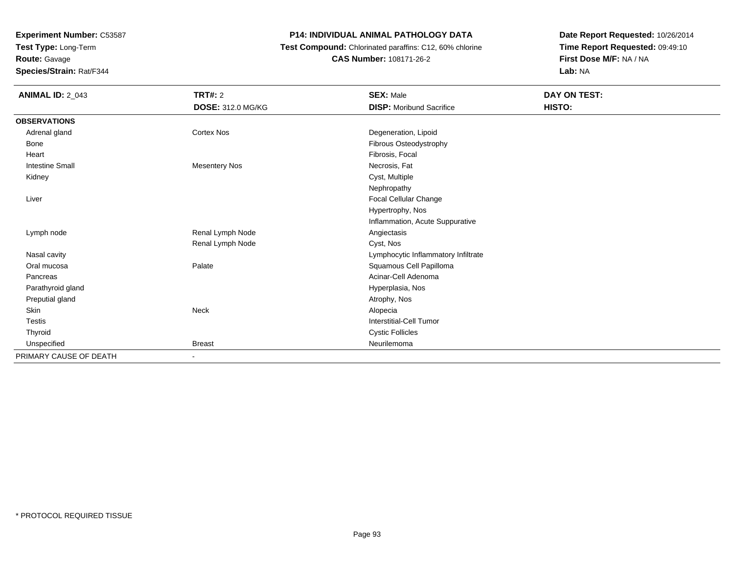**Test Type:** Long-Term**Route:** Gavage

**Species/Strain:** Rat/F344

# **P14: INDIVIDUAL ANIMAL PATHOLOGY DATA**

 **Test Compound:** Chlorinated paraffins: C12, 60% chlorine**CAS Number:** 108171-26-2

| <b>ANIMAL ID: 2_043</b> | <b>TRT#: 2</b>           | <b>SEX: Male</b>                    | DAY ON TEST: |
|-------------------------|--------------------------|-------------------------------------|--------------|
|                         | <b>DOSE: 312.0 MG/KG</b> | <b>DISP: Moribund Sacrifice</b>     | HISTO:       |
| <b>OBSERVATIONS</b>     |                          |                                     |              |
| Adrenal gland           | <b>Cortex Nos</b>        | Degeneration, Lipoid                |              |
| Bone                    |                          | Fibrous Osteodystrophy              |              |
| Heart                   |                          | Fibrosis, Focal                     |              |
| <b>Intestine Small</b>  | <b>Mesentery Nos</b>     | Necrosis, Fat                       |              |
| Kidney                  |                          | Cyst, Multiple                      |              |
|                         |                          | Nephropathy                         |              |
| Liver                   |                          | Focal Cellular Change               |              |
|                         |                          | Hypertrophy, Nos                    |              |
|                         |                          | Inflammation, Acute Suppurative     |              |
| Lymph node              | Renal Lymph Node         | Angiectasis                         |              |
|                         | Renal Lymph Node         | Cyst, Nos                           |              |
| Nasal cavity            |                          | Lymphocytic Inflammatory Infiltrate |              |
| Oral mucosa             | Palate                   | Squamous Cell Papilloma             |              |
| Pancreas                |                          | Acinar-Cell Adenoma                 |              |
| Parathyroid gland       |                          | Hyperplasia, Nos                    |              |
| Preputial gland         |                          | Atrophy, Nos                        |              |
| Skin                    | Neck                     | Alopecia                            |              |
| <b>Testis</b>           |                          | Interstitial-Cell Tumor             |              |
| Thyroid                 |                          | <b>Cystic Follicles</b>             |              |
| Unspecified             | <b>Breast</b>            | Neurilemoma                         |              |
| PRIMARY CAUSE OF DEATH  |                          |                                     |              |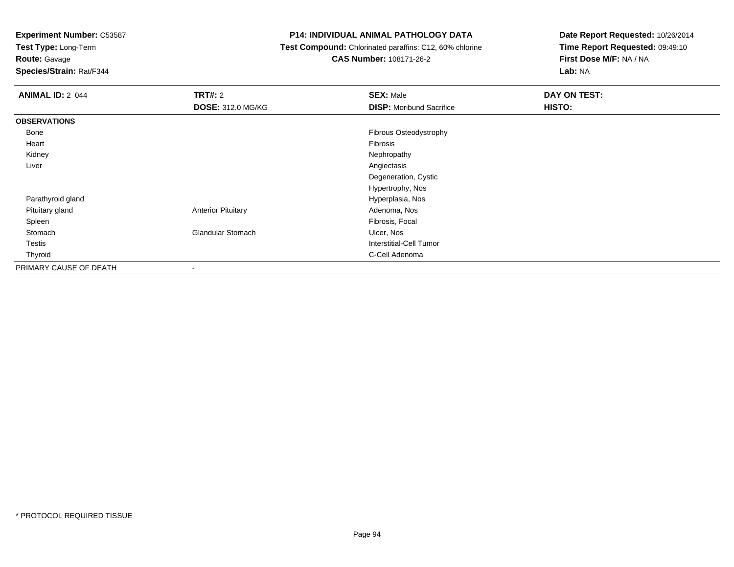**Test Type:** Long-Term

**Route:** Gavage

**Species/Strain:** Rat/F344

## **P14: INDIVIDUAL ANIMAL PATHOLOGY DATA**

 **Test Compound:** Chlorinated paraffins: C12, 60% chlorine**CAS Number:** 108171-26-2

| <b>ANIMAL ID: 2_044</b> | TRT#: 2                   | <b>SEX: Male</b>                | <b>DAY ON TEST:</b> |
|-------------------------|---------------------------|---------------------------------|---------------------|
|                         | <b>DOSE: 312.0 MG/KG</b>  | <b>DISP:</b> Moribund Sacrifice | HISTO:              |
| <b>OBSERVATIONS</b>     |                           |                                 |                     |
| Bone                    |                           | <b>Fibrous Osteodystrophy</b>   |                     |
| Heart                   |                           | Fibrosis                        |                     |
| Kidney                  |                           | Nephropathy                     |                     |
| Liver                   |                           | Angiectasis                     |                     |
|                         |                           | Degeneration, Cystic            |                     |
|                         |                           | Hypertrophy, Nos                |                     |
| Parathyroid gland       |                           | Hyperplasia, Nos                |                     |
| Pituitary gland         | <b>Anterior Pituitary</b> | Adenoma, Nos                    |                     |
| Spleen                  |                           | Fibrosis, Focal                 |                     |
| Stomach                 | <b>Glandular Stomach</b>  | Ulcer, Nos                      |                     |
| <b>Testis</b>           |                           | <b>Interstitial-Cell Tumor</b>  |                     |
| Thyroid                 |                           | C-Cell Adenoma                  |                     |
| PRIMARY CAUSE OF DEATH  | $\overline{\phantom{a}}$  |                                 |                     |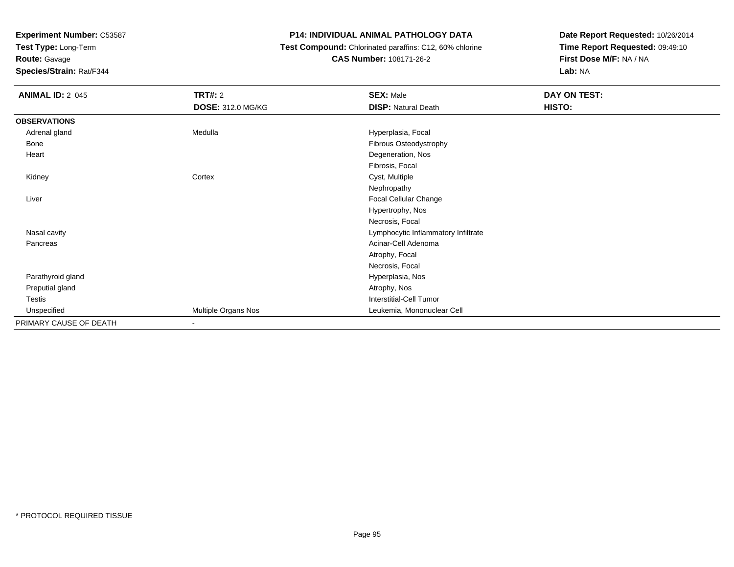**Test Type:** Long-Term

**Route:** Gavage

**Species/Strain:** Rat/F344

#### **P14: INDIVIDUAL ANIMAL PATHOLOGY DATA**

 **Test Compound:** Chlorinated paraffins: C12, 60% chlorine**CAS Number:** 108171-26-2

| <b>ANIMAL ID: 2_045</b> | <b>TRT#: 2</b>           | <b>SEX: Male</b>                    | DAY ON TEST: |  |
|-------------------------|--------------------------|-------------------------------------|--------------|--|
|                         | <b>DOSE: 312.0 MG/KG</b> | <b>DISP: Natural Death</b>          | HISTO:       |  |
| <b>OBSERVATIONS</b>     |                          |                                     |              |  |
| Adrenal gland           | Medulla                  | Hyperplasia, Focal                  |              |  |
| Bone                    |                          | Fibrous Osteodystrophy              |              |  |
| Heart                   |                          | Degeneration, Nos                   |              |  |
|                         |                          | Fibrosis, Focal                     |              |  |
| Kidney                  | Cortex                   | Cyst, Multiple                      |              |  |
|                         |                          | Nephropathy                         |              |  |
| Liver                   |                          | Focal Cellular Change               |              |  |
|                         |                          | Hypertrophy, Nos                    |              |  |
|                         |                          | Necrosis, Focal                     |              |  |
| Nasal cavity            |                          | Lymphocytic Inflammatory Infiltrate |              |  |
| Pancreas                |                          | Acinar-Cell Adenoma                 |              |  |
|                         |                          | Atrophy, Focal                      |              |  |
|                         |                          | Necrosis, Focal                     |              |  |
| Parathyroid gland       |                          | Hyperplasia, Nos                    |              |  |
| Preputial gland         |                          | Atrophy, Nos                        |              |  |
| Testis                  |                          | <b>Interstitial-Cell Tumor</b>      |              |  |
| Unspecified             | Multiple Organs Nos      | Leukemia, Mononuclear Cell          |              |  |
| PRIMARY CAUSE OF DEATH  | $\overline{\phantom{a}}$ |                                     |              |  |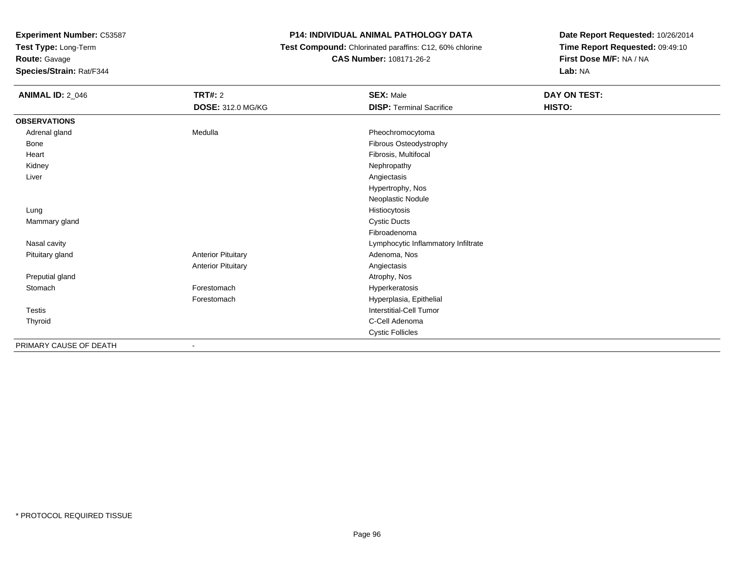**Test Type:** Long-Term

**Route:** Gavage

**Species/Strain:** Rat/F344

## **P14: INDIVIDUAL ANIMAL PATHOLOGY DATA**

 **Test Compound:** Chlorinated paraffins: C12, 60% chlorine**CAS Number:** 108171-26-2

| <b>ANIMAL ID: 2_046</b> | <b>TRT#: 2</b>            | <b>SEX: Male</b>                    | DAY ON TEST: |
|-------------------------|---------------------------|-------------------------------------|--------------|
|                         | <b>DOSE: 312.0 MG/KG</b>  | <b>DISP: Terminal Sacrifice</b>     | HISTO:       |
| <b>OBSERVATIONS</b>     |                           |                                     |              |
| Adrenal gland           | Medulla                   | Pheochromocytoma                    |              |
| Bone                    |                           | Fibrous Osteodystrophy              |              |
| Heart                   |                           | Fibrosis, Multifocal                |              |
| Kidney                  |                           | Nephropathy                         |              |
| Liver                   |                           | Angiectasis                         |              |
|                         |                           | Hypertrophy, Nos                    |              |
|                         |                           | Neoplastic Nodule                   |              |
| Lung                    |                           | Histiocytosis                       |              |
| Mammary gland           |                           | <b>Cystic Ducts</b>                 |              |
|                         |                           | Fibroadenoma                        |              |
| Nasal cavity            |                           | Lymphocytic Inflammatory Infiltrate |              |
| Pituitary gland         | <b>Anterior Pituitary</b> | Adenoma, Nos                        |              |
|                         | <b>Anterior Pituitary</b> | Angiectasis                         |              |
| Preputial gland         |                           | Atrophy, Nos                        |              |
| Stomach                 | Forestomach               | Hyperkeratosis                      |              |
|                         | Forestomach               | Hyperplasia, Epithelial             |              |
| Testis                  |                           | Interstitial-Cell Tumor             |              |
| Thyroid                 |                           | C-Cell Adenoma                      |              |
|                         |                           | <b>Cystic Follicles</b>             |              |
| PRIMARY CAUSE OF DEATH  |                           |                                     |              |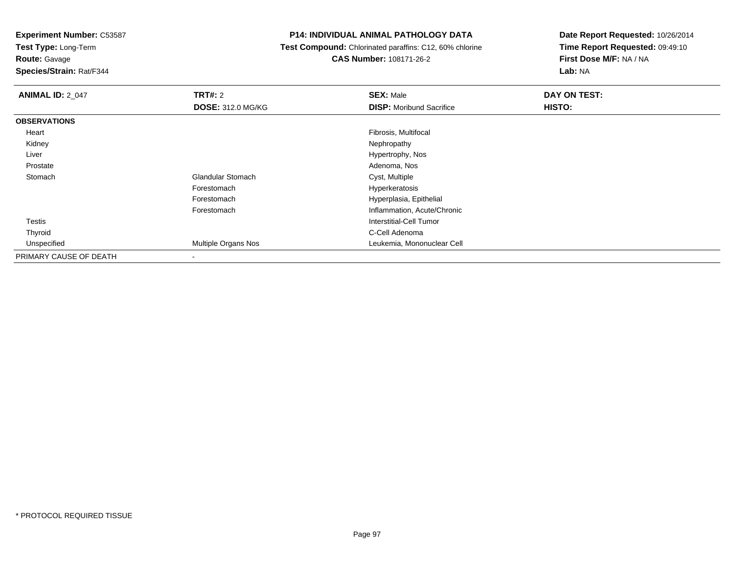**Test Type:** Long-Term

# **Route:** Gavage

**Species/Strain:** Rat/F344

#### **P14: INDIVIDUAL ANIMAL PATHOLOGY DATA**

# **Test Compound:** Chlorinated paraffins: C12, 60% chlorine**CAS Number:** 108171-26-2

| <b>ANIMAL ID: 2 047</b> | TRT#: 2<br><b>DOSE: 312.0 MG/KG</b> | <b>SEX: Male</b><br><b>DISP:</b> Moribund Sacrifice | DAY ON TEST:<br>HISTO: |
|-------------------------|-------------------------------------|-----------------------------------------------------|------------------------|
| <b>OBSERVATIONS</b>     |                                     |                                                     |                        |
| Heart                   |                                     | Fibrosis, Multifocal                                |                        |
| Kidney                  |                                     | Nephropathy                                         |                        |
| Liver                   |                                     | Hypertrophy, Nos                                    |                        |
| Prostate                |                                     | Adenoma, Nos                                        |                        |
| Stomach                 | <b>Glandular Stomach</b>            | Cyst, Multiple                                      |                        |
|                         | Forestomach                         | Hyperkeratosis                                      |                        |
|                         | Forestomach                         | Hyperplasia, Epithelial                             |                        |
|                         | Forestomach                         | Inflammation, Acute/Chronic                         |                        |
| Testis                  |                                     | Interstitial-Cell Tumor                             |                        |
| Thyroid                 |                                     | C-Cell Adenoma                                      |                        |
| Unspecified             | <b>Multiple Organs Nos</b>          | Leukemia, Mononuclear Cell                          |                        |
| PRIMARY CAUSE OF DEATH  | $\overline{\phantom{a}}$            |                                                     |                        |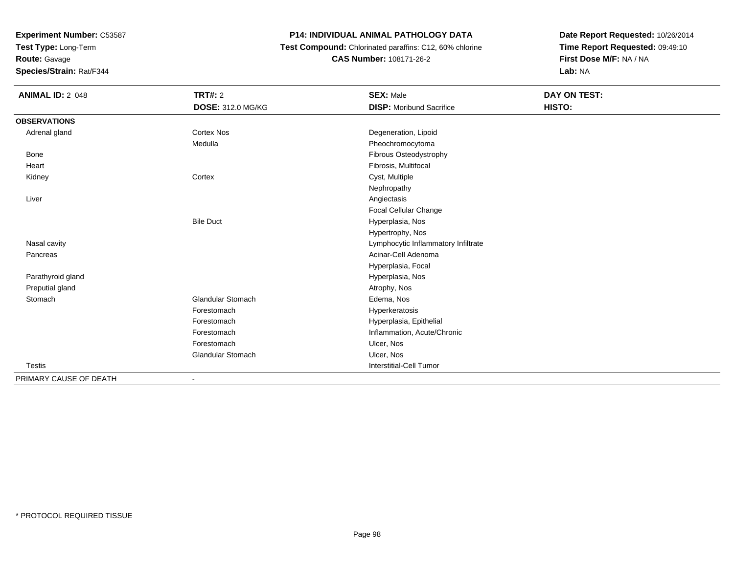**Test Type:** Long-Term

**Route:** Gavage

**Species/Strain:** Rat/F344

# **P14: INDIVIDUAL ANIMAL PATHOLOGY DATA**

 **Test Compound:** Chlorinated paraffins: C12, 60% chlorine**CAS Number:** 108171-26-2

| <b>ANIMAL ID: 2_048</b> | <b>TRT#: 2</b>           | <b>SEX: Male</b>                    | <b>DAY ON TEST:</b> |
|-------------------------|--------------------------|-------------------------------------|---------------------|
|                         | <b>DOSE: 312.0 MG/KG</b> | <b>DISP: Moribund Sacrifice</b>     | HISTO:              |
| <b>OBSERVATIONS</b>     |                          |                                     |                     |
| Adrenal gland           | <b>Cortex Nos</b>        | Degeneration, Lipoid                |                     |
|                         | Medulla                  | Pheochromocytoma                    |                     |
| Bone                    |                          | Fibrous Osteodystrophy              |                     |
| Heart                   |                          | Fibrosis, Multifocal                |                     |
| Kidney                  | Cortex                   | Cyst, Multiple                      |                     |
|                         |                          | Nephropathy                         |                     |
| Liver                   |                          | Angiectasis                         |                     |
|                         |                          | Focal Cellular Change               |                     |
|                         | <b>Bile Duct</b>         | Hyperplasia, Nos                    |                     |
|                         |                          | Hypertrophy, Nos                    |                     |
| Nasal cavity            |                          | Lymphocytic Inflammatory Infiltrate |                     |
| Pancreas                |                          | Acinar-Cell Adenoma                 |                     |
|                         |                          | Hyperplasia, Focal                  |                     |
| Parathyroid gland       |                          | Hyperplasia, Nos                    |                     |
| Preputial gland         |                          | Atrophy, Nos                        |                     |
| Stomach                 | <b>Glandular Stomach</b> | Edema, Nos                          |                     |
|                         | Forestomach              | Hyperkeratosis                      |                     |
|                         | Forestomach              | Hyperplasia, Epithelial             |                     |
|                         | Forestomach              | Inflammation, Acute/Chronic         |                     |
|                         | Forestomach              | Ulcer, Nos                          |                     |
|                         | <b>Glandular Stomach</b> | Ulcer, Nos                          |                     |
| <b>Testis</b>           |                          | <b>Interstitial-Cell Tumor</b>      |                     |
| PRIMARY CAUSE OF DEATH  |                          |                                     |                     |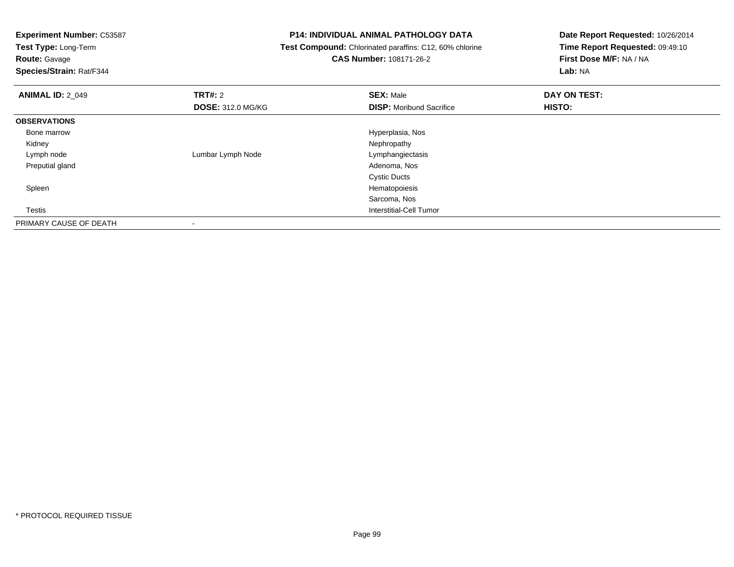**Test Type:** Long-Term

# **Route:** Gavage

**Species/Strain:** Rat/F344

#### **P14: INDIVIDUAL ANIMAL PATHOLOGY DATA**

# **Test Compound:** Chlorinated paraffins: C12, 60% chlorine**CAS Number:** 108171-26-2

| <b>ANIMAL ID: 2_049</b> | TRT#: 2                  | <b>SEX: Male</b>                | DAY ON TEST: |  |
|-------------------------|--------------------------|---------------------------------|--------------|--|
|                         | <b>DOSE: 312.0 MG/KG</b> | <b>DISP:</b> Moribund Sacrifice | HISTO:       |  |
| <b>OBSERVATIONS</b>     |                          |                                 |              |  |
| Bone marrow             |                          | Hyperplasia, Nos                |              |  |
| Kidney                  |                          | Nephropathy                     |              |  |
| Lymph node              | Lumbar Lymph Node        | Lymphangiectasis                |              |  |
| Preputial gland         |                          | Adenoma, Nos                    |              |  |
|                         |                          | <b>Cystic Ducts</b>             |              |  |
| Spleen                  |                          | Hematopoiesis                   |              |  |
|                         |                          | Sarcoma, Nos                    |              |  |
| Testis                  |                          | Interstitial-Cell Tumor         |              |  |
| PRIMARY CAUSE OF DEATH  |                          |                                 |              |  |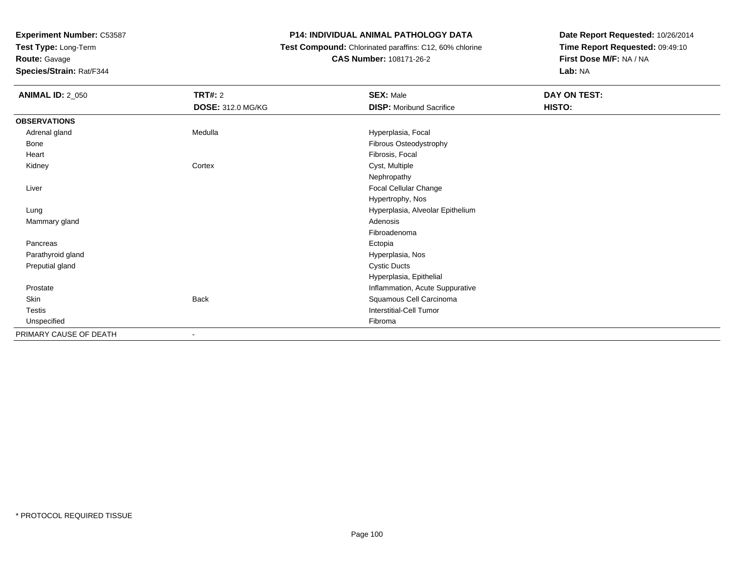**Test Type:** Long-Term

# **Route:** Gavage

**Species/Strain:** Rat/F344

## **P14: INDIVIDUAL ANIMAL PATHOLOGY DATA**

# **Test Compound:** Chlorinated paraffins: C12, 60% chlorine**CAS Number:** 108171-26-2

| <b>ANIMAL ID: 2_050</b> | <b>TRT#: 2</b>           | <b>SEX: Male</b>                 | DAY ON TEST: |
|-------------------------|--------------------------|----------------------------------|--------------|
|                         | <b>DOSE: 312.0 MG/KG</b> | <b>DISP:</b> Moribund Sacrifice  | HISTO:       |
| <b>OBSERVATIONS</b>     |                          |                                  |              |
| Adrenal gland           | Medulla                  | Hyperplasia, Focal               |              |
| Bone                    |                          | Fibrous Osteodystrophy           |              |
| Heart                   |                          | Fibrosis, Focal                  |              |
| Kidney                  | Cortex                   | Cyst, Multiple                   |              |
|                         |                          | Nephropathy                      |              |
| Liver                   |                          | Focal Cellular Change            |              |
|                         |                          | Hypertrophy, Nos                 |              |
| Lung                    |                          | Hyperplasia, Alveolar Epithelium |              |
| Mammary gland           |                          | Adenosis                         |              |
|                         |                          | Fibroadenoma                     |              |
| Pancreas                |                          | Ectopia                          |              |
| Parathyroid gland       |                          | Hyperplasia, Nos                 |              |
| Preputial gland         |                          | <b>Cystic Ducts</b>              |              |
|                         |                          | Hyperplasia, Epithelial          |              |
| Prostate                |                          | Inflammation, Acute Suppurative  |              |
| Skin                    | <b>Back</b>              | Squamous Cell Carcinoma          |              |
| <b>Testis</b>           |                          | Interstitial-Cell Tumor          |              |
| Unspecified             |                          | Fibroma                          |              |
| PRIMARY CAUSE OF DEATH  |                          |                                  |              |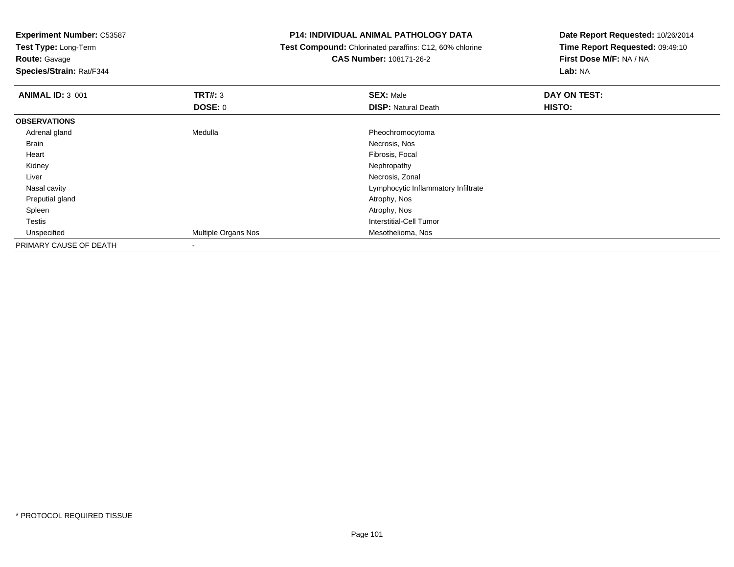**Test Type:** Long-Term

**Route:** Gavage

**Species/Strain:** Rat/F344

#### **P14: INDIVIDUAL ANIMAL PATHOLOGY DATA**

 **Test Compound:** Chlorinated paraffins: C12, 60% chlorine**CAS Number:** 108171-26-2

| <b>ANIMAL ID: 3_001</b> | TRT#: 3                  | <b>SEX: Male</b>                    | DAY ON TEST: |
|-------------------------|--------------------------|-------------------------------------|--------------|
|                         | <b>DOSE: 0</b>           | <b>DISP: Natural Death</b>          | HISTO:       |
| <b>OBSERVATIONS</b>     |                          |                                     |              |
| Adrenal gland           | Medulla                  | Pheochromocytoma                    |              |
| <b>Brain</b>            |                          | Necrosis, Nos                       |              |
| Heart                   |                          | Fibrosis, Focal                     |              |
| Kidney                  |                          | Nephropathy                         |              |
| Liver                   |                          | Necrosis, Zonal                     |              |
| Nasal cavity            |                          | Lymphocytic Inflammatory Infiltrate |              |
| Preputial gland         |                          | Atrophy, Nos                        |              |
| Spleen                  |                          | Atrophy, Nos                        |              |
| Testis                  |                          | Interstitial-Cell Tumor             |              |
| Unspecified             | Multiple Organs Nos      | Mesothelioma, Nos                   |              |
| PRIMARY CAUSE OF DEATH  | $\overline{\phantom{a}}$ |                                     |              |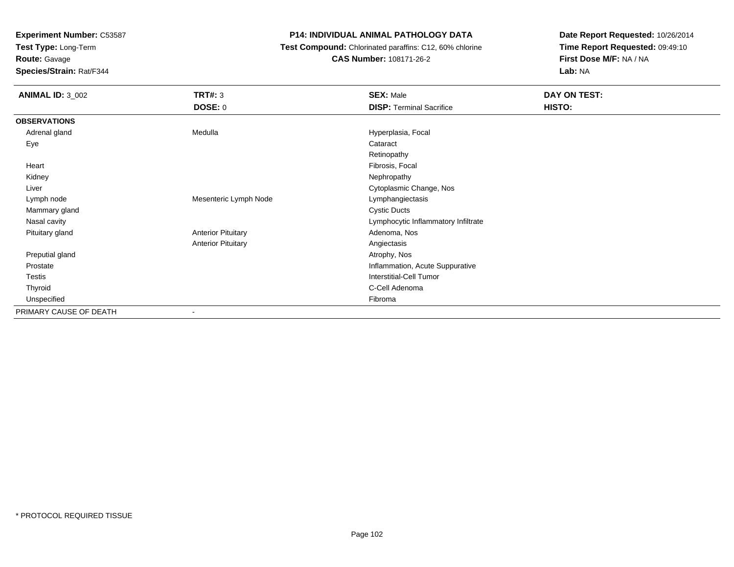**Test Type:** Long-Term

**Route:** Gavage

**Species/Strain:** Rat/F344

### **P14: INDIVIDUAL ANIMAL PATHOLOGY DATA**

 **Test Compound:** Chlorinated paraffins: C12, 60% chlorine**CAS Number:** 108171-26-2

| <b>ANIMAL ID: 3_002</b> | <b>TRT#: 3</b>            | <b>SEX: Male</b>                    | DAY ON TEST: |
|-------------------------|---------------------------|-------------------------------------|--------------|
|                         | <b>DOSE: 0</b>            | <b>DISP: Terminal Sacrifice</b>     | HISTO:       |
| <b>OBSERVATIONS</b>     |                           |                                     |              |
| Adrenal gland           | Medulla                   | Hyperplasia, Focal                  |              |
| Eye                     |                           | Cataract                            |              |
|                         |                           | Retinopathy                         |              |
| Heart                   |                           | Fibrosis, Focal                     |              |
| Kidney                  |                           | Nephropathy                         |              |
| Liver                   |                           | Cytoplasmic Change, Nos             |              |
| Lymph node              | Mesenteric Lymph Node     | Lymphangiectasis                    |              |
| Mammary gland           |                           | <b>Cystic Ducts</b>                 |              |
| Nasal cavity            |                           | Lymphocytic Inflammatory Infiltrate |              |
| Pituitary gland         | <b>Anterior Pituitary</b> | Adenoma, Nos                        |              |
|                         | <b>Anterior Pituitary</b> | Angiectasis                         |              |
| Preputial gland         |                           | Atrophy, Nos                        |              |
| Prostate                |                           | Inflammation, Acute Suppurative     |              |
| Testis                  |                           | <b>Interstitial-Cell Tumor</b>      |              |
| Thyroid                 |                           | C-Cell Adenoma                      |              |
| Unspecified             |                           | Fibroma                             |              |
| PRIMARY CAUSE OF DEATH  | $\overline{\phantom{a}}$  |                                     |              |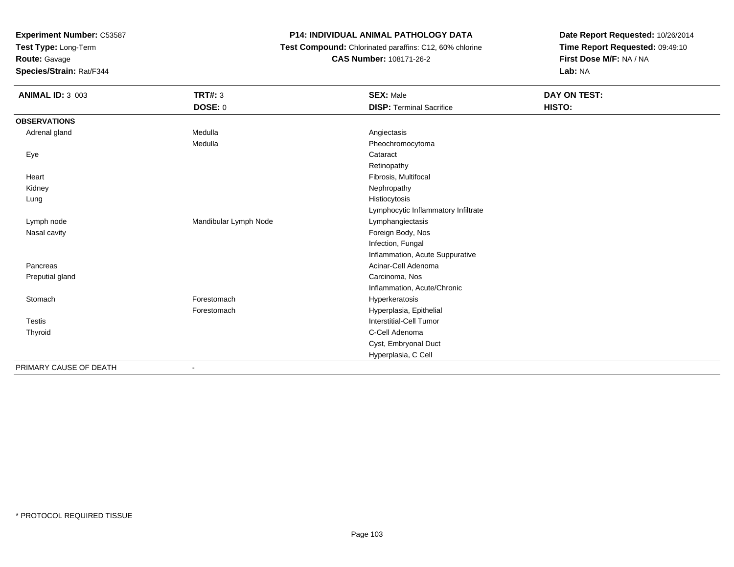**Test Type:** Long-Term

**Route:** Gavage

**Species/Strain:** Rat/F344

# **P14: INDIVIDUAL ANIMAL PATHOLOGY DATA**

 **Test Compound:** Chlorinated paraffins: C12, 60% chlorine**CAS Number:** 108171-26-2

| <b>ANIMAL ID: 3_003</b> | <b>TRT#: 3</b>        | <b>SEX: Male</b>                    | DAY ON TEST: |  |
|-------------------------|-----------------------|-------------------------------------|--------------|--|
|                         | DOSE: 0               | <b>DISP: Terminal Sacrifice</b>     | HISTO:       |  |
| <b>OBSERVATIONS</b>     |                       |                                     |              |  |
| Adrenal gland           | Medulla               | Angiectasis                         |              |  |
|                         | Medulla               | Pheochromocytoma                    |              |  |
| Eye                     |                       | Cataract                            |              |  |
|                         |                       | Retinopathy                         |              |  |
| Heart                   |                       | Fibrosis, Multifocal                |              |  |
| Kidney                  |                       | Nephropathy                         |              |  |
| Lung                    |                       | Histiocytosis                       |              |  |
|                         |                       | Lymphocytic Inflammatory Infiltrate |              |  |
| Lymph node              | Mandibular Lymph Node | Lymphangiectasis                    |              |  |
| Nasal cavity            |                       | Foreign Body, Nos                   |              |  |
|                         |                       | Infection, Fungal                   |              |  |
|                         |                       | Inflammation, Acute Suppurative     |              |  |
| Pancreas                |                       | Acinar-Cell Adenoma                 |              |  |
| Preputial gland         |                       | Carcinoma, Nos                      |              |  |
|                         |                       | Inflammation, Acute/Chronic         |              |  |
| Stomach                 | Forestomach           | Hyperkeratosis                      |              |  |
|                         | Forestomach           | Hyperplasia, Epithelial             |              |  |
| Testis                  |                       | Interstitial-Cell Tumor             |              |  |
| Thyroid                 |                       | C-Cell Adenoma                      |              |  |
|                         |                       | Cyst, Embryonal Duct                |              |  |
|                         |                       | Hyperplasia, C Cell                 |              |  |
| PRIMARY CAUSE OF DEATH  |                       |                                     |              |  |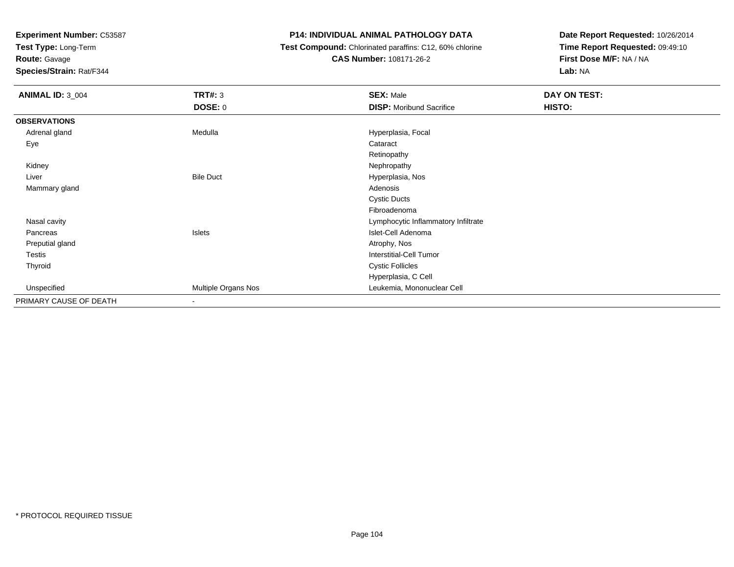**Test Type:** Long-Term

**Route:** Gavage

**Species/Strain:** Rat/F344

### **P14: INDIVIDUAL ANIMAL PATHOLOGY DATA**

 **Test Compound:** Chlorinated paraffins: C12, 60% chlorine**CAS Number:** 108171-26-2

| <b>ANIMAL ID: 3_004</b> | <b>TRT#: 3</b>           | <b>SEX: Male</b>                    | DAY ON TEST: |
|-------------------------|--------------------------|-------------------------------------|--------------|
|                         | <b>DOSE: 0</b>           | <b>DISP:</b> Moribund Sacrifice     | HISTO:       |
| <b>OBSERVATIONS</b>     |                          |                                     |              |
| Adrenal gland           | Medulla                  | Hyperplasia, Focal                  |              |
| Eye                     |                          | Cataract                            |              |
|                         |                          | Retinopathy                         |              |
| Kidney                  |                          | Nephropathy                         |              |
| Liver                   | <b>Bile Duct</b>         | Hyperplasia, Nos                    |              |
| Mammary gland           |                          | Adenosis                            |              |
|                         |                          | <b>Cystic Ducts</b>                 |              |
|                         |                          | Fibroadenoma                        |              |
| Nasal cavity            |                          | Lymphocytic Inflammatory Infiltrate |              |
| Pancreas                | Islets                   | Islet-Cell Adenoma                  |              |
| Preputial gland         |                          | Atrophy, Nos                        |              |
| Testis                  |                          | Interstitial-Cell Tumor             |              |
| Thyroid                 |                          | <b>Cystic Follicles</b>             |              |
|                         |                          | Hyperplasia, C Cell                 |              |
| Unspecified             | Multiple Organs Nos      | Leukemia, Mononuclear Cell          |              |
| PRIMARY CAUSE OF DEATH  | $\overline{\phantom{a}}$ |                                     |              |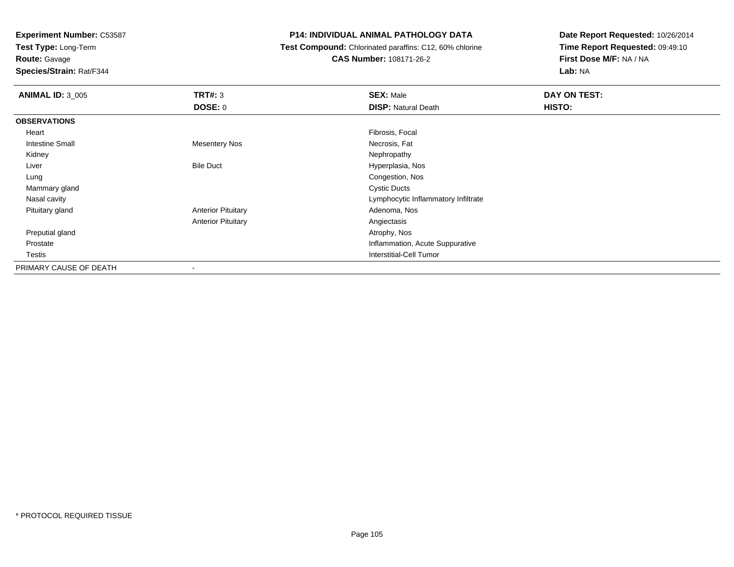**Test Type:** Long-Term

**Route:** Gavage

**Species/Strain:** Rat/F344

# **P14: INDIVIDUAL ANIMAL PATHOLOGY DATA**

 **Test Compound:** Chlorinated paraffins: C12, 60% chlorine**CAS Number:** 108171-26-2

| <b>ANIMAL ID: 3_005</b> | TRT#: 3                   | <b>SEX: Male</b>                    | DAY ON TEST: |  |
|-------------------------|---------------------------|-------------------------------------|--------------|--|
|                         | DOSE: 0                   | <b>DISP: Natural Death</b>          | HISTO:       |  |
| <b>OBSERVATIONS</b>     |                           |                                     |              |  |
| Heart                   |                           | Fibrosis, Focal                     |              |  |
| <b>Intestine Small</b>  | <b>Mesentery Nos</b>      | Necrosis, Fat                       |              |  |
| Kidney                  |                           | Nephropathy                         |              |  |
| Liver                   | <b>Bile Duct</b>          | Hyperplasia, Nos                    |              |  |
| Lung                    |                           | Congestion, Nos                     |              |  |
| Mammary gland           |                           | <b>Cystic Ducts</b>                 |              |  |
| Nasal cavity            |                           | Lymphocytic Inflammatory Infiltrate |              |  |
| Pituitary gland         | <b>Anterior Pituitary</b> | Adenoma, Nos                        |              |  |
|                         | <b>Anterior Pituitary</b> | Angiectasis                         |              |  |
| Preputial gland         |                           | Atrophy, Nos                        |              |  |
| Prostate                |                           | Inflammation, Acute Suppurative     |              |  |
| Testis                  |                           | Interstitial-Cell Tumor             |              |  |
| PRIMARY CAUSE OF DEATH  |                           |                                     |              |  |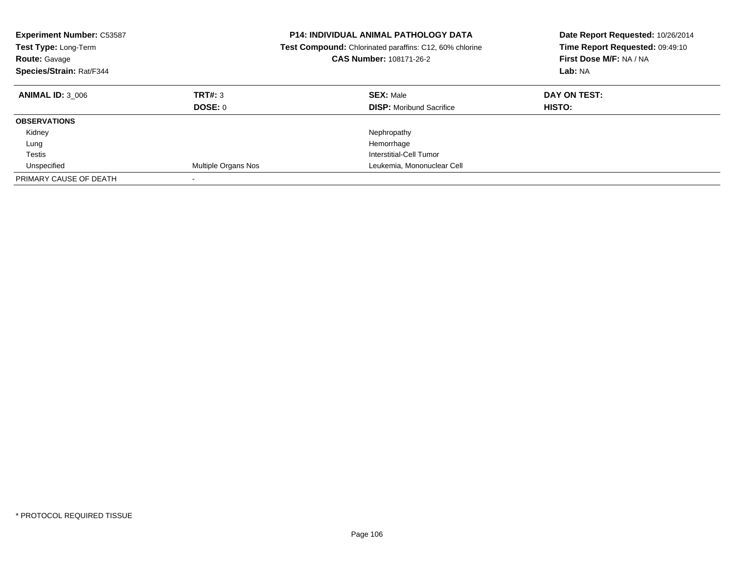| <b>Experiment Number: C53587</b><br>Test Type: Long-Term<br><b>Route: Gavage</b><br>Species/Strain: Rat/F344 |                            | <b>P14: INDIVIDUAL ANIMAL PATHOLOGY DATA</b><br><b>Test Compound:</b> Chlorinated paraffins: C12, 60% chlorine<br><b>CAS Number: 108171-26-2</b> | Date Report Requested: 10/26/2014<br>Time Report Requested: 09:49:10<br>First Dose M/F: NA / NA<br>Lab: NA |
|--------------------------------------------------------------------------------------------------------------|----------------------------|--------------------------------------------------------------------------------------------------------------------------------------------------|------------------------------------------------------------------------------------------------------------|
| <b>ANIMAL ID: 3 006</b>                                                                                      | TRT#: 3<br>DOSE: 0         | <b>SEX: Male</b><br><b>DISP:</b> Moribund Sacrifice                                                                                              | DAY ON TEST:<br>HISTO:                                                                                     |
| <b>OBSERVATIONS</b>                                                                                          |                            |                                                                                                                                                  |                                                                                                            |
| Kidney                                                                                                       |                            | Nephropathy                                                                                                                                      |                                                                                                            |
| Lung                                                                                                         |                            | Hemorrhage                                                                                                                                       |                                                                                                            |
| Testis                                                                                                       |                            | Interstitial-Cell Tumor                                                                                                                          |                                                                                                            |
| Unspecified                                                                                                  | <b>Multiple Organs Nos</b> | Leukemia, Mononuclear Cell                                                                                                                       |                                                                                                            |
| PRIMARY CAUSE OF DEATH                                                                                       |                            |                                                                                                                                                  |                                                                                                            |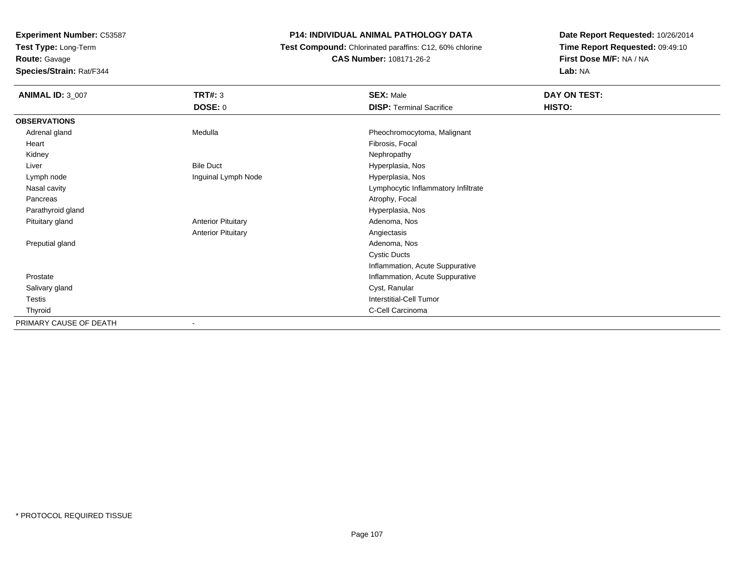**Test Type:** Long-Term

**Route:** Gavage

**Species/Strain:** Rat/F344

# **P14: INDIVIDUAL ANIMAL PATHOLOGY DATA**

 **Test Compound:** Chlorinated paraffins: C12, 60% chlorine**CAS Number:** 108171-26-2

| <b>ANIMAL ID: 3_007</b> | <b>TRT#: 3</b>            | <b>SEX: Male</b>                    | DAY ON TEST: |  |
|-------------------------|---------------------------|-------------------------------------|--------------|--|
|                         | <b>DOSE: 0</b>            | <b>DISP: Terminal Sacrifice</b>     | HISTO:       |  |
| <b>OBSERVATIONS</b>     |                           |                                     |              |  |
| Adrenal gland           | Medulla                   | Pheochromocytoma, Malignant         |              |  |
| Heart                   |                           | Fibrosis, Focal                     |              |  |
| Kidney                  |                           | Nephropathy                         |              |  |
| Liver                   | <b>Bile Duct</b>          | Hyperplasia, Nos                    |              |  |
| Lymph node              | Inguinal Lymph Node       | Hyperplasia, Nos                    |              |  |
| Nasal cavity            |                           | Lymphocytic Inflammatory Infiltrate |              |  |
| Pancreas                |                           | Atrophy, Focal                      |              |  |
| Parathyroid gland       |                           | Hyperplasia, Nos                    |              |  |
| Pituitary gland         | <b>Anterior Pituitary</b> | Adenoma, Nos                        |              |  |
|                         | <b>Anterior Pituitary</b> | Angiectasis                         |              |  |
| Preputial gland         |                           | Adenoma, Nos                        |              |  |
|                         |                           | <b>Cystic Ducts</b>                 |              |  |
|                         |                           | Inflammation, Acute Suppurative     |              |  |
| Prostate                |                           | Inflammation, Acute Suppurative     |              |  |
| Salivary gland          |                           | Cyst, Ranular                       |              |  |
| Testis                  |                           | <b>Interstitial-Cell Tumor</b>      |              |  |
| Thyroid                 |                           | C-Cell Carcinoma                    |              |  |
| PRIMARY CAUSE OF DEATH  |                           |                                     |              |  |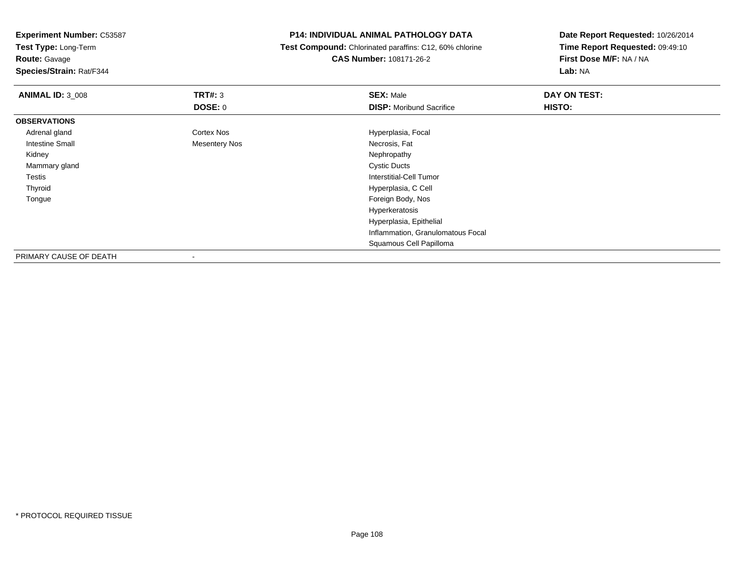**Test Type:** Long-Term

# **Route:** Gavage

**Species/Strain:** Rat/F344

#### **P14: INDIVIDUAL ANIMAL PATHOLOGY DATA**

 **Test Compound:** Chlorinated paraffins: C12, 60% chlorine**CAS Number:** 108171-26-2

| <b>ANIMAL ID: 3_008</b> | TRT#: 3              | <b>SEX: Male</b>                  | DAY ON TEST: |
|-------------------------|----------------------|-----------------------------------|--------------|
|                         | <b>DOSE: 0</b>       | <b>DISP:</b> Moribund Sacrifice   | HISTO:       |
| <b>OBSERVATIONS</b>     |                      |                                   |              |
| Adrenal gland           | <b>Cortex Nos</b>    | Hyperplasia, Focal                |              |
| <b>Intestine Small</b>  | <b>Mesentery Nos</b> | Necrosis, Fat                     |              |
| Kidney                  |                      | Nephropathy                       |              |
| Mammary gland           |                      | <b>Cystic Ducts</b>               |              |
| Testis                  |                      | Interstitial-Cell Tumor           |              |
| Thyroid                 |                      | Hyperplasia, C Cell               |              |
| Tongue                  |                      | Foreign Body, Nos                 |              |
|                         |                      | Hyperkeratosis                    |              |
|                         |                      | Hyperplasia, Epithelial           |              |
|                         |                      | Inflammation, Granulomatous Focal |              |
|                         |                      | Squamous Cell Papilloma           |              |
| PRIMARY CAUSE OF DEATH  |                      |                                   |              |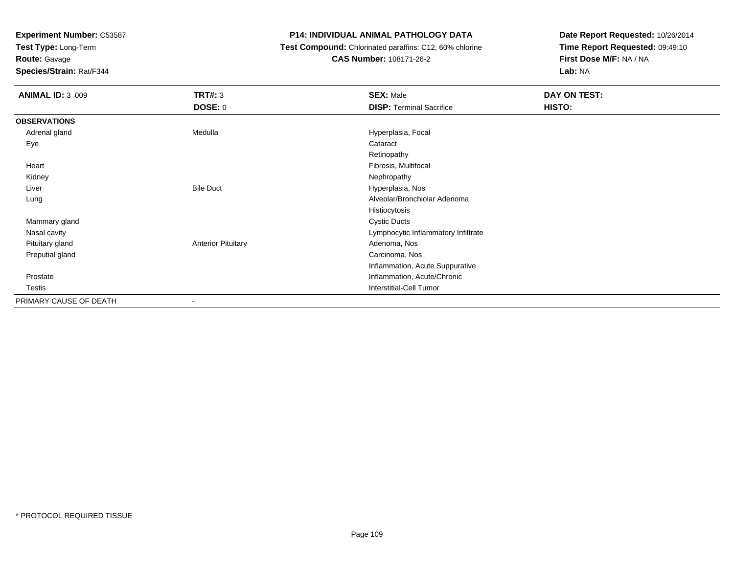**Test Type:** Long-Term

**Route:** Gavage

**Species/Strain:** Rat/F344

# **P14: INDIVIDUAL ANIMAL PATHOLOGY DATA**

 **Test Compound:** Chlorinated paraffins: C12, 60% chlorine**CAS Number:** 108171-26-2

| <b>ANIMAL ID: 3_009</b> | <b>TRT#: 3</b>            | <b>SEX: Male</b>                    | DAY ON TEST: |
|-------------------------|---------------------------|-------------------------------------|--------------|
|                         | <b>DOSE: 0</b>            | <b>DISP: Terminal Sacrifice</b>     | HISTO:       |
| <b>OBSERVATIONS</b>     |                           |                                     |              |
| Adrenal gland           | Medulla                   | Hyperplasia, Focal                  |              |
| Eye                     |                           | Cataract                            |              |
|                         |                           | Retinopathy                         |              |
| Heart                   |                           | Fibrosis, Multifocal                |              |
| Kidney                  |                           | Nephropathy                         |              |
| Liver                   | <b>Bile Duct</b>          | Hyperplasia, Nos                    |              |
| Lung                    |                           | Alveolar/Bronchiolar Adenoma        |              |
|                         |                           | Histiocytosis                       |              |
| Mammary gland           |                           | <b>Cystic Ducts</b>                 |              |
| Nasal cavity            |                           | Lymphocytic Inflammatory Infiltrate |              |
| Pituitary gland         | <b>Anterior Pituitary</b> | Adenoma, Nos                        |              |
| Preputial gland         |                           | Carcinoma, Nos                      |              |
|                         |                           | Inflammation, Acute Suppurative     |              |
| Prostate                |                           | Inflammation, Acute/Chronic         |              |
| Testis                  |                           | Interstitial-Cell Tumor             |              |
| PRIMARY CAUSE OF DEATH  |                           |                                     |              |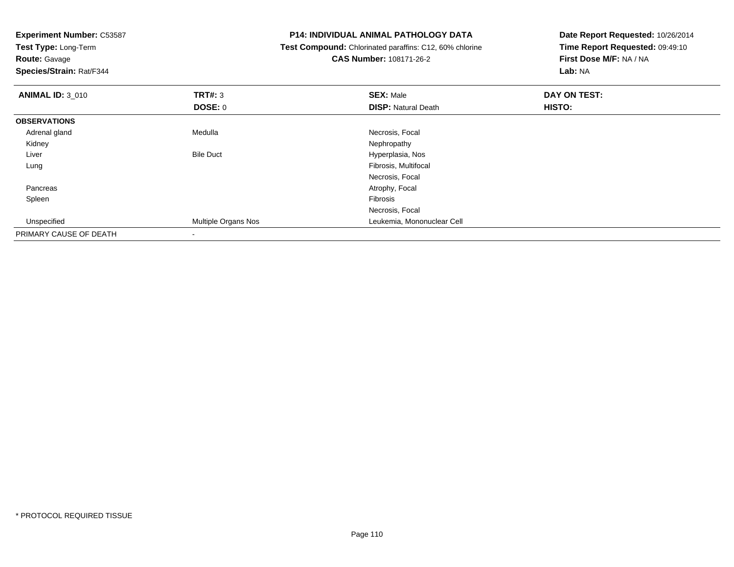| <b>Experiment Number: C53587</b><br>Test Type: Long-Term |                     | <b>P14: INDIVIDUAL ANIMAL PATHOLOGY DATA</b>                   | Date Report Requested: 10/26/2014 |
|----------------------------------------------------------|---------------------|----------------------------------------------------------------|-----------------------------------|
|                                                          |                     | <b>Test Compound:</b> Chlorinated paraffins: C12, 60% chlorine | Time Report Requested: 09:49:10   |
| <b>Route: Gavage</b>                                     |                     | <b>CAS Number: 108171-26-2</b>                                 | First Dose M/F: NA / NA           |
| <b>Species/Strain: Rat/F344</b>                          |                     |                                                                | Lab: NA                           |
| <b>ANIMAL ID: 3_010</b>                                  | <b>TRT#: 3</b>      | <b>SEX: Male</b>                                               | DAY ON TEST:                      |
|                                                          | <b>DOSE: 0</b>      | <b>DISP: Natural Death</b>                                     | <b>HISTO:</b>                     |
| <b>OBSERVATIONS</b>                                      |                     |                                                                |                                   |
| Adrenal gland                                            | Medulla             | Necrosis, Focal                                                |                                   |
| Kidney                                                   |                     | Nephropathy                                                    |                                   |
| Liver                                                    | <b>Bile Duct</b>    | Hyperplasia, Nos                                               |                                   |
| Lung                                                     |                     | Fibrosis, Multifocal                                           |                                   |
|                                                          |                     | Necrosis, Focal                                                |                                   |
| Pancreas                                                 |                     | Atrophy, Focal                                                 |                                   |
| Spleen                                                   |                     | Fibrosis                                                       |                                   |
|                                                          |                     | Necrosis, Focal                                                |                                   |
| Unspecified                                              | Multiple Organs Nos | Leukemia, Mononuclear Cell                                     |                                   |
| PRIMARY CAUSE OF DEATH                                   |                     |                                                                |                                   |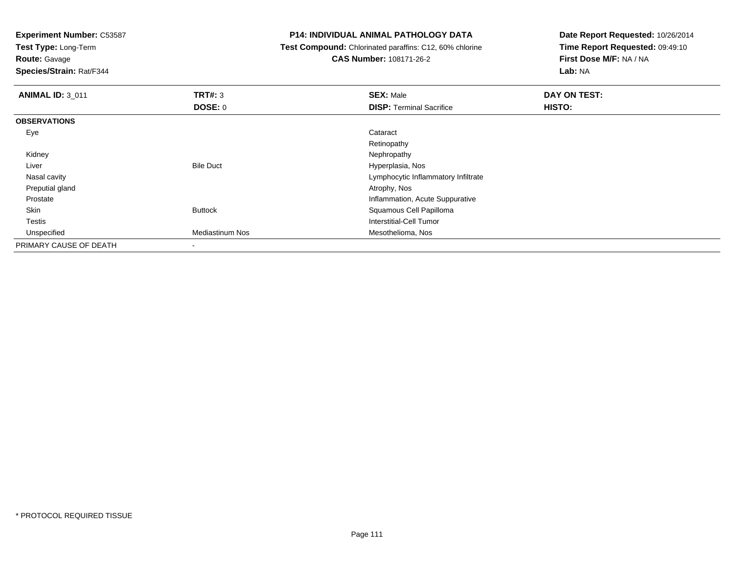**Test Type:** Long-Term

**Route:** Gavage

**Species/Strain:** Rat/F344

#### **P14: INDIVIDUAL ANIMAL PATHOLOGY DATA**

 **Test Compound:** Chlorinated paraffins: C12, 60% chlorine**CAS Number:** 108171-26-2

| <b>ANIMAL ID: 3 011</b> | <b>TRT#: 3</b>         | <b>SEX: Male</b>                    | DAY ON TEST: |  |
|-------------------------|------------------------|-------------------------------------|--------------|--|
|                         | <b>DOSE: 0</b>         | <b>DISP: Terminal Sacrifice</b>     | HISTO:       |  |
| <b>OBSERVATIONS</b>     |                        |                                     |              |  |
| Eye                     |                        | Cataract                            |              |  |
|                         |                        | Retinopathy                         |              |  |
| Kidney                  |                        | Nephropathy                         |              |  |
| Liver                   | <b>Bile Duct</b>       | Hyperplasia, Nos                    |              |  |
| Nasal cavity            |                        | Lymphocytic Inflammatory Infiltrate |              |  |
| Preputial gland         |                        | Atrophy, Nos                        |              |  |
| Prostate                |                        | Inflammation, Acute Suppurative     |              |  |
| Skin                    | <b>Buttock</b>         | Squamous Cell Papilloma             |              |  |
| <b>Testis</b>           |                        | Interstitial-Cell Tumor             |              |  |
| Unspecified             | <b>Mediastinum Nos</b> | Mesothelioma, Nos                   |              |  |
| PRIMARY CAUSE OF DEATH  |                        |                                     |              |  |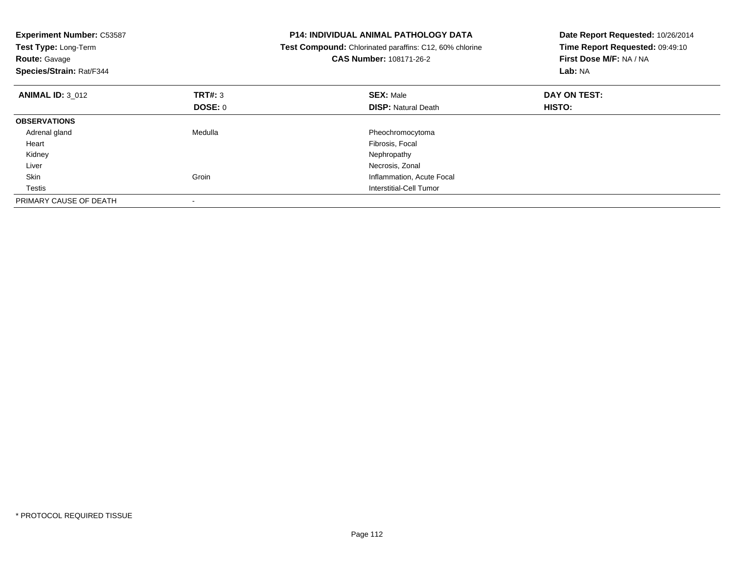| <b>Experiment Number: C53587</b><br>Test Type: Long-Term<br><b>Route: Gavage</b><br>Species/Strain: Rat/F344 |         | <b>P14: INDIVIDUAL ANIMAL PATHOLOGY DATA</b><br><b>Test Compound:</b> Chlorinated paraffins: C12, 60% chlorine<br><b>CAS Number: 108171-26-2</b> | Date Report Requested: 10/26/2014<br>Time Report Requested: 09:49:10<br>First Dose M/F: NA / NA<br>Lab: NA |
|--------------------------------------------------------------------------------------------------------------|---------|--------------------------------------------------------------------------------------------------------------------------------------------------|------------------------------------------------------------------------------------------------------------|
| <b>ANIMAL ID: 3 012</b>                                                                                      | TRT#: 3 | <b>SEX: Male</b>                                                                                                                                 | DAY ON TEST:                                                                                               |
|                                                                                                              | DOSE: 0 | <b>DISP:</b> Natural Death                                                                                                                       | <b>HISTO:</b>                                                                                              |
| <b>OBSERVATIONS</b>                                                                                          |         |                                                                                                                                                  |                                                                                                            |
| Adrenal gland                                                                                                | Medulla | Pheochromocytoma                                                                                                                                 |                                                                                                            |
| Heart                                                                                                        |         | Fibrosis, Focal                                                                                                                                  |                                                                                                            |
| Kidney                                                                                                       |         | Nephropathy                                                                                                                                      |                                                                                                            |
| Liver                                                                                                        |         | Necrosis, Zonal                                                                                                                                  |                                                                                                            |
| Skin                                                                                                         | Groin   | Inflammation, Acute Focal                                                                                                                        |                                                                                                            |
| Testis                                                                                                       |         | Interstitial-Cell Tumor                                                                                                                          |                                                                                                            |
| PRIMARY CAUSE OF DEATH                                                                                       |         |                                                                                                                                                  |                                                                                                            |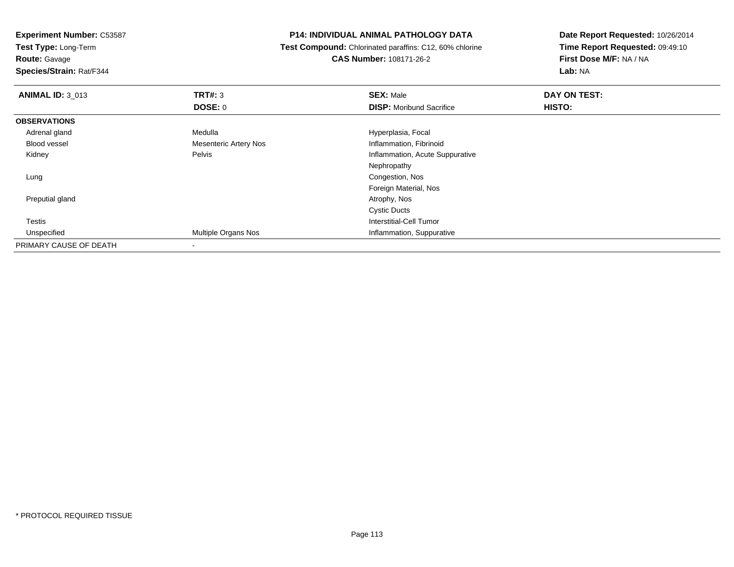**Test Type:** Long-Term

**Route:** Gavage

**Species/Strain:** Rat/F344

#### **P14: INDIVIDUAL ANIMAL PATHOLOGY DATA**

 **Test Compound:** Chlorinated paraffins: C12, 60% chlorine**CAS Number:** 108171-26-2

| <b>ANIMAL ID: 3_013</b> | TRT#: 3                      | <b>SEX: Male</b>                | DAY ON TEST: |  |
|-------------------------|------------------------------|---------------------------------|--------------|--|
|                         | <b>DOSE: 0</b>               | <b>DISP:</b> Moribund Sacrifice | HISTO:       |  |
| <b>OBSERVATIONS</b>     |                              |                                 |              |  |
| Adrenal gland           | Medulla                      | Hyperplasia, Focal              |              |  |
| <b>Blood vessel</b>     | <b>Mesenteric Artery Nos</b> | Inflammation, Fibrinoid         |              |  |
| Kidney                  | Pelvis                       | Inflammation, Acute Suppurative |              |  |
|                         |                              | Nephropathy                     |              |  |
| Lung                    |                              | Congestion, Nos                 |              |  |
|                         |                              | Foreign Material, Nos           |              |  |
| Preputial gland         |                              | Atrophy, Nos                    |              |  |
|                         |                              | <b>Cystic Ducts</b>             |              |  |
| <b>Testis</b>           |                              | Interstitial-Cell Tumor         |              |  |
| Unspecified             | Multiple Organs Nos          | Inflammation, Suppurative       |              |  |
| PRIMARY CAUSE OF DEATH  |                              |                                 |              |  |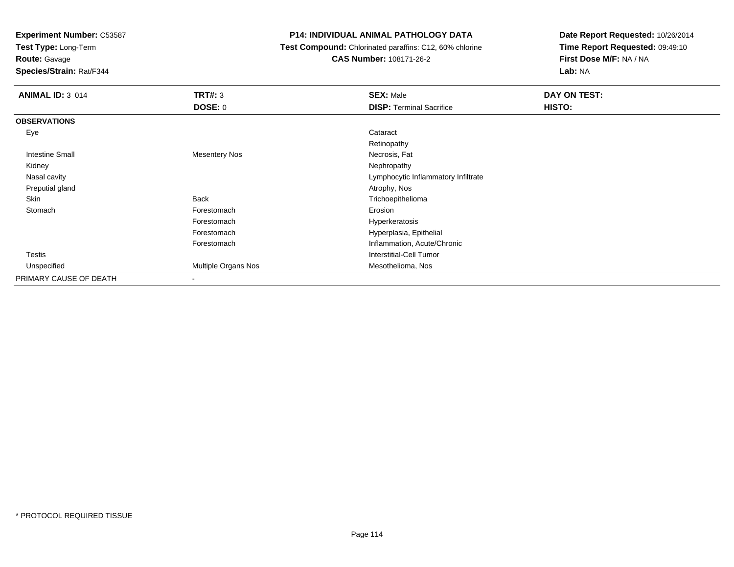**Test Type:** Long-Term

**Route:** Gavage

**Species/Strain:** Rat/F344

# **P14: INDIVIDUAL ANIMAL PATHOLOGY DATA**

 **Test Compound:** Chlorinated paraffins: C12, 60% chlorine**CAS Number:** 108171-26-2

| <b>ANIMAL ID: 3_014</b> | <b>TRT#: 3</b><br><b>DOSE: 0</b> | <b>SEX: Male</b><br><b>DISP: Terminal Sacrifice</b> | DAY ON TEST:<br>HISTO: |
|-------------------------|----------------------------------|-----------------------------------------------------|------------------------|
|                         |                                  |                                                     |                        |
| <b>OBSERVATIONS</b>     |                                  |                                                     |                        |
| Eye                     |                                  | Cataract                                            |                        |
|                         |                                  | Retinopathy                                         |                        |
| <b>Intestine Small</b>  | <b>Mesentery Nos</b>             | Necrosis, Fat                                       |                        |
| Kidney                  |                                  | Nephropathy                                         |                        |
| Nasal cavity            |                                  | Lymphocytic Inflammatory Infiltrate                 |                        |
| Preputial gland         |                                  | Atrophy, Nos                                        |                        |
| Skin                    | <b>Back</b>                      | Trichoepithelioma                                   |                        |
| Stomach                 | Forestomach                      | Erosion                                             |                        |
|                         | Forestomach                      | Hyperkeratosis                                      |                        |
|                         | Forestomach                      | Hyperplasia, Epithelial                             |                        |
|                         | Forestomach                      | Inflammation, Acute/Chronic                         |                        |
| <b>Testis</b>           |                                  | Interstitial-Cell Tumor                             |                        |
| Unspecified             | Multiple Organs Nos              | Mesothelioma, Nos                                   |                        |
| PRIMARY CAUSE OF DEATH  | $\blacksquare$                   |                                                     |                        |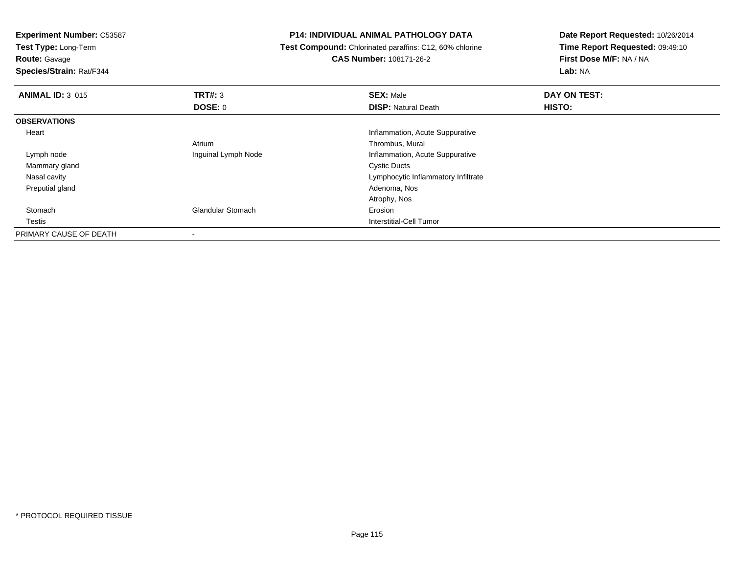**Test Type:** Long-Term

**Route:** Gavage

**Species/Strain:** Rat/F344

# **P14: INDIVIDUAL ANIMAL PATHOLOGY DATA**

**Test Compound:** Chlorinated paraffins: C12, 60% chlorine

**CAS Number:** 108171-26-2

| <b>ANIMAL ID: 3 015</b> | TRT#: 3                  | <b>SEX: Male</b>                    | DAY ON TEST: |  |
|-------------------------|--------------------------|-------------------------------------|--------------|--|
|                         | <b>DOSE: 0</b>           | <b>DISP: Natural Death</b>          | HISTO:       |  |
| <b>OBSERVATIONS</b>     |                          |                                     |              |  |
| Heart                   |                          | Inflammation, Acute Suppurative     |              |  |
|                         | Atrium                   | Thrombus, Mural                     |              |  |
| Lymph node              | Inguinal Lymph Node      | Inflammation, Acute Suppurative     |              |  |
| Mammary gland           |                          | <b>Cystic Ducts</b>                 |              |  |
| Nasal cavity            |                          | Lymphocytic Inflammatory Infiltrate |              |  |
| Preputial gland         |                          | Adenoma, Nos                        |              |  |
|                         |                          | Atrophy, Nos                        |              |  |
| Stomach                 | <b>Glandular Stomach</b> | Erosion                             |              |  |
| Testis                  |                          | Interstitial-Cell Tumor             |              |  |
| PRIMARY CAUSE OF DEATH  |                          |                                     |              |  |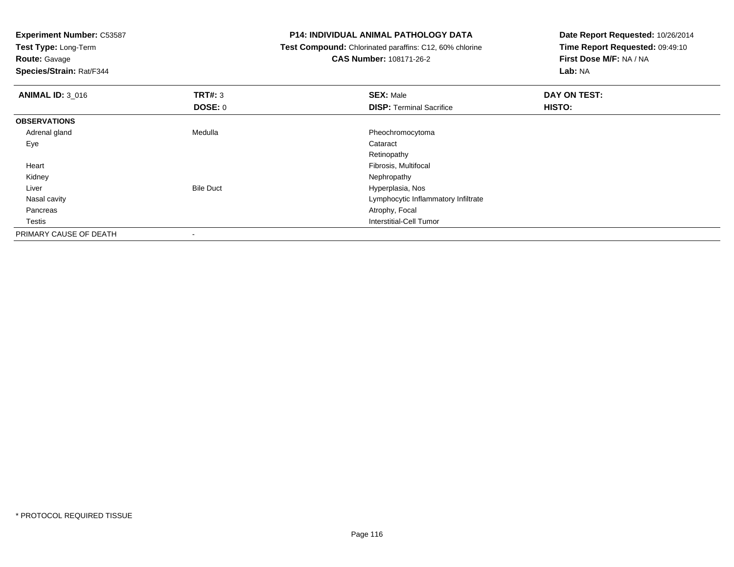**Experiment Number:** C53587**Test Type:** Long-Term**Route:** Gavage **Species/Strain:** Rat/F344**P14: INDIVIDUAL ANIMAL PATHOLOGY DATA Test Compound:** Chlorinated paraffins: C12, 60% chlorine**CAS Number:** 108171-26-2**Date Report Requested:** 10/26/2014**Time Report Requested:** 09:49:10**First Dose M/F:** NA / NA**Lab:** NA**ANIMAL ID:** 3\_016 **TRT#:** <sup>3</sup> **SEX:** Male **DAY ON TEST: DOSE:** 0**DISP:** Terminal Sacrifice **HISTO: OBSERVATIONS** Adrenal glandMedulla Pheochromocytoma<br>
Pheochromocytoma<br>
Cataract Eyee de la constitución de la constitución de la constitución de la constitución de la constitución de la constitución<br>En el constitución de la constitución de la constitución de la constitución de la constitución de la const Retinopathy Fibrosis, Multifocal Heart Kidneyy the control of the control of the control of the control of the control of the control of the control of the control of the control of the control of the control of the control of the control of the control of the contro LiverBile Duct **Hyperplasia**, Nos y contract the contract of the contract of the contract of the contract of the contract of the contract of the contract of the contract of the contract of the contract of the contract of the contract of the contract of the Nasal cavity Pancreas Atrophy, Focal Testis Interstitial-Cell Tumor PRIMARY CAUSE OF DEATH-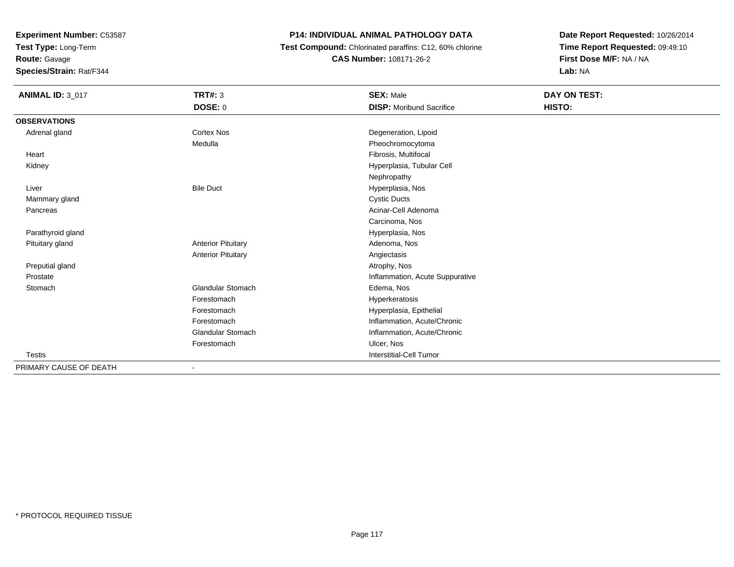**Test Type:** Long-Term

**Route:** Gavage

**Species/Strain:** Rat/F344

# **P14: INDIVIDUAL ANIMAL PATHOLOGY DATA**

 **Test Compound:** Chlorinated paraffins: C12, 60% chlorine**CAS Number:** 108171-26-2

| <b>ANIMAL ID: 3_017</b> | <b>TRT#: 3</b>            | <b>SEX: Male</b>                | DAY ON TEST: |  |
|-------------------------|---------------------------|---------------------------------|--------------|--|
|                         | <b>DOSE: 0</b>            | <b>DISP:</b> Moribund Sacrifice | HISTO:       |  |
| <b>OBSERVATIONS</b>     |                           |                                 |              |  |
| Adrenal gland           | <b>Cortex Nos</b>         | Degeneration, Lipoid            |              |  |
|                         | Medulla                   | Pheochromocytoma                |              |  |
| Heart                   |                           | Fibrosis, Multifocal            |              |  |
| Kidney                  |                           | Hyperplasia, Tubular Cell       |              |  |
|                         |                           | Nephropathy                     |              |  |
| Liver                   | <b>Bile Duct</b>          | Hyperplasia, Nos                |              |  |
| Mammary gland           |                           | <b>Cystic Ducts</b>             |              |  |
| Pancreas                |                           | Acinar-Cell Adenoma             |              |  |
|                         |                           | Carcinoma, Nos                  |              |  |
| Parathyroid gland       |                           | Hyperplasia, Nos                |              |  |
| Pituitary gland         | <b>Anterior Pituitary</b> | Adenoma, Nos                    |              |  |
|                         | <b>Anterior Pituitary</b> | Angiectasis                     |              |  |
| Preputial gland         |                           | Atrophy, Nos                    |              |  |
| Prostate                |                           | Inflammation, Acute Suppurative |              |  |
| Stomach                 | <b>Glandular Stomach</b>  | Edema, Nos                      |              |  |
|                         | Forestomach               | Hyperkeratosis                  |              |  |
|                         | Forestomach               | Hyperplasia, Epithelial         |              |  |
|                         | Forestomach               | Inflammation, Acute/Chronic     |              |  |
|                         | <b>Glandular Stomach</b>  | Inflammation, Acute/Chronic     |              |  |
|                         | Forestomach               | Ulcer, Nos                      |              |  |
| <b>Testis</b>           |                           | <b>Interstitial-Cell Tumor</b>  |              |  |
| PRIMARY CAUSE OF DEATH  | $\overline{\phantom{a}}$  |                                 |              |  |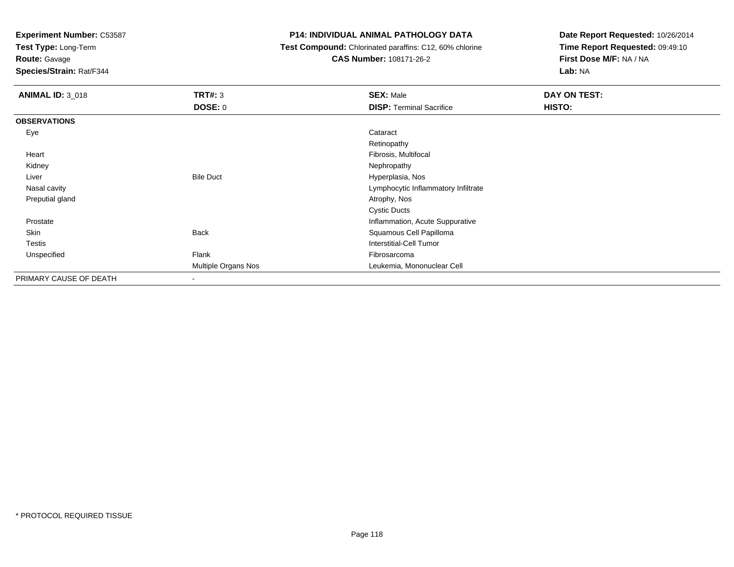**Test Type:** Long-Term

**Route:** Gavage

**Species/Strain:** Rat/F344

# **P14: INDIVIDUAL ANIMAL PATHOLOGY DATA**

 **Test Compound:** Chlorinated paraffins: C12, 60% chlorine**CAS Number:** 108171-26-2

| <b>ANIMAL ID: 3_018</b> | TRT#: 3<br><b>DOSE: 0</b> | <b>SEX: Male</b><br><b>DISP: Terminal Sacrifice</b> | DAY ON TEST:<br>HISTO: |
|-------------------------|---------------------------|-----------------------------------------------------|------------------------|
|                         |                           |                                                     |                        |
| <b>OBSERVATIONS</b>     |                           |                                                     |                        |
| Eye                     |                           | Cataract                                            |                        |
|                         |                           | Retinopathy                                         |                        |
| Heart                   |                           | Fibrosis, Multifocal                                |                        |
| Kidney                  |                           | Nephropathy                                         |                        |
| Liver                   | <b>Bile Duct</b>          | Hyperplasia, Nos                                    |                        |
| Nasal cavity            |                           | Lymphocytic Inflammatory Infiltrate                 |                        |
| Preputial gland         |                           | Atrophy, Nos                                        |                        |
|                         |                           | <b>Cystic Ducts</b>                                 |                        |
| Prostate                |                           | Inflammation, Acute Suppurative                     |                        |
| Skin                    | <b>Back</b>               | Squamous Cell Papilloma                             |                        |
| Testis                  |                           | Interstitial-Cell Tumor                             |                        |
| Unspecified             | Flank                     | Fibrosarcoma                                        |                        |
|                         | Multiple Organs Nos       | Leukemia, Mononuclear Cell                          |                        |
| PRIMARY CAUSE OF DEATH  |                           |                                                     |                        |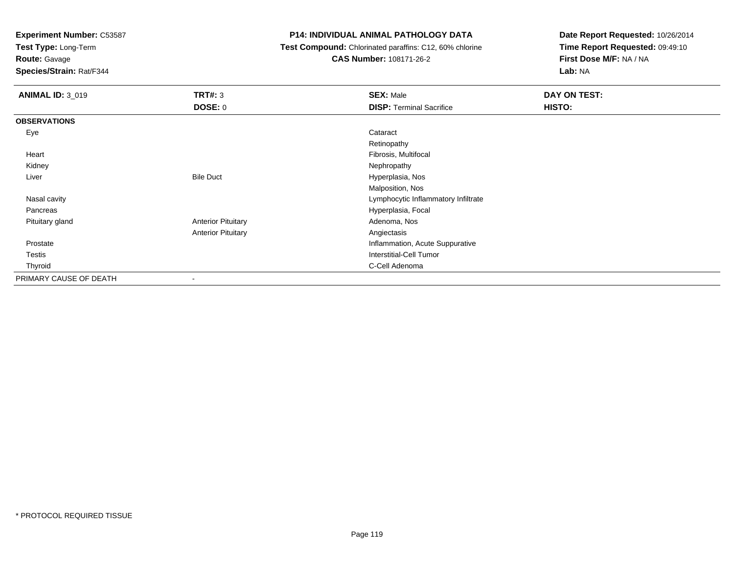**Test Type:** Long-Term

**Route:** Gavage

**Species/Strain:** Rat/F344

# **P14: INDIVIDUAL ANIMAL PATHOLOGY DATA**

 **Test Compound:** Chlorinated paraffins: C12, 60% chlorine**CAS Number:** 108171-26-2

| <b>ANIMAL ID: 3_019</b> | TRT#: 3                   | <b>SEX: Male</b>                    | DAY ON TEST: |
|-------------------------|---------------------------|-------------------------------------|--------------|
|                         | <b>DOSE: 0</b>            | <b>DISP: Terminal Sacrifice</b>     | HISTO:       |
| <b>OBSERVATIONS</b>     |                           |                                     |              |
| Eye                     |                           | Cataract                            |              |
|                         |                           | Retinopathy                         |              |
| Heart                   |                           | Fibrosis, Multifocal                |              |
| Kidney                  |                           | Nephropathy                         |              |
| Liver                   | <b>Bile Duct</b>          | Hyperplasia, Nos                    |              |
|                         |                           | Malposition, Nos                    |              |
| Nasal cavity            |                           | Lymphocytic Inflammatory Infiltrate |              |
| Pancreas                |                           | Hyperplasia, Focal                  |              |
| Pituitary gland         | <b>Anterior Pituitary</b> | Adenoma, Nos                        |              |
|                         | <b>Anterior Pituitary</b> | Angiectasis                         |              |
| Prostate                |                           | Inflammation, Acute Suppurative     |              |
| <b>Testis</b>           |                           | <b>Interstitial-Cell Tumor</b>      |              |
| Thyroid                 |                           | C-Cell Adenoma                      |              |
| PRIMARY CAUSE OF DEATH  |                           |                                     |              |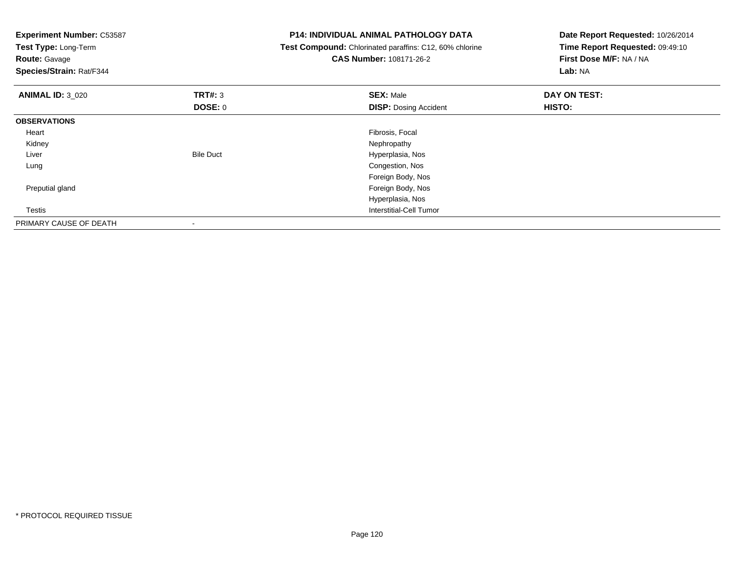| <b>Experiment Number: C53587</b><br>Test Type: Long-Term<br><b>Route: Gavage</b><br>Species/Strain: Rat/F344 |                  | <b>P14: INDIVIDUAL ANIMAL PATHOLOGY DATA</b><br>Test Compound: Chlorinated paraffins: C12, 60% chlorine<br><b>CAS Number: 108171-26-2</b> | Date Report Requested: 10/26/2014<br>Time Report Requested: 09:49:10<br>First Dose M/F: NA / NA<br>Lab: NA |
|--------------------------------------------------------------------------------------------------------------|------------------|-------------------------------------------------------------------------------------------------------------------------------------------|------------------------------------------------------------------------------------------------------------|
| <b>ANIMAL ID: 3 020</b>                                                                                      | <b>TRT#: 3</b>   | <b>SEX: Male</b>                                                                                                                          | DAY ON TEST:                                                                                               |
|                                                                                                              | DOSE: 0          | <b>DISP: Dosing Accident</b>                                                                                                              | <b>HISTO:</b>                                                                                              |
| <b>OBSERVATIONS</b>                                                                                          |                  |                                                                                                                                           |                                                                                                            |
| Heart                                                                                                        |                  | Fibrosis, Focal                                                                                                                           |                                                                                                            |
| Kidney                                                                                                       |                  | Nephropathy                                                                                                                               |                                                                                                            |
| Liver                                                                                                        | <b>Bile Duct</b> | Hyperplasia, Nos                                                                                                                          |                                                                                                            |
| Lung                                                                                                         |                  | Congestion, Nos                                                                                                                           |                                                                                                            |
|                                                                                                              |                  | Foreign Body, Nos                                                                                                                         |                                                                                                            |
| Preputial gland                                                                                              |                  | Foreign Body, Nos                                                                                                                         |                                                                                                            |
|                                                                                                              |                  | Hyperplasia, Nos                                                                                                                          |                                                                                                            |
| Testis                                                                                                       |                  | <b>Interstitial-Cell Tumor</b>                                                                                                            |                                                                                                            |
| PRIMARY CAUSE OF DEATH                                                                                       |                  |                                                                                                                                           |                                                                                                            |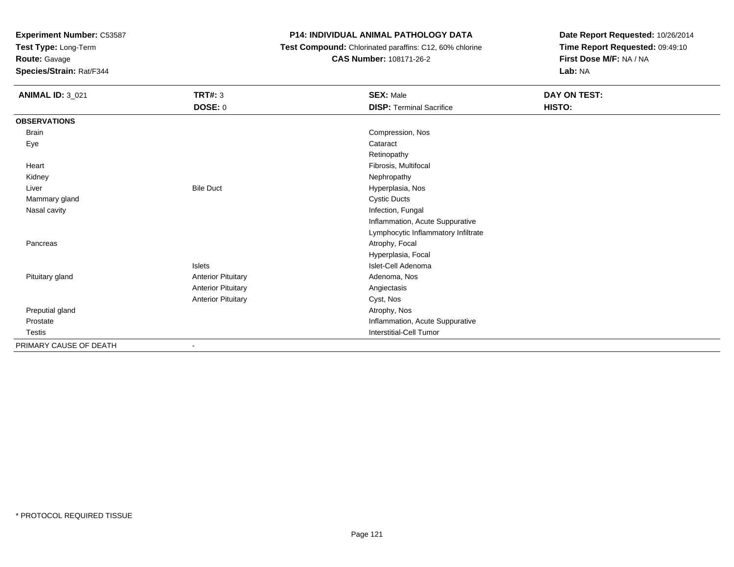**Test Type:** Long-Term

**Route:** Gavage

**Species/Strain:** Rat/F344

# **P14: INDIVIDUAL ANIMAL PATHOLOGY DATA**

 **Test Compound:** Chlorinated paraffins: C12, 60% chlorine**CAS Number:** 108171-26-2

| <b>ANIMAL ID: 3_021</b> | <b>TRT#: 3</b>            | <b>SEX: Male</b>                    | DAY ON TEST: |
|-------------------------|---------------------------|-------------------------------------|--------------|
|                         | DOSE: 0                   | <b>DISP: Terminal Sacrifice</b>     | HISTO:       |
| <b>OBSERVATIONS</b>     |                           |                                     |              |
| Brain                   |                           | Compression, Nos                    |              |
| Eye                     |                           | Cataract                            |              |
|                         |                           | Retinopathy                         |              |
| Heart                   |                           | Fibrosis, Multifocal                |              |
| Kidney                  |                           | Nephropathy                         |              |
| Liver                   | <b>Bile Duct</b>          | Hyperplasia, Nos                    |              |
| Mammary gland           |                           | <b>Cystic Ducts</b>                 |              |
| Nasal cavity            |                           | Infection, Fungal                   |              |
|                         |                           | Inflammation, Acute Suppurative     |              |
|                         |                           | Lymphocytic Inflammatory Infiltrate |              |
| Pancreas                |                           | Atrophy, Focal                      |              |
|                         |                           | Hyperplasia, Focal                  |              |
|                         | Islets                    | Islet-Cell Adenoma                  |              |
| Pituitary gland         | <b>Anterior Pituitary</b> | Adenoma, Nos                        |              |
|                         | <b>Anterior Pituitary</b> | Angiectasis                         |              |
|                         | <b>Anterior Pituitary</b> | Cyst, Nos                           |              |
| Preputial gland         |                           | Atrophy, Nos                        |              |
| Prostate                |                           | Inflammation, Acute Suppurative     |              |
| Testis                  |                           | Interstitial-Cell Tumor             |              |
| PRIMARY CAUSE OF DEATH  | ٠                         |                                     |              |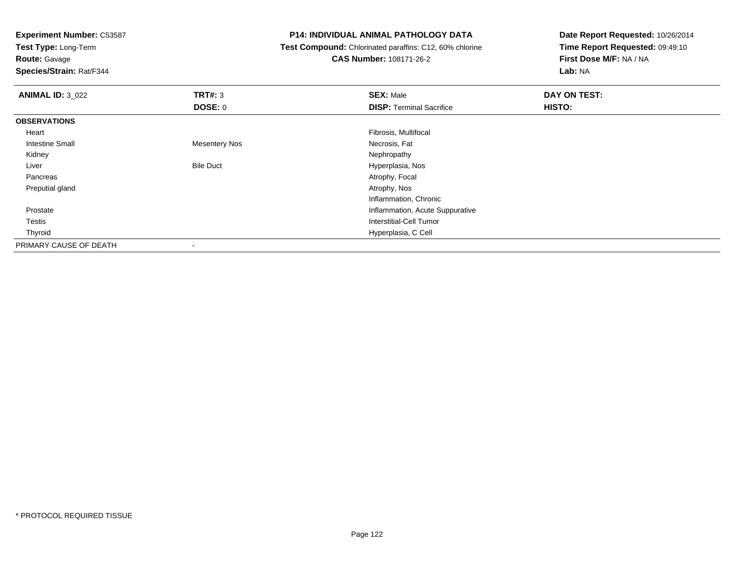**Test Type:** Long-Term

**Route:** Gavage

**Species/Strain:** Rat/F344

#### **P14: INDIVIDUAL ANIMAL PATHOLOGY DATA**

 **Test Compound:** Chlorinated paraffins: C12, 60% chlorine**CAS Number:** 108171-26-2

| <b>ANIMAL ID: 3_022</b> | TRT#: 3                  | <b>SEX: Male</b>                | DAY ON TEST: |  |
|-------------------------|--------------------------|---------------------------------|--------------|--|
|                         | <b>DOSE: 0</b>           | <b>DISP: Terminal Sacrifice</b> | HISTO:       |  |
| <b>OBSERVATIONS</b>     |                          |                                 |              |  |
| Heart                   |                          | Fibrosis, Multifocal            |              |  |
| <b>Intestine Small</b>  | <b>Mesentery Nos</b>     | Necrosis, Fat                   |              |  |
| Kidney                  |                          | Nephropathy                     |              |  |
| Liver                   | <b>Bile Duct</b>         | Hyperplasia, Nos                |              |  |
| Pancreas                |                          | Atrophy, Focal                  |              |  |
| Preputial gland         |                          | Atrophy, Nos                    |              |  |
|                         |                          | Inflammation, Chronic           |              |  |
| Prostate                |                          | Inflammation, Acute Suppurative |              |  |
| Testis                  |                          | <b>Interstitial-Cell Tumor</b>  |              |  |
| Thyroid                 |                          | Hyperplasia, C Cell             |              |  |
| PRIMARY CAUSE OF DEATH  | $\overline{\phantom{a}}$ |                                 |              |  |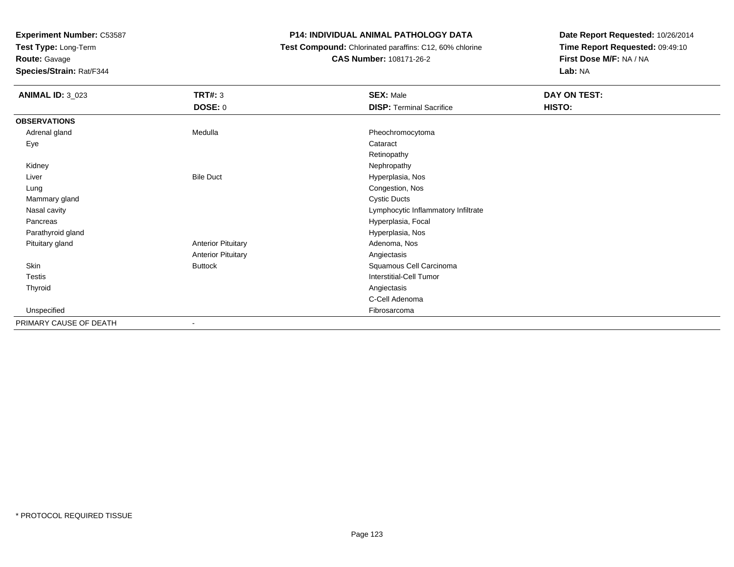**Test Type:** Long-Term

**Route:** Gavage

**Species/Strain:** Rat/F344

# **P14: INDIVIDUAL ANIMAL PATHOLOGY DATA**

 **Test Compound:** Chlorinated paraffins: C12, 60% chlorine**CAS Number:** 108171-26-2

| <b>ANIMAL ID: 3_023</b> | <b>TRT#: 3</b>            | <b>SEX: Male</b>                    | DAY ON TEST: |
|-------------------------|---------------------------|-------------------------------------|--------------|
|                         | DOSE: 0                   | <b>DISP: Terminal Sacrifice</b>     | HISTO:       |
| <b>OBSERVATIONS</b>     |                           |                                     |              |
| Adrenal gland           | Medulla                   | Pheochromocytoma                    |              |
| Eye                     |                           | Cataract                            |              |
|                         |                           | Retinopathy                         |              |
| Kidney                  |                           | Nephropathy                         |              |
| Liver                   | <b>Bile Duct</b>          | Hyperplasia, Nos                    |              |
| Lung                    |                           | Congestion, Nos                     |              |
| Mammary gland           |                           | <b>Cystic Ducts</b>                 |              |
| Nasal cavity            |                           | Lymphocytic Inflammatory Infiltrate |              |
| Pancreas                |                           | Hyperplasia, Focal                  |              |
| Parathyroid gland       |                           | Hyperplasia, Nos                    |              |
| Pituitary gland         | <b>Anterior Pituitary</b> | Adenoma, Nos                        |              |
|                         | <b>Anterior Pituitary</b> | Angiectasis                         |              |
| Skin                    | <b>Buttock</b>            | Squamous Cell Carcinoma             |              |
| Testis                  |                           | <b>Interstitial-Cell Tumor</b>      |              |
| Thyroid                 |                           | Angiectasis                         |              |
|                         |                           | C-Cell Adenoma                      |              |
| Unspecified             |                           | Fibrosarcoma                        |              |
| PRIMARY CAUSE OF DEATH  | $\sim$                    |                                     |              |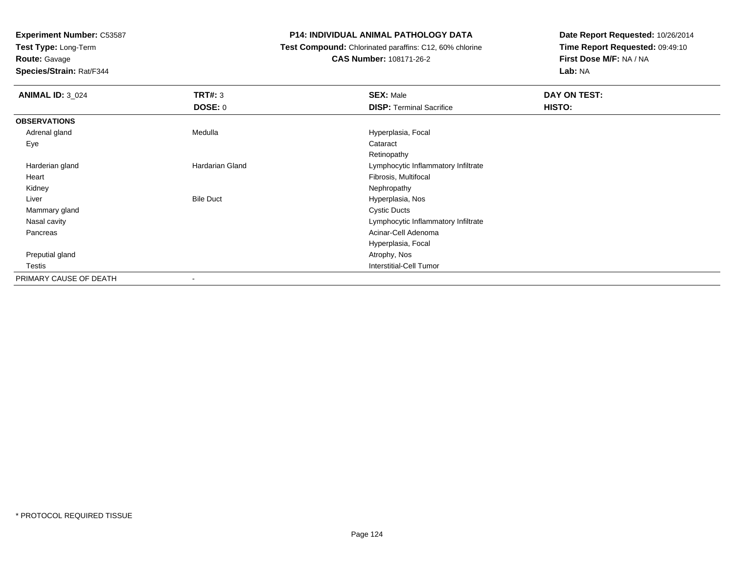**Test Type:** Long-Term

**Route:** Gavage

**Species/Strain:** Rat/F344

# **P14: INDIVIDUAL ANIMAL PATHOLOGY DATA**

 **Test Compound:** Chlorinated paraffins: C12, 60% chlorine**CAS Number:** 108171-26-2

| <b>ANIMAL ID: 3 024</b> | TRT#: 3<br><b>DOSE: 0</b> | <b>SEX: Male</b><br><b>DISP: Terminal Sacrifice</b> | DAY ON TEST:<br>HISTO: |
|-------------------------|---------------------------|-----------------------------------------------------|------------------------|
|                         |                           |                                                     |                        |
| <b>OBSERVATIONS</b>     |                           |                                                     |                        |
| Adrenal gland           | Medulla                   | Hyperplasia, Focal                                  |                        |
| Eye                     |                           | Cataract                                            |                        |
|                         |                           | Retinopathy                                         |                        |
| Harderian gland         | Hardarian Gland           | Lymphocytic Inflammatory Infiltrate                 |                        |
| Heart                   |                           | Fibrosis, Multifocal                                |                        |
| Kidney                  |                           | Nephropathy                                         |                        |
| Liver                   | <b>Bile Duct</b>          | Hyperplasia, Nos                                    |                        |
| Mammary gland           |                           | <b>Cystic Ducts</b>                                 |                        |
| Nasal cavity            |                           | Lymphocytic Inflammatory Infiltrate                 |                        |
| Pancreas                |                           | Acinar-Cell Adenoma                                 |                        |
|                         |                           | Hyperplasia, Focal                                  |                        |
| Preputial gland         |                           | Atrophy, Nos                                        |                        |
| Testis                  |                           | <b>Interstitial-Cell Tumor</b>                      |                        |
| PRIMARY CAUSE OF DEATH  |                           |                                                     |                        |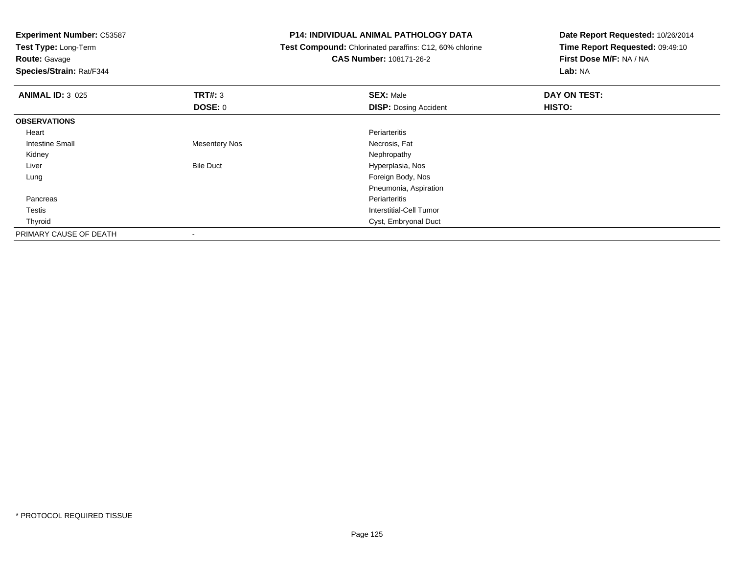**Experiment Number:** C53587**Test Type:** Long-Term**Route:** Gavage **Species/Strain:** Rat/F344**P14: INDIVIDUAL ANIMAL PATHOLOGY DATA Test Compound:** Chlorinated paraffins: C12, 60% chlorine**CAS Number:** 108171-26-2**Date Report Requested:** 10/26/2014**Time Report Requested:** 09:49:10**First Dose M/F:** NA / NA**Lab:** NA**ANIMAL ID:** 3\_025 **TRT#:** <sup>3</sup> **SEX:** Male **DAY ON TEST: DOSE:** 0**DISP:** Dosing Accident **HISTO: OBSERVATIONS** Heartt de la component de la component de la component de la component de la component de la component de la compon s **Necrosis, Fat**  Intestine Small Mesentery Nos Kidneyy the control of the control of the control of the control of the control of the control of the control of the control of the control of the control of the control of the control of the control of the control of the contro LiverBile Duct **Hyperplasia**, Nos Foreign Body, Nos LungPneumonia, Aspiration Pancreass and the contract of the contract of the contract of the contract of the contract of the contract of the contract of the contract of the contract of the contract of the contract of the contract of the contract of the cont Testis Interstitial-Cell Tumor Thyroid Cyst, Embryonal Duct PRIMARY CAUSE OF DEATH-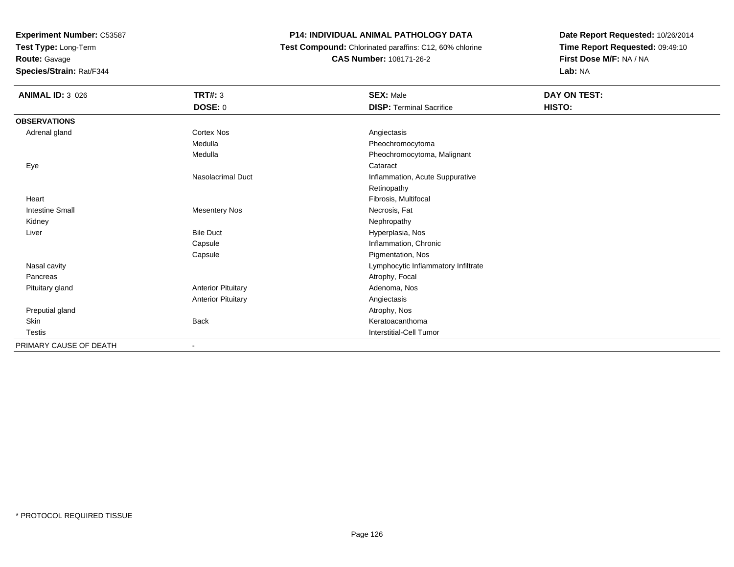**Test Type:** Long-Term

**Route:** Gavage

**Species/Strain:** Rat/F344

# **P14: INDIVIDUAL ANIMAL PATHOLOGY DATA**

 **Test Compound:** Chlorinated paraffins: C12, 60% chlorine**CAS Number:** 108171-26-2

| <b>ANIMAL ID: 3_026</b> | <b>TRT#: 3</b>            | <b>SEX: Male</b>                    | DAY ON TEST: |  |
|-------------------------|---------------------------|-------------------------------------|--------------|--|
|                         | <b>DOSE: 0</b>            | <b>DISP: Terminal Sacrifice</b>     | HISTO:       |  |
| <b>OBSERVATIONS</b>     |                           |                                     |              |  |
| Adrenal gland           | <b>Cortex Nos</b>         | Angiectasis                         |              |  |
|                         | Medulla                   | Pheochromocytoma                    |              |  |
|                         | Medulla                   | Pheochromocytoma, Malignant         |              |  |
| Eye                     |                           | Cataract                            |              |  |
|                         | <b>Nasolacrimal Duct</b>  | Inflammation, Acute Suppurative     |              |  |
|                         |                           | Retinopathy                         |              |  |
| Heart                   |                           | Fibrosis, Multifocal                |              |  |
| <b>Intestine Small</b>  | <b>Mesentery Nos</b>      | Necrosis, Fat                       |              |  |
| Kidney                  |                           | Nephropathy                         |              |  |
| Liver                   | <b>Bile Duct</b>          | Hyperplasia, Nos                    |              |  |
|                         | Capsule                   | Inflammation, Chronic               |              |  |
|                         | Capsule                   | Pigmentation, Nos                   |              |  |
| Nasal cavity            |                           | Lymphocytic Inflammatory Infiltrate |              |  |
| Pancreas                |                           | Atrophy, Focal                      |              |  |
| Pituitary gland         | <b>Anterior Pituitary</b> | Adenoma, Nos                        |              |  |
|                         | <b>Anterior Pituitary</b> | Angiectasis                         |              |  |
| Preputial gland         |                           | Atrophy, Nos                        |              |  |
| Skin                    | <b>Back</b>               | Keratoacanthoma                     |              |  |
| <b>Testis</b>           |                           | <b>Interstitial-Cell Tumor</b>      |              |  |
| PRIMARY CAUSE OF DEATH  |                           |                                     |              |  |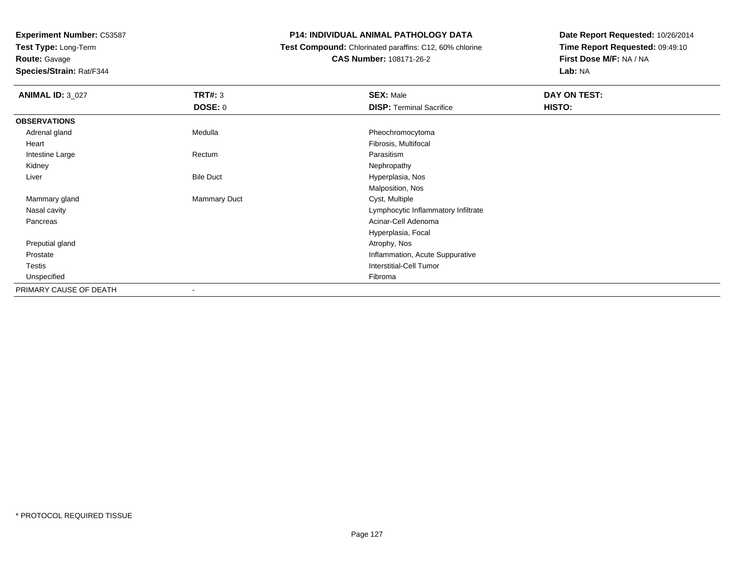**Test Type:** Long-Term

# **Route:** Gavage

**Species/Strain:** Rat/F344

# **P14: INDIVIDUAL ANIMAL PATHOLOGY DATA**

 **Test Compound:** Chlorinated paraffins: C12, 60% chlorine**CAS Number:** 108171-26-2

| <b>ANIMAL ID: 3_027</b> | <b>TRT#: 3</b>           | <b>SEX: Male</b>                    | DAY ON TEST: |  |
|-------------------------|--------------------------|-------------------------------------|--------------|--|
|                         | <b>DOSE: 0</b>           | <b>DISP: Terminal Sacrifice</b>     | HISTO:       |  |
| <b>OBSERVATIONS</b>     |                          |                                     |              |  |
| Adrenal gland           | Medulla                  | Pheochromocytoma                    |              |  |
| Heart                   |                          | Fibrosis, Multifocal                |              |  |
| Intestine Large         | Rectum                   | Parasitism                          |              |  |
| Kidney                  |                          | Nephropathy                         |              |  |
| Liver                   | <b>Bile Duct</b>         | Hyperplasia, Nos                    |              |  |
|                         |                          | Malposition, Nos                    |              |  |
| Mammary gland           | <b>Mammary Duct</b>      | Cyst, Multiple                      |              |  |
| Nasal cavity            |                          | Lymphocytic Inflammatory Infiltrate |              |  |
| Pancreas                |                          | Acinar-Cell Adenoma                 |              |  |
|                         |                          | Hyperplasia, Focal                  |              |  |
| Preputial gland         |                          | Atrophy, Nos                        |              |  |
| Prostate                |                          | Inflammation, Acute Suppurative     |              |  |
| Testis                  |                          | <b>Interstitial-Cell Tumor</b>      |              |  |
| Unspecified             |                          | Fibroma                             |              |  |
| PRIMARY CAUSE OF DEATH  | $\overline{\phantom{a}}$ |                                     |              |  |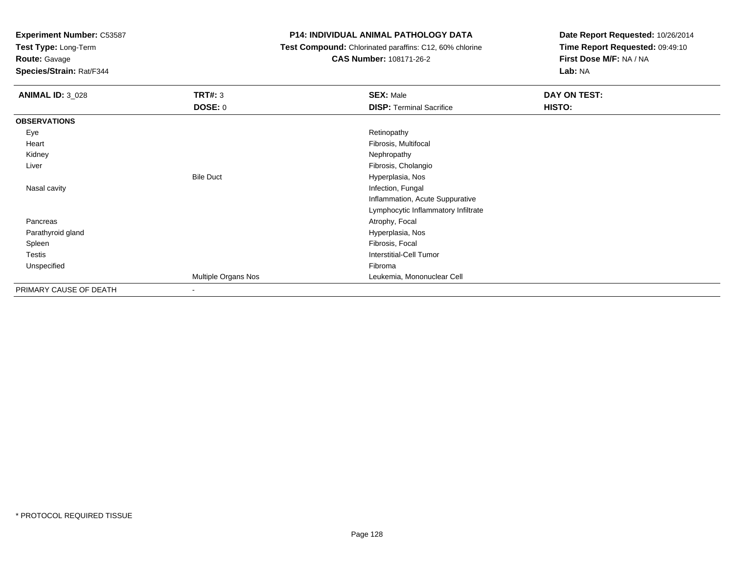**Test Type:** Long-Term

**Route:** Gavage

**Species/Strain:** Rat/F344

# **P14: INDIVIDUAL ANIMAL PATHOLOGY DATA**

 **Test Compound:** Chlorinated paraffins: C12, 60% chlorine**CAS Number:** 108171-26-2

| <b>ANIMAL ID: 3_028</b> | TRT#: 3             | <b>SEX: Male</b>                    | DAY ON TEST: |
|-------------------------|---------------------|-------------------------------------|--------------|
|                         | <b>DOSE: 0</b>      | <b>DISP: Terminal Sacrifice</b>     | HISTO:       |
| <b>OBSERVATIONS</b>     |                     |                                     |              |
| Eye                     |                     | Retinopathy                         |              |
| Heart                   |                     | Fibrosis, Multifocal                |              |
| Kidney                  |                     | Nephropathy                         |              |
| Liver                   |                     | Fibrosis, Cholangio                 |              |
|                         | <b>Bile Duct</b>    | Hyperplasia, Nos                    |              |
| Nasal cavity            |                     | Infection, Fungal                   |              |
|                         |                     | Inflammation, Acute Suppurative     |              |
|                         |                     | Lymphocytic Inflammatory Infiltrate |              |
| Pancreas                |                     | Atrophy, Focal                      |              |
| Parathyroid gland       |                     | Hyperplasia, Nos                    |              |
| Spleen                  |                     | Fibrosis, Focal                     |              |
| <b>Testis</b>           |                     | <b>Interstitial-Cell Tumor</b>      |              |
| Unspecified             |                     | Fibroma                             |              |
|                         | Multiple Organs Nos | Leukemia, Mononuclear Cell          |              |
| PRIMARY CAUSE OF DEATH  | ٠                   |                                     |              |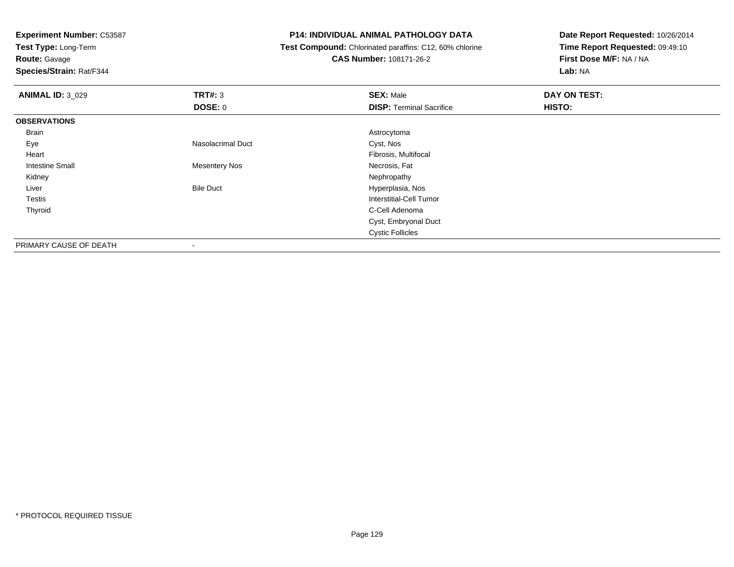**Test Type:** Long-Term

**Route:** Gavage

**Species/Strain:** Rat/F344

#### **P14: INDIVIDUAL ANIMAL PATHOLOGY DATA**

 **Test Compound:** Chlorinated paraffins: C12, 60% chlorine**CAS Number:** 108171-26-2

| <b>ANIMAL ID: 3_029</b> | <b>TRT#: 3</b>           | <b>SEX: Male</b>                | DAY ON TEST: |
|-------------------------|--------------------------|---------------------------------|--------------|
|                         | <b>DOSE: 0</b>           | <b>DISP: Terminal Sacrifice</b> | HISTO:       |
| <b>OBSERVATIONS</b>     |                          |                                 |              |
| <b>Brain</b>            |                          | Astrocytoma                     |              |
| Eye                     | <b>Nasolacrimal Duct</b> | Cyst, Nos                       |              |
| Heart                   |                          | Fibrosis, Multifocal            |              |
| <b>Intestine Small</b>  | <b>Mesentery Nos</b>     | Necrosis, Fat                   |              |
| Kidney                  |                          | Nephropathy                     |              |
| Liver                   | <b>Bile Duct</b>         | Hyperplasia, Nos                |              |
| Testis                  |                          | Interstitial-Cell Tumor         |              |
| Thyroid                 |                          | C-Cell Adenoma                  |              |
|                         |                          | Cyst, Embryonal Duct            |              |
|                         |                          | <b>Cystic Follicles</b>         |              |
| PRIMARY CAUSE OF DEATH  | ٠                        |                                 |              |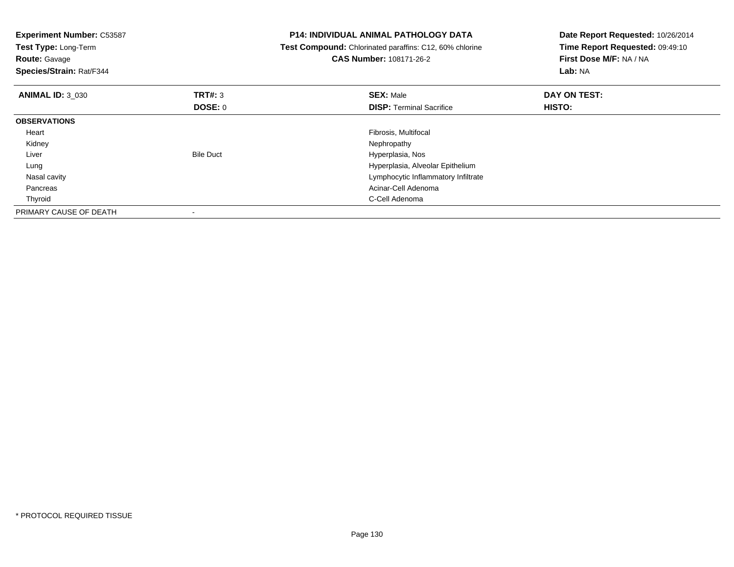| <b>Experiment Number: C53587</b><br>Test Type: Long-Term<br><b>Route: Gavage</b><br>Species/Strain: Rat/F344 |                          | <b>P14: INDIVIDUAL ANIMAL PATHOLOGY DATA</b><br>Test Compound: Chlorinated paraffins: C12, 60% chlorine<br><b>CAS Number: 108171-26-2</b> | Date Report Requested: 10/26/2014<br>Time Report Requested: 09:49:10<br>First Dose M/F: NA / NA<br>Lab: NA |
|--------------------------------------------------------------------------------------------------------------|--------------------------|-------------------------------------------------------------------------------------------------------------------------------------------|------------------------------------------------------------------------------------------------------------|
| <b>ANIMAL ID: 3 030</b>                                                                                      | TRT#: 3                  | <b>SEX: Male</b>                                                                                                                          | DAY ON TEST:                                                                                               |
|                                                                                                              | DOSE: 0                  | <b>DISP:</b> Terminal Sacrifice                                                                                                           | HISTO:                                                                                                     |
| <b>OBSERVATIONS</b>                                                                                          |                          |                                                                                                                                           |                                                                                                            |
| Heart                                                                                                        |                          | Fibrosis, Multifocal                                                                                                                      |                                                                                                            |
| Kidney                                                                                                       |                          | Nephropathy                                                                                                                               |                                                                                                            |
| Liver                                                                                                        | <b>Bile Duct</b>         | Hyperplasia, Nos                                                                                                                          |                                                                                                            |
| Lung                                                                                                         |                          | Hyperplasia, Alveolar Epithelium                                                                                                          |                                                                                                            |
| Nasal cavity                                                                                                 |                          | Lymphocytic Inflammatory Infiltrate                                                                                                       |                                                                                                            |
| Pancreas                                                                                                     |                          | Acinar-Cell Adenoma                                                                                                                       |                                                                                                            |
| Thyroid                                                                                                      |                          | C-Cell Adenoma                                                                                                                            |                                                                                                            |
| PRIMARY CAUSE OF DEATH                                                                                       | $\overline{\phantom{a}}$ |                                                                                                                                           |                                                                                                            |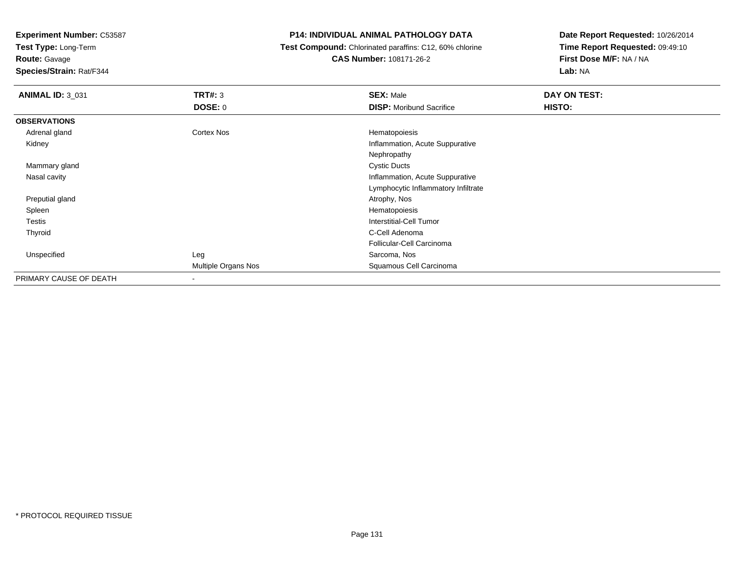**Test Type:** Long-Term

**Route:** Gavage

**Species/Strain:** Rat/F344

# **P14: INDIVIDUAL ANIMAL PATHOLOGY DATA**

 **Test Compound:** Chlorinated paraffins: C12, 60% chlorine**CAS Number:** 108171-26-2

| <b>ANIMAL ID: 3_031</b> | TRT#: 3<br><b>DOSE: 0</b> | <b>SEX: Male</b><br><b>DISP:</b> Moribund Sacrifice | DAY ON TEST:<br>HISTO: |  |
|-------------------------|---------------------------|-----------------------------------------------------|------------------------|--|
| <b>OBSERVATIONS</b>     |                           |                                                     |                        |  |
| Adrenal gland           | Cortex Nos                | Hematopoiesis                                       |                        |  |
| Kidney                  |                           | Inflammation, Acute Suppurative                     |                        |  |
|                         |                           |                                                     |                        |  |
|                         |                           | Nephropathy                                         |                        |  |
| Mammary gland           |                           | <b>Cystic Ducts</b>                                 |                        |  |
| Nasal cavity            |                           | Inflammation, Acute Suppurative                     |                        |  |
|                         |                           | Lymphocytic Inflammatory Infiltrate                 |                        |  |
| Preputial gland         |                           | Atrophy, Nos                                        |                        |  |
| Spleen                  |                           | Hematopoiesis                                       |                        |  |
| Testis                  |                           | <b>Interstitial-Cell Tumor</b>                      |                        |  |
| Thyroid                 |                           | C-Cell Adenoma                                      |                        |  |
|                         |                           | Follicular-Cell Carcinoma                           |                        |  |
| Unspecified             | Leg                       | Sarcoma, Nos                                        |                        |  |
|                         | Multiple Organs Nos       | Squamous Cell Carcinoma                             |                        |  |
| PRIMARY CAUSE OF DEATH  | -                         |                                                     |                        |  |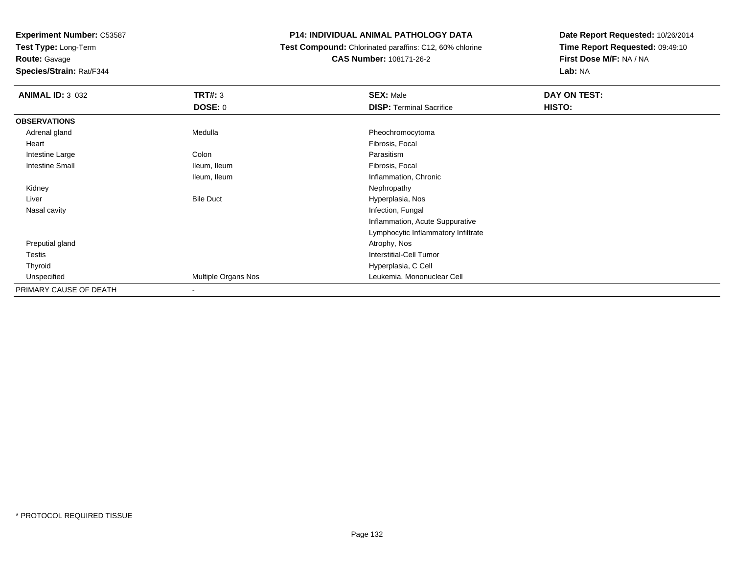**Test Type:** Long-Term

**Route:** Gavage

**Species/Strain:** Rat/F344

# **P14: INDIVIDUAL ANIMAL PATHOLOGY DATA**

 **Test Compound:** Chlorinated paraffins: C12, 60% chlorine**CAS Number:** 108171-26-2

| <b>ANIMAL ID: 3_032</b> | <b>TRT#: 3</b>           | <b>SEX: Male</b>                    | DAY ON TEST: |  |
|-------------------------|--------------------------|-------------------------------------|--------------|--|
|                         | <b>DOSE: 0</b>           | <b>DISP: Terminal Sacrifice</b>     | HISTO:       |  |
| <b>OBSERVATIONS</b>     |                          |                                     |              |  |
| Adrenal gland           | Medulla                  | Pheochromocytoma                    |              |  |
| Heart                   |                          | Fibrosis, Focal                     |              |  |
| Intestine Large         | Colon                    | Parasitism                          |              |  |
| <b>Intestine Small</b>  | Ileum, Ileum             | Fibrosis, Focal                     |              |  |
|                         | Ileum, Ileum             | Inflammation, Chronic               |              |  |
| Kidney                  |                          | Nephropathy                         |              |  |
| Liver                   | <b>Bile Duct</b>         | Hyperplasia, Nos                    |              |  |
| Nasal cavity            |                          | Infection, Fungal                   |              |  |
|                         |                          | Inflammation, Acute Suppurative     |              |  |
|                         |                          | Lymphocytic Inflammatory Infiltrate |              |  |
| Preputial gland         |                          | Atrophy, Nos                        |              |  |
| Testis                  |                          | <b>Interstitial-Cell Tumor</b>      |              |  |
| Thyroid                 |                          | Hyperplasia, C Cell                 |              |  |
| Unspecified             | Multiple Organs Nos      | Leukemia, Mononuclear Cell          |              |  |
| PRIMARY CAUSE OF DEATH  | $\overline{\phantom{a}}$ |                                     |              |  |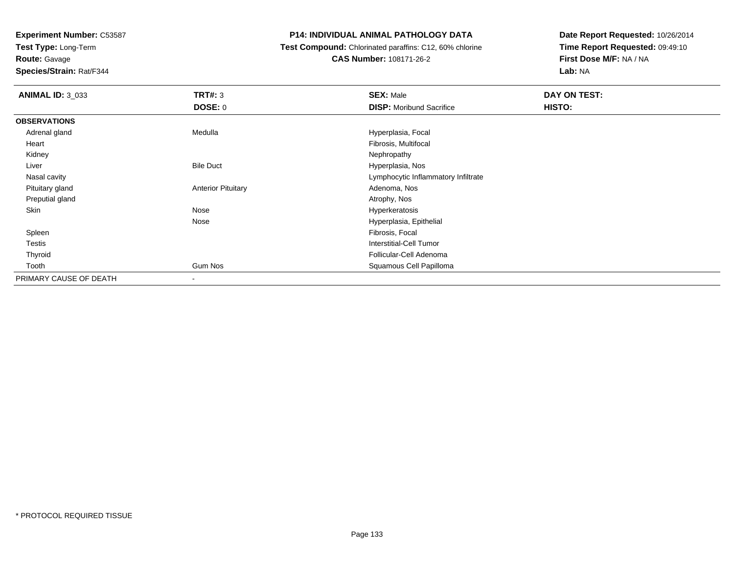**Test Type:** Long-Term

# **Route:** Gavage

**Species/Strain:** Rat/F344

# **P14: INDIVIDUAL ANIMAL PATHOLOGY DATA**

 **Test Compound:** Chlorinated paraffins: C12, 60% chlorine**CAS Number:** 108171-26-2

| <b>ANIMAL ID: 3_033</b> | TRT#: 3                   | <b>SEX: Male</b>                    | DAY ON TEST: |
|-------------------------|---------------------------|-------------------------------------|--------------|
|                         | <b>DOSE: 0</b>            | <b>DISP:</b> Moribund Sacrifice     | HISTO:       |
| <b>OBSERVATIONS</b>     |                           |                                     |              |
| Adrenal gland           | Medulla                   | Hyperplasia, Focal                  |              |
| Heart                   |                           | Fibrosis, Multifocal                |              |
| Kidney                  |                           | Nephropathy                         |              |
| Liver                   | <b>Bile Duct</b>          | Hyperplasia, Nos                    |              |
| Nasal cavity            |                           | Lymphocytic Inflammatory Infiltrate |              |
| Pituitary gland         | <b>Anterior Pituitary</b> | Adenoma, Nos                        |              |
| Preputial gland         |                           | Atrophy, Nos                        |              |
| Skin                    | Nose                      | Hyperkeratosis                      |              |
|                         | Nose                      | Hyperplasia, Epithelial             |              |
| Spleen                  |                           | Fibrosis, Focal                     |              |
| Testis                  |                           | Interstitial-Cell Tumor             |              |
| Thyroid                 |                           | Follicular-Cell Adenoma             |              |
| Tooth                   | Gum Nos                   | Squamous Cell Papilloma             |              |
| PRIMARY CAUSE OF DEATH  |                           |                                     |              |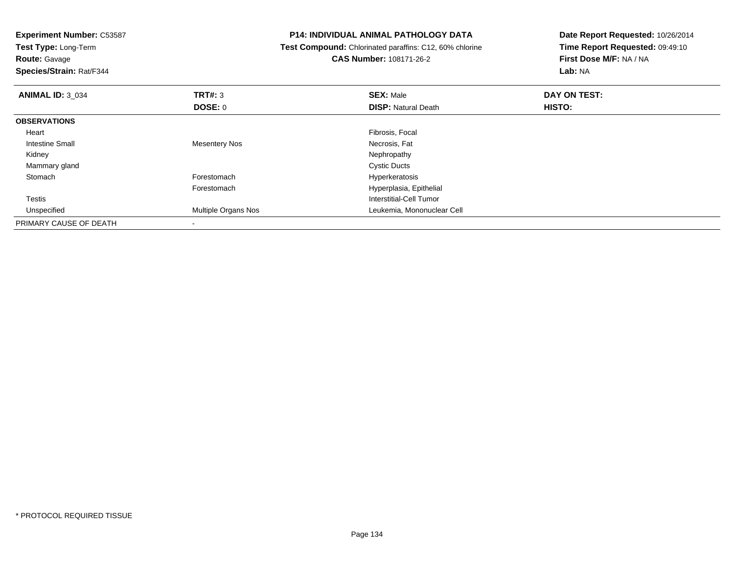**Experiment Number:** C53587**Test Type:** Long-Term**Route:** Gavage **Species/Strain:** Rat/F344**P14: INDIVIDUAL ANIMAL PATHOLOGY DATA Test Compound:** Chlorinated paraffins: C12, 60% chlorine**CAS Number:** 108171-26-2**Date Report Requested:** 10/26/2014**Time Report Requested:** 09:49:10**First Dose M/F:** NA / NA**Lab:** NA**ANIMAL ID:** 3\_034 **TRT#:** <sup>3</sup> **SEX:** Male **DAY ON TEST: DOSE:** 0**DISP:** Natural Death **HISTO: OBSERVATIONS** Heart Fibrosis, Focal Intestine Small Mesentery NosNecrosis, Fat<br>Nephropathy Kidneyy the control of the control of the control of the control of the control of the control of the control of the control of the control of the control of the control of the control of the control of the control of the contro Mammary glandd Cystic Ducts StomachForestomach **Hyperkeratosis** Forestomach Hyperplasia, Epithelial Testis Interstitial-Cell Tumor Unspecified Multiple Organs Nos Leukemia, Mononuclear Cell PRIMARY CAUSE OF DEATH-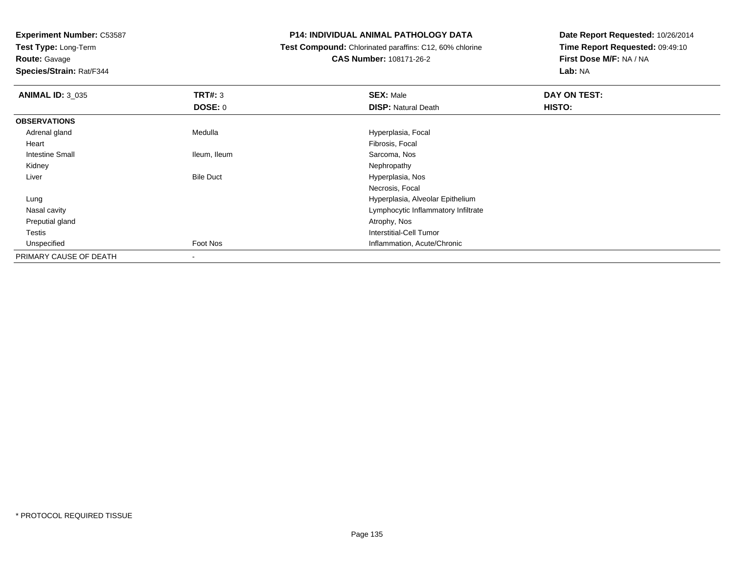**Test Type:** Long-Term

# **Route:** Gavage

**Species/Strain:** Rat/F344

# **P14: INDIVIDUAL ANIMAL PATHOLOGY DATA**

# **Test Compound:** Chlorinated paraffins: C12, 60% chlorine**CAS Number:** 108171-26-2

| <b>ANIMAL ID: 3_035</b> | TRT#: 3          | <b>SEX: Male</b>                    | DAY ON TEST: |
|-------------------------|------------------|-------------------------------------|--------------|
|                         | <b>DOSE: 0</b>   | <b>DISP: Natural Death</b>          | HISTO:       |
| <b>OBSERVATIONS</b>     |                  |                                     |              |
| Adrenal gland           | Medulla          | Hyperplasia, Focal                  |              |
| Heart                   |                  | Fibrosis, Focal                     |              |
| <b>Intestine Small</b>  | Ileum, Ileum     | Sarcoma, Nos                        |              |
| Kidney                  |                  | Nephropathy                         |              |
| Liver                   | <b>Bile Duct</b> | Hyperplasia, Nos                    |              |
|                         |                  | Necrosis, Focal                     |              |
| Lung                    |                  | Hyperplasia, Alveolar Epithelium    |              |
| Nasal cavity            |                  | Lymphocytic Inflammatory Infiltrate |              |
| Preputial gland         |                  | Atrophy, Nos                        |              |
| <b>Testis</b>           |                  | Interstitial-Cell Tumor             |              |
| Unspecified             | Foot Nos         | Inflammation, Acute/Chronic         |              |
| PRIMARY CAUSE OF DEATH  |                  |                                     |              |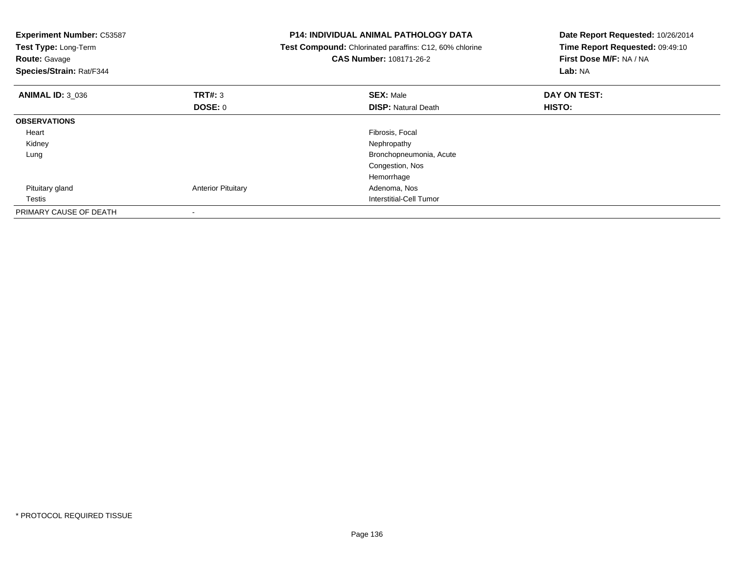| <b>Experiment Number: C53587</b><br><b>Test Type: Long-Term</b><br><b>Route: Gavage</b><br>Species/Strain: Rat/F344 |                           | <b>P14: INDIVIDUAL ANIMAL PATHOLOGY DATA</b><br>Test Compound: Chlorinated paraffins: C12, 60% chlorine<br>CAS Number: 108171-26-2 | Date Report Requested: 10/26/2014<br>Time Report Requested: 09:49:10<br>First Dose M/F: NA / NA<br>Lab: NA |  |
|---------------------------------------------------------------------------------------------------------------------|---------------------------|------------------------------------------------------------------------------------------------------------------------------------|------------------------------------------------------------------------------------------------------------|--|
| <b>ANIMAL ID: 3 036</b>                                                                                             | TRT#: 3<br>DOSE: 0        | <b>SEX: Male</b><br><b>DISP: Natural Death</b>                                                                                     | DAY ON TEST:<br><b>HISTO:</b>                                                                              |  |
| <b>OBSERVATIONS</b>                                                                                                 |                           |                                                                                                                                    |                                                                                                            |  |
| Heart                                                                                                               |                           | Fibrosis, Focal                                                                                                                    |                                                                                                            |  |
| Kidney                                                                                                              |                           | Nephropathy                                                                                                                        |                                                                                                            |  |
| Lung                                                                                                                |                           | Bronchopneumonia, Acute                                                                                                            |                                                                                                            |  |
|                                                                                                                     |                           | Congestion, Nos                                                                                                                    |                                                                                                            |  |
|                                                                                                                     |                           | Hemorrhage                                                                                                                         |                                                                                                            |  |
| Pituitary gland                                                                                                     | <b>Anterior Pituitary</b> | Adenoma, Nos                                                                                                                       |                                                                                                            |  |
| Testis                                                                                                              |                           | <b>Interstitial-Cell Tumor</b>                                                                                                     |                                                                                                            |  |
| PRIMARY CAUSE OF DEATH                                                                                              | $\overline{\phantom{a}}$  |                                                                                                                                    |                                                                                                            |  |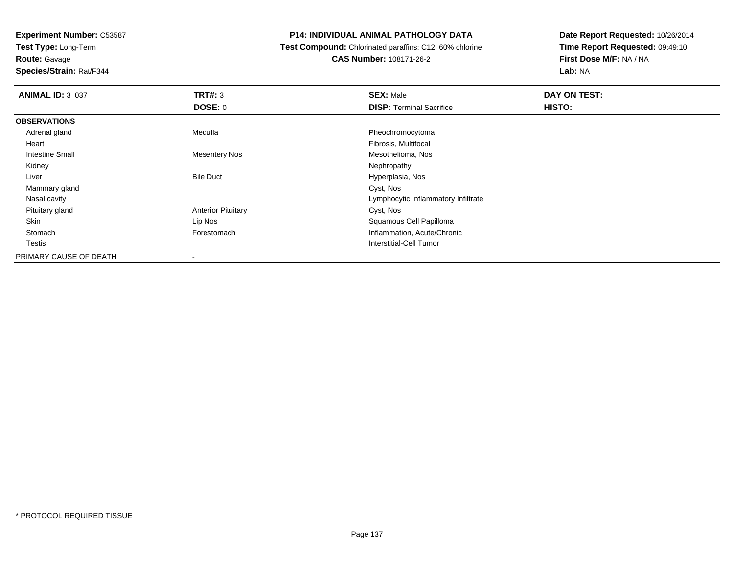**Test Type:** Long-Term

**Route:** Gavage

**Species/Strain:** Rat/F344

# **P14: INDIVIDUAL ANIMAL PATHOLOGY DATA**

 **Test Compound:** Chlorinated paraffins: C12, 60% chlorine**CAS Number:** 108171-26-2

| <b>ANIMAL ID: 3_037</b> | TRT#: 3                   | <b>SEX: Male</b>                    | DAY ON TEST: |  |
|-------------------------|---------------------------|-------------------------------------|--------------|--|
|                         | <b>DOSE: 0</b>            | <b>DISP: Terminal Sacrifice</b>     | HISTO:       |  |
| <b>OBSERVATIONS</b>     |                           |                                     |              |  |
| Adrenal gland           | Medulla                   | Pheochromocytoma                    |              |  |
| Heart                   |                           | Fibrosis, Multifocal                |              |  |
| <b>Intestine Small</b>  | <b>Mesentery Nos</b>      | Mesothelioma, Nos                   |              |  |
| Kidney                  |                           | Nephropathy                         |              |  |
| Liver                   | <b>Bile Duct</b>          | Hyperplasia, Nos                    |              |  |
| Mammary gland           |                           | Cyst, Nos                           |              |  |
| Nasal cavity            |                           | Lymphocytic Inflammatory Infiltrate |              |  |
| Pituitary gland         | <b>Anterior Pituitary</b> | Cyst, Nos                           |              |  |
| Skin                    | Lip Nos                   | Squamous Cell Papilloma             |              |  |
| Stomach                 | Forestomach               | Inflammation, Acute/Chronic         |              |  |
| Testis                  |                           | Interstitial-Cell Tumor             |              |  |
| PRIMARY CAUSE OF DEATH  | $\,$                      |                                     |              |  |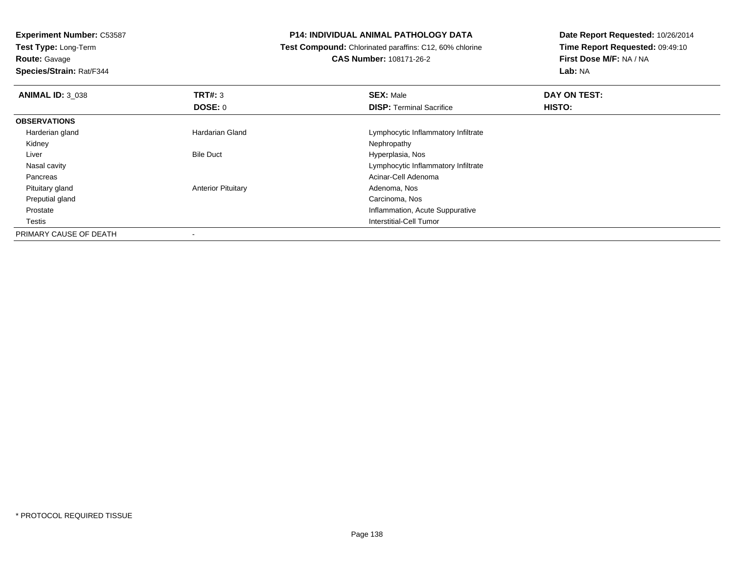**Test Type:** Long-Term

**Route:** Gavage

**Species/Strain:** Rat/F344

#### **P14: INDIVIDUAL ANIMAL PATHOLOGY DATA**

 **Test Compound:** Chlorinated paraffins: C12, 60% chlorine**CAS Number:** 108171-26-2

| <b>ANIMAL ID: 3 038</b> | TRT#: 3                   | <b>SEX: Male</b>                    | DAY ON TEST: |  |
|-------------------------|---------------------------|-------------------------------------|--------------|--|
|                         | <b>DOSE: 0</b>            | <b>DISP: Terminal Sacrifice</b>     | HISTO:       |  |
| <b>OBSERVATIONS</b>     |                           |                                     |              |  |
| Harderian gland         | Hardarian Gland           | Lymphocytic Inflammatory Infiltrate |              |  |
| Kidney                  |                           | Nephropathy                         |              |  |
| Liver                   | <b>Bile Duct</b>          | Hyperplasia, Nos                    |              |  |
| Nasal cavity            |                           | Lymphocytic Inflammatory Infiltrate |              |  |
| Pancreas                |                           | Acinar-Cell Adenoma                 |              |  |
| Pituitary gland         | <b>Anterior Pituitary</b> | Adenoma, Nos                        |              |  |
| Preputial gland         |                           | Carcinoma, Nos                      |              |  |
| Prostate                |                           | Inflammation, Acute Suppurative     |              |  |
| Testis                  |                           | Interstitial-Cell Tumor             |              |  |
| PRIMARY CAUSE OF DEATH  |                           |                                     |              |  |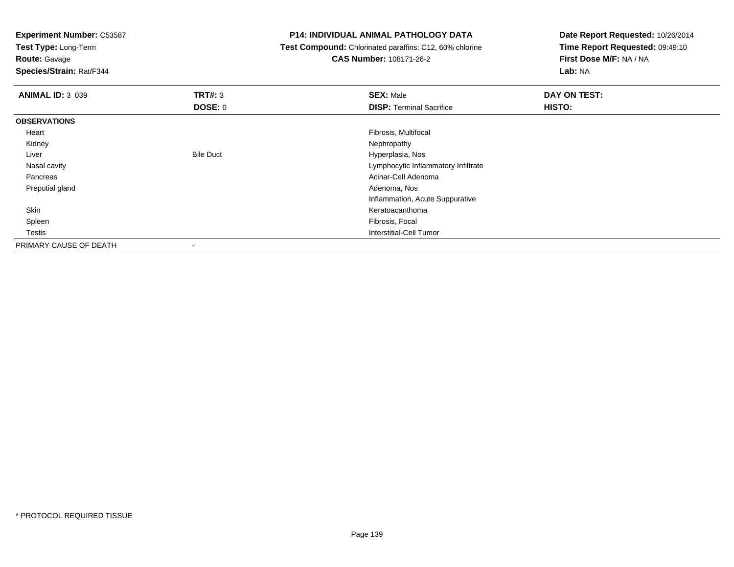**Test Type:** Long-Term

**Route:** Gavage

**Species/Strain:** Rat/F344

#### **P14: INDIVIDUAL ANIMAL PATHOLOGY DATA**

 **Test Compound:** Chlorinated paraffins: C12, 60% chlorine**CAS Number:** 108171-26-2

| <b>ANIMAL ID: 3_039</b> | TRT#: 3                  | <b>SEX: Male</b>                    | DAY ON TEST: |  |
|-------------------------|--------------------------|-------------------------------------|--------------|--|
|                         | <b>DOSE: 0</b>           | <b>DISP: Terminal Sacrifice</b>     | HISTO:       |  |
| <b>OBSERVATIONS</b>     |                          |                                     |              |  |
| Heart                   |                          | Fibrosis, Multifocal                |              |  |
| Kidney                  |                          | Nephropathy                         |              |  |
| Liver                   | <b>Bile Duct</b>         | Hyperplasia, Nos                    |              |  |
| Nasal cavity            |                          | Lymphocytic Inflammatory Infiltrate |              |  |
| Pancreas                |                          | Acinar-Cell Adenoma                 |              |  |
| Preputial gland         |                          | Adenoma, Nos                        |              |  |
|                         |                          | Inflammation, Acute Suppurative     |              |  |
| Skin                    |                          | Keratoacanthoma                     |              |  |
| Spleen                  |                          | Fibrosis, Focal                     |              |  |
| Testis                  |                          | Interstitial-Cell Tumor             |              |  |
| PRIMARY CAUSE OF DEATH  | $\overline{\phantom{a}}$ |                                     |              |  |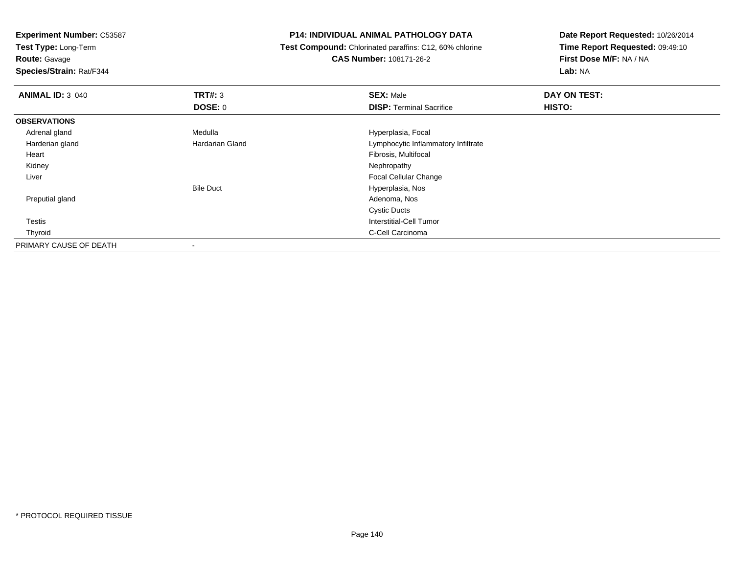**Test Type:** Long-Term

**Route:** Gavage

**Species/Strain:** Rat/F344

#### **P14: INDIVIDUAL ANIMAL PATHOLOGY DATA**

 **Test Compound:** Chlorinated paraffins: C12, 60% chlorine**CAS Number:** 108171-26-2

| <b>ANIMAL ID: 3_040</b> | TRT#: 3          | <b>SEX: Male</b>                    | DAY ON TEST: |  |
|-------------------------|------------------|-------------------------------------|--------------|--|
|                         | <b>DOSE: 0</b>   | <b>DISP: Terminal Sacrifice</b>     | HISTO:       |  |
| <b>OBSERVATIONS</b>     |                  |                                     |              |  |
| Adrenal gland           | Medulla          | Hyperplasia, Focal                  |              |  |
| Harderian gland         | Hardarian Gland  | Lymphocytic Inflammatory Infiltrate |              |  |
| Heart                   |                  | Fibrosis, Multifocal                |              |  |
| Kidney                  |                  | Nephropathy                         |              |  |
| Liver                   |                  | <b>Focal Cellular Change</b>        |              |  |
|                         | <b>Bile Duct</b> | Hyperplasia, Nos                    |              |  |
| Preputial gland         |                  | Adenoma, Nos                        |              |  |
|                         |                  | <b>Cystic Ducts</b>                 |              |  |
| Testis                  |                  | Interstitial-Cell Tumor             |              |  |
| Thyroid                 |                  | C-Cell Carcinoma                    |              |  |
| PRIMARY CAUSE OF DEATH  |                  |                                     |              |  |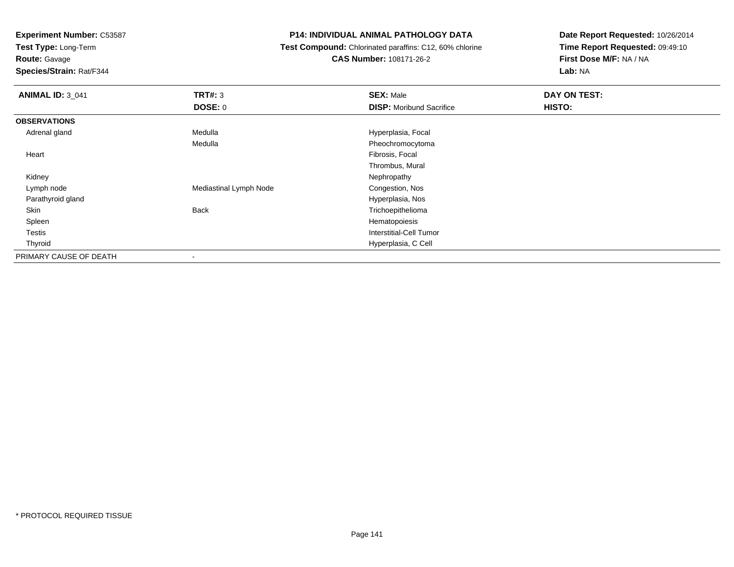**Test Type:** Long-Term

**Route:** Gavage

**Species/Strain:** Rat/F344

# **P14: INDIVIDUAL ANIMAL PATHOLOGY DATA**

 **Test Compound:** Chlorinated paraffins: C12, 60% chlorine**CAS Number:** 108171-26-2

| <b>ANIMAL ID: 3_041</b> | <b>TRT#: 3</b>         | <b>SEX: Male</b>                | DAY ON TEST: |  |
|-------------------------|------------------------|---------------------------------|--------------|--|
|                         | <b>DOSE: 0</b>         | <b>DISP:</b> Moribund Sacrifice | HISTO:       |  |
| <b>OBSERVATIONS</b>     |                        |                                 |              |  |
| Adrenal gland           | Medulla                | Hyperplasia, Focal              |              |  |
|                         | Medulla                | Pheochromocytoma                |              |  |
| Heart                   |                        | Fibrosis, Focal                 |              |  |
|                         |                        | Thrombus, Mural                 |              |  |
| Kidney                  |                        | Nephropathy                     |              |  |
| Lymph node              | Mediastinal Lymph Node | Congestion, Nos                 |              |  |
| Parathyroid gland       |                        | Hyperplasia, Nos                |              |  |
| Skin                    | Back                   | Trichoepithelioma               |              |  |
| Spleen                  |                        | Hematopoiesis                   |              |  |
| Testis                  |                        | <b>Interstitial-Cell Tumor</b>  |              |  |
| Thyroid                 |                        | Hyperplasia, C Cell             |              |  |
| PRIMARY CAUSE OF DEATH  | $\,$                   |                                 |              |  |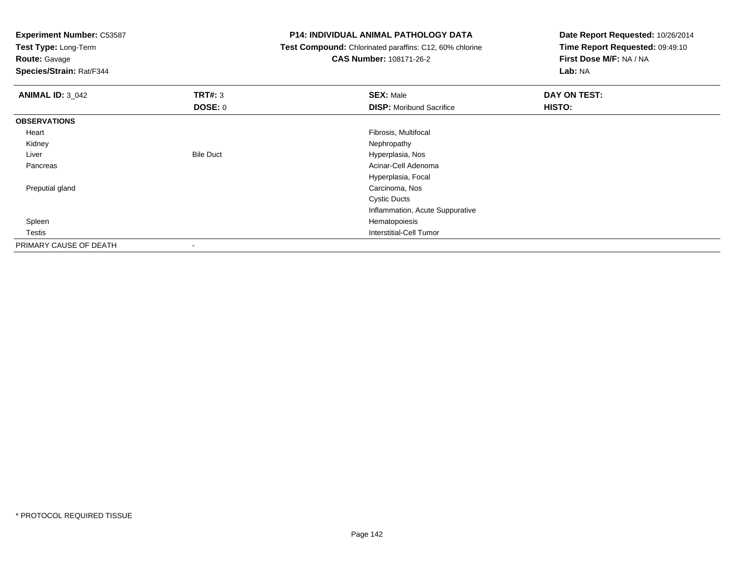**Test Type:** Long-Term

**Route:** Gavage

**Species/Strain:** Rat/F344

#### **P14: INDIVIDUAL ANIMAL PATHOLOGY DATA**

 **Test Compound:** Chlorinated paraffins: C12, 60% chlorine**CAS Number:** 108171-26-2

| <b>ANIMAL ID: 3_042</b> | TRT#: 3                  | <b>SEX: Male</b>                | DAY ON TEST: |  |
|-------------------------|--------------------------|---------------------------------|--------------|--|
|                         | <b>DOSE: 0</b>           | <b>DISP:</b> Moribund Sacrifice | HISTO:       |  |
| <b>OBSERVATIONS</b>     |                          |                                 |              |  |
| Heart                   |                          | Fibrosis, Multifocal            |              |  |
| Kidney                  |                          | Nephropathy                     |              |  |
| Liver                   | <b>Bile Duct</b>         | Hyperplasia, Nos                |              |  |
| Pancreas                |                          | Acinar-Cell Adenoma             |              |  |
|                         |                          | Hyperplasia, Focal              |              |  |
| Preputial gland         |                          | Carcinoma, Nos                  |              |  |
|                         |                          | <b>Cystic Ducts</b>             |              |  |
|                         |                          | Inflammation, Acute Suppurative |              |  |
| Spleen                  |                          | Hematopoiesis                   |              |  |
| Testis                  |                          | Interstitial-Cell Tumor         |              |  |
| PRIMARY CAUSE OF DEATH  | $\overline{\phantom{a}}$ |                                 |              |  |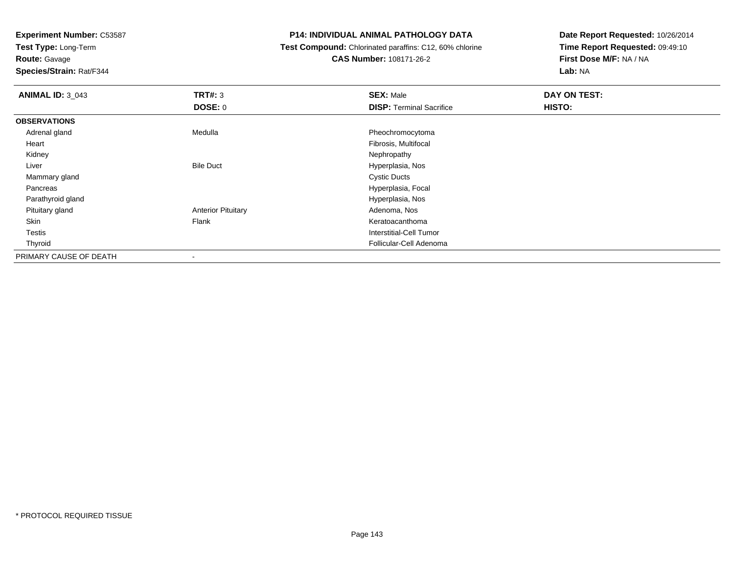**Test Type:** Long-Term

# **Route:** Gavage

**Species/Strain:** Rat/F344

#### **P14: INDIVIDUAL ANIMAL PATHOLOGY DATA**

# **Test Compound:** Chlorinated paraffins: C12, 60% chlorine**CAS Number:** 108171-26-2

| <b>ANIMAL ID: 3_043</b> | TRT#: 3                   | <b>SEX: Male</b>                | DAY ON TEST: |  |
|-------------------------|---------------------------|---------------------------------|--------------|--|
|                         | <b>DOSE: 0</b>            | <b>DISP: Terminal Sacrifice</b> | HISTO:       |  |
| <b>OBSERVATIONS</b>     |                           |                                 |              |  |
| Adrenal gland           | Medulla                   | Pheochromocytoma                |              |  |
| Heart                   |                           | Fibrosis, Multifocal            |              |  |
| Kidney                  |                           | Nephropathy                     |              |  |
| Liver                   | <b>Bile Duct</b>          | Hyperplasia, Nos                |              |  |
| Mammary gland           |                           | <b>Cystic Ducts</b>             |              |  |
| Pancreas                |                           | Hyperplasia, Focal              |              |  |
| Parathyroid gland       |                           | Hyperplasia, Nos                |              |  |
| Pituitary gland         | <b>Anterior Pituitary</b> | Adenoma, Nos                    |              |  |
| Skin                    | Flank                     | Keratoacanthoma                 |              |  |
| Testis                  |                           | Interstitial-Cell Tumor         |              |  |
| Thyroid                 |                           | Follicular-Cell Adenoma         |              |  |
| PRIMARY CAUSE OF DEATH  | $\overline{\phantom{a}}$  |                                 |              |  |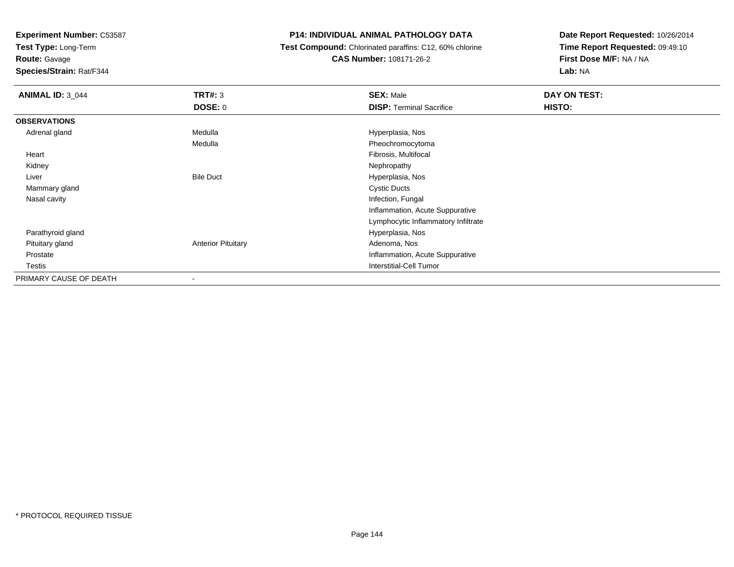**Test Type:** Long-Term

**Route:** Gavage

**Species/Strain:** Rat/F344

# **P14: INDIVIDUAL ANIMAL PATHOLOGY DATA**

 **Test Compound:** Chlorinated paraffins: C12, 60% chlorine**CAS Number:** 108171-26-2

| <b>ANIMAL ID: 3_044</b> | <b>TRT#: 3</b>            | <b>SEX: Male</b>                    | DAY ON TEST: |
|-------------------------|---------------------------|-------------------------------------|--------------|
|                         | <b>DOSE: 0</b>            | <b>DISP: Terminal Sacrifice</b>     | HISTO:       |
| <b>OBSERVATIONS</b>     |                           |                                     |              |
| Adrenal gland           | Medulla                   | Hyperplasia, Nos                    |              |
|                         | Medulla                   | Pheochromocytoma                    |              |
| Heart                   |                           | Fibrosis, Multifocal                |              |
| Kidney                  |                           | Nephropathy                         |              |
| Liver                   | <b>Bile Duct</b>          | Hyperplasia, Nos                    |              |
| Mammary gland           |                           | <b>Cystic Ducts</b>                 |              |
| Nasal cavity            |                           | Infection, Fungal                   |              |
|                         |                           | Inflammation, Acute Suppurative     |              |
|                         |                           | Lymphocytic Inflammatory Infiltrate |              |
| Parathyroid gland       |                           | Hyperplasia, Nos                    |              |
| Pituitary gland         | <b>Anterior Pituitary</b> | Adenoma, Nos                        |              |
| Prostate                |                           | Inflammation, Acute Suppurative     |              |
| Testis                  |                           | <b>Interstitial-Cell Tumor</b>      |              |
| PRIMARY CAUSE OF DEATH  |                           |                                     |              |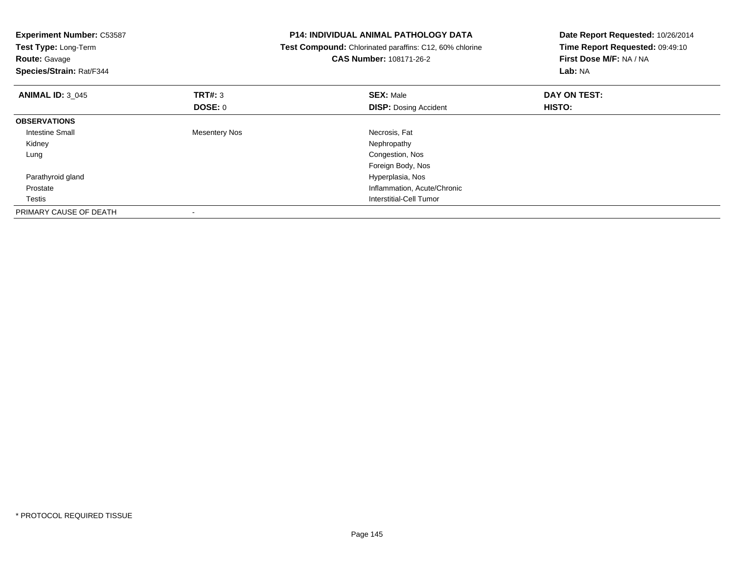| <b>Experiment Number: C53587</b><br>Test Type: Long-Term<br><b>Route: Gavage</b><br>Species/Strain: Rat/F344 |                      | <b>P14: INDIVIDUAL ANIMAL PATHOLOGY DATA</b><br>Test Compound: Chlorinated paraffins: C12, 60% chlorine<br><b>CAS Number: 108171-26-2</b> | Date Report Requested: 10/26/2014<br>Time Report Requested: 09:49:10<br>First Dose M/F: NA / NA<br>Lab: NA |
|--------------------------------------------------------------------------------------------------------------|----------------------|-------------------------------------------------------------------------------------------------------------------------------------------|------------------------------------------------------------------------------------------------------------|
| <b>ANIMAL ID: 3 045</b>                                                                                      | <b>TRT#: 3</b>       | <b>SEX: Male</b>                                                                                                                          | DAY ON TEST:                                                                                               |
|                                                                                                              | DOSE: 0              | <b>DISP: Dosing Accident</b>                                                                                                              | HISTO:                                                                                                     |
| <b>OBSERVATIONS</b>                                                                                          |                      |                                                                                                                                           |                                                                                                            |
| <b>Intestine Small</b>                                                                                       | <b>Mesentery Nos</b> | Necrosis, Fat                                                                                                                             |                                                                                                            |
| Kidney                                                                                                       |                      | Nephropathy                                                                                                                               |                                                                                                            |
| Lung                                                                                                         |                      | Congestion, Nos                                                                                                                           |                                                                                                            |
|                                                                                                              |                      | Foreign Body, Nos                                                                                                                         |                                                                                                            |
| Parathyroid gland                                                                                            |                      | Hyperplasia, Nos                                                                                                                          |                                                                                                            |
| Prostate                                                                                                     |                      | Inflammation, Acute/Chronic                                                                                                               |                                                                                                            |
| Testis                                                                                                       |                      | Interstitial-Cell Tumor                                                                                                                   |                                                                                                            |
| PRIMARY CAUSE OF DEATH                                                                                       |                      |                                                                                                                                           |                                                                                                            |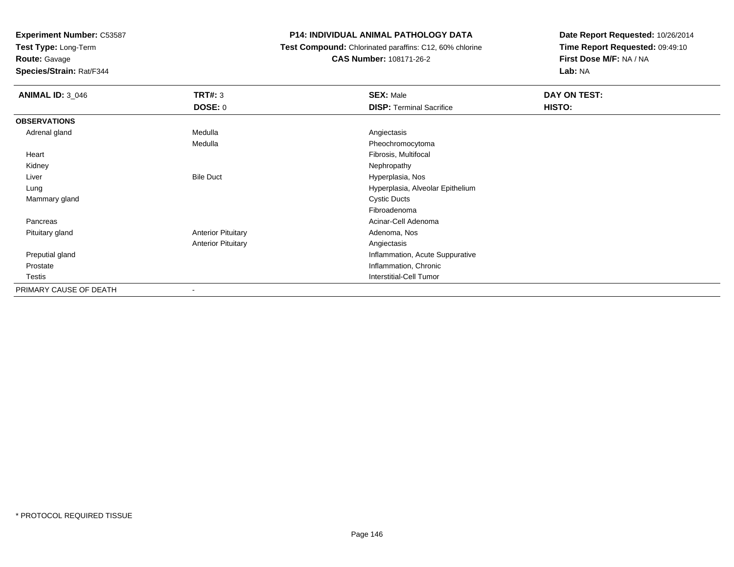**Experiment Number:** C53587

**Test Type:** Long-Term

**Route:** Gavage

**Species/Strain:** Rat/F344

## **P14: INDIVIDUAL ANIMAL PATHOLOGY DATA**

 **Test Compound:** Chlorinated paraffins: C12, 60% chlorine**CAS Number:** 108171-26-2

**Date Report Requested:** 10/26/2014**Time Report Requested:** 09:49:10**First Dose M/F:** NA / NA**Lab:** NA

| <b>ANIMAL ID: 3_046</b> | <b>TRT#: 3</b>            | <b>SEX: Male</b>                 | DAY ON TEST: |
|-------------------------|---------------------------|----------------------------------|--------------|
|                         | <b>DOSE: 0</b>            | <b>DISP: Terminal Sacrifice</b>  | HISTO:       |
| <b>OBSERVATIONS</b>     |                           |                                  |              |
| Adrenal gland           | Medulla                   | Angiectasis                      |              |
|                         | Medulla                   | Pheochromocytoma                 |              |
| Heart                   |                           | Fibrosis, Multifocal             |              |
| Kidney                  |                           | Nephropathy                      |              |
| Liver                   | <b>Bile Duct</b>          | Hyperplasia, Nos                 |              |
| Lung                    |                           | Hyperplasia, Alveolar Epithelium |              |
| Mammary gland           |                           | <b>Cystic Ducts</b>              |              |
|                         |                           | Fibroadenoma                     |              |
| Pancreas                |                           | Acinar-Cell Adenoma              |              |
| Pituitary gland         | <b>Anterior Pituitary</b> | Adenoma, Nos                     |              |
|                         | <b>Anterior Pituitary</b> | Angiectasis                      |              |
| Preputial gland         |                           | Inflammation, Acute Suppurative  |              |
| Prostate                |                           | Inflammation, Chronic            |              |
| Testis                  |                           | <b>Interstitial-Cell Tumor</b>   |              |
| PRIMARY CAUSE OF DEATH  | $\overline{\phantom{a}}$  |                                  |              |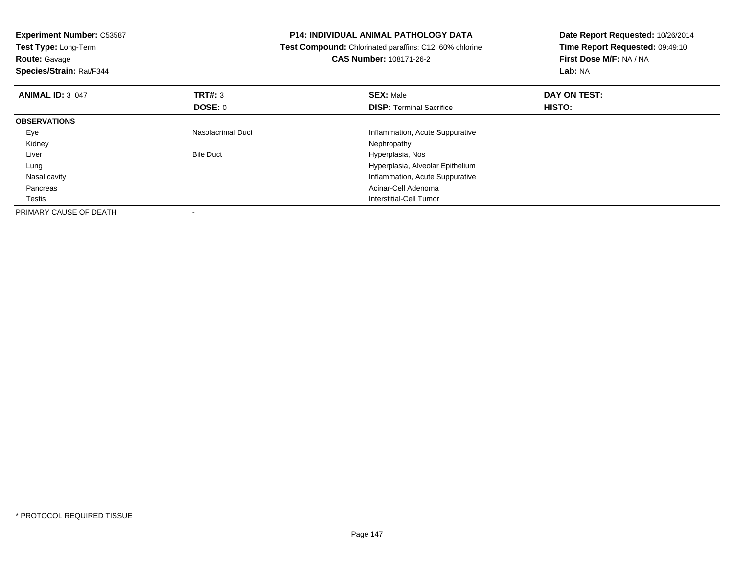| <b>Experiment Number: C53587</b><br>Test Type: Long-Term<br><b>Route: Gavage</b><br>Species/Strain: Rat/F344 |                   | <b>P14: INDIVIDUAL ANIMAL PATHOLOGY DATA</b><br>Test Compound: Chlorinated paraffins: C12, 60% chlorine<br><b>CAS Number: 108171-26-2</b> | Date Report Requested: 10/26/2014<br>Time Report Requested: 09:49:10<br>First Dose M/F: NA / NA<br>Lab: NA |
|--------------------------------------------------------------------------------------------------------------|-------------------|-------------------------------------------------------------------------------------------------------------------------------------------|------------------------------------------------------------------------------------------------------------|
| <b>ANIMAL ID: 3 047</b>                                                                                      | <b>TRT#: 3</b>    | <b>SEX: Male</b>                                                                                                                          | DAY ON TEST:                                                                                               |
|                                                                                                              | DOSE: 0           | <b>DISP:</b> Terminal Sacrifice                                                                                                           | HISTO:                                                                                                     |
| <b>OBSERVATIONS</b>                                                                                          |                   |                                                                                                                                           |                                                                                                            |
| Eye                                                                                                          | Nasolacrimal Duct | Inflammation, Acute Suppurative                                                                                                           |                                                                                                            |
| Kidney                                                                                                       |                   | Nephropathy                                                                                                                               |                                                                                                            |
| Liver                                                                                                        | <b>Bile Duct</b>  | Hyperplasia, Nos                                                                                                                          |                                                                                                            |
| Lung                                                                                                         |                   | Hyperplasia, Alveolar Epithelium                                                                                                          |                                                                                                            |
| Nasal cavity                                                                                                 |                   | Inflammation, Acute Suppurative                                                                                                           |                                                                                                            |
| Pancreas                                                                                                     |                   | Acinar-Cell Adenoma                                                                                                                       |                                                                                                            |
| Testis                                                                                                       |                   | Interstitial-Cell Tumor                                                                                                                   |                                                                                                            |
| PRIMARY CAUSE OF DEATH                                                                                       |                   |                                                                                                                                           |                                                                                                            |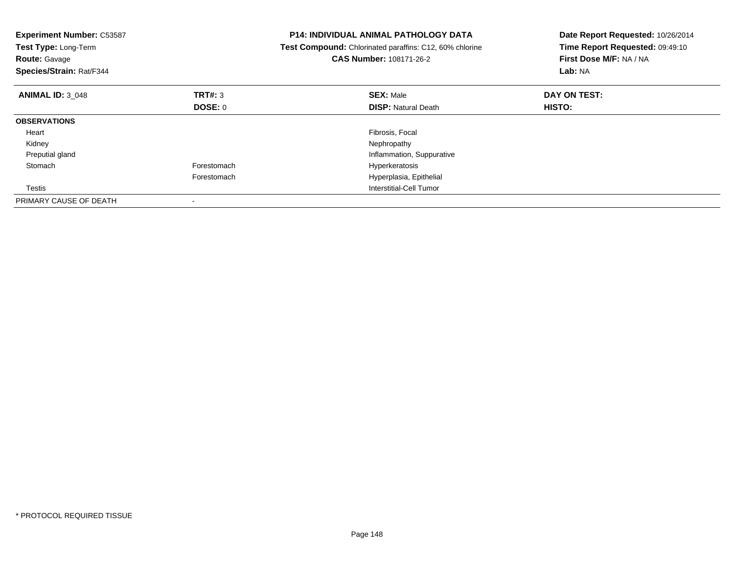| <b>Experiment Number: C53587</b><br>Test Type: Long-Term<br><b>Route: Gavage</b><br>Species/Strain: Rat/F344 |                | <b>P14: INDIVIDUAL ANIMAL PATHOLOGY DATA</b><br>Test Compound: Chlorinated paraffins: C12, 60% chlorine<br><b>CAS Number: 108171-26-2</b> | Date Report Requested: 10/26/2014<br>Time Report Requested: 09:49:10<br>First Dose M/F: NA / NA<br>Lab: NA |
|--------------------------------------------------------------------------------------------------------------|----------------|-------------------------------------------------------------------------------------------------------------------------------------------|------------------------------------------------------------------------------------------------------------|
| <b>ANIMAL ID: 3 048</b>                                                                                      | <b>TRT#: 3</b> | <b>SEX: Male</b>                                                                                                                          | DAY ON TEST:                                                                                               |
|                                                                                                              | <b>DOSE: 0</b> | <b>DISP: Natural Death</b>                                                                                                                | HISTO:                                                                                                     |
| <b>OBSERVATIONS</b>                                                                                          |                |                                                                                                                                           |                                                                                                            |
| Heart                                                                                                        |                | Fibrosis, Focal                                                                                                                           |                                                                                                            |
| Kidney                                                                                                       |                | Nephropathy                                                                                                                               |                                                                                                            |
| Preputial gland                                                                                              |                | Inflammation, Suppurative                                                                                                                 |                                                                                                            |
| Stomach                                                                                                      | Forestomach    | Hyperkeratosis                                                                                                                            |                                                                                                            |
|                                                                                                              | Forestomach    | Hyperplasia, Epithelial                                                                                                                   |                                                                                                            |
| Testis                                                                                                       |                | Interstitial-Cell Tumor                                                                                                                   |                                                                                                            |
| PRIMARY CAUSE OF DEATH                                                                                       |                |                                                                                                                                           |                                                                                                            |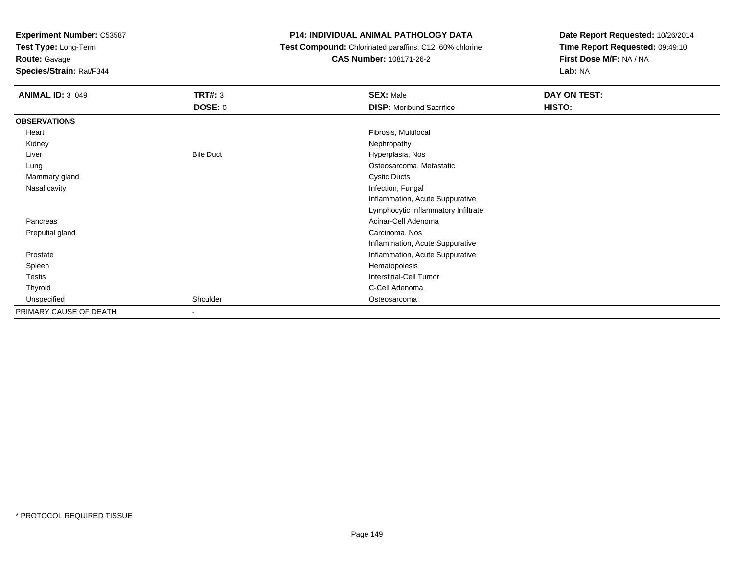**Experiment Number:** C53587

**Test Type:** Long-Term

**Route:** Gavage

**Species/Strain:** Rat/F344

## **P14: INDIVIDUAL ANIMAL PATHOLOGY DATA**

**Test Compound:** Chlorinated paraffins: C12, 60% chlorine

**CAS Number:** 108171-26-2

**Date Report Requested:** 10/26/2014**Time Report Requested:** 09:49:10**First Dose M/F:** NA / NA**Lab:** NA

| <b>ANIMAL ID: 3_049</b> | <b>TRT#: 3</b>   | <b>SEX: Male</b>                    | DAY ON TEST: |
|-------------------------|------------------|-------------------------------------|--------------|
|                         | <b>DOSE: 0</b>   | <b>DISP:</b> Moribund Sacrifice     | HISTO:       |
| <b>OBSERVATIONS</b>     |                  |                                     |              |
| Heart                   |                  | Fibrosis, Multifocal                |              |
| Kidney                  |                  | Nephropathy                         |              |
| Liver                   | <b>Bile Duct</b> | Hyperplasia, Nos                    |              |
| Lung                    |                  | Osteosarcoma, Metastatic            |              |
| Mammary gland           |                  | <b>Cystic Ducts</b>                 |              |
| Nasal cavity            |                  | Infection, Fungal                   |              |
|                         |                  | Inflammation, Acute Suppurative     |              |
|                         |                  | Lymphocytic Inflammatory Infiltrate |              |
| Pancreas                |                  | Acinar-Cell Adenoma                 |              |
| Preputial gland         |                  | Carcinoma, Nos                      |              |
|                         |                  | Inflammation, Acute Suppurative     |              |
| Prostate                |                  | Inflammation, Acute Suppurative     |              |
| Spleen                  |                  | Hematopoiesis                       |              |
| Testis                  |                  | <b>Interstitial-Cell Tumor</b>      |              |
| Thyroid                 |                  | C-Cell Adenoma                      |              |
| Unspecified             | Shoulder         | Osteosarcoma                        |              |
| PRIMARY CAUSE OF DEATH  | ٠                |                                     |              |